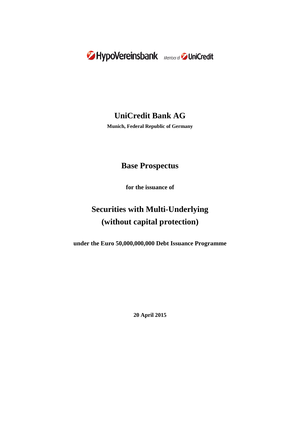

# **UniCredit Bank AG**

**Munich, Federal Republic of Germany**

## **Base Prospectus**

**for the issuance of**

# **Securities with Multi-Underlying (without capital protection)**

**under the Euro 50,000,000,000 Debt Issuance Programme**

**20 April 2015**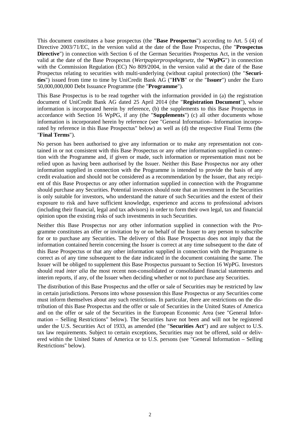This document constitutes a base prospectus (the "**Base Prospectus**") according to Art. 5 (4) of Directive 2003/71/EC, in the version valid at the date of the Base Prospectus, (the "**Prospectus Directive**") in connection with Section 6 of the German Securities Prospectus Act, in the version valid at the date of the Base Prospectus (*Wertpapierprospektgesetz*, the "**WpPG**") in connection with the Commission Regulation (EC) No 809/2004, in the version valid at the date of the Base Prospectus relating to securities with multi-underlying (without capital protection) (the "**Securities**") issued from time to time by UniCredit Bank AG ("**HVB**" or the "**Issuer**") under the Euro 50,000,000,000 Debt Issuance Programme (the "**Programme**").

This Base Prospectus is to be read together with the information provided in (a) the registration document of UniCredit Bank AG dated 25 April 2014 (the "**Registration Document**"), whose information is incorporated herein by reference, (b) the supplements to this Base Prospectus in accordance with Section 16 WpPG, if any (the "**Supplements**") (c) all other documents whose information is incorporated herein by reference (see "General Information– Information incorporated by reference in this Base Prospectus" below) as well as (d) the respective Final Terms (the "**Final Terms**").

No person has been authorised to give any information or to make any representation not contained in or not consistent with this Base Prospectus or any other information supplied in connection with the Programme and, if given or made, such information or representation must not be relied upon as having been authorised by the Issuer. Neither this Base Prospectus nor any other information supplied in connection with the Programme is intended to provide the basis of any credit evaluation and should not be considered as a recommendation by the Issuer, that any recipient of this Base Prospectus or any other information supplied in connection with the Programme should purchase any Securities. Potential investors should note that an investment in the Securities is only suitable for investors, who understand the nature of such Securities and the extent of their exposure to risk and have sufficient knowledge, experience and access to professional advisors (including their financial, legal and tax advisors) in order to form their own legal, tax and financial opinion upon the existing risks of such investments in such Securities.

Neither this Base Prospectus nor any other information supplied in connection with the Programme constitutes an offer or invitation by or on behalf of the Issuer to any person to subscribe for or to purchase any Securities. The delivery of this Base Prospectus does not imply that the information contained herein concerning the Issuer is correct at any time subsequent to the date of this Base Prospectus or that any other information supplied in connection with the Programme is correct as of any time subsequent to the date indicated in the document containing the same. The Issuer will be obliged to supplement this Base Prospectus pursuant to Section 16 WpPG. Investors should read *inter alia* the most recent non-consolidated or consolidated financial statements and interim reports, if any, of the Issuer when deciding whether or not to purchase any Securities.

The distribution of this Base Prospectus and the offer or sale of Securities may be restricted by law in certain jurisdictions. Persons into whose possession this Base Prospectus or any Securities come must inform themselves about any such restrictions. In particular, there are restrictions on the distribution of this Base Prospectus and the offer or sale of Securities in the United States of America and on the offer or sale of the Securities in the European Economic Area (see "General Information – Selling Restrictions" below). The Securities have not been and will not be registered under the U.S. Securities Act of 1933, as amended (the "**Securities Act**") and are subject to U.S. tax law requirements. Subject to certain exceptions, Securities may not be offered, sold or delivered within the United States of America or to U.S. persons (see "General Information – Selling Restrictions" below).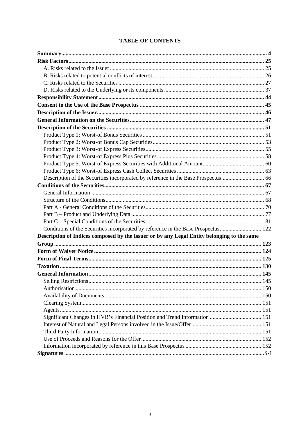|  | <b>TABLE OF CONTENTS</b> |
|--|--------------------------|
|--|--------------------------|

| Description of the Securities incorporated by reference in the Base Prospectus 66          |  |
|--------------------------------------------------------------------------------------------|--|
|                                                                                            |  |
|                                                                                            |  |
|                                                                                            |  |
|                                                                                            |  |
|                                                                                            |  |
|                                                                                            |  |
| Conditions of the Securities incorporated by reference in the Base Prospectus 122          |  |
| Description of Indices composed by the Issuer or by any Legal Entity belonging to the same |  |
|                                                                                            |  |
|                                                                                            |  |
|                                                                                            |  |
|                                                                                            |  |
|                                                                                            |  |
|                                                                                            |  |
|                                                                                            |  |
|                                                                                            |  |
|                                                                                            |  |
|                                                                                            |  |
| Significant Changes in HVB's Financial Position and Trend Information  151                 |  |
|                                                                                            |  |
|                                                                                            |  |
|                                                                                            |  |
|                                                                                            |  |
|                                                                                            |  |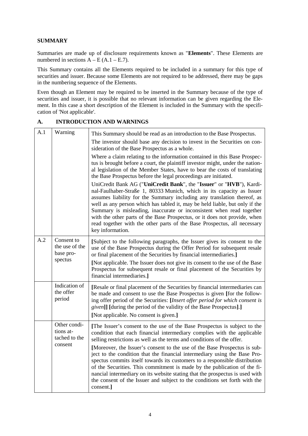## **SUMMARY**

Summaries are made up of disclosure requirements known as "**Elements**". These Elements are numbered in sections  $\overline{A} - E(A.1 - E.7)$ .

This Summary contains all the Elements required to be included in a summary for this type of securities and issuer. Because some Elements are not required to be addressed, there may be gaps in the numbering sequence of the Elements.

Even though an Element may be required to be inserted in the Summary because of the type of securities and issuer, it is possible that no relevant information can be given regarding the Element. In this case a short description of the Element is included in the Summary with the specification of 'Not applicable'.

# **A. INTRODUCTION AND WARNINGS**

| A.1 | Warning                                               | This Summary should be read as an introduction to the Base Prospectus.<br>The investor should base any decision to invest in the Securities on con-<br>sideration of the Base Prospectus as a whole.<br>Where a claim relating to the information contained in this Base Prospec-<br>tus is brought before a court, the plaintiff investor might, under the nation-<br>al legislation of the Member States, have to bear the costs of translating<br>the Base Prospectus before the legal proceedings are initiated.<br>UniCredit Bank AG ("UniCredit Bank", the "Issuer" or "HVB"), Kardi-<br>nal-Faulhaber-Straße 1, 80333 Munich, which in its capacity as Issuer<br>assumes liability for the Summary including any translation thereof, as<br>well as any person which has tabled it, may be held liable, but only if the<br>Summary is misleading, inaccurate or inconsistent when read together<br>with the other parts of the Base Prospectus, or it does not provide, when<br>read together with the other parts of the Base Prospectus, all necessary<br>key information. |
|-----|-------------------------------------------------------|-------------------------------------------------------------------------------------------------------------------------------------------------------------------------------------------------------------------------------------------------------------------------------------------------------------------------------------------------------------------------------------------------------------------------------------------------------------------------------------------------------------------------------------------------------------------------------------------------------------------------------------------------------------------------------------------------------------------------------------------------------------------------------------------------------------------------------------------------------------------------------------------------------------------------------------------------------------------------------------------------------------------------------------------------------------------------------------|
| A.2 | Consent to<br>the use of the<br>base pro-<br>spectus  | [Subject to the following paragraphs, the Issuer gives its consent to the<br>use of the Base Prospectus during the Offer Period for subsequent resale<br>or final placement of the Securities by financial intermediaries.]<br>[Not applicable. The Issuer does not give its consent to the use of the Base<br>Prospectus for subsequent resale or final placement of the Securities by<br>financial intermediaries.]                                                                                                                                                                                                                                                                                                                                                                                                                                                                                                                                                                                                                                                               |
|     | Indication of<br>the offer<br>period                  | [Resale or final placement of the Securities by financial intermediaries can<br>be made and consent to use the Base Prospectus is given [for the follow-<br>ing offer period of the Securities: [Insert offer period for which consent is<br><i>given</i> ]] [during the period of the validity of the Base Prospectus].]<br>[Not applicable. No consent is given.]                                                                                                                                                                                                                                                                                                                                                                                                                                                                                                                                                                                                                                                                                                                 |
|     | Other condi-<br>tions at-<br>tached to the<br>consent | [The Issuer's consent to the use of the Base Prospectus is subject to the<br>condition that each financial intermediary complies with the applicable<br>selling restrictions as well as the terms and conditions of the offer.<br>[Moreover, the Issuer's consent to the use of the Base Prospectus is sub-<br>ject to the condition that the financial intermediary using the Base Pro-<br>spectus commits itself towards its customers to a responsible distribution<br>of the Securities. This commitment is made by the publication of the fi-<br>nancial intermediary on its website stating that the prospectus is used with<br>the consent of the Issuer and subject to the conditions set forth with the<br>consent.]                                                                                                                                                                                                                                                                                                                                                       |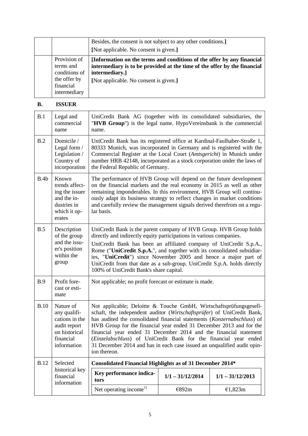|                                                                                         | Besides, the consent is not subject to any other conditions.]<br>[Not applicable. No consent is given.]                                                                                                        |
|-----------------------------------------------------------------------------------------|----------------------------------------------------------------------------------------------------------------------------------------------------------------------------------------------------------------|
| Provision of<br>terms and<br>conditions of<br>the offer by<br>financial<br>intermediary | [Information on the terms and conditions of the offer by any financial<br>intermediary is to be provided at the time of the offer by the financial<br>intermediary.]<br>[Not applicable. No consent is given.] |

## **B. ISSUER**

| B.1         | Legal and<br>commercial<br>name                                                                          | UniCredit Bank AG (together with its consolidated subsidiaries, the<br>"HVB Group") is the legal name. HypoVereinsbank is the commercial<br>name.                                                                                                                                                                                                                                                                                                                                                                                  |                    |                    |
|-------------|----------------------------------------------------------------------------------------------------------|------------------------------------------------------------------------------------------------------------------------------------------------------------------------------------------------------------------------------------------------------------------------------------------------------------------------------------------------------------------------------------------------------------------------------------------------------------------------------------------------------------------------------------|--------------------|--------------------|
| B.2         | Domicile /<br>Legal form /<br>Legislation /<br>Country of<br>incorporation                               | UniCredit Bank has its registered office at Kardinal-Faulhaber-Straße 1,<br>80333 Munich, was incorporated in Germany and is registered with the<br>Commercial Register at the Local Court (Amtsgericht) in Munich under<br>number HRB 42148, incorporated as a stock corporation under the laws of<br>the Federal Republic of Germany.                                                                                                                                                                                            |                    |                    |
| B.4b        | Known<br>trends affect-<br>ing the issuer<br>and the in-<br>dustries in<br>which it op-<br>erates        | The performance of HVB Group will depend on the future development<br>on the financial markets and the real economy in 2015 as well as other<br>remaining imponderables. In this environment, HVB Group will continu-<br>ously adapt its business strategy to reflect changes in market conditions<br>and carefully review the management signals derived therefrom on a regu-<br>lar basis.                                                                                                                                       |                    |                    |
| B.5         | Description<br>of the group<br>and the issu-<br>er's position<br>within the<br>group                     | UniCredit Bank is the parent company of HVB Group. HVB Group holds<br>directly and indirectly equity participations in various companies.<br>UniCredit Bank has been an affiliated company of UniCredit S.p.A.,<br>Rome ("UniCredit S.p.A.", and together with its consolidated subsidiar-<br>ies, "UniCredit") since November 2005 and hence a major part of<br>UniCredit from that date as a sub-group. UniCredit S.p.A. holds directly<br>100% of UniCredit Bank's share capital.                                               |                    |                    |
| <b>B.9</b>  | Profit fore-<br>cast or esti-<br>mate                                                                    | Not applicable; no profit forecast or estimate is made.                                                                                                                                                                                                                                                                                                                                                                                                                                                                            |                    |                    |
| <b>B.10</b> | Nature of<br>any qualifi-<br>cations in the<br>audit report<br>on historical<br>financial<br>information | Not applicable; Deloitte & Touche GmbH, Wirtschaftsprüfungsgesell-<br>schaft, the independent auditor (Wirtschaftsprüfer) of UniCredit Bank,<br>has audited the consolidated financial statements (Konzernabschluss) of<br>HVB Group for the financial year ended 31 December 2013 and for the<br>financial year ended 31 December 2014 and the financial statement<br>(Einzelabschluss) of UniCredit Bank for the financial year ended<br>31 December 2014 and has in each case issued an unqualified audit opin-<br>ion thereon. |                    |                    |
| <b>B.12</b> | Selected                                                                                                 | Consolidated Financial Highlights as of 31 December 2014*                                                                                                                                                                                                                                                                                                                                                                                                                                                                          |                    |                    |
|             | historical key<br>financial<br>information                                                               | Key performance indica-<br>tors                                                                                                                                                                                                                                                                                                                                                                                                                                                                                                    | $1/1 - 31/12/2014$ | $1/1 - 31/12/2013$ |
|             |                                                                                                          | Net operating income <sup>1)</sup>                                                                                                                                                                                                                                                                                                                                                                                                                                                                                                 | €892m              | E1,823m            |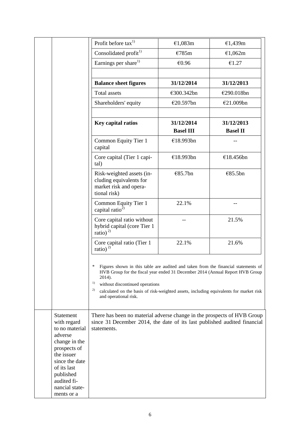|                                                                                                                                                                                                   | Profit before tax <sup>1)</sup>                                                                                                                                                                                                                                                                                                                      | €1,083m          | €1,439m         |
|---------------------------------------------------------------------------------------------------------------------------------------------------------------------------------------------------|------------------------------------------------------------------------------------------------------------------------------------------------------------------------------------------------------------------------------------------------------------------------------------------------------------------------------------------------------|------------------|-----------------|
|                                                                                                                                                                                                   | Consolidated profit <sup>1)</sup>                                                                                                                                                                                                                                                                                                                    | €785m            | €1,062m         |
|                                                                                                                                                                                                   | Earnings per share <sup>1)</sup>                                                                                                                                                                                                                                                                                                                     | €0.96            | €1.27           |
|                                                                                                                                                                                                   |                                                                                                                                                                                                                                                                                                                                                      |                  |                 |
|                                                                                                                                                                                                   | <b>Balance sheet figures</b>                                                                                                                                                                                                                                                                                                                         | 31/12/2014       | 31/12/2013      |
|                                                                                                                                                                                                   | <b>Total assets</b>                                                                                                                                                                                                                                                                                                                                  | €300.342bn       | €290.018bn      |
|                                                                                                                                                                                                   | Shareholders' equity                                                                                                                                                                                                                                                                                                                                 | €20.597bn        | €21.009bn       |
|                                                                                                                                                                                                   |                                                                                                                                                                                                                                                                                                                                                      |                  |                 |
|                                                                                                                                                                                                   | Key capital ratios                                                                                                                                                                                                                                                                                                                                   | 31/12/2014       | 31/12/2013      |
|                                                                                                                                                                                                   |                                                                                                                                                                                                                                                                                                                                                      | <b>Basel III</b> | <b>Basel II</b> |
|                                                                                                                                                                                                   | Common Equity Tier 1<br>capital                                                                                                                                                                                                                                                                                                                      | €18.993bn        |                 |
|                                                                                                                                                                                                   | Core capital (Tier 1 capi-<br>tal)                                                                                                                                                                                                                                                                                                                   | €18.993bn        | €18.456bn       |
|                                                                                                                                                                                                   | Risk-weighted assets (in-<br>cluding equivalents for<br>market risk and opera-<br>tional risk)                                                                                                                                                                                                                                                       | €85.7bn          | €85.5bn         |
|                                                                                                                                                                                                   | Common Equity Tier 1<br>capital ratio <sup>2</sup>                                                                                                                                                                                                                                                                                                   | 22.1%            |                 |
|                                                                                                                                                                                                   | Core capital ratio without<br>hybrid capital (core Tier 1<br>ratio) <sup>2)</sup>                                                                                                                                                                                                                                                                    |                  | 21.5%           |
|                                                                                                                                                                                                   | Core capital ratio (Tier 1<br>ratio) <sup>2)</sup>                                                                                                                                                                                                                                                                                                   | 22.1%            | 21.6%           |
|                                                                                                                                                                                                   | ∗<br>Figures shown in this table are audited and taken from the financial statements of<br>HVB Group for the fiscal year ended 31 December 2014 (Annual Report HVB Group<br>2014).<br>1)<br>without discontinued operations<br>2)<br>calculated on the basis of risk-weighted assets, including equivalents for market risk<br>and operational risk. |                  |                 |
| Statement<br>with regard<br>to no material<br>adverse<br>change in the<br>prospects of<br>the issuer<br>since the date<br>of its last<br>published<br>audited fi-<br>nancial state-<br>ments or a | There has been no material adverse change in the prospects of HVB Group<br>since 31 December 2014, the date of its last published audited financial<br>statements.                                                                                                                                                                                   |                  |                 |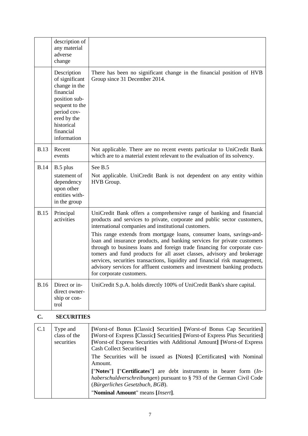|             | description of<br>any material<br>adverse<br>change                                                                                                                    |                                                                                                                                                                                                                                                                                                                                                                                                                                                                                                                                                                                                                                                                                                          |
|-------------|------------------------------------------------------------------------------------------------------------------------------------------------------------------------|----------------------------------------------------------------------------------------------------------------------------------------------------------------------------------------------------------------------------------------------------------------------------------------------------------------------------------------------------------------------------------------------------------------------------------------------------------------------------------------------------------------------------------------------------------------------------------------------------------------------------------------------------------------------------------------------------------|
|             | Description<br>of significant<br>change in the<br>financial<br>position sub-<br>sequent to the<br>period cov-<br>ered by the<br>historical<br>financial<br>information | There has been no significant change in the financial position of HVB<br>Group since 31 December 2014.                                                                                                                                                                                                                                                                                                                                                                                                                                                                                                                                                                                                   |
| <b>B.13</b> | Recent<br>events                                                                                                                                                       | Not applicable. There are no recent events particular to UniCredit Bank<br>which are to a material extent relevant to the evaluation of its solvency.                                                                                                                                                                                                                                                                                                                                                                                                                                                                                                                                                    |
| <b>B.14</b> | B.5 plus<br>statement of<br>dependency<br>upon other<br>entities with-<br>in the group                                                                                 | See B.5<br>Not applicable. UniCredit Bank is not dependent on any entity within<br>HVB Group.                                                                                                                                                                                                                                                                                                                                                                                                                                                                                                                                                                                                            |
| <b>B.15</b> | Principal<br>activities                                                                                                                                                | UniCredit Bank offers a comprehensive range of banking and financial<br>products and services to private, corporate and public sector customers,<br>international companies and institutional customers.<br>This range extends from mortgage loans, consumer loans, savings-and-<br>loan and insurance products, and banking services for private customers<br>through to business loans and foreign trade financing for corporate cus-<br>tomers and fund products for all asset classes, advisory and brokerage<br>services, securities transactions, liquidity and financial risk management,<br>advisory services for affluent customers and investment banking products<br>for corporate customers. |
| <b>B.16</b> | Direct or in-<br>direct owner-<br>ship or con-<br>trol                                                                                                                 | UniCredit S.p.A. holds directly 100% of UniCredit Bank's share capital.                                                                                                                                                                                                                                                                                                                                                                                                                                                                                                                                                                                                                                  |

## **C. SECURITIES**

| C.1 | Type and<br>class of the<br>securities | [Worst-of Bonus [Classic] Securities] [Worst-of Bonus Cap Securities]<br>[Worst-of Express [Classic] Securities] [Worst-of Express Plus Securities]<br>[Worst-of Express Securities with Additional Amount] [Worst-of Express<br><b>Cash Collect Securities]</b> |
|-----|----------------------------------------|------------------------------------------------------------------------------------------------------------------------------------------------------------------------------------------------------------------------------------------------------------------|
|     |                                        | The Securities will be issued as [Notes] [Certificates] with Nominal<br>Amount.                                                                                                                                                                                  |
|     |                                        | ["Notes"] ["Certificates"] are debt instruments in bearer form (In-<br>haberschuldverschreibungen) pursuant to § 793 of the German Civil Code<br>(Bürgerliches Gesetzbuch, BGB).                                                                                 |
|     |                                        | "Nominal Amount" means [Insert].                                                                                                                                                                                                                                 |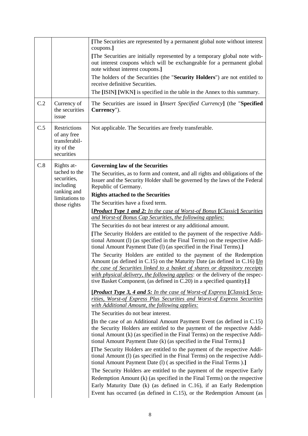|     |                                                                                                          | [The Securities are represented by a permanent global note without interest<br>coupons.]<br>[The Securities are initially represented by a temporary global note with-<br>out interest coupons which will be exchangeable for a permanent global<br>note without interest coupons.]<br>The holders of the Securities (the "Security Holders") are not entitled to<br>receive definitive Securities.<br>The [ISIN] [WKN] is specified in the table in the Annex to this summary.                                                                                                                                                                                                                                                                                                                                                                                                                                                                                                                                                                                                                                                                                                                                                                                                                                                                                                                                                                                                                                                                                                                                                                                                                                                                                                                                                                                                                                                                                                                                                                                                                                                                                                                                                                                                                              |
|-----|----------------------------------------------------------------------------------------------------------|--------------------------------------------------------------------------------------------------------------------------------------------------------------------------------------------------------------------------------------------------------------------------------------------------------------------------------------------------------------------------------------------------------------------------------------------------------------------------------------------------------------------------------------------------------------------------------------------------------------------------------------------------------------------------------------------------------------------------------------------------------------------------------------------------------------------------------------------------------------------------------------------------------------------------------------------------------------------------------------------------------------------------------------------------------------------------------------------------------------------------------------------------------------------------------------------------------------------------------------------------------------------------------------------------------------------------------------------------------------------------------------------------------------------------------------------------------------------------------------------------------------------------------------------------------------------------------------------------------------------------------------------------------------------------------------------------------------------------------------------------------------------------------------------------------------------------------------------------------------------------------------------------------------------------------------------------------------------------------------------------------------------------------------------------------------------------------------------------------------------------------------------------------------------------------------------------------------------------------------------------------------------------------------------------------------|
| C.2 | Currency of<br>the securities<br>issue                                                                   | The Securities are issued in [ <i>Insert Specified Currency</i> ] (the "Specified<br>Currency").                                                                                                                                                                                                                                                                                                                                                                                                                                                                                                                                                                                                                                                                                                                                                                                                                                                                                                                                                                                                                                                                                                                                                                                                                                                                                                                                                                                                                                                                                                                                                                                                                                                                                                                                                                                                                                                                                                                                                                                                                                                                                                                                                                                                             |
| C.5 | Restrictions<br>of any free<br>transferabil-<br>ity of the<br>securities                                 | Not applicable. The Securities are freely transferable.                                                                                                                                                                                                                                                                                                                                                                                                                                                                                                                                                                                                                                                                                                                                                                                                                                                                                                                                                                                                                                                                                                                                                                                                                                                                                                                                                                                                                                                                                                                                                                                                                                                                                                                                                                                                                                                                                                                                                                                                                                                                                                                                                                                                                                                      |
| C.8 | Rights at-<br>tached to the<br>securities,<br>including<br>ranking and<br>limitations to<br>those rights | <b>Governing law of the Securities</b><br>The Securities, as to form and content, and all rights and obligations of the<br>Issuer and the Security Holder shall be governed by the laws of the Federal<br>Republic of Germany.<br><b>Rights attached to the Securities</b><br>The Securities have a fixed term.<br><b>[Product Type 1 and 2:</b> In the case of Worst-of Bonus [Classic] Securities<br>and Worst-of Bonus Cap Securities, the following applies:<br>The Securities do not bear interest or any additional amount.<br>[The Security Holders are entitled to the payment of the respective Addi-<br>tional Amount (1) (as specified in the Final Terms) on the respective Addi-<br>tional Amount Payment Date (l) (as specified in the Final Terms).]<br>The Security Holders are entitled to the payment of the Redemption<br>Amount (as defined in C.15) on the Maturity Date (as defined in C.16) $\left[\ln\right]$<br>the case of Securities linked to a basket of shares or depository receipts<br>with physical delivery, the following applies: or the delivery of the respec-<br>tive Basket Component <sub>i</sub> (as defined in C.20) in a specified quantity].]<br><b>[Product Type 3, 4 and 5:</b> In the case of Worst-of Express [Classic] Secu-<br>rities, Worst-of Express Plus Securities and Worst-of Express Securities<br>with Additional Amount, the following applies:<br>The Securities do not bear interest.<br>[In the case of an Additional Amount Payment Event (as defined in C.15)<br>the Security Holders are entitled to the payment of the respective Addi-<br>tional Amount (k) (as specified in the Final Terms) on the respective Addi-<br>tional Amount Payment Date (k) (as specified in the Final Terms).]<br>[The Security Holders are entitled to the payment of the respective Addi-<br>tional Amount (I) (as specified in the Final Terms) on the respective Addi-<br>tional Amount Payment Date (1) (as specified in the Final Terms).]<br>The Security Holders are entitled to the payment of the respective Early<br>Redemption Amount (k) (as specified in the Final Terms) on the respective<br>Early Maturity Date (k) (as defined in C.16), if an Early Redemption<br>Event has occurred (as defined in C.15), or the Redemption Amount (as |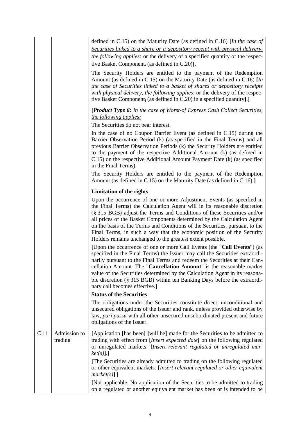|      |                         | defined in C.15) on the Maturity Date (as defined in C.16) [In the case of<br>Securities linked to a share or a depository receipt with physical delivery,                                                                                                                                                                                                                                                                                                                                                                   |
|------|-------------------------|------------------------------------------------------------------------------------------------------------------------------------------------------------------------------------------------------------------------------------------------------------------------------------------------------------------------------------------------------------------------------------------------------------------------------------------------------------------------------------------------------------------------------|
|      |                         | the following applies: or the delivery of a specified quantity of the respec-<br>tive Basket Component <sub>i</sub> (as defined in C.20)].                                                                                                                                                                                                                                                                                                                                                                                   |
|      |                         | The Security Holders are entitled to the payment of the Redemption<br>Amount (as defined in C.15) on the Maturity Date (as defined in C.16) $\left[\underline{In}\right]$<br>the case of Securities linked to a basket of shares or depository receipts<br>with physical delivery, the following applies: or the delivery of the respec-<br>tive Basket Component <sub>i</sub> (as defined in C.20) in a specified quantity].]                                                                                               |
|      |                         | [Product Type 6: In the case of Worst-of Express Cash Collect Securities,<br>the following applies:<br>The Securities do not bear interest.                                                                                                                                                                                                                                                                                                                                                                                  |
|      |                         | In the case of no Coupon Barrier Event (as defined in C.15) during the<br>Barrier Observation Period (k) (as specified in the Final Terms) and all<br>previous Barrier Observation Periods (k) the Security Holders are entitled<br>to the payment of the respective Additional Amount (k) (as defined in<br>C.15) on the respective Additional Amount Payment Date (k) (as specified<br>in the Final Terms).                                                                                                                |
|      |                         | The Security Holders are entitled to the payment of the Redemption<br>Amount (as defined in C.15) on the Maturity Date (as defined in C.16).                                                                                                                                                                                                                                                                                                                                                                                 |
|      |                         | <b>Limitation of the rights</b>                                                                                                                                                                                                                                                                                                                                                                                                                                                                                              |
|      |                         | Upon the occurrence of one or more Adjustment Events (as specified in<br>the Final Terms) the Calculation Agent will in its reasonable discretion<br>(§ 315 BGB) adjust the Terms and Conditions of these Securities and/or<br>all prices of the Basket Components determined by the Calculation Agent<br>on the basis of the Terms and Conditions of the Securities, pursuant to the<br>Final Terms, in such a way that the economic position of the Security<br>Holders remains unchanged to the greatest extent possible. |
|      |                         | [Upon the occurrence of one or more Call Events (the "Call Events") (as<br>specified in the Final Terms) the Issuer may call the Securities extraordi-<br>narily pursuant to the Final Terms and redeem the Securities at their Can-<br>cellation Amount. The "Cancellation Amount" is the reasonable market<br>value of the Securities determined by the Calculation Agent in its reasona-<br>ble discretion (§ 315 BGB) within ten Banking Days before the extraordi-<br>nary call becomes effective.]                     |
|      |                         | <b>Status of the Securities</b>                                                                                                                                                                                                                                                                                                                                                                                                                                                                                              |
|      |                         | The obligations under the Securities constitute direct, unconditional and<br>unsecured obligations of the Issuer and rank, unless provided otherwise by<br>law, pari passu with all other unsecured unsubordinated present and future<br>obligations of the Issuer.                                                                                                                                                                                                                                                          |
| C.11 | Admission to<br>trading | [Application [has been] [will be] made for the Securities to be admitted to<br>trading with effect from [Insert expected date] on the following regulated<br>or unregulated markets: [Insert relevant regulated or unregulated mar-<br>$ket(s)$ ].]                                                                                                                                                                                                                                                                          |
|      |                         | [The Securities are already admitted to trading on the following regulated<br>or other equivalent markets: [Insert relevant regulated or other equivalent<br>$market(s)$ ].]                                                                                                                                                                                                                                                                                                                                                 |
|      |                         | [Not applicable. No application of the Securities to be admitted to trading<br>on a regulated or another equivalent market has been or is intended to be                                                                                                                                                                                                                                                                                                                                                                     |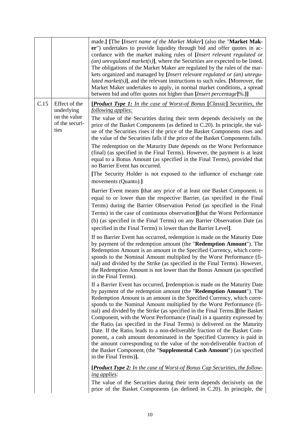|      |                                                                       | made.] [The <i>[Insert name of the Market Maker</i> ] (also the "Market Mak-<br>er") undertakes to provide liquidity through bid and offer quotes in ac-<br>cordance with the market making rules of [Insert relevant regulated or<br>$(an)$ unregulated market(s)], where the Securities are expected to be listed.<br>The obligations of the Market Maker are regulated by the rules of the mar-<br>kets organized and managed by [Insert relevant regulated or (an) unregu-<br><i>lated market(s)</i> ], and the relevant instructions to such rules. [Moreover, the<br>Market Maker undertakes to apply, in normal market conditions, a spread<br>between bid and offer quotes not higher than [Insert percentage]%.]]                                                                                                                                                                                                                                                                                                                                                                                                                                                                                                                                                                                                                                                                                                                                                                                                                                                                                                                                                                                                                                                                                                                                                                                                                                                                                                                                                                                                                                                                                                                                                                                                                                                                                                                                                                                                                                                                                                                                                                                                                                                                                                  |
|------|-----------------------------------------------------------------------|-----------------------------------------------------------------------------------------------------------------------------------------------------------------------------------------------------------------------------------------------------------------------------------------------------------------------------------------------------------------------------------------------------------------------------------------------------------------------------------------------------------------------------------------------------------------------------------------------------------------------------------------------------------------------------------------------------------------------------------------------------------------------------------------------------------------------------------------------------------------------------------------------------------------------------------------------------------------------------------------------------------------------------------------------------------------------------------------------------------------------------------------------------------------------------------------------------------------------------------------------------------------------------------------------------------------------------------------------------------------------------------------------------------------------------------------------------------------------------------------------------------------------------------------------------------------------------------------------------------------------------------------------------------------------------------------------------------------------------------------------------------------------------------------------------------------------------------------------------------------------------------------------------------------------------------------------------------------------------------------------------------------------------------------------------------------------------------------------------------------------------------------------------------------------------------------------------------------------------------------------------------------------------------------------------------------------------------------------------------------------------------------------------------------------------------------------------------------------------------------------------------------------------------------------------------------------------------------------------------------------------------------------------------------------------------------------------------------------------------------------------------------------------------------------------------------------------|
| C.15 | Effect of the<br>underlying<br>on the value<br>of the securi-<br>ties | <b>[Product Type 1:</b> In the case of Worst-of Bonus [Classic] Securities, the<br>following applies:<br>The value of the Securities during their term depends decisively on the<br>price of the Basket Components (as defined in C.20). In principle, the val-<br>ue of the Securities rises if the price of the Basket Components rises and<br>the value of the Securities falls if the price of the Basket Components falls.<br>The redemption on the Maturity Date depends on the Worst Performance<br>(final) (as specified in the Final Terms). However, the payment is at least<br>equal to a Bonus Amount (as specified in the Final Terms), provided that<br>no Barrier Event has occurred.<br>[The Security Holder is not exposed to the influence of exchange rate<br>movements (Quanto).]<br>Barrier Event means [that any price of at least one Basket Component, is<br>equal to or lower than the respective Barrier, (as specified in the Final<br>Terms) during the Barrier Observation Period (as specified in the Final<br>Terms) in the case of continuous observation][that the Worst Performance<br>(b) (as specified in the Final Terms) on any Barrier Observation Date (as<br>specified in the Final Terms) is lower than the Barrier Level].<br>If no Barrier Event has occurred, redemption is made on the Maturity Date<br>by payment of the redemption amount (the "Redemption Amount"). The<br>Redemption Amount is an amount in the Specified Currency, which corre-<br>sponds to the Nominal Amount multiplied by the Worst Performance (fi-<br>nal) and divided by the Strike (as specified in the Final Terms). However,<br>the Redemption Amount is not lower than the Bonus Amount (as specified<br>in the Final Terms).<br>If a Barrier Event has occurred, [redemption is made on the Maturity Date<br>by payment of the redemption amount (the "Redemption Amount"). The<br>Redemption Amount is an amount in the Specified Currency, which corre-<br>sponds to the Nominal Amount multiplied by the Worst Performance (fi-<br>nal) and divided by the Strike (as specified in the Final Terms.][the Basket<br>Component <sub>i</sub> with the Worst Performance (final) in a quantity expressed by<br>the Ratio <sub>i</sub> (as specified in the Final Terms) is delivered on the Maturity<br>Date. If the Ratio <sub>i</sub> leads to a non-deliverable fraction of the Basket Com-<br>ponent <sub>i</sub> , a cash amount denominated in the Specified Currency is paid in<br>the amount corresponding to the value of the non-deliverable fraction of<br>the Basket Component <sub>i</sub> (the " <b>Supplemental Cash Amount</b> ") (as specified<br>in the Final Terms)].<br><b>[Product Type 2:</b> In the case of Worst-of Bonus Cap Securities, the follow-<br>ing applies: |
|      |                                                                       | The value of the Securities during their term depends decisively on the<br>price of the Basket Components (as defined in C.20). In principle, the                                                                                                                                                                                                                                                                                                                                                                                                                                                                                                                                                                                                                                                                                                                                                                                                                                                                                                                                                                                                                                                                                                                                                                                                                                                                                                                                                                                                                                                                                                                                                                                                                                                                                                                                                                                                                                                                                                                                                                                                                                                                                                                                                                                                                                                                                                                                                                                                                                                                                                                                                                                                                                                                           |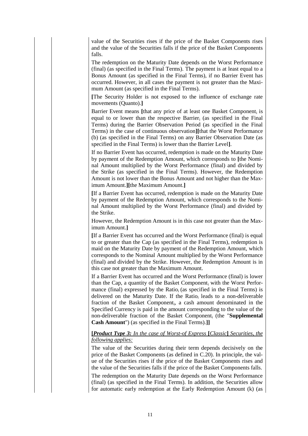value of the Securities rises if the price of the Basket Components rises and the value of the Securities falls if the price of the Basket Components falls.

The redemption on the Maturity Date depends on the Worst Performance (final) (as specified in the Final Terms). The payment is at least equal to a Bonus Amount (as specified in the Final Terms), if no Barrier Event has occurred. However, in all cases the payment is not greater than the Maximum Amount (as specified in the Final Terms).

**[**The Security Holder is not exposed to the influence of exchange rate movements (Quanto).**]**

Barrier Event means [that any price of at least one Basket Component<sub>i</sub> is equal to or lower than the respective Barrier<sub>i</sub> (as specified in the Final Terms) during the Barrier Observation Period (as specified in the Final Terms) in the case of continuous observation**][**that the Worst Performance (b) (as specified in the Final Terms) on any Barrier Observation Date (as specified in the Final Terms) is lower than the Barrier Level**]**.

If no Barrier Event has occurred, redemption is made on the Maturity Date by payment of the Redemption Amount, which corresponds to **[**the Nominal Amount multiplied by the Worst Performance (final) and divided by the Strike (as specified in the Final Terms). However, the Redemption Amount is not lower than the Bonus Amount and not higher than the Maximum Amount.**][**the Maximum Amount.**]**

**[**If a Barrier Event has occurred, redemption is made on the Maturity Date by payment of the Redemption Amount, which corresponds to the Nominal Amount multiplied by the Worst Performance (final) and divided by the Strike.

However, the Redemption Amount is in this case not greater than the Maximum Amount.**]**

**[**If a Barrier Event has occurred and the Worst Performance (final) is equal to or greater than the Cap (as specified in the Final Terms), redemption is maid on the Maturity Date by payment of the Redemption Amount, which corresponds to the Nominal Amount multiplied by the Worst Performance (final) and divided by the Strike. However, the Redemption Amount is in this case not greater than the Maximum Amount.

If a Barrier Event has occurred and the Worst Performance (final) is lower than the Cap, a quantity of the Basket Component; with the Worst Performance (final) expressed by the Ratio<sub>i</sub> (as specified in the Final Terms) is delivered on the Maturity Date. If the Ratio<sub>i</sub> leads to a non-deliverable fraction of the Basket Component<sub>i</sub>, a cash amount denominated in the Specified Currency is paid in the amount corresponding to the value of the non-deliverable fraction of the Basket Component<sup>i</sup> (the "**Supplemental Cash Amount**") (as specified in the Final Terms).**]]**

## **[***Product Type 3: In the case of Worst-of Express* **[***Classic***]** *Securities, the following applies:*

The value of the Securities during their term depends decisively on the price of the Basket Components (as defined in C.20). In principle, the value of the Securities rises if the price of the Basket Components rises and the value of the Securities falls if the price of the Basket Components falls.

The redemption on the Maturity Date depends on the Worst Performance (final) (as specified in the Final Terms). In addition, the Securities allow for automatic early redemption at the Early Redemption Amount (k) (as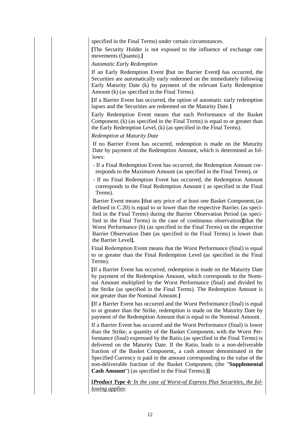specified in the Final Terms) under certain circumstances.

**[**The Security Holder is not exposed to the influence of exchange rate movements (Quanto).**]**

*Automatic Early Redemption*

If an Early Redemption Event **[**but no Barrier Event**]** has occurred, the Securities are automatically early redeemed on the immediately following Early Maturity Date (k) by payment of the relevant Early Redemption Amount (k) (as specified in the Final Terms).

**[**If a Barrier Event has occurred, the option of automatic early redemption lapses and the Securities are redeemed on the Maturity Date.**]**

Early Redemption Event means that each Performance of the Basket Component<sub>i</sub> (k) (as specified in the Final Terms) is equal to or greater than the Early Redemption Level<sub>i</sub> (k) (as specified in the Final Terms).

*Redemption at Maturity Date*

If no Barrier Event has occurred, redemption is made on the Maturity Date by payment of the Redemption Amount, which is determined as follows:

- If a Final Redemption Event has occurred, the Redemption Amount corresponds to the Maximum Amount (as specified in the Final Terms), or

- If no Final Redemption Event has occurred, the Redemption Amount corresponds to the Final Redemption Amount ( as specified in the Final Terms).

Barrier Event means [that any price of at least one Basket Component<sub>i</sub> (as defined in  $C.20$ ) is equal to or lower than the respective Barrier; (as specified in the Final Terms) during the Barrier Observation Period (as specified in the Final Terms) in the case of continuous observation**][**that the Worst Performance (b) (as specified in the Final Terms) on the respective Barrier Observation Date (as specified in the Final Terms) is lower than the Barrier Level**].**

Final Redemption Event means that the Worst Performance (final) is equal to or greater than the Final Redemption Level (as specified in the Final Terms).

**[**If a Barrier Event has occurred, redemption is made on the Maturity Date by payment of the Redemption Amount, which corresponds to the Nominal Amount multiplied by the Worst Performance (final) and divided by the Strike (as specified in the Final Terms). The Redemption Amount is not greater than the Nominal Amount.**]**

**[**If a Barrier Event has occurred and the Worst Performance (final) is equal to or greater than the Strike, redemption is made on the Maturity Date by payment of the Redemption Amount that is equal to the Nominal Amount.

If a Barrier Event has occurred and the Worst Performance (final) is lower than the Strike, a quantity of the Basket Component<sup>i</sup> with the Worst Performance (final) expressed by the Ratio $_i$  (as specified in the Final Terms) is delivered on the Maturity Date. If the Ratio<sub>i</sub> leads to a non-deliverable fraction of the Basket Component<sub>i</sub>, a cash amount denominated in the Specified Currency is paid in the amount corresponding to the value of the non-deliverable fraction of the Basket Component<sub>i</sub> (the "**Supplemental Cash Amount**") (as specified in the Final Terms).**]]**

**[***Product Type 4: In the case of Worst-of Express Plus Securities, the following applies*: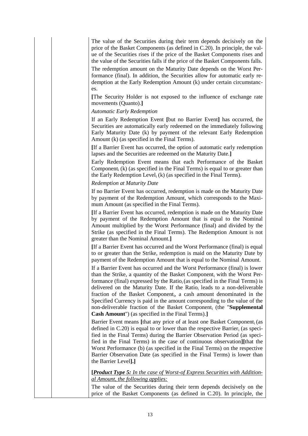The value of the Securities during their term depends decisively on the price of the Basket Components (as defined in C.20). In principle, the value of the Securities rises if the price of the Basket Components rises and the value of the Securities falls if the price of the Basket Components falls.

The redemption amount on the Maturity Date depends on the Worst Performance (final). In addition, the Securities allow for automatic early redemption at the Early Redemption Amount (k) under certain circumstances.

**[**The Security Holder is not exposed to the influence of exchange rate movements (Quanto).**]**

## *Automatic Early Redemption*

If an Early Redemption Event **[**but no Barrier Event**]** has occurred, the Securities are automatically early redeemed on the immediately following Early Maturity Date (k) by payment of the relevant Early Redemption Amount (k) (as specified in the Final Terms).

**[**If a Barrier Event has occurred, the option of automatic early redemption lapses and the Securities are redeemed on the Maturity Date.**]**

Early Redemption Event means that each Performance of the Basket Component<sub>i</sub>  $(k)$  (as specified in the Final Terms) is equal to or greater than the Early Redemption Level,  $(k)$  (as specified in the Final Terms).

#### *Redemption at Maturity Date*

If no Barrier Event has occurred, redemption is made on the Maturity Date by payment of the Redemption Amount, which corresponds to the Maximum Amount (as specified in the Final Terms).

**[**If a Barrier Event has occurred, redemption is made on the Maturity Date by payment of the Redemption Amount that is equal to the Nominal Amount multiplied by the Worst Performance (final) and divided by the Strike (as specified in the Final Terms). The Redemption Amount is not greater than the Nominal Amount.**]**

**[**If a Barrier Event has occurred and the Worst Performance (final) is equal to or greater than the Strike, redemption is maid on the Maturity Date by payment of the Redemption Amount that is equal to the Nominal Amount.

If a Barrier Event has occurred and the Worst Performance (final) is lower than the Strike, a quantity of the Basket Component; with the Worst Performance (final) expressed by the Ratio $_i$  (as specified in the Final Terms) is delivered on the Maturity Date. If the Ratio<sub>i</sub> leads to a non-deliverable fraction of the Basket Component<sub>i</sub>, a cash amount denominated in the Specified Currency is paid in the amount corresponding to the value of the non-deliverable fraction of the Basket Component<sub>i</sub> (the "**Supplemental Cash Amount**") (as specified in the Final Terms).**]**

Barrier Event means *[that any price of at least one Basket Component<sub>i</sub> (as* defined in  $C.20$ ) is equal to or lower than the respective Barrier<sub>i</sub> (as specified in the Final Terms) during the Barrier Observation Period (as specified in the Final Terms) in the case of continuous observation**][**that the Worst Performance (b) (as specified in the Final Terms) on the respective Barrier Observation Date (as specified in the Final Terms) is lower than the Barrier Level**].]**

**[***Product Type 5: In the case of Worst-of Express Securities with Additional Amount, the following applies:*

The value of the Securities during their term depends decisively on the price of the Basket Components (as defined in C.20). In principle, the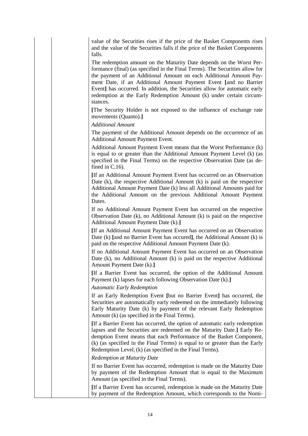value of the Securities rises if the price of the Basket Components rises and the value of the Securities falls if the price of the Basket Components falls.

The redemption amount on the Maturity Date depends on the Worst Performance (final) (as specified in the Final Terms). The Securities allow for the payment of an Additional Amount on each Additional Amount Payment Date, if an Additional Amount Payment Event **[**and no Barrier Event**]** has occurred. In addition, the Securities allow for automatic early redemption at the Early Redemption Amount (k) under certain circumstances.

**[**The Security Holder is not exposed to the influence of exchange rate movements (Quanto).**]**

*Additional Amount*

The payment of the Additional Amount depends on the occurrence of an Additional Amount Payment Event.

Additional Amount Payment Event means that the Worst Performance (k) is equal to or greater than the Additional Amount Payment Level (k) (as specified in the Final Terms) on the respective Observation Date (as defined in C.16).

**[**If an Additional Amount Payment Event has occurred on an Observation Date (k), the respective Additional Amount (k) is paid on the respective Additional Amount Payment Date (k) less all Additional Amounts paid for the Additional Amount on the previous Additional Amount Payment Dates.

If no Additional Amount Payment Event has occurred on the respective Observation Date (k), no Additional Amount (k) is paid on the respective Additional Amount Payment Date (k).**]**

**[**If an Additional Amount Payment Event has occurred on an Observation Date (k) **[**and no Barrier Event has occured**]**, the Additional Amount (k) is paid on the respective Additional Amount Payment Date (k).

If no Additional Amount Payment Event has occurred on an Observation Date (k), no Additional Amount (k) is paid on the respective Additional Amount Payment Date (k).**]**

**[**If a Barrier Event has occurred, the option of the Additional Amount Payment (k) lapses for each following Observation Date (k).**]**

*Automatic Early Redemption*

If an Early Redemption Event **[**but no Barrier Event**]** has occurred, the Securities are automatically early redeemed on the immediately following Early Maturity Date (k) by payment of the relevant Early Redemption Amount (k) (as specified in the Final Terms).

**[**If a Barrier Event has occurred, the option of automatic early redemption lapses and the Securities are redeemed on the Maturity Date.**]** Early Redemption Event means that each Performance of the Basket Component<sup>i</sup> (k) (as specified in the Final Terms) is equal to or greater than the Early Redemption Level<sub>i</sub> (k) (as specified in the Final Terms).

*Redemption at Maturity Date*

If no Barrier Event has occurred, redemption is made on the Maturity Date by payment of the Redemption Amount that is equal to the Maximum Amount (as specified in the Final Terms).

**[**If a Barrier Event has occurred, redemption is made on the Maturity Date by payment of the Redemption Amount, which corresponds to the Nomi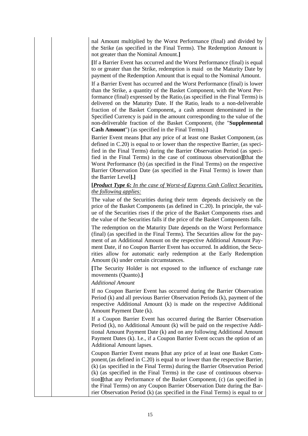nal Amount multiplied by the Worst Performance (final) and divided by the Strike (as specified in the Final Terms). The Redemption Amount is not greater than the Nominal Amount.**]**

**[**If a Barrier Event has occurred and the Worst Performance (final) is equal to or greater than the Strike, redemption is maid on the Maturity Date by payment of the Redemption Amount that is equal to the Nominal Amount.

If a Barrier Event has occurred and the Worst Performance (final) is lower than the Strike, a quantity of the Basket Component<sup>i</sup> with the Worst Performance (final) expressed by the Ratio $_i$  (as specified in the Final Terms) is delivered on the Maturity Date. If the Ratio<sub>i</sub> leads to a non-deliverable fraction of the Basket Component<sub>i</sub>, a cash amount denominated in the Specified Currency is paid in the amount corresponding to the value of the non-deliverable fraction of the Basket Component<sub>i</sub> (the "**Supplemental Cash Amount**") (as specified in the Final Terms).**]**

Barrier Event means *[that any price of at least one Basket Component<sub>i</sub> (as* defined in  $C.20$ ) is equal to or lower than the respective Barrier<sub>i</sub> (as specified in the Final Terms) during the Barrier Observation Period (as specified in the Final Terms) in the case of continuous observation**][**that the Worst Performance (b) (as specified in the Final Terms) on the respective Barrier Observation Date (as specified in the Final Terms) is lower than the Barrier Level**].]**

## **[***Product Type 6: In the case of Worst-of Express Cash Collect Securities, the following applies:*

The value of the Securities during their term depends decisively on the price of the Basket Components (as defined in C.20). In principle, the value of the Securities rises if the price of the Basket Components rises and the value of the Securities falls if the price of the Basket Components falls.

The redemption on the Maturity Date depends on the Worst Performance (final) (as specified in the Final Terms). The Securities allow for the payment of an Additional Amount on the respective Additional Amount Payment Date, if no Coupon Barrier Event has occurred. In addition, the Securities allow for automatic early redemption at the Early Redemption Amount (k) under certain circumstances.

**[**The Security Holder is not exposed to the influence of exchange rate movements (Quanto).**]**

## *Additional Amount*

If no Coupon Barrier Event has occurred during the Barrier Observation Period (k) and all previous Barrier Observation Periods (k), payment of the respective Additional Amount (k) is made on the respective Additional Amount Payment Date (k).

If a Coupon Barrier Event has occurred during the Barrier Observation Period (k), no Additional Amount (k) will be paid on the respective Additional Amount Payment Date (k) and on any following Additional Amount Payment Dates (k). I.e., if a Coupon Barrier Event occurs the option of an Additional Amount lapses.

Coupon Barrier Event means **[**that any price of at least one Basket Component<sub>i</sub> (as defined in C.20) is equal to or lower than the respective Barrier<sub>i</sub> (k) (as specified in the Final Terms) during the Barrier Observation Period (k) (as specified in the Final Terms) in the case of continuous observation][that any Performance of the Basket Component<sub>i</sub> (c) (as specified in the Final Terms) on any Coupon Barrier Observation Date during the Barrier Observation Period (k) (as specified in the Final Terms) is equal to or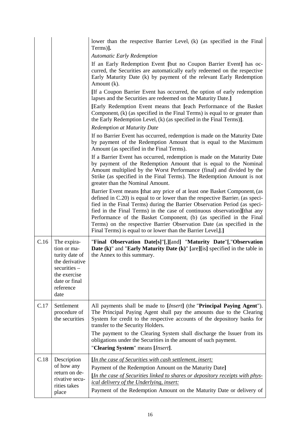|      |                                                                                                                                      | lower than the respective Barrier Level <sub>i</sub> (k) (as specified in the Final                                                                                                                                                                                                                                                                                                                                                                                                                                                                                         |
|------|--------------------------------------------------------------------------------------------------------------------------------------|-----------------------------------------------------------------------------------------------------------------------------------------------------------------------------------------------------------------------------------------------------------------------------------------------------------------------------------------------------------------------------------------------------------------------------------------------------------------------------------------------------------------------------------------------------------------------------|
|      |                                                                                                                                      | Terms)].                                                                                                                                                                                                                                                                                                                                                                                                                                                                                                                                                                    |
|      |                                                                                                                                      | <b>Automatic Early Redemption</b><br>If an Early Redemption Event [but no Coupon Barrier Event] has oc-<br>curred, the Securities are automatically early redeemed on the respective<br>Early Maturity Date (k) by payment of the relevant Early Redemption<br>Amount (k).                                                                                                                                                                                                                                                                                                  |
|      |                                                                                                                                      | [If a Coupon Barrier Event has occurred, the option of early redemption<br>lapses and the Securities are redeemed on the Maturity Date.]                                                                                                                                                                                                                                                                                                                                                                                                                                    |
|      |                                                                                                                                      | [Early Redemption Event means that [each Performance of the Basket]<br>Component <sub>i</sub> (k) (as specified in the Final Terms) is equal to or greater than<br>the Early Redemption Level <sub>i</sub> (k) (as specified in the Final Terms)].                                                                                                                                                                                                                                                                                                                          |
|      |                                                                                                                                      | <b>Redemption at Maturity Date</b>                                                                                                                                                                                                                                                                                                                                                                                                                                                                                                                                          |
|      |                                                                                                                                      | If no Barrier Event has occurred, redemption is made on the Maturity Date<br>by payment of the Redemption Amount that is equal to the Maximum<br>Amount (as specified in the Final Terms).                                                                                                                                                                                                                                                                                                                                                                                  |
|      |                                                                                                                                      | If a Barrier Event has occurred, redemption is made on the Maturity Date<br>by payment of the Redemption Amount that is equal to the Nominal<br>Amount multiplied by the Worst Performance (final) and divided by the<br>Strike (as specified in the Final Terms). The Redemption Amount is not<br>greater than the Nominal Amount.                                                                                                                                                                                                                                         |
|      |                                                                                                                                      | Barrier Event means [that any price of at least one Basket Component <sub>i</sub> (as<br>defined in $C.20$ ) is equal to or lower than the respective Barrier <sub>i</sub> (as speci-<br>fied in the Final Terms) during the Barrier Observation Period (as speci-<br>fied in the Final Terms) in the case of continuous observation][that any<br>Performance of the Basket Component <sub>i</sub> (b) (as specified in the Final<br>Terms) on the respective Barrier Observation Date (as specified in the<br>Final Terms) is equal to or lower than the Barrier Level.].] |
| C.16 | The expira-<br>tion or ma-<br>turity date of<br>the derivative<br>securities -<br>the exercise<br>date or final<br>reference<br>date | "Final Observation Date[s]"[,][and] "Maturity Date"[,"Observation<br><b>Date (k)</b> " and " <b>Early Maturity Date (k)</b> " [are][is] specified in the table in<br>the Annex to this summary.                                                                                                                                                                                                                                                                                                                                                                             |
| C.17 | Settlement<br>procedure of<br>the securities                                                                                         | All payments shall be made to [ <i>Insert</i> ] (the "Principal Paying Agent").<br>The Principal Paying Agent shall pay the amounts due to the Clearing<br>System for credit to the respective accounts of the depository banks for<br>transfer to the Security Holders.                                                                                                                                                                                                                                                                                                    |
|      |                                                                                                                                      | The payment to the Clearing System shall discharge the Issuer from its<br>obligations under the Securities in the amount of such payment.<br>"Clearing System" means [Insert].                                                                                                                                                                                                                                                                                                                                                                                              |
| C.18 | Description<br>of how any<br>return on de-<br>rivative secu-<br>rities takes<br>place                                                | <i>In the case of Securities with cash settlement, insert:</i><br>Payment of the Redemption Amount on the Maturity Date]<br><i>In the case of Securities linked to shares or depository receipts with phys-</i><br><i>ical delivery of the Underlying, insert:</i><br>Payment of the Redemption Amount on the Maturity Date or delivery of                                                                                                                                                                                                                                  |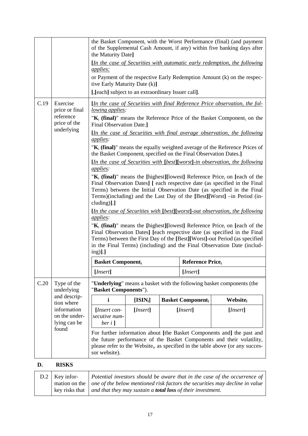|      |                                                                            | the Basket Component, with the Worst Performance (final) (and payment<br>of the Supplemental Cash Amount, if any) within five banking days after<br>the Maturity Date]<br><i>In the case of Securities with automatic early redemption, the following</i><br><i>applies:</i><br>or Payment of the respective Early Redemption Amount (k) on the respec-<br>tive Early Maturity Date (k)]                                                                                                                                                                                                                                                                                                                                                                                                                                                                                                                                                                                                                                                                                                                                                                                                                                                                                                                                                                                                                                                                                                                                |            |  |                         |                             |
|------|----------------------------------------------------------------------------|-------------------------------------------------------------------------------------------------------------------------------------------------------------------------------------------------------------------------------------------------------------------------------------------------------------------------------------------------------------------------------------------------------------------------------------------------------------------------------------------------------------------------------------------------------------------------------------------------------------------------------------------------------------------------------------------------------------------------------------------------------------------------------------------------------------------------------------------------------------------------------------------------------------------------------------------------------------------------------------------------------------------------------------------------------------------------------------------------------------------------------------------------------------------------------------------------------------------------------------------------------------------------------------------------------------------------------------------------------------------------------------------------------------------------------------------------------------------------------------------------------------------------|------------|--|-------------------------|-----------------------------|
| C.19 | Exercise<br>price or final<br>reference<br>price of the<br>underlying      | [, [each] subject to an extraordinary Issuer call].<br><i><u>In the case of Securities with final Reference Price observation, the fol-</u></i><br>lowing applies:<br>" $K_i$ (final)" means the Reference Price of the Basket Component, on the<br>Final Observation Date.]<br><i>In the case of Securities with final average observation, the following</i><br><i>applies:</i><br>" $K_i$ (final)" means the equally weighted average of the Reference Prices of<br>the Basket Component, specified on the Final Observation Dates.]<br>$[In the case of Securities with [best][worst] - in observation, the following$<br>applies:<br>" $K_i$ (final)" means the [highest][lowest] Reference Price <sub>i</sub> on [each of the<br>Final Observation Dates] [ each respective date (as specified in the Final<br>Terms) between the Initial Observation Date (as specified in the Final<br>Terms)(including) and the Last Day of the [Best][Worst] -in Period (in-<br>cluding)].]<br><i><u>In the case of Securities with [best][worst]-out observation, the following</u></i><br><i>applies:</i><br>" $K_i$ (final)" means the [highest][lowest] Reference Price <sub>i</sub> on [each of the<br>Final Observation Dates] [each respective date (as specified in the Final<br>Terms) between the First Day of the [Best][Worst]-out Period (as specified<br>in the Final Terms) (including) and the Final Observation Date (includ-<br>$ing$ ].]<br><b>Basket Component</b><br><b>Reference Price</b> <sub>i</sub> |            |  |                         |                             |
| C.20 | Type of the<br>underlying                                                  | "Underlying" means a basket with the following basket components (the<br>"Basket Components").                                                                                                                                                                                                                                                                                                                                                                                                                                                                                                                                                                                                                                                                                                                                                                                                                                                                                                                                                                                                                                                                                                                                                                                                                                                                                                                                                                                                                          |            |  |                         |                             |
|      | and descrip-<br>tion where<br>information<br>on the under-<br>lying can be | i                                                                                                                                                                                                                                                                                                                                                                                                                                                                                                                                                                                                                                                                                                                                                                                                                                                                                                                                                                                                                                                                                                                                                                                                                                                                                                                                                                                                                                                                                                                       | $[ISIN_i]$ |  | <b>Basket Component</b> | <b>Website</b> <sub>i</sub> |
|      |                                                                            | [Insert con-<br>secutive num-<br>ber $i$ ]                                                                                                                                                                                                                                                                                                                                                                                                                                                                                                                                                                                                                                                                                                                                                                                                                                                                                                                                                                                                                                                                                                                                                                                                                                                                                                                                                                                                                                                                              | [Insert]   |  | [ <i>Insert</i> ]       | [ <i>Insert</i> ]           |
|      | found                                                                      | For further information about [the Basket Components and] the past and<br>the future performance of the Basket Components and their volatility,<br>please refer to the Website <sub>i</sub> , as specified in the table above (or any succes-<br>sor website).                                                                                                                                                                                                                                                                                                                                                                                                                                                                                                                                                                                                                                                                                                                                                                                                                                                                                                                                                                                                                                                                                                                                                                                                                                                          |            |  |                         |                             |

## **D. RISKS**

| $D.2$ Key infor-                                                                                         | Potential investors should be aware that in the case of the occurrence of                     |
|----------------------------------------------------------------------------------------------------------|-----------------------------------------------------------------------------------------------|
| mation on the $\vert$ <i>one of the below mentioned risk factors the securities may decline in value</i> |                                                                                               |
|                                                                                                          | key risks that $\parallel$ and that they may sustain a <b>total loss</b> of their investment. |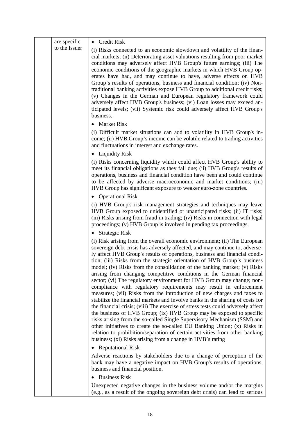| are specific  | • Credit Risk                                                                                                                                                                                                                                                                                                                                                                                                                                                                                                                                                                                                                                                                                                                                                                                                                                                                                                                                                                                                                                                                                                                                                                                                                                      |
|---------------|----------------------------------------------------------------------------------------------------------------------------------------------------------------------------------------------------------------------------------------------------------------------------------------------------------------------------------------------------------------------------------------------------------------------------------------------------------------------------------------------------------------------------------------------------------------------------------------------------------------------------------------------------------------------------------------------------------------------------------------------------------------------------------------------------------------------------------------------------------------------------------------------------------------------------------------------------------------------------------------------------------------------------------------------------------------------------------------------------------------------------------------------------------------------------------------------------------------------------------------------------|
| to the Issuer | (i) Risks connected to an economic slowdown and volatility of the finan-<br>cial markets; (ii) Deteriorating asset valuations resulting from poor market<br>conditions may adversely affect HVB Group's future earnings; (iii) The<br>economic conditions of the geographic markets in which HVB Group op-<br>erates have had, and may continue to have, adverse effects on HVB<br>Group's results of operations, business and financial condition; (iv) Non-<br>traditional banking activities expose HVB Group to additional credit risks;<br>(v) Changes in the German and European regulatory framework could<br>adversely affect HVB Group's business; (vi) Loan losses may exceed an-<br>ticipated levels; (vii) Systemic risk could adversely affect HVB Group's<br>business.                                                                                                                                                                                                                                                                                                                                                                                                                                                               |
|               | • Market Risk                                                                                                                                                                                                                                                                                                                                                                                                                                                                                                                                                                                                                                                                                                                                                                                                                                                                                                                                                                                                                                                                                                                                                                                                                                      |
|               | (i) Difficult market situations can add to volatility in HVB Group's in-<br>come; (ii) HVB Group's income can be volatile related to trading activities<br>and fluctuations in interest and exchange rates.                                                                                                                                                                                                                                                                                                                                                                                                                                                                                                                                                                                                                                                                                                                                                                                                                                                                                                                                                                                                                                        |
|               | $\bullet$ Liquidity Risk                                                                                                                                                                                                                                                                                                                                                                                                                                                                                                                                                                                                                                                                                                                                                                                                                                                                                                                                                                                                                                                                                                                                                                                                                           |
|               | (i) Risks concerning liquidity which could affect HVB Group's ability to<br>meet its financial obligations as they fall due; (ii) HVB Group's results of<br>operations, business and financial condition have been and could continue<br>to be affected by adverse macroeconomic and market conditions; (iii)<br>HVB Group has significant exposure to weaker euro-zone countries.                                                                                                                                                                                                                                                                                                                                                                                                                                                                                                                                                                                                                                                                                                                                                                                                                                                                 |
|               | • Operational Risk                                                                                                                                                                                                                                                                                                                                                                                                                                                                                                                                                                                                                                                                                                                                                                                                                                                                                                                                                                                                                                                                                                                                                                                                                                 |
|               | (i) HVB Group's risk management strategies and techniques may leave<br>HVB Group exposed to unidentified or unanticipated risks; (ii) IT risks;<br>(iii) Risks arising from fraud in trading; (iv) Risks in connection with legal<br>proceedings; (v) HVB Group is involved in pending tax proceedings.                                                                                                                                                                                                                                                                                                                                                                                                                                                                                                                                                                                                                                                                                                                                                                                                                                                                                                                                            |
|               | <b>Strategic Risk</b>                                                                                                                                                                                                                                                                                                                                                                                                                                                                                                                                                                                                                                                                                                                                                                                                                                                                                                                                                                                                                                                                                                                                                                                                                              |
|               | (i) Risk arising from the overall economic environment; (ii) The European<br>sovereign debt crisis has adversely affected, and may continue to, adverse-<br>ly affect HVB Group's results of operations, business and financial condi-<br>tion; (iii) Risks from the strategic orientation of HVB Group's business<br>model; (iv) Risks from the consolidation of the banking market; (v) Risks<br>arising from changing competitive conditions in the German financial<br>sector; (vi) The regulatory environment for HVB Group may change; non-<br>compliance with regulatory requirements may result in enforcement<br>measures; (vii) Risks from the introduction of new charges and taxes to<br>stabilize the financial markets and involve banks in the sharing of costs for<br>the financial crisis; (viii) The exercise of stress tests could adversely affect<br>the business of HVB Group; (ix) HVB Group may be exposed to specific<br>risks arising from the so-called Single Supervisory Mechanism (SSM) and<br>other initiatives to create the so-called EU Banking Union; (x) Risks in<br>relation to prohibition/separation of certain activities from other banking<br>business; (xi) Risks arising from a change in HVB's rating |
|               | <b>Reputational Risk</b><br>$\bullet$                                                                                                                                                                                                                                                                                                                                                                                                                                                                                                                                                                                                                                                                                                                                                                                                                                                                                                                                                                                                                                                                                                                                                                                                              |
|               | Adverse reactions by stakeholders due to a change of perception of the<br>bank may have a negative impact on HVB Group's results of operations,<br>business and financial position.                                                                                                                                                                                                                                                                                                                                                                                                                                                                                                                                                                                                                                                                                                                                                                                                                                                                                                                                                                                                                                                                |
|               | <b>Business Risk</b>                                                                                                                                                                                                                                                                                                                                                                                                                                                                                                                                                                                                                                                                                                                                                                                                                                                                                                                                                                                                                                                                                                                                                                                                                               |
|               | Unexpected negative changes in the business volume and/or the margins<br>(e.g., as a result of the ongoing sovereign debt crisis) can lead to serious                                                                                                                                                                                                                                                                                                                                                                                                                                                                                                                                                                                                                                                                                                                                                                                                                                                                                                                                                                                                                                                                                              |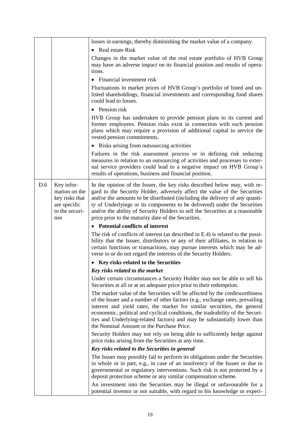|     |                                                                                         | losses in earnings, thereby diminishing the market value of a company.                                                                                                                                                                                                                                                                                                                                                                                     |  |  |
|-----|-----------------------------------------------------------------------------------------|------------------------------------------------------------------------------------------------------------------------------------------------------------------------------------------------------------------------------------------------------------------------------------------------------------------------------------------------------------------------------------------------------------------------------------------------------------|--|--|
|     |                                                                                         | • Real estate Risk                                                                                                                                                                                                                                                                                                                                                                                                                                         |  |  |
|     |                                                                                         | Changes in the market value of the real estate portfolio of HVB Group<br>may have an adverse impact on its financial position and results of opera-<br>tions.                                                                                                                                                                                                                                                                                              |  |  |
|     |                                                                                         | • Financial investment risk                                                                                                                                                                                                                                                                                                                                                                                                                                |  |  |
|     |                                                                                         | Fluctuations in market prices of HVB Group's portfolio of listed and un-<br>listed shareholdings, financial investments and corresponding fund shares<br>could lead to losses.                                                                                                                                                                                                                                                                             |  |  |
|     |                                                                                         | $\bullet$ Pension risk                                                                                                                                                                                                                                                                                                                                                                                                                                     |  |  |
|     |                                                                                         | HVB Group has undertaken to provide pension plans to its current and<br>former employees. Pension risks exist in connection with such pension<br>plans which may require a provision of additional capital to service the<br>vested pension commitments.                                                                                                                                                                                                   |  |  |
|     |                                                                                         | • Risks arising from outsourcing activities                                                                                                                                                                                                                                                                                                                                                                                                                |  |  |
|     |                                                                                         | Failures in the risk assessment process or in defining risk reducing<br>measures in relation to an outsourcing of activities and processes to exter-<br>nal service providers could lead to a negative impact on HVB Group's<br>results of operations, business and financial position.                                                                                                                                                                    |  |  |
| D.6 | Key infor-<br>mation on the<br>key risks that<br>are specific<br>to the securi-<br>ties | In the opinion of the Issuer, the key risks described below may, with re-<br>gard to the Security Holder, adversely affect the value of the Securities<br>and/or the amounts to be distributed (including the delivery of any quanti-<br>ty of Underlyings or its components to be delivered) under the Securities<br>and/or the ability of Security Holders to sell the Securities at a reasonable<br>price prior to the maturity date of the Securities. |  |  |
|     |                                                                                         | • Potential conflicts of interest                                                                                                                                                                                                                                                                                                                                                                                                                          |  |  |
|     |                                                                                         | The risk of conflicts of interest (as described in E.4) is related to the possi-<br>bility that the Issuer, distributors or any of their affiliates, in relation to<br>certain functions or transactions, may pursue interests which may be ad-<br>verse to or do not regard the interests of the Security Holders.                                                                                                                                        |  |  |
|     |                                                                                         | • Key risks related to the Securities                                                                                                                                                                                                                                                                                                                                                                                                                      |  |  |
|     |                                                                                         | Key risks related to the market                                                                                                                                                                                                                                                                                                                                                                                                                            |  |  |
|     |                                                                                         | Under certain circumstances a Security Holder may not be able to sell his<br>Securities at all or at an adequate price prior to their redemption.                                                                                                                                                                                                                                                                                                          |  |  |
|     |                                                                                         | The market value of the Securities will be affected by the creditworthiness<br>of the Issuer and a number of other factors (e.g., exchange rates, prevailing<br>interest and yield rates, the market for similar securities, the general<br>econonmic, political and cyclical conditions, the tradeability of the Securi-<br>ties and Underlying-related factors) and may be substantially lower than<br>the Nominal Amount or the Purchase Price.         |  |  |
|     |                                                                                         | Security Holders may not rely on being able to sufficiently hedge against<br>price risks arising from the Securities at any time.                                                                                                                                                                                                                                                                                                                          |  |  |
|     |                                                                                         | Key risks related to the Securities in general                                                                                                                                                                                                                                                                                                                                                                                                             |  |  |
|     |                                                                                         | The Issuer may possibly fail to perform its obligations under the Securities<br>in whole or in part, e.g., in case of an insolvency of the Issuer or due to<br>governmental or regulatory interventions. Such risk is not protected by a<br>deposit protection scheme or any similar compensation scheme.                                                                                                                                                  |  |  |
|     |                                                                                         | An investment into the Securities may be illegal or unfavourable for a<br>potential investor or not suitable, with regard to his knowledge or experi-                                                                                                                                                                                                                                                                                                      |  |  |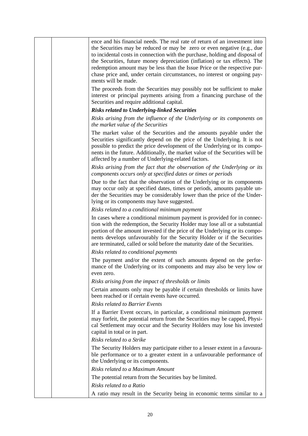|  | ence and his financial needs. The real rate of return of an investment into<br>the Securities may be reduced or may be zero or even negative (e.g., due<br>to incidental costs in connection with the purchase, holding and disposal of<br>the Securities, future money depreciation (inflation) or tax effects). The<br>redemption amount may be less than the Issue Price or the respective pur-<br>chase price and, under certain circumstances, no interest or ongoing pay-<br>ments will be made. |
|--|--------------------------------------------------------------------------------------------------------------------------------------------------------------------------------------------------------------------------------------------------------------------------------------------------------------------------------------------------------------------------------------------------------------------------------------------------------------------------------------------------------|
|  | The proceeds from the Securities may possibly not be sufficient to make<br>interest or principal payments arising from a financing purchase of the<br>Securities and require additional capital.                                                                                                                                                                                                                                                                                                       |
|  | <b>Risks related to Underlying-linked Securities</b>                                                                                                                                                                                                                                                                                                                                                                                                                                                   |
|  | Risks arising from the influence of the Underlying or its components on<br>the market value of the Securities                                                                                                                                                                                                                                                                                                                                                                                          |
|  | The market value of the Securities and the amounts payable under the<br>Securities significantly depend on the price of the Underlying. It is not<br>possible to predict the price development of the Underlying or its compo-<br>nents in the future. Additionally, the market value of the Securities will be<br>affected by a number of Underlying-related factors.                                                                                                                                 |
|  | Risks arising from the fact that the observation of the Underlying or its<br>components occurs only at specified dates or times or periods                                                                                                                                                                                                                                                                                                                                                             |
|  | Due to the fact that the observation of the Underlying or its components<br>may occur only at specified dates, times or periods, amounts payable un-<br>der the Securities may be considerably lower than the price of the Under-<br>lying or its components may have suggested.                                                                                                                                                                                                                       |
|  | Risks related to a conditional minimum payment                                                                                                                                                                                                                                                                                                                                                                                                                                                         |
|  | In cases where a conditional minimum payment is provided for in connec-<br>tion with the redemption, the Security Holder may lose all or a substantial<br>portion of the amount invested if the price of the Underlying or its compo-<br>nents develops unfavourably for the Security Holder or if the Securities<br>are terminated, called or sold before the maturity date of the Securities.                                                                                                        |
|  | Risks related to conditional payments                                                                                                                                                                                                                                                                                                                                                                                                                                                                  |
|  | The payment and/or the extent of such amounts depend on the perfor-<br>mance of the Underlying or its components and may also be very low or<br>even zero.                                                                                                                                                                                                                                                                                                                                             |
|  | Risks arising from the impact of thresholds or limits                                                                                                                                                                                                                                                                                                                                                                                                                                                  |
|  | Certain amounts only may be payable if certain thresholds or limits have<br>been reached or if certain events have occurred.                                                                                                                                                                                                                                                                                                                                                                           |
|  | <b>Risks related to Barrier Events</b>                                                                                                                                                                                                                                                                                                                                                                                                                                                                 |
|  | If a Barrier Event occurs, in particular, a conditional minimum payment<br>may forfeit, the potential return from the Securities may be capped, Physi-<br>cal Settlement may occur and the Security Holders may lose his invested<br>capital in total or in part.                                                                                                                                                                                                                                      |
|  | Risks related to a Strike                                                                                                                                                                                                                                                                                                                                                                                                                                                                              |
|  | The Security Holders may participate either to a lesser extent in a favoura-<br>ble performance or to a greater extent in a unfavourable performance of<br>the Underlying or its components.                                                                                                                                                                                                                                                                                                           |
|  | Risks related to a Maximum Amount                                                                                                                                                                                                                                                                                                                                                                                                                                                                      |
|  | The potential return from the Securities bay be limited.                                                                                                                                                                                                                                                                                                                                                                                                                                               |
|  | Risks related to a Ratio                                                                                                                                                                                                                                                                                                                                                                                                                                                                               |
|  | A ratio may result in the Security being in economic terms similar to a                                                                                                                                                                                                                                                                                                                                                                                                                                |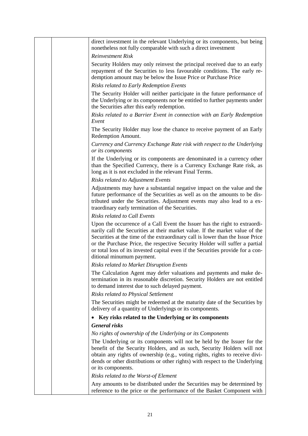|  | direct investment in the relevant Underlying or its components, but being<br>nonetheless not fully comparable with such a direct investment                                                                                                                                                                                                                                                                                                 |
|--|---------------------------------------------------------------------------------------------------------------------------------------------------------------------------------------------------------------------------------------------------------------------------------------------------------------------------------------------------------------------------------------------------------------------------------------------|
|  | <b>Reinvestment Risk</b>                                                                                                                                                                                                                                                                                                                                                                                                                    |
|  | Security Holders may only reinvest the principal received due to an early<br>repayment of the Securities to less favourable conditions. The early re-<br>demption amount may be below the Issue Price or Purchase Price                                                                                                                                                                                                                     |
|  | Risks related to Early Redemption Events                                                                                                                                                                                                                                                                                                                                                                                                    |
|  | The Security Holder will neither participate in the future performance of<br>the Underlying or its components nor be entitled to further payments under<br>the Securities after this early redemption.                                                                                                                                                                                                                                      |
|  | Risks related to a Barrier Event in connection with an Early Redemption<br>Event                                                                                                                                                                                                                                                                                                                                                            |
|  | The Security Holder may lose the chance to receive payment of an Early<br>Redemption Amount.                                                                                                                                                                                                                                                                                                                                                |
|  | Currency and Currency Exchange Rate risk with respect to the Underlying<br>or its components                                                                                                                                                                                                                                                                                                                                                |
|  | If the Underlying or its components are denominated in a currency other<br>than the Specified Currency, there is a Currency Exchange Rate risk, as<br>long as it is not excluded in the relevant Final Terms.                                                                                                                                                                                                                               |
|  | <b>Risks related to Adjustment Events</b>                                                                                                                                                                                                                                                                                                                                                                                                   |
|  | Adjustments may have a substantial negative impact on the value and the<br>future performance of the Securities as well as on the amounts to be dis-<br>tributed under the Securities. Adjustment events may also lead to a ex-<br>traordinary early termination of the Securities.                                                                                                                                                         |
|  | Risks related to Call Events                                                                                                                                                                                                                                                                                                                                                                                                                |
|  | Upon the occurrence of a Call Event the Issuer has the right to extraordi-<br>narily call the Securities at their market value. If the market value of the<br>Securities at the time of the extraordinary call is lower than the Issue Price<br>or the Purchase Price, the respective Security Holder will suffer a partial<br>or total loss of its invested capital even if the Securities provide for a con-<br>ditional minumum payment. |
|  | Risks related to Market Disruption Events                                                                                                                                                                                                                                                                                                                                                                                                   |
|  | The Calculation Agent may defer valuations and payments and make de-<br>termination in its reasonable discretion. Security Holders are not entitled<br>to demand interest due to such delayed payment.                                                                                                                                                                                                                                      |
|  | <b>Risks related to Physical Settlement</b>                                                                                                                                                                                                                                                                                                                                                                                                 |
|  | The Securities might be redeemed at the maturity date of the Securities by<br>delivery of a quantity of Underlyings or its components.                                                                                                                                                                                                                                                                                                      |
|  | Key risks related to the Underlying or its components<br>$\bullet$                                                                                                                                                                                                                                                                                                                                                                          |
|  | <b>General risks</b>                                                                                                                                                                                                                                                                                                                                                                                                                        |
|  | No rights of ownership of the Underlying or its Components                                                                                                                                                                                                                                                                                                                                                                                  |
|  | The Underlying or its components will not be held by the Issuer for the<br>benefit of the Security Holders, and as such, Security Holders will not<br>obtain any rights of ownership (e.g., voting rights, rights to receive divi-<br>dends or other distributions or other rights) with respect to the Underlying                                                                                                                          |
|  | or its components.                                                                                                                                                                                                                                                                                                                                                                                                                          |
|  | Risks related to the Worst-of Element                                                                                                                                                                                                                                                                                                                                                                                                       |
|  | Any amounts to be distributed under the Securities may be determined by<br>reference to the price or the performance of the Basket Component with                                                                                                                                                                                                                                                                                           |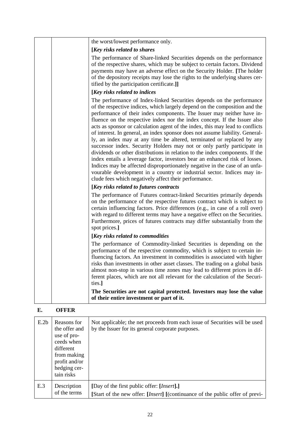| the worst/lowest performance only.                                                                                                                                                                                                                                                                                                                                                                                                                                                                                                                                                                                                                                                                                                                                                                                                                                                                                                                                                                                  |
|---------------------------------------------------------------------------------------------------------------------------------------------------------------------------------------------------------------------------------------------------------------------------------------------------------------------------------------------------------------------------------------------------------------------------------------------------------------------------------------------------------------------------------------------------------------------------------------------------------------------------------------------------------------------------------------------------------------------------------------------------------------------------------------------------------------------------------------------------------------------------------------------------------------------------------------------------------------------------------------------------------------------|
| [Key risks related to shares                                                                                                                                                                                                                                                                                                                                                                                                                                                                                                                                                                                                                                                                                                                                                                                                                                                                                                                                                                                        |
| The performance of Share-linked Securities depends on the performance<br>of the respective shares, which may be subject to certain factors. Dividend<br>payments may have an adverse effect on the Security Holder. [The holder<br>of the depository receipts may lose the rights to the underlying shares cer-<br>tified by the participation certificate.]]                                                                                                                                                                                                                                                                                                                                                                                                                                                                                                                                                                                                                                                       |
| [Key risks related to indices                                                                                                                                                                                                                                                                                                                                                                                                                                                                                                                                                                                                                                                                                                                                                                                                                                                                                                                                                                                       |
| The performance of Index-linked Securities depends on the performance<br>of the respective indices, which largely depend on the composition and the<br>performance of their index components. The Issuer may neither have in-<br>fluence on the respective index nor the index concept. If the Issuer also<br>acts as sponsor or calculation agent of the index, this may lead to conflicts<br>of interest. In general, an index sponsor does not assume liability. General-<br>ly, an index may at any time be altered, terminated or replaced by any<br>successor index. Security Holders may not or only partly participate in<br>dividends or other distributions in relation to the index components. If the<br>index entails a leverage factor, investors bear an enhanced risk of losses.<br>Indices may be affected disproportionately negative in the case of an unfa-<br>vourable development in a country or industrial sector. Indices may in-<br>clude fees which negatively affect their performance. |
| [Key risks related to futures contracts]                                                                                                                                                                                                                                                                                                                                                                                                                                                                                                                                                                                                                                                                                                                                                                                                                                                                                                                                                                            |
| The performance of Futures contract-linked Securities primarily depends<br>on the performance of the respective futures contract which is subject to<br>certain influencing factors. Price differences (e.g., in case of a roll over)<br>with regard to different terms may have a negative effect on the Securities.<br>Furthermore, prices of futures contracts may differ substantially from the<br>spot prices.]                                                                                                                                                                                                                                                                                                                                                                                                                                                                                                                                                                                                |
| [Key risks related to commodities]                                                                                                                                                                                                                                                                                                                                                                                                                                                                                                                                                                                                                                                                                                                                                                                                                                                                                                                                                                                  |
| The performance of Commodity-linked Securities is depending on the<br>performance of the respective commodity, which is subject to certain in-<br>fluencing factors. An investment in commodities is associated with higher<br>risks than investments in other asset classes. The trading on a global basis<br>almost non-stop in various time zones may lead to different prices in dif-<br>ferent places, which are not all relevant for the calculation of the Securi-<br>ties.                                                                                                                                                                                                                                                                                                                                                                                                                                                                                                                                  |
| The Securities are not capital protected. Investors may lose the value<br>of their entire investment or part of it.                                                                                                                                                                                                                                                                                                                                                                                                                                                                                                                                                                                                                                                                                                                                                                                                                                                                                                 |

## **E. OFFER**

| E.2 <sub>b</sub> | Reasons for<br>the offer and<br>use of pro-<br>ceeds when<br>different<br>from making<br>profit and/or<br>hedging cer-<br>tain risks | Not applicable; the net proceeds from each issue of Securities will be used<br>by the Issuer for its general corporate purposes.              |
|------------------|--------------------------------------------------------------------------------------------------------------------------------------|-----------------------------------------------------------------------------------------------------------------------------------------------|
| E.3              | Description<br>of the terms                                                                                                          | [Day of the first public offer: [ <i>Insert</i> ].]<br>[Start of the new offer: [ <i>Insert</i> ] [(continuance of the public offer of previ- |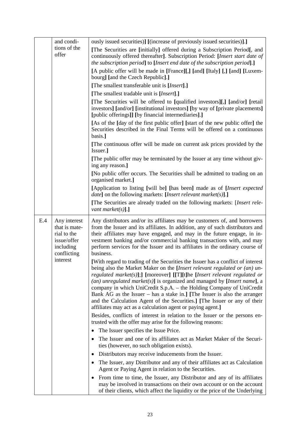| and condi-<br>tions of the<br>offer                                                                        | ously issued securities)] [(increase of previously issued securities)].]<br>[The Securities are [initially] offered during a Subscription Period[, and<br>continuously offered thereafter]. Subscription Period: [Insert start date of<br>the subscription period] to [Insert end date of the subscription period].]<br>[A public offer will be made in [France][,] [and] [Italy] [,] [and] [Luxem-<br>bourg] [and the Czech Republic].]<br>[The smallest transferable unit is [ <i>Insert</i> ].]<br>[The smallest tradable unit is [ <i>Insert</i> ].]<br>[The Securities will be offered to [qualified investors][,] [and/or] [retail]<br>investors] [and/or] [institutional investors] [by way of [private placements]<br>[public offerings]] [by financial intermediaries].]<br>[As of the [day of the first public offer] [start of the new public offer] the<br>Securities described in the Final Terms will be offered on a continuous<br>basis.]<br>[The continuous offer will be made on current ask prices provided by the<br>Issuer.]<br>[The public offer may be terminated by the Issuer at any time without giv-<br>ing any reason.]<br>[No public offer occurs. The Securities shall be admitted to trading on an<br>organised market.]<br>[Application to listing [will be] [has been] made as of [Insert expected<br><i>date</i> ] on the following markets: [ <i>Insert relevant market(s)</i> ].]<br>[The Securities are already traded on the following markets: [Insert rele-<br>vant market(s)].]                                                                                                                                                                                                                                                                                                       |
|------------------------------------------------------------------------------------------------------------|--------------------------------------------------------------------------------------------------------------------------------------------------------------------------------------------------------------------------------------------------------------------------------------------------------------------------------------------------------------------------------------------------------------------------------------------------------------------------------------------------------------------------------------------------------------------------------------------------------------------------------------------------------------------------------------------------------------------------------------------------------------------------------------------------------------------------------------------------------------------------------------------------------------------------------------------------------------------------------------------------------------------------------------------------------------------------------------------------------------------------------------------------------------------------------------------------------------------------------------------------------------------------------------------------------------------------------------------------------------------------------------------------------------------------------------------------------------------------------------------------------------------------------------------------------------------------------------------------------------------------------------------------------------------------------------------------------------------------------------------------------------------------------------------------------------------------------|
| E.4<br>Any interest<br>that is mate-<br>rial to the<br>issue/offer<br>including<br>conflicting<br>interest | Any distributors and/or its affiliates may be customers of, and borrowers<br>from the Issuer and its affiliates. In addition, any of such distributors and<br>their affiliates may have engaged, and may in the future engage, in in-<br>vestment banking and/or commercial banking transactions with, and may<br>perform services for the Issuer and its affiliates in the ordinary course of<br>business.<br>[With regard to trading of the Securities the Issuer has a conflict of interest<br>being also the Market Maker on the <i>Insert relevant regulated or (an) un</i> -<br>regulated market(s)];] [moreover] [[T][t]he [Insert relevant regulated or<br>$(an)$ unregulated market(s)] is organized and managed by [Insert name], a<br>company in which UniCredit S.p.A. - the Holding Company of UniCredit<br>Bank AG as the Issuer $-$ has a stake in.] [The Issuer is also the arranger<br>and the Calculation Agent of the Securities.] [The Issuer or any of their<br>affiliates may act as a calculation agent or paying agent.]<br>Besides, conflicts of interest in relation to the Issuer or the persons en-<br>trusted with the offer may arise for the following reasons:<br>The Issuer specifies the Issue Price.<br>$\bullet$<br>The Issuer and one of its affiliates act as Market Maker of the Securi-<br>ties (however, no such obligation exists).<br>Distributors may receive inducements from the Issuer.<br>The Issuer, any Distributor and any of their affiliates act as Calculation<br>Agent or Paying Agent in relation to the Securities.<br>From time to time, the Issuer, any Distributor and any of its affiliates<br>$\bullet$<br>may be involved in transactions on their own account or on the account<br>of their clients, which affect the liquidity or the price of the Underlying |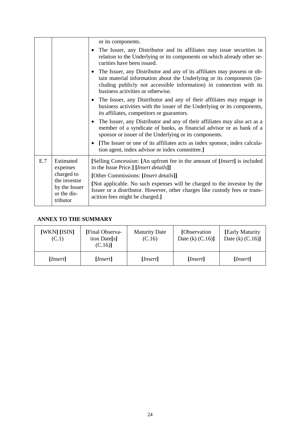|                                                                                                                                                                                                                                                                 |                                                                                                                                                                                   | or its components.                                                                                                                                                                                                                  |  |  |  |
|-----------------------------------------------------------------------------------------------------------------------------------------------------------------------------------------------------------------------------------------------------------------|-----------------------------------------------------------------------------------------------------------------------------------------------------------------------------------|-------------------------------------------------------------------------------------------------------------------------------------------------------------------------------------------------------------------------------------|--|--|--|
|                                                                                                                                                                                                                                                                 | • The Issuer, any Distributor and its affiliates may issue securities in<br>relation to the Underlying or its components on which already other se-<br>curities have been issued. |                                                                                                                                                                                                                                     |  |  |  |
| • The Issuer, any Distributor and any of its affiliates may possess or ob-<br>tain material information about the Underlying or its components (in-<br>cluding publicly not accessible information) in connection with its<br>business activities or otherwise. |                                                                                                                                                                                   |                                                                                                                                                                                                                                     |  |  |  |
|                                                                                                                                                                                                                                                                 |                                                                                                                                                                                   | • The Issuer, any Distributor and any of their affiliates may engage in<br>business activities with the issuer of the Underlying or its components,<br>its affiliates, competitors or guarantors.                                   |  |  |  |
|                                                                                                                                                                                                                                                                 |                                                                                                                                                                                   | • The Issuer, any Distributor and any of their affiliates may also act as a<br>member of a syndicate of banks, as financial advisor or as bank of a<br>sponsor or issuer of the Underlying or its components.                       |  |  |  |
|                                                                                                                                                                                                                                                                 |                                                                                                                                                                                   | • [The Issuer or one of its affiliates acts as index sponsor, index calcula-<br>tion agent, index advisor or index committee.]                                                                                                      |  |  |  |
| E.7                                                                                                                                                                                                                                                             | Estimated<br>expenses                                                                                                                                                             | [Selling Concession: [An upfront fee in the amount of [ <i>Insert</i> ] is included<br>in the Issue Price.] [Insert details]]                                                                                                       |  |  |  |
|                                                                                                                                                                                                                                                                 | charged to<br>the investor<br>by the Issuer<br>or the dis-<br>tributor                                                                                                            | [Other Commissions: [Insert details]]<br>[Not applicable. No such expenses will be charged to the investor by the<br>Issuer or a distributor. However, other charges like custody fees or trans-<br>acition fees might be charged.] |  |  |  |

## **ANNEX TO THE SUMMARY**

| [WKN] [ISIN]<br>(C.1) | [Final Observa-<br>tion Date[s]<br>(C.16) | <b>Maturity Date</b><br>(C.16) | [Observation]<br>Date (k) $(C.16)$ ] | [Early Maturity]<br>Date (k) $(C.16)$ ] |
|-----------------------|-------------------------------------------|--------------------------------|--------------------------------------|-----------------------------------------|
| [Insert]              | [Insert]                                  | [Insert]                       | [Insert]                             | [Insert]                                |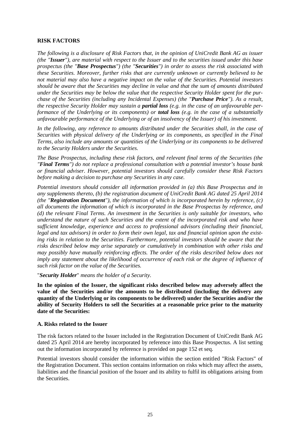## **RISK FACTORS**

*The following is a disclosure of Risk Factors that, in the opinion of UniCredit Bank AG as issuer (the "Issuer"), are material with respect to the Issuer and to the securities issued under this base prospectus (the "Base Prospectus") (the "Securities") in order to assess the risk associated with these Securities. Moreover, further risks that are currently unknown or currently believed to be not material may also have a negative impact on the value of the Securities. Potential investors should be aware that the Securities may decline in value and that the sum of amounts distributed under the Securities may be below the value that the respective Security Holder spent for the purchase of the Securities (including any Incidental Expenses) (the "Purchase Price"). As a result, the respective Security Holder may sustain a partial loss (e.g. in the case of an unfavourable performance of the Underlying or its components) or total loss (e.g. in the case of a substantially unfavourable performance of the Underlying or of an insolvency of the Issuer) of his investment.*

*In the following, any reference to amounts distributed under the Securities shall, in the case of Securities with physical delivery of the Underlying or its components, as specified in the Final Terms, also include any amounts or quantities of the Underlying or its components to be delivered to the Security Holders under the Securities.*

*The Base Prospectus, including these risk factors, and relevant final terms of the Securities (the "Final Terms") do not replace a professional consultation with a potential investor's house bank or financial adviser. However, potential investors should carefully consider these Risk Factors before making a decision to purchase any Securities in any case.*

*Potential investors should consider all information provided in (a) this Base Prospectus and in any supplements thereto, (b) the registration document of UniCredit Bank AG dated 25 April 2014 (the "Registration Document"), the information of which is incorporated herein by reference, (c) all documents the information of which is incorporated in the Base Prospectus by reference, and (d) the relevant Final Terms. An investment in the Securities is only suitable for investors, who understand the nature of such Securities and the extent of the incorporated risk and who have sufficient knowledge, experience and access to professional advisors (including their financial, legal and tax advisors) in order to form their own legal, tax and financial opinion upon the existing risks in relation to the Securities. Furthermore, potential investors should be aware that the risks described below may arise separately or cumulatively in combination with other risks and may possibly have mutually reinforcing effects. The order of the risks described below does not imply any statement about the likelihood of occurrence of each risk or the degree of influence of such risk factor on the value of the Securities.*

#### "*Security Holder*" *means the holder of a Security.*

**In the opinion of the Issuer, the significant risks described below may adversely affect the value of the Securities and/or the amounts to be distributed (including the delivery any quantity of the Underlying or its components to be delivered) under the Securities and/or the ability of Security Holders to sell the Securities at a reasonable price prior to the maturity date of the Securities:**

#### **A. Risks related to the Issuer**

The risk factors related to the Issuer included in the Registration Document of UniCredit Bank AG dated 25 April 2014 are hereby incorporated by reference into this Base Prospectus. A list setting out the information incorporated by reference is provided on page 152 et seq.

Potential investors should consider the information within the section entitled "Risk Factors" of the Registration Document. This section contains information on risks which may affect the assets, liabilities and the financial position of the Issuer and its ability to fulfil its obligations arising from the Securities.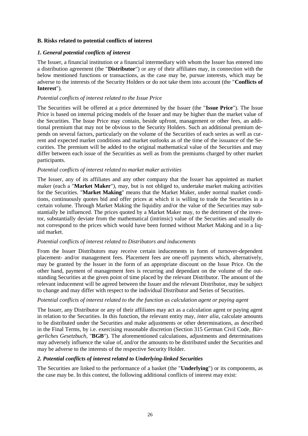## **B. Risks related to potential conflicts of interest**

## *1. General potential conflicts of interest*

The Issuer, a financial institution or a financial intermediary with whom the Issuer has entered into a distribution agreement (the "**Distributor**") or any of their affiliates may, in connection with the below mentioned functions or transactions, as the case may be, pursue interests, which may be adverse to the interests of the Security Holders or do not take them into account (the "**Conflicts of Interest**").

## *Potential conflicts of interest related to the Issue Price*

The Securities will be offered at a price determined by the Issuer (the "**Issue Price**"). The Issue Price is based on internal pricing models of the Issuer and may be higher than the market value of the Securities. The Issue Price may contain, beside upfront, management or other fees, an additional premium that may not be obvious to the Security Holders. Such an additional premium depends on several factors, particularly on the volume of the Securities of each series as well as current and expected market conditions and market outlooks as of the time of the issuance of the Securities. The premium will be added to the original mathematical value of the Securities and may differ between each issue of the Securities as well as from the premiums charged by other market participants.

## *Potential conflicts of interest related to market maker activities*

The Issuer, any of its affiliates and any other company that the Issuer has appointed as market maker (each a "**Market Maker**"), may, but is not obliged to, undertake market making activities for the Securities. "**Market Making**" means that the Market Maker, under normal market conditions, continuously quotes bid and offer prices at which it is willing to trade the Securities in a certain volume. Through Market Making the liquidity and/or the value of the Securities may substantially be influenced. The prices quoted by a Market Maker may, to the detriment of the investor, substantially deviate from the mathematical (intrinsic) value of the Securities and usually do not correspond to the prices which would have been formed without Market Making and in a liquid market.

## *Potential conflicts of interest related to Distributors and inducements*

From the Issuer Distributors may receive certain inducements in form of turnover-dependent placement- and/or management fees. Placement fees are one-off payments which, alternatively, may be granted by the Issuer in the form of an appropriate discount on the Issue Price. On the other hand, payment of management fees is recurring and dependant on the volume of the outstanding Securities at the given point of time placed by the relevant Distributor. The amount of the relevant inducement will be agreed between the Issuer and the relevant Distributor, may be subject to change and may differ with respect to the individual Distributor and Series of Securities.

#### *Potential conflicts of interest related to the the function as calculation agent or paying agent*

The Issuer, any Distributor or any of their affiliates may act as a calculation agent or paying agent in relation to the Securities. In this function, the relevant entity may, *inter alia*, calculate amounts to be distributed under the Securities and make adjustments or other determinations, as described in the Final Terms, by i.e. exercising reasonable discretion (Section 315 German Civil Code, *Bürgerliches Gesetzbuch*, "**BGB**"). The aforementioned calculations, adjustments and determinations may adversely influence the value of, and/or the amounts to be distributed under the Securities and may be adverse to the interests of the respective Security Holder.

## *2. Potential conflicts of interest related to Underlying-linked Securities*

The Securities are linked to the performance of a basket (the "**Underlying**") or its components, as the case may be. In this context, the following additional conflicts of interest may exist: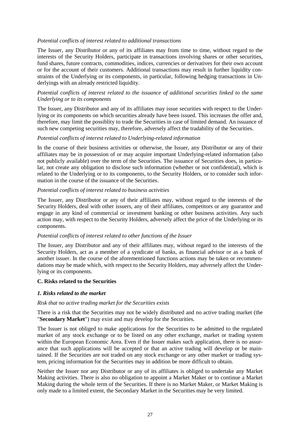## *Potential conflicts of interest related to additional transactions*

The Issuer, any Distributor or any of its affiliates may from time to time, without regard to the interests of the Security Holders, participate in transactions involving shares or other securities, fund shares, future contracts, commodities, indices, currencies or derivatives for their own account or for the account of their customers. Additional transactions may result in further liquidity constraints of the Underlying or its components, in particular, following hedging transactions in Underlyings with an already restricted liquidity.

## *Potential conflicts of interest related to the issuance of additional securities linked to the same Underlying or to its components*

The Issuer, any Distributor and any of its affiliates may issue securities with respect to the Underlying or its components on which securities already have been issued. This increases the offer and, therefore, may limit the possiblity to trade the Securities in case of limited demand. An issuance of such new competing securities may, therefore, adversely affect the tradability of the Securities.

## *Potential conflicts of interest related to Underlying-related information*

In the course of their business activities or otherwise, the Issuer, any Distributor or any of their affiliates may be in possession of or may acquire important Underlying-related information (also not publicly available) over the term of the Securities. The issuance of Securities does, in particular, not create any obligation to disclose such information (whether or not confidential), which is related to the Underlying or to its components, to the Security Holders, or to consider such information in the course of the issuance of the Securities.

### *Potential conflicts of interest related to business activities*

The Issuer, any Distributor or any of their affiliates may, without regard to the interests of the Security Holders, deal with other issuers, any of their affiliates, competitors or any guarantor and engage in any kind of commercial or investment banking or other business activities. Any such action may, with respect to the Security Holders, adversely affect the price of the Underlying or its components.

#### *Potential conflicts of interest related to other functions of the Issuer*

The Issuer, any Distributor and any of their affiliates may, without regard to the interests of the Security Holders, act as a member of a syndicate of banks, as financial advisor or as a bank of another issuer. In the course of the aforementioned functions actions may be taken or recommendations may be made which, with respect to the Security Holders, may adversely affect the Underlying or its components.

#### **C. Risks related to the Securities**

## *1. Risks related to the market*

#### *Risk that no active trading market for the Securities exists*

There is a risk that the Securities may not be widely distributed and no active trading market (the "**Secondary Market**") may exist and may develop for the Securities.

The Issuer is not obliged to make applications for the Securities to be admitted to the regulated market of any stock exchange or to be listed on any other exchange, market or trading system within the European Economic Area. Even if the Issuer makes such application, there is no assurance that such applications will be accepted or that an active trading will develop or be maintained. If the Securities are not traded on any stock exchange or any other market or trading system, pricing information for the Securities may in addition be more difficult to obtain.

Neither the Issuer nor any Distributor or any of its affiliates is obliged to undertake any Market Making activities. There is also no obligation to appoint a Market Maker or to continue a Market Making during the whole term of the Securities. If there is no Market Maker, or Market Making is only made to a limited extent, the Secondary Market in the Securities may be very limited.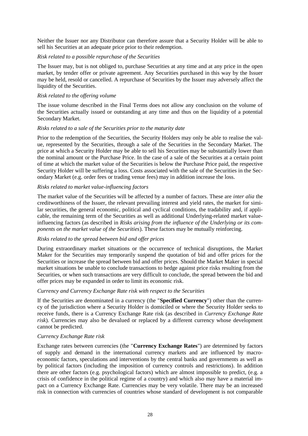Neither the Issuer nor any Distributor can therefore assure that a Security Holder will be able to sell his Securities at an adequate price prior to their redemption.

#### *Risk related to a possible repurchase of the Securities*

The Issuer may, but is not obliged to, purchase Securities at any time and at any price in the open market, by tender offer or private agreement. Any Securities purchased in this way by the Issuer may be held, resold or cancelled. A repurchase of Securities by the Issuer may adversely affect the liquidity of the Securities.

### *Risk related to the offering volume*

The issue volume described in the Final Terms does not allow any conclusion on the volume of the Securities actually issued or outstanding at any time and thus on the liquidity of a potential Secondary Market.

#### *Risks related to a sale of the Securities prior to the maturity date*

Prior to the redemption of the Securities, the Security Holders may only be able to realise the value, represented by the Securities, through a sale of the Securities in the Secondary Market. The price at which a Security Holder may be able to sell his Securities may be substantially lower than the nominal amount or the Purchase Price. In the case of a sale of the Securities at a certain point of time at which the market value of the Securities is below the Purchase Price paid, the respective Security Holder will be suffering a loss. Costs associated with the sale of the Securities in the Secondary Market (e.g. order fees or trading venue fees) may in addition increase the loss.

## *Risks related to market value-influencing factors*

The market value of the Securities will be affected by a number of factors. These are *inter alia* the creditworthiness of the Issuer, the relevant prevailing interest and yield rates, the market for similar securities, the general economic, political and cyclical conditions, the tradability and, if applicable, the remaining term of the Securities as well as additional Underlying-related market valueinfluencing factors (as described in *Risks arising from the influence of the Underlying or its components on the market value of the Securities*). These factors may be mutually reinforcing.

## *Risks related to the spread between bid and offer prices*

During extraordinary market situations or the occurrence of technical disruptions, the Market Maker for the Securities may temporarily suspend the quotation of bid and offer prices for the Securities or increase the spread between bid and offer prices. Should the Market Maker in special market situations be unable to conclude transactions to hedge against price risks resulting from the Securities, or when such transactions are very difficult to conclude, the spread between the bid and offer prices may be expanded in order to limit its economic risk.

#### *Currency and Currency Exchange Rate risk with respect to the Securities*

If the Securities are denominated in a currency (the "**Specified Currency**") other than the currency of the jurisdiction where a Security Holder is domiciled or where the Security Holder seeks to receive funds, there is a Currency Exchange Rate risk (as described in *Currency Exchange Rate risk*). Currencies may also be devalued or replaced by a different currency whose development cannot be predicted.

#### *Currency Exchange Rate risk*

Exchange rates between currencies (the "**Currency Exchange Rates**") are determined by factors of supply and demand in the international currency markets and are influenced by macroeconomic factors, speculations and interventions by the central banks and governments as well as by political factors (including the imposition of currency controls and restrictions). In addition there are other factors (e.g. psychological factors) which are almost impossible to predict, (e.g. a crisis of confidence in the political regime of a country) and which also may have a material impact on a Currency Exchange Rate. Currencies may be very volatile. There may be an increased risk in connection with currencies of countries whose standard of development is not comparable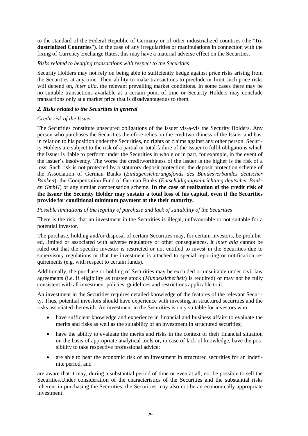to the standard of the Federal Republic of Germany or of other industrialized countries (the "**Industrialized Countries**"). In the case of any irregularities or manipulations in connection with the fixing of Currency Exchange Rates, this may have a material adverse effect on the Securities.

## *Risks related to hedging transactions with respect to the Securities*

Security Holders may not rely on being able to sufficiently hedge against price risks arising from the Securities at any time. Their ability to make transactions to preclude or limit such price risks will depend on, *inter alia*, the relevant prevailing market conditions. In some cases there may be no suitable transactions available at a certain point of time or Security Holders may conclude transactions only at a market price that is disadvantageous to them.

## *2. Risks related to the Securities in general*

## *Credit risk of the Issuer*

The Securities constitute unsecured obligations of the Issuer vis-a-vis the Security Holders. Any person who purchases the Securities therefore relies on the creditworthiness of the Issuer and has, in relation to his position under the Securities, no rights or claims against any other person. Security Holders are subject to the risk of a partial or total failure of the Issuer to fulfil obligations which the Issuer is liable to perform under the Securities in whole or in part, for example, in the event of the Issuer's insolvency. The worse the creditworthiness of the Issuer is the higher is the risk of a loss. Such risk is not protected by a statutory deposit protection, the deposit protection scheme of the Association of German Banks (*Einlagensicherungsfonds des Bundesverbandes deutscher Banken*), the Compensation Fund of German Banks (*Entschädigungseinrichtung deutscher Banken GmbH*) or any similar compensation scheme. **In the case of realization of the credit risk of the Issuer the Security Holder may sustain a total loss of his capital, even if the Securities provide for conditional minimum payment at the their maturity.**

*Possible limitations of the legality of purchase and lack of suitability of the Securities*

There is the risk, that an investment in the Securities is illegal, unfavourable or not suitable for a potential investor.

The purchase, holding and/or disposal of certain Securities may, for certain investors, be prohibited, limited or associated with adverse regulatory or other consequences. It *inter alia* cannot be ruled out that the specific investor is restricted or not entitled to invest in the Securities due to supervisory regulations or that the investment is attached to special reporting or notification requirements (e.g. with respect to certain funds).

Additionally, the purchase or holding of Securities may be excluded or unsuitable under civil law agreements (i.e. if eligibility as trustee stock (*Mündelsicherheit*) is required) or may not be fully consistent with all investment policies, guidelines and restrictions applicable to it.

An investment in the Securities requires detailed knowledge of the features of the relevant Security. Thus, potential investors should have experience with investing in structured securities and the risks associated therewith. An investment in the Securities is only suitable for investors who

- have sufficient knowledge and experience in financial and business affairs to evaluate the merits and risks as well as the suitability of an investment in structured securities;
- have the ability to evaluate the merits and risks in the context of their financial situation on the basis of appropriate analytical tools or, in case of lack of knowledge, have the possibility to take respective professional advice;
- are able to bear the economic risk of an investment in structured securities for an indefinite period, and

are aware that it may, during a substantial period of time or even at all, not be possible to sell the Securities.Under consideration of the characteristics of the Securities and the substantial risks inherent in purchasing the Securities, the Securities may also not be an economically appropriate investment.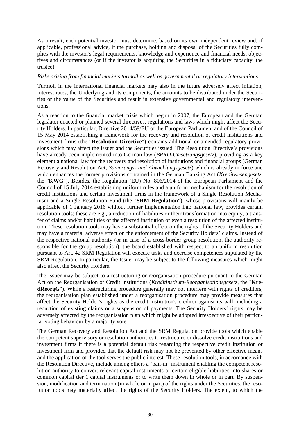As a result, each potential investor must determine, based on its own independent review and, if applicable, professional advice, if the purchase, holding and disposal of the Securities fully complies with the investor's legal requirements, knowledge and experience and financial needs, objectives and circumstances (or if the investor is acquiring the Securities in a fiduciary capacity, the trustee).

#### *Risks arising from financial markets turmoil as well as governmental or regulatory interventions*

Turmoil in the international financial markets may also in the future adversely affect inflation, interest rates, the Underlying and its components, the amounts to be distributed under the Securities or the value of the Securities and result in extensive governmental and regulatory interventions.

As a reaction to the financial market crisis which begun in 2007, the European and the German legislator enacted or planned several directives, regulations and laws which might affect the Security Holders. In particular, Directive 2014/59/EU of the European Parliament and of the Council of 15 May 2014 establishing a framework for the recovery and resolution of credit institutions and investment firms (the "**Resolution Directive**") contains additional or amended regulatory provisions which may affect the Issuer and the Securities issued. The Resolution Directive's provisions have already been implemented into German law (*BRRD-Umsetzungsgesetz*), providing as a key element a national law for the recovery and resolution of institutions and financial groups (German Recovery and Resolution Act, *Sanierungs- und Abwicklungsgesetz*) which is already in force and which enhances the former provisions contained in the German Banking Act (*Kreditwesengesetz*, the "**KWG**"). Besides, the Regulation (EU) No. 806/2014 of the European Parliament and the Council of 15 July 2014 establishing uniform rules and a uniform mechanism for the resolution of credit institutions and certain investment firms in the framework of a Single Resolution Mechanism and a Single Resolution Fund (the "**SRM Regulation**"), whose provisions will mainly be applicable of 1 January 2016 without further implementation into national law, provides certain resolution tools; these are e.g., a reduction of liabilities or their transformation into equity, a transfer of claims and/or liabilities of the affected institution or even a resolution of the affected institution. These resolution tools may have a substantial effect on the rights of the Security Holders and may have a material adverse effect on the enforcement of the Security Holders' claims. Instead of the respective national authority (or in case of a cross-border group resolution, the authority responsible for the group resolution), the board established with respect to an uniform resolution pursuant to Art. 42 SRM Regulation will execute tasks and exercise competences stipulated by the SRM Regulation. In particular, the Issuer may be subject to the following measures which might also affect the Security Holders.

The Issuer may be subject to a restructuring or reorganisation procedure pursuant to the German Act on the Reorganisation of Credit Institutions (*Kreditinstitute-Reorganisationsgesetz*, the "**KredReorgG**"). While a restructuring procedure generally may not interfere with rights of creditors, the reorganisation plan established under a reorganisation procedure may provide measures that affect the Security Holder's rights as the credit institution's creditor against its will, including a reduction of existing claims or a suspension of payments. The Security Holders' rights may be adversely affected by the reorganisation plan which might be adopted irrespective of their particular voting behaviour by a majority vote.

The German Recovery and Resolution Act and the SRM Regulation provide tools which enable the competent supervisory or resolution authorities to restructure or dissolve credit institutions and investment firms if there is a potential default risk regarding the respective credit institution or investment firm and provided that the default risk may not be prevented by other effective means and the application of the tool serves the public interest. These resolution tools, in accordance with the Resolution Directive, include among others a "bail-in" instrument enabling the competent resolution authority to convert relevant capital instruments or certain eligible liabilities into shares or common capital tier 1 capital instruments or to write them down in whole or in part. By suspension, modification and termination (in whole or in part) of the rights under the Securities, the resolution tools may materially affect the rights of the Security Holders. The extent, to which the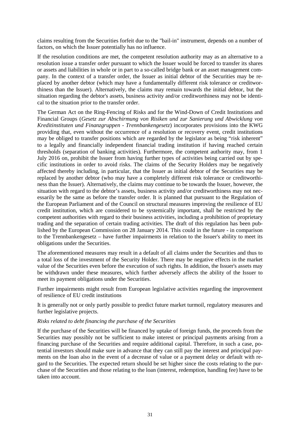claims resulting from the Securities forfeit due to the "bail-in" instrument, depends on a number of factors, on which the Issuer potentially has no influence.

If the resolution conditions are met, the competent resolution authority may as an alternative to a resolution issue a transfer order pursuant to which the Issuer would be forced to transfer its shares or assets and liabilities in whole or in part to a so-called bridge bank or an asset management company. In the context of a transfer order, the Issuer as initial debtor of the Securities may be replaced by another debtor (which may have a fundamentally different risk tolerance or creditworthiness than the Issuer). Alternatively, the claims may remain towards the initial debtor, but the situation regarding the debtor's assets, business activity and/or creditworthiness may not be identical to the situation prior to the transfer order.

The German Act on the Ring-Fencing of Risks and for the Wind-Down of Credit Institutions and Financial Groups (*Gesetz zur Abschirmung von Risiken und zur Sanierung und Abwicklung von Kreditinstituten und Finanzgruppen - Trennbankengesetz*) incorporates provisions into the KWG providing that, even without the occurrence of a resolution or recovery event, credit institutions may be obliged to transfer positions which are regarded by the legislator as being "risk inherent" to a legally and financially independent financial trading institution if having reached certain thresholds (separation of banking activities). Furthermore, the competent authority may, from 1 July 2016 on, prohibit the Issuer from having further types of activities being carried out by specific institutions in order to avoid risks. The claims of the Security Holders may be negatively affected thereby including, in particular, that the Issuer as initial debtor of the Securities may be replaced by another debtor (who may have a completely different risk tolerance or creditworthiness than the Issuer). Alternatively, the claims may continue to be towards the Issuer, however, the situation with regard to the debtor's assets, business activity and/or creditworthiness may not necessarily be the same as before the transfer order. It is planned that pursuant to the Regulation of the European Parliament and of the Council on structural measures improving the resilience of EU credit institution, which are considered to be systemically important, shall be restricted by the competent authorities with regard to their business activities, including a prohibition of proprietary trading and the separation of certain trading activities. The draft of this regulation has been published by the European Commission on 28 January 2014. This could in the future - in comparison to the Trennbankengesetz – have further impairments in relation to the Issuer's ability to meet its obligations under the Securities.

The aforementioned measures may result in a default of all claims under the Securities and thus to a total loss of the investment of the Security Holder. There may be negative effects in the market value of the Securities even before the execution of such rights. In addition, the Issuer's assets may be withdrawn under these measures, which further adversely affects the ability of the Issuer to meet its payment obligations under the Securities.

Further impairments might result from European legislative activities regarding the improvement of resilience of EU credit institutions

It is generally not or only partly possible to predict future market turmoil, regulatory measures and further legislative projects.

#### *Risks related to debt financing the purchase of the Securities*

If the purchase of the Securities will be financed by uptake of foreign funds, the proceeds from the Securities may possibly not be sufficient to make interest or principal payments arising from a financing purchase of the Securities and require additional capital. Therefore, in such a case, potential investors should make sure in advance that they can still pay the interest and principal payments on the loan also in the event of a decrease of value or a payment delay or default with regard to the Securities. The expected return should be set higher since the costs relating to the purchase of the Securities and those relating to the loan (interest, redemption, handling fee) have to be taken into account.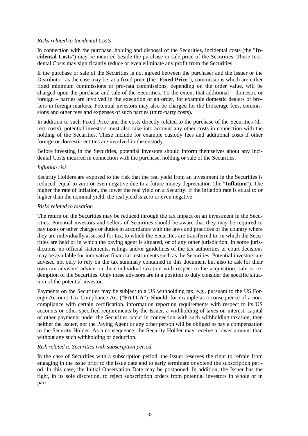### *Risks related to Incidental Costs*

In connection with the purchase, holding and disposal of the Securities, incidental costs (the "**Incidental Costs**") may be incurred beside the purchase or sale price of the Securities. These Incidental Costs may significantly reduce or even eliminate any profit from the Securities.

If the purchase or sale of the Securities is not agreed between the purchaser and the Issuer or the Distributor, as the case may be, at a fixed price (the "**Fixed Price**"), commissions which are either fixed minimum commissions or pro-rata commissions, depending on the order value, will be charged upon the purchase and sale of the Securities. To the extent that additional – domestic or foreign – parties are involved in the execution of an order, for example domestic dealers or brokers in foreign markets, Potential investors may also be charged for the brokerage fees, commissions and other fees and expenses of such parties (third-party costs).

In addition to such Fixed Price and the costs directly related to the purchase of the Securities (direct costs), potential investors must also take into account any other costs in connection with the holding of the Securities. These include for example custody fees and additional costs if other foreign or domestic entities are involved in the custody.

Before investing in the Securities, potential investors should inform themselves about any Incidental Costs incurred in connection with the purchase, holding or sale of the Securities.

#### *Inflation risk*

Security Holders are exposed to the risk that the real yield from an investment in the Securities is reduced, equal to zero or even negative due to a future money depreciation (the "**Inflation**"). The higher the rate of Inflation, the lower the real yield on a Security. If the inflation rate is equal to or higher than the nominal yield, the real yield is zero or even negative.

#### *Risks related to taxation*

The return on the Securities may be reduced through the tax impact on an investment in the Securities. Potential investors and sellers of Securities should be aware that they may be required to pay taxes or other charges or duties in accordance with the laws and practices of the country where they are individually assessed for tax, to which the Securities are transferred to, in which the Securities are held or in which the paying agent is situated, or of any other jurisdiction. In some jurisdictions, no official statements, rulings and/or guidelines of the tax authorities or court decisions may be available for innovative financial instruments such as the Securities. Potential investors are advised not only to rely on the tax summary contained in this document but also to ask for their own tax advisors' advice on their individual taxation with respect to the acquisition, sale or redemption of the Securities. Only these advisors are in a position to duly consider the specific situation of the potential investor.

Payments on the Securities may be subject to a US withholding tax, e.g., pursuant to the US Foreign Account Tax Compliance Act ("**FATCA**"). Should, for example as a consequence of a noncompliance with certain certification, information reporting requirements with respect to its US accounts or other specified requirements by the Issuer, a withholding of taxes on interest, capital or other payments under the Securities occur in connection with such withholding taxation, then neither the Issuer, nor the Paying Agent or any other person will be obliged to pay a compensation to the Security Holder. As a consequence, the Security Holder may receive a lower amount than without any such withholding or deduction.

## *Risk related to Securities with subscription period*

In the case of Securities with a subscription period, the Issuer reserves the right to refrain from engaging in the issue prior to the issue date and to early terminate or extend the subscription period. In this case, the Initial Observation Date may be postponed. In addition, the Issuer has the right, in its sole discretion, to reject subscription orders from potential investors in whole or in part.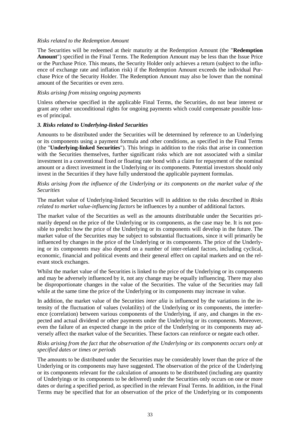#### *Risks related to the Redemption Amount*

The Securities will be redeemed at their maturity at the Redemption Amount (the "**Redemption Amount**") specified in the Final Terms. The Redemption Amount may be less than the Issue Price or the Purchase Price. This means, the Security Holder only achieves a return (subject to the influence of exchange rate and inflation risk) if the Redemption Amount exceeds the individual Purchase Price of the Security Holder. The Redemption Amount may also be lower than the nominal amount of the Securities or even zero.

#### *Risks arising from missing ongoing payments*

Unless otherwise specified in the applicable Final Terms, the Securities, do not bear interest or grant any other unconditional rights for ongoing payments which could compensate possible losses of principal.

#### *3. Risks related to Underlying-linked Securities*

Amounts to be distributed under the Securities will be determined by reference to an Underlying or its components using a payment formula and other conditions, as specified in the Final Terms (the "**Underlying-linked Securities**"). This brings in addition to the risks that arise in connection with the Securities themselves, further significant risks which are not associated with a similar investment in a conventional fixed or floating rate bond with a claim for repayment of the nominal amount or a direct investment in the Underlying or its components. Potential investors should only invest in the Securities if they have fully understood the applicable payment formulas.

*Risks arising from the influence of the Underlying or its components on the market value of the Securities*

The market value of Underlying-linked Securities will in addition to the risks described in *Risks related to market value-influencing factors* be influences by a number of additional factors.

The market value of the Securities as well as the amounts distributable under the Securities primarily depend on the price of the Underlying or its components, as the case may be. It is not possible to predict how the price of the Underlying or its components will develop in the future. The market value of the Securities may be subject to substantial fluctuations, since it will primarily be influenced by changes in the price of the Underlying or its components. The price of the Underlying or its components may also depend on a number of inter-related factors, including cyclical, economic, financial and political events and their general effect on capital markets and on the relevant stock exchanges.

Whilst the market value of the Securities is linked to the price of the Underlying or its components and may be adversely influenced by it, not any change may be equally influencing. There may also be disproportionate changes in the value of the Securities. The value of the Securities may fall while at the same time the price of the Underlying or its components may increase in value.

In addition, the market value of the Securities *inter alia* is influenced by the variations in the intensity of the fluctuation of values (volatility) of the Underlying or its components, the interference (correlation) between various components of the Underlying, if any, and changes in the expected and actual dividend or other payments under the Underlying or its components. Moreover, even the failure of an expected change in the price of the Underlying or its components may adversely affect the market value of the Securities. These factors can reinforce or negate each other.

## *Risks arising from the fact that the observation of the Underlying or its components occurs only at specified dates or times or periods*

The amounts to be distributed under the Securities may be considerably lower than the price of the Underlying or its components may have suggested. The observation of the price of the Underlying or its components relevant for the calculation of amounts to be distributed (including any quantity of Underlyings or its components to be delivered) under the Securities only occurs on one or more dates or during a specified period, as specified in the relevant Final Terms. In addition, in the Final Terms may be specified that for an observation of the price of the Underlying or its components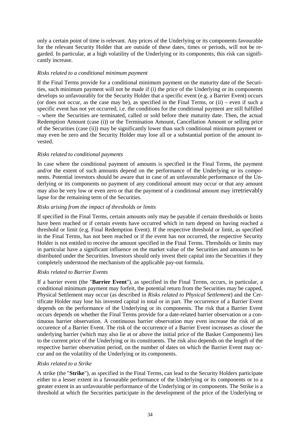only a certain point of time is relevant. Any prices of the Underlying or its components favourable for the relevant Security Holder that are outside of these dates, times or periods, will not be regarded. In particular, at a high volatility of the Underlying or its components, this risk can significantly increase.

## *Risks related to a conditional minimum payment*

If the Final Terms provide for a conditional minimum payment on the maturity date of the Securities, such minimum payment will not be made if (i) the price of the Underlying or its components develops so unfavourably for the Security Holder that a specific event (e.g. a Barrier Event) occurs (or does not occur, as the case may be), as specified in the Final Terms, or (ii) – even if such a specific event has not yet occurred, i.e. the conditions for the conditional payment are still fulfilled – where the Securities are terminated, called or sold before their maturity date. Then, the actual Redemption Amount (case (i)) or the Termination Amount, Cancellation Amount or selling price of the Securities (case (ii)) may be significantly lower than such conditional minimum payment or may even be zero and the Security Holder may lose all or a substantial portion of the amount invested.

## *Risks related to conditional payments*

In case where the conditional payment of amounts is specified in the Final Terms, the payment and/or the extent of such amounts depend on the performance of the Underlying or its components. Potential investors should be aware that in case of an unfavourable performance of the Underlying or its components no payment of any conditional amount may occur or that any amount may also be very low or even zero or that the payment of a conditional amount may irretrievably lapse for the remaining term of the Securities.

## *Risks arising from the impact of thresholds or limits*

If specified in the Final Terms, certain amounts only may be payable if certain thresholds or limits have been reached or if certain events have occurred which in turn depend on having reached a threshold or limit (e.g. Final Redemption Event). If the respective threshold or limit, as specified in the Final Terms, has not been reached or if the event has not occurred, the respective Security Holder is not entitled to receive the amount specified in the Final Terms. Thresholds or limits may in particular have a significant influence on the market value of the Securities and amounts to be distributed under the Securities. Investors should only invest their capital into the Securities if they completely understood the mechanism of the applicable pay-out formula.

## *Risks related to Barrier Events*

If a barrier event (the "**Barrier Event**"), as specified in the Final Terms, occurs, in particular, a conditional minimum payment may forfeit, the potential return from the Securities may be capped, Physical Settlement may occur (as described in *Risks related to Physical Settlement*) and the Certificate Holder may lose his invested capital in total or in part. The occurrence of a Barrier Event depends on the performance of the Underlying or its components. The risk that a Barrier Event occurs depends on whether the Final Terms provide for a date-related barrier observation or a continuous barrier observation. A continuous barrier observation may even increase the risk of an occurence of a Barrier Event. The risk of the occurrence of a Barrier Event increases as closer the underlying barrier (which may also lie at or above the initial price of the Basket Components) lies to the current price of the Underlying or its constituents. The risk also depends on the length of the respective barrier observation period, on the number of dates on which the Barrier Event may occur and on the volatility of the Underlying or its components.

## *Risks related to a Strike*

A strike (the "**Strike**"), as specified in the Final Terms, can lead to the Security Holders participate either to a lesser extent in a favourable performance of the Underlying or its components or to a greater extent in an unfavourable performance of the Underlying or its components. The Strike is a threshold at which the Securities participate in the development of the price of the Underlying or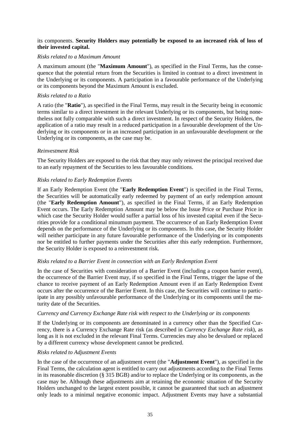## its components. **Security Holders may potentially be exposed to an increased risk of loss of their invested capital.**

### *Risks related to a Maximum Amount*

A maximum amount (the "**Maximum Amount**"), as specified in the Final Terms, has the consequence that the potential return from the Securities is limited in contrast to a direct investment in the Underlying or its components. A participation in a favourable performance of the Underlying or its components beyond the Maximum Amount is excluded.

### *Risks related to a Ratio*

A ratio (the "**Ratio**"), as specified in the Final Terms, may result in the Security being in economic terms similar to a direct investment in the relevant Underlying or its components, but being nonetheless not fully comparable with such a direct investment. In respect of the Security Holders, the application of a ratio may result in a reduced participation in a favourable development of the Underlying or its components or in an increased participation in an unfavourable development or the Underlying or its components, as the case may be.

#### *Reinvestment Risk*

The Security Holders are exposed to the risk that they may only reinvest the principal received due to an early repayment of the Securities to less favourable conditions.

#### *Risks related to Early Redemption Events*

If an Early Redemption Event (the "**Early Redemption Event**") is specified in the Final Terms, the Securities will be automatically early redeemed by payment of an early redemption amount (the "**Early Redemption Amount**"), as specified in the Final Terms, if an Early Redemption Event occurs. The Early Redemption Amount may be below the Issue Price or Purchase Price in which case the Security Holder would suffer a partial loss of his invested capital even if the Securities provide for a conditional minumum payment. The occurrence of an Early Redemption Event depends on the performance of the Underlying or its components. In this case, the Security Holder will neither participate in any future favourable performance of the Underlying or its components nor be entitled to further payments under the Securities after this early redemption. Furthermore, the Security Holder is exposed to a reinvestment risk.

#### *Risks related to a Barrier Event in connection with an Early Redemption Event*

In the case of Securities with consideration of a Barrier Event (including a coupon barrier event), the occurrence of the Barrier Event may, if so specified in the Final Terms, trigger the lapse of the chance to receive payment of an Early Redemption Amount even if an Early Redemption Event occurs after the occurrence of the Barrier Event. In this case, the Securities will continue to participate in any possibly unfavourable performance of the Underlying or its components until the maturity date of the Securities.

#### *Currency and Currency Exchange Rate risk with respect to the Underlying or its components*

If the Underlying or its components are denominated in a currency other than the Specified Currency, there is a Currency Exchange Rate risk (as described in *Currency Exchange Rate risk*), as long as it is not excluded in the relevant Final Terms. Currencies may also be devalued or replaced by a different currency whose development cannot be predicted.

#### *Risks related to Adjustment Events*

In the case of the occurrence of an adjustment event (the "**Adjustment Event**"), as specified in the Final Terms, the calculation agent is entitled to carry out adjustments according to the Final Terms in its reasonable discretion (§ 315 BGB) and/or to replace the Underlying or its components, as the case may be. Although these adjustments aim at retaining the economic situation of the Security Holders unchanged to the largest extent possible, it cannot be guaranteed that such an adjustment only leads to a minimal negative economic impact. Adjustment Events may have a substantial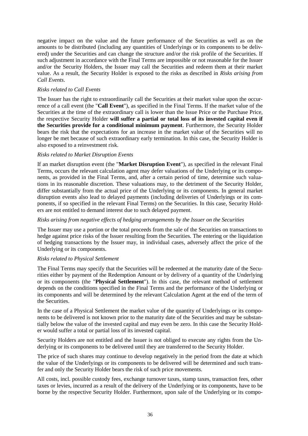negative impact on the value and the future performance of the Securities as well as on the amounts to be distributed (including any quantities of Underlyings or its components to be delivered) under the Securities and can change the structure and/or the risk profile of the Securities. If such adjustment in accordance with the Final Terms are impossible or not reasonable for the Issuer and/or the Security Holders, the Issuer may call the Securities and redeem them at their market value. As a result, the Security Holder is exposed to the risks as described in *Risks arising from Call Events*.

## *Risks related to Call Events*

The Issuer has the right to extraordinarily call the Securities at their market value upon the occurrence of a call event (the "**Call Event**"), as specified in the Final Terms. If the market value of the Securities at the time of the extraordinary call is lower than the Issue Price or the Purchase Price, the respective Security Holder **will suffer a partial or total loss of its invested capital even if the Securities provide for a conditional minimum payment**. Furthermore, the Security Holder bears the risk that the expectations for an increase in the market value of the Securities will no longer be met because of such extraordinary early termination. In this case, the Security Holder is also exposed to a reinvestment risk.

#### *Risks related to Market Disruption Events*

If an market disruption event (the "**Market Disruption Event**"), as specified in the relevant Final Terms, occurs the relevant calculation agent may defer valuations of the Underlying or its components, as provided in the Final Terms, and, after a certain period of time, determine such valuations in its reasonable discretion. These valuations may, to the detriment of the Security Holder, differ substantially from the actual price of the Underlying or its components. In general market disruption events also lead to delayed payments (including deliveries of Underlyings or its components, if so specified in the relevant Final Terms) on the Securities. In this case, Security Holders are not entitled to demand interest due to such delayed payment.

### *Risks arising from negative effects of hedging arrangements by the Issuer on the Securities*

The Issuer may use a portion or the total proceeds from the sale of the Securities on transactions to hedge against price risks of the Issuer resulting from the Securities. The entering or the liquidation of hedging transactions by the Issuer may, in individual cases, adversely affect the price of the Underlying or its components.

#### *Risks related to Physical Settlement*

The Final Terms may specify that the Securities will be redeemed at the maturity date of the Securities either by payment of the Redemption Amount or by delivery of a quantity of the Underlying or its components (the "**Physical Settlement**"). In this case, the relevant method of settlement depends on the conditions specified in the Final Terms and the performance of the Underlying or its components and will be determined by the relevant Calculation Agent at the end of the term of the Securities.

In the case of a Physical Settlement the market value of the quantity of Underlyings or its components to be delivered is not known prior to the maturity date of the Securities and may be substantially below the value of the invested capital and may even be zero. In this case the Security Holder would suffer a total or partial loss of its invested capital.

Security Holders are not entitled and the Issuer is not obliged to execute any rights from the Underlying or its components to be delivered until they are transferred to the Security Holder.

The price of such shares may continue to develop negatively in the period from the date at which the value of the Underlyings or its components to be delivered will be determined and such transfer and only the Security Holder bears the risk of such price movements.

All costs, incl. possible custody fees, exchange turnover taxes, stamp taxes, transaction fees, other taxes or levies, incurred as a result of the delivery of the Underlying or its components, have to be borne by the respective Security Holder. Furthermore, upon sale of the Underlying or its compo-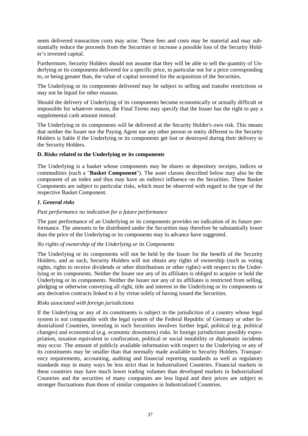nents delivered transaction costs may arise. These fees and costs may be material and may substantially reduce the proceeds from the Securities or increase a possible loss of the Security Holder's invested capital.

Furthermore, Security Holders should not assume that they will be able to sell the quantity of Underlying or its components delivered for a specific price, in particular not for a price corresponding to, or being greater than, the value of capital invested for the acquisition of the Securities.

The Underlying or its components delivered may be subject to selling and transfer restrictions or may not be liquid for other reasons.

Should the delivery of Underlying of its components become economically or actually difficult or impossible for whatever reason, the Final Terms may specify that the Issuer has the right to pay a supplemental cash amount instead.

The Underlying or its components will be delivered at the Security Holder's own risk. This means that neither the Issuer nor the Paying Agent nor any other person or entity different to the Security Holders is liable if the Underlying or its components get lost or destroyed during their delivery to the Security Holders.

## **D. Risks related to the Underlying or its components**

The Underlying is a basket whose components may be shares or depository receipts, indices or commodities (each a "**Basket Component**"). The asset classes described below may also be the component of an index and thus may have an indirect influence on the Securities. These Basket Components are subject to particular risks, which must be observed with regard to the type of the respective Basket Component.

## *1. General risks*

## *Past performance no indication for a future performance*

The past performance of an Underlying or its components provides no indication of its future performance. The amounts to be distributed under the Securities may therefore be substantially lower than the price of the Underlying or its components may in advance have suggested.

## *No rights of ownership of the Underlying or its Components*

The Underlying or its components will not be held by the Issuer for the benefit of the Security Holders, and as such, Security Holders will not obtain any rights of ownership (such as voting rights, rights to receive dividends or other distributions or other rights) with respect to the Underlying or its components. Neither the Issuer nor any of its affiliates is obliged to acquire or hold the Underlying or its components. Neither the Issuer nor any of its affiliates is restricted from selling, pledging or otherwise conveying all right, title and interest in the Underlying or its components or any derivative contracts linked to it by virtue solely of having issued the Securities.

## *Risks associated with foreign jurisdictions*

If the Underlying or any of its constituents is subject to the jurisdiction of a country whose legal system is not comparable with the legal system of the Federal Republic of Germany or other Industrialized Countries, investing in such Securities involves further legal, political (e.g. political changes) and economical (e.g. economic downturns) risks. In foreign jurisdictions possibly expropriation, taxation equivalent to confiscation, political or social instability or diplomatic incidents may occur. The amount of publicly available information with respect to the Underlying or any of its constituents may be smaller than that normally made available to Security Holders. Transparency requirements, accounting, auditing and financial reporting standards as well as regulatory standards may in many ways be less strict than in Industrialized Countries. Financial markets in these countries may have much lower trading volumes than developed markets in Industrialized Countries and the securities of many companies are less liquid and their prices are subject to stronger fluctuations than those of similar companies in Industrialized Countries.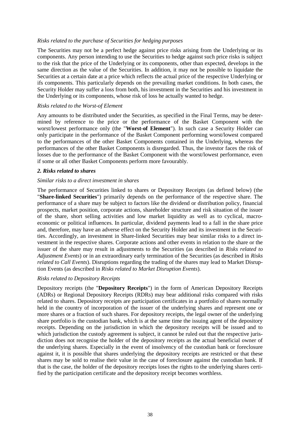### *Risks related to the purchase of Securities for hedging purposes*

The Securities may not be a perfect hedge against price risks arising from the Underlying or its components. Any person intending to use the Securities to hedge against such price risks is subject to the risk that the price of the Underlying or its components, other than expected, develops in the same direction as the value of the Securities. In addition, it may not be possible to liquidate the Securities at a certain date at a price which reflects the actual price of the respective Underlying or ifs components. This particularly depends on the prevailing market conditions. In both cases, the Security Holder may suffer a loss from both, his investment in the Securities and his investment in the Underlying or its components, whose risk of loss he actually wanted to hedge.

### *Risks related to the Worst-of Element*

Any amounts to be distributed under the Securities, as specified in the Final Terms, may be determined by reference to the price or the performance of the Basket Component with the worst/lowest performance only (the "**Worst-of Element**"). In such case a Security Holder can only participate in the performance of the Basket Component performing worst/lowest compared to the performances of the other Basket Components contained in the Underlying, whereas the performances of the other Basket Components is disregarded. Thus, the investor faces the risk of losses due to the performance of the Basket Component with the worst/lowest performance, even if some or all other Basket Components perform more favourably.

#### *2. Risks related to shares*

#### *Similar risks to a direct investment in shares*

The performance of Securities linked to shares or Depository Receipts (as defined below) (the "**Share-linked Securities**") primarily depends on the performance of the respective share. The performance of a share may be subject to factors like the dividend or distribution policy, financial prospects, market position, corporate actions, shareholder structure and risk situation of the issuer of the share, short selling activities and low market liquidity as well as to cyclical, macroeconomic or political influences. In particular, dividend payments lead to a fall in the share price and, therefore, may have an adverse effect on the Security Holder and its investment in the Securities. Accordingly, an investment in Share-linked Securities may bear similar risks to a direct investment in the respective shares. Corporate actions and other events in relation to the share or the issuer of the share may result in adjustments to the Securities (as described in *Risks related to Adjustment Events*) or in an extraordinary early termination of the Securities (as described in *Risks related to Call Events*). Disruptions regarding the trading of the shares may lead to Market Disruption Events (as described in *Risks related to Market Disruption Events*).

#### *Risks related to Depository Receipts*

Depository receipts (the "**Depository Receipts**") in the form of American Depository Receipts (ADRs) or Regional Depository Receipts (RDRs) may bear additional risks compared with risks related to shares. Depository receipts are participation certificates in a portfolio of shares normally held in the country of incorporation of the issuer of the underlying shares and represent one or more shares or a fraction of such shares. For depository receipts, the legal owner of the underlying share portfolio is the custodian bank, which is at the same time the issuing agent of the depository receipts. Depending on the jurisdiction in which the depository receipts will be issued and to which jurisdiction the custody agreement is subject, it cannot be ruled out that the respective jurisdiction does not recognise the holder of the depository receipts as the actual beneficial owner of the underlying shares. Especially in the event of insolvency of the custodian bank or foreclosure against it, it is possible that shares underlying the depository receipts are restricted or that these shares may be sold to realise their value in the case of foreclosure against the custodian bank. If that is the case, the holder of the depository receipts loses the rights to the underlying shares certified by the participation certificate and the depository receipt becomes worthless.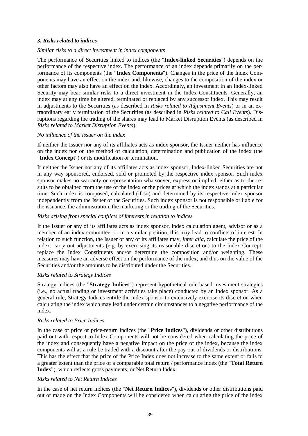## *3. Risks related to indices*

#### *Similar risks to a direct investment in index components*

The performance of Securities linked to indices (the "**Index-linked Securities**") depends on the performance of the respective index. The performance of an index depends primarily on the performance of its components (the "**Index Components**"). Changes in the price of the Index Components may have an effect on the index and, likewise, changes to the composition of the index or other factors may also have an effect on the index. Accordingly, an investment in an Index-linked Security may bear similar risks to a direct investment in the Index Constituents. Generally, an index may at any time be altered, terminated or replaced by any successor index. This may result in adjustments to the Securities (as described in *Risks related to Adjustment Events*) or in an extraordinary early termination of the Securities (as described in *Risks related to Call Events*). Disruptions regarding the trading of the shares may lead to Market Disruption Events (as described in *Risks related to Market Disruption Events*).

#### *No influence of the Issuer on the index*

If neither the Issuer nor any of its affiliates acts as index sponsor, the Issuer neither has influence on the index nor on the method of calculation, determination and publication of the index (the "**Index Concept**") or its modification or termination.

If neither the Issuer nor any of its affiliates acts as index sponsor, Index-linked Securities are not in any way sponsored, endorsed, sold or promoted by the respective index sponsor. Such index sponsor makes no warranty or representation whatsoever, express or implied, either as to the results to be obtained from the use of the index or the prices at which the index stands at a particular time. Such index is composed, calculated (if so) and determined by its respective index sponsor independently from the Issuer of the Securities. Such index sponsor is not responsible or liable for the issuance, the administration, the marketing or the trading of the Securities.

### *Risks arising from special conflicts of interests in relation to indices*

If the Issuer or any of its affiliates acts as index sponsor, index calculation agent, advisor or as a member of an index committee, or in a similar position, this may lead to conflicts of interest. In relation to such function, the Issuer or any of its affiliates may, *inter alia*, calculate the price of the index, carry out adjustments (e.g. by exercising its reasonable discretion) to the Index Concept, replace the Index Constituents and/or determine the composition and/or weighting. These measures may have an adverse effect on the performance of the index, and thus on the value of the Securities and/or the amounts to be distributed under the Securities.

#### *Risks related to Strategy Indices*

Strategy indices (the "**Strategy Indices**") represent hypothetical rule-based investment strategies (i.e., no actual trading or investment activities take place) conducted by an index sponsor. As a general rule, Strategy Indices entitle the index sponsor to extensively exercise its discretion when calculating the index which may lead under certain circumstances to a negative performance of the index.

#### *Risks related to Price Indices*

In the case of price or price-return indices (the "**Price Indices**"), dividends or other distributions paid out with respect to Index Components will not be considered when calculating the price of the index and consequently have a negative impact on the price of the index, because the index components will as a rule be traded with a discount after the pay-out of dividends or distributions. This has the effect that the price of the Price Index does not increase to the same extent or falls to a greater extent than the price of a comparable total return / performance index (the "**Total Return Index**"), which reflects gross payments, or Net Return Index.

#### *Risks related to Net Return Indices*

In the case of net return indices (the "**Net Return Indices**"), dividends or other distributions paid out or made on the Index Components will be considered when calculating the price of the index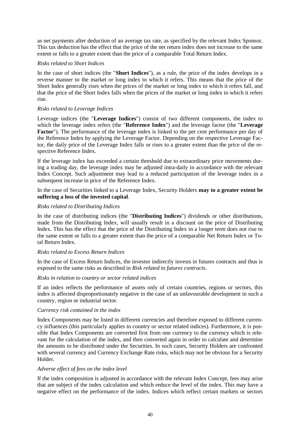as net payments after deduction of an average tax rate, as specified by the relevant Index Sponsor. This tax deduction has the effect that the price of the net return index does not increase to the same extent or falls to a greater extent than the price of a comparable Total Return Index.

## *Risks related to Short Indices*

In the case of short indices (the "**Short Indices**"), as a rule, the price of the index develops in a reverse manner to the market or long index to which it refers. This means that the price of the Short Index generally rises when the prices of the market or long index to which it refers fall, and that the price of the Short Index falls when the prices of the market or long index to which it refers rise.

## *Risks related to Leverage Indices*

Leverage indices (the "**Leverage Indices**") consist of two different components, the index to which the leverage index refers (the "**Reference Index**") and the leverage factor (the "**Leverage Factor**"). The performance of the leverage index is linked to the per cent performance per day of the Reference Index by applying the Leverage Factor. Depending on the respective Leverage Factor, the daily price of the Leverage Index falls or rises to a greater extent than the price of the respective Reference Index.

If the leverage index has exceeded a certain threshold due to extraordinary price movements during a trading day, the leverage index may be adjusted intra-daily in accordance with the relevant Index Concept. Such adjustment may lead to a reduced participation of the leverage index in a subsequent increase in price of the Reference Index.

In the case of Securities linked to a Leverage Index, Security Holders **may to a greater extent be suffering a loss of the invested capital**.

## *Risks related to Distributing Indices*

In the case of distributing indices (the "**Distributing Indices**") dividends or other distributions, made from the Distributing Index, will usually result in a discount on the price of Distributing Index. This has the effect that the price of the Distributing Index in a longer term does not rise to the same extent or falls to a greater extent than the price of a comparable Net Return Index or Total Return Index.

## *Risks related to Excess Return Indices*

In the case of Excess Return Indices, the investor indirectly invests in futures contracts and thus is exposed to the same risks as described in *Risk related to futures contracts*.

## *Risks in relation to country or sector related indices*

If an index reflects the performance of assets only of certain countries, regions or sectors, this index is affected disproportionately negative in the case of an unfavourable development in such a country, region or industrial sector.

## *Currency risk contained in the index*

Index Components may be listed in different currencies and therefore exposed to different currency influences (this particularly applies to country or sector related indices). Furthermore, it is possible that Index Components are converted first from one currency to the currency which is relevant for the calculation of the index, and then converted again in order to calculate and determine the amounts to be distributed under the Securities. In such cases, Security Holders are confronted with several currency and Currency Exchange Rate risks, which may not be obvious for a Security Holder.

## *Adverse effect of fees on the index level*

If the index composition is adjusted in accordance with the relevant Index Concept, fees may arise that are subject of the index calculation and which reduce the level of the index. This may have a negative effect on the performance of the index. Indices which reflect certain markets or sectors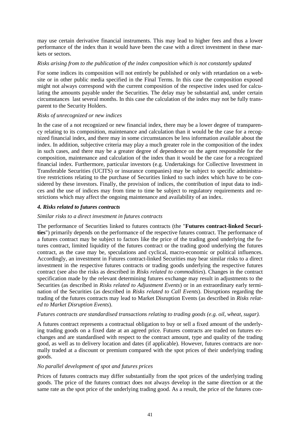may use certain derivative financial instruments. This may lead to higher fees and thus a lower performance of the index than it would have been the case with a direct investment in these markets or sectors.

### *Risks arising from to the publication of the index composition which is not constantly updated*

For some indices its composition will not entirely be published or only with retardation on a website or in other public media specified in the Final Terms. In this case the composition exposed might not always correspond with the current composition of the respective index used for calculating the amounts payable under the Securities. The delay may be substantial and, under certain circumstances last several months. In this case the calculation of the index may not be fully transparent to the Security Holders.

## *Risks of unrecognized or new indices*

In the case of a not recognized or new financial index, there may be a lower degree of transparency relating to its composition, maintenance and calculation than it would be the case for a recognized financial index, and there may in some circumstances be less information available about the index. In addition, subjective criteria may play a much greater role in the composition of the index in such cases, and there may be a greater degree of dependence on the agent responsible for the composition, maintenance and calculation of the index than it would be the case for a recognized financial index. Furthermore, particular investors (e.g. Undertakings for Collective Investment in Transferable Securities (UCITS) or insurance companies) may be subject to specific administrative restrictions relating to the purchase of Securities linked to such index which have to be considered by these investors. Finally, the provision of indices, the contribution of input data to indices and the use of indices may from time to time be subject to regulatory requirements and restrictions which may affect the ongoing maintenance and availability of an index.

## *4. Risks related to futures contracts*

#### *Similar risks to a direct investment in futures contracts*

The performance of Securities linked to futures contracts (the "**Futures contract-linked Securities**") primarily depends on the performance of the respective futures contract. The performance of a futures contract may be subject to factors like the price of the trading good underlying the futures contract, limited liquidity of the futures contract or the trading good underlying the futures contract, as the case may be, speculations and cyclical, macro-economic or political influences. Accordingly, an investment in Futures contract-linked Securities may bear similar risks to a direct investment in the respective futures contracts or trading goods underlying the respective futures contract (see also the risks as described in *Risks related to commodities*). Changes in the contract specification made by the relevant determining futures exchange may result in adjustments to the Securities (as described in *Risks related to Adjustment Events*) or in an extraordinary early termination of the Securities (as described in *Risks related to Call Events*). Disruptions regarding the trading of the futures contracts may lead to Market Disruption Events (as described in *Risks related to Market Disruption Events*).

## *Futures contracts are standardised transactions relating to trading goods (e.g. oil, wheat, sugar).*

A futures contract represents a contractual obligation to buy or sell a fixed amount of the underlying trading goods on a fixed date at an agreed price. Futures contracts are traded on futures exchanges and are standardised with respect to the contract amount, type and quality of the trading good, as well as to delivery location and dates (if applicable). However, futures contracts are normally traded at a discount or premium compared with the spot prices of their underlying trading goods.

#### *No parallel development of spot and futures prices*

Prices of futures contracts may differ substantially from the spot prices of the underlying trading goods. The price of the futures contract does not always develop in the same direction or at the same rate as the spot price of the underlying trading good. As a result, the price of the futures con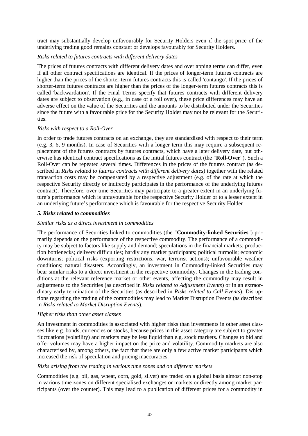tract may substantially develop unfavourably for Security Holders even if the spot price of the underlying trading good remains constant or develops favourably for Security Holders.

## *Risks related to futures contracts with different delivery dates*

The prices of futures contracts with different delivery dates and overlapping terms can differ, even if all other contract specifications are identical. If the prices of longer-term futures contracts are higher than the prices of the shorter-term futures contracts this is called 'contango'. If the prices of shorter-term futures contracts are higher than the prices of the longer-term futures contracts this is called 'backwardation'. If the Final Terms specify that futures contracts with different delivery dates are subject to observation (e.g., in case of a roll over), these price differences may have an adverse effect on the value of the Securities and the amounts to be distributed under the Securities since the future with a favourable price for the Security Holder may not be relevant for the Securities.

## *Risks with respect to a Roll-Over*

In order to trade futures contracts on an exchange, they are standardised with respect to their term (e.g. 3, 6, 9 months). In case of Securities with a longer term this may require a subsequent replacement of the futures contracts by futures contracts, which have a later delivery date, but otherwise has identical contract specifications as the initial futures contract (the "**Roll-Over**"). Such a Roll-Over can be repeated several times. Differences in the prices of the futures contract (as described in *Risks related to futures contracts with different delivery dates*) together with the related transaction costs may be compensated by a respective adjustment (e.g. of the rate at which the respective Security directly or indirectly participates in the performance of the underlying futures contract). Therefore, over time Securities may participate to a greater extent in an underlying future's performance which is unfavourable for the respective Security Holder or to a lesser extent in an underlying future's performance which is favourable for the respective Security Holder

## *5. Risks related to commodities*

## *Similar risks as a direct investment in commodities*

The performance of Securities linked to commodities (the "**Commodity-linked Securities**") primarily depends on the performance of the respective commodity. The performance of a commodity may be subject to factors like supply and demand; speculations in the financial markets; production bottlenecks; delivery difficulties; hardly any market participants; political turmoils; economic downturns; political risks (exporting restrictions, war, terrorist actions); unfavourable weather conditions; natural disasters. Accordingly, an investment in Commodity-linked Securities may bear similar risks to a direct investment in the respective commodity. Changes in the trading conditions at the relevant reference market or other events, affecting the commodity may result in adjustments to the Securities (as described in *Risks related to Adjustment Events*) or in an extraordinary early termination of the Securities (as described in *Risks related to Call Events*). Disruptions regarding the trading of the commodities may lead to Market Disruption Events (as described in *Risks related to Market Disruption Events*).

## *Higher risks than other asset classes*

An investment in commodities is associated with higher risks than investments in other asset classes like e.g. bonds, currencies or stocks, because prices in this asset category are subject to greater fluctuations (volatility) and markets may be less liquid than e.g. stock markets. Changes to bid and offer volumes may have a higher impact on the price and volatility. Commodity markets are also characterised by, among others, the fact that there are only a few active market participants which increased the risk of speculation and pricing inaccuracies.

## *Risks arising from the trading in various time zones and on different markets*

Commodities (e.g. oil, gas, wheat, corn, gold, silver) are traded on a global basis almost non-stop in various time zones on different specialised exchanges or markets or directly among market participants (over the counter). This may lead to a publication of different prices for a commodity in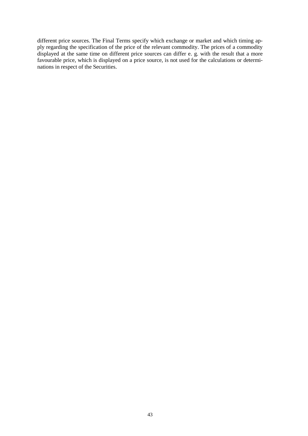different price sources. The Final Terms specify which exchange or market and which timing apply regarding the specification of the price of the relevant commodity. The prices of a commodity displayed at the same time on different price sources can differ e. g. with the result that a more favourable price, which is displayed on a price source, is not used for the calculations or determinations in respect of the Securities.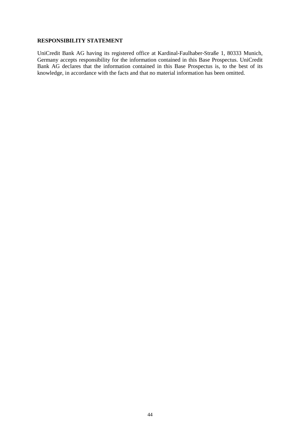#### **RESPONSIBILITY STATEMENT**

UniCredit Bank AG having its registered office at Kardinal-Faulhaber-Straße 1, 80333 Munich, Germany accepts responsibility for the information contained in this Base Prospectus. UniCredit Bank AG declares that the information contained in this Base Prospectus is, to the best of its knowledge, in accordance with the facts and that no material information has been omitted.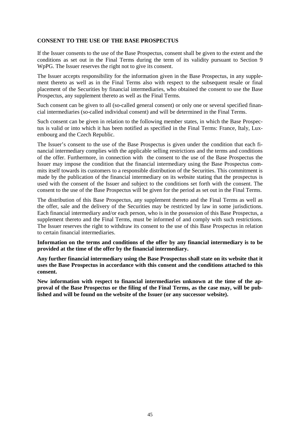### **CONSENT TO THE USE OF THE BASE PROSPECTUS**

If the Issuer consents to the use of the Base Prospectus, consent shall be given to the extent and the conditions as set out in the Final Terms during the term of its validity pursuant to Section 9 WpPG. The Issuer reserves the right not to give its consent.

The Issuer accepts responsibility for the information given in the Base Prospectus, in any supplement thereto as well as in the Final Terms also with respect to the subsequent resale or final placement of the Securities by financial intermediaries, who obtained the consent to use the Base Prospectus, any supplement thereto as well as the Final Terms.

Such consent can be given to all (so-called general consent) or only one or several specified financial intermediaries (so-called individual consent) and will be determined in the Final Terms.

Such consent can be given in relation to the following member states, in which the Base Prospectus is valid or into which it has been notified as specified in the Final Terms: France, Italy, Luxembourg and the Czech Republic.

The Issuer's consent to the use of the Base Prospectus is given under the condition that each financial intermediary complies with the applicable selling restrictions and the terms and conditions of the offer. Furthermore, in connection with the consent to the use of the Base Prospectus the Issuer may impose the condition that the financial intermediary using the Base Prospectus commits itself towards its customers to a responsible distribution of the Securities. This commitment is made by the publication of the financial intermediary on its website stating that the prospectus is used with the consent of the Issuer and subject to the conditions set forth with the consent. The consent to the use of the Base Prospectus will be given for the period as set out in the Final Terms.

The distribution of this Base Prospectus, any supplement thereto and the Final Terms as well as the offer, sale and the delivery of the Securities may be restricted by law in some jurisdictions. Each financial intermediary and/or each person, who is in the possession of this Base Prospectus, a supplement thereto and the Final Terms, must be informed of and comply with such restrictions. The Issuer reserves the right to withdraw its consent to the use of this Base Prospectus in relation to certain financial intermediaries.

**Information on the terms and conditions of the offer by any financial intermediary is to be provided at the time of the offer by the financial intermediary.**

**Any further financial intermediary using the Base Prospectus shall state on its website that it uses the Base Prospectus in accordance with this consent and the conditions attached to this consent.**

**New information with respect to financial intermediaries unknown at the time of the approval of the Base Prospectus or the filing of the Final Terms, as the case may, will be published and will be found on the website of the Issuer (or any successor website).**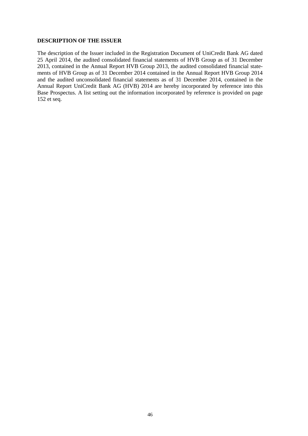#### **DESCRIPTION OF THE ISSUER**

The description of the Issuer included in the Registration Document of UniCredit Bank AG dated 25 April 2014, the audited consolidated financial statements of HVB Group as of 31 December 2013, contained in the Annual Report HVB Group 2013, the audited consolidated financial statements of HVB Group as of 31 December 2014 contained in the Annual Report HVB Group 2014 and the audited unconsolidated financial statements as of 31 December 2014, contained in the Annual Report UniCredit Bank AG (HVB) 2014 are hereby incorporated by reference into this Base Prospectus. A list setting out the information incorporated by reference is provided on page 152 et seq.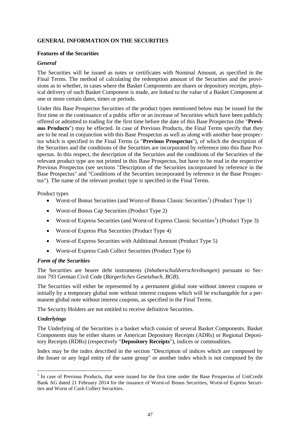## **GENERAL INFORMATION ON THE SECURITIES**

### **Features of the Securities**

### *General*

The Securities will be issued as notes or certificates with Nominal Amount, as specified in the Final Terms. The method of calculating the redemption amount of the Securities and the provisions as to whether, in cases where the Basket Components are shares or depository receipts, physical delivery of such Basket Component is made, are linked to the value of a Basket Component at one or more certain dates, times or periods.

Under this Base Prospectus Securities of the product types mentioned below may be issued for the first time or the continuance of a public offer or an increase of Securities which have been publicly offered or admitted to trading for the first time before the date of this Base Prospectus (the "**Previous Products**") may be effected. In case of Previous Products, the Final Terms specify that they are to be read in conjunction with this Base Prospectus as well as along with another base prospectus which is specified in the Final Terms (a "**Previous Prospectus**"), of which the description of the Securities and the conditions of the Securities are incorporated by reference into this Base Prospectus. In this respect, the description of the Securities and the conditions of the Securities of the relevant product type are not printed in this Base Prospectus, but have to be read in the respective Previous Prospectus (see sections "Description of the Securities incorporated by reference in the Base Prospectus" and "Conditions of the Securities incorporated by reference in the Base Prospectus"). The name of the relevant product type is specified in the Final Terms.

Product types

- Worst-of Bonus Securities (and Worst-of Bonus Classic Securities<sup>1</sup>) (Product Type 1)
- Worst-of Bonus Cap Securities (Product Type 2)
- Worst-of Express Securities (and Worst-of Express Classic Securities<sup>1</sup>) (Product Type 3)
- Worst-of Express Plus Securities (Product Type 4)
- Worst-of Express Securities with Additional Amount (Product Type 5)
- Worst-of Express Cash Collect Securities (Product Type 6)

## *Form of the Securities*

The Securities are bearer debt instruments (*Inhaberschuldverschreibungen*) pursuant to Section 793 German Civil Code (*Bürgerliches Gesetzbuch, BGB*).

The Securities will either be represented by a permanent global note without interest coupons or initially by a temporary global note without interest coupons which will be exchangable for a permanent global note without interest coupons, as specified in the Final Terms.

The Security Holders are not entitled to receive definitive Securities.

## *Underlyings*

The Underlying of the Securities is a basket which consist of several Basket Components. Basket Components may be either shares or American Depository Receipts (ADRs) or Regional Depository Receipts (RDRs) (respectively "**Depository Receipts**"), indices or commodities.

Index may be the index described in the section "Description of indices which are composed by the Issuer or any legal entity of the same group" or another index which is not composed by the

<sup>&</sup>lt;sup>1</sup> In case of Previous Products, that were issued for the first time under the Base Prospectus of UniCredit Bank AG dated 21 February 2014 for the issuance of Worst-of Bonus Securities, Worst-of Express Securities and Worst of Cash Collect Securities.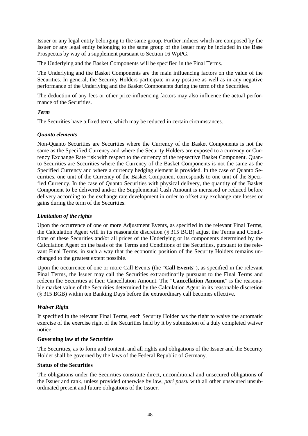Issuer or any legal entity belonging to the same group. Further indices which are composed by the Issuer or any legal entity belonging to the same group of the Issuer may be included in the Base Prospectus by way of a supplement pursuant to Section 16 WpPG.

The Underlying and the Basket Components will be specified in the Final Terms.

The Underlying and the Basket Components are the main influencing factors on the value of the Securities. In general, the Security Holders participate in any positive as well as in any negative performance of the Underlying and the Basket Components during the term of the Securities.

The deduction of any fees or other price-influencing factors may also influence the actual performance of the Securities.

## *Term*

The Securities have a fixed term, which may be reduced in certain circumstances.

## *Quanto elements*

Non-Quanto Securities are Securities where the Currency of the Basket Components is not the same as the Specified Currency and where the Security Holders are exposed to a currency or Currency Exchange Rate risk with respect to the currency of the repsective Basket Component. Quanto Securities are Securities where the Currency of the Basket Components is not the same as the Specified Currency and where a currency hedging element is provided. In the case of Quanto Securities, one unit of the Currency of the Basket Component corresponds to one unit of the Specified Currency. In the case of Quanto Securities with physical delivery, the quantity of the Basket Component to be delivered and/or the Supplemental Cash Amount is increased or reduced before delivery according to the exchange rate development in order to offset any exchange rate losses or gains during the term of the Securities.

## *Limitation of the rights*

Upon the occurrence of one or more Adjustment Events, as specified in the relevant Final Terms, the Calculation Agent will in its reasonable discretion (§ 315 BGB) adjust the Terms and Conditions of these Securities and/or all prices of the Underlying or its components determined by the Calculation Agent on the basis of the Terms and Conditions of the Securities, pursuant to the relevant Final Terms, in such a way that the economic position of the Security Holders remains unchanged to the greatest extent possible.

Upon the occurrence of one or more Call Events (the "**Call Events**"), as specified in the relevant Final Terms, the Issuer may call the Securities extraordinarily pursuant to the Final Terms and redeem the Securities at their Cancellation Amount. The "**Cancellation Amount**" is the reasonable market value of the Securities determined by the Calculation Agent in its reasonable discretion (§ 315 BGB) within ten Banking Days before the extraordinary call becomes effective.

## *Waiver Right*

If specified in the relevant Final Terms, each Security Holder has the right to waive the automatic exercise of the exercise right of the Securities held by it by submission of a duly completed waiver notice.

## **Governing law of the Securities**

The Securities, as to form and content, and all rights and obligations of the Issuer and the Security Holder shall be governed by the laws of the Federal Republic of Germany.

## **Status of the Securities**

The obligations under the Securities constitute direct, unconditional and unsecured obligations of the Issuer and rank, unless provided otherwise by law, *pari passu* with all other unsecured unsubordinated present and future obligations of the Issuer.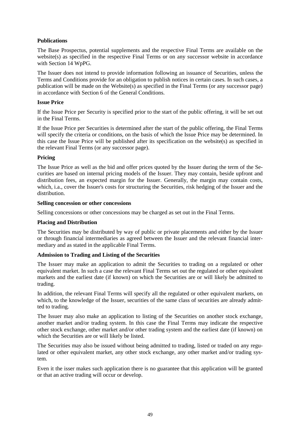## **Publications**

The Base Prospectus, potential supplements and the respective Final Terms are available on the website(s) as specified in the respective Final Terms or on any successor website in accordance with Section 14 WpPG.

The Issuer does not intend to provide information following an issuance of Securities, unless the Terms and Conditions provide for an obligation to publish notices in certain cases. In such cases, a publication will be made on the Website(s) as specified in the Final Terms (or any successor page) in accordance with Section 6 of the General Conditions.

## **Issue Price**

If the Issue Price per Security is specified prior to the start of the public offering, it will be set out in the Final Terms.

If the Issue Price per Securities is determined after the start of the public offering, the Final Terms will specify the criteria or conditions, on the basis of which the Issue Price may be determined. In this case the Issue Price will be published after its specification on the website(s) as specified in the relevant Final Terms (or any successor page).

## **Pricing**

The Issue Price as well as the bid and offer prices quoted by the Issuer during the term of the Securities are based on internal pricing models of the Issuer. They may contain, beside upfront and distribution fees, an expected margin for the Issuer. Generally, the margin may contain costs, which, i.a., cover the Issuer's costs for structuring the Securities, risk hedging of the Issuer and the distribution.

## **Selling concession or other concessions**

Selling concessions or other concessions may be charged as set out in the Final Terms.

## **Placing and Distribution**

The Securities may be distributed by way of public or private placements and either by the Issuer or through financial intermediaries as agreed between the Issuer and the relevant financial intermediary and as stated in the applicable Final Terms.

## **Admission to Trading and Listing of the Securities**

The Issuer may make an application to admit the Securities to trading on a regulated or other equivalent market. In such a case the relevant Final Terms set out the regulated or other equivalent markets and the earliest date (if known) on which the Securities are or will likely be admitted to trading.

In addition, the relevant Final Terms will specify all the regulated or other equivalent markets, on which, to the knowledge of the Issuer, securities of the same class of securities are already admitted to trading.

The Issuer may also make an application to listing of the Securities on another stock exchange, another market and/or trading system. In this case the Final Terms may indicate the respective other stock exchange, other market and/or other trading system and the earliest date (if known) on which the Securities are or will likely be listed.

The Securities may also be issued without being admitted to trading, listed or traded on any regulated or other equivalent market, any other stock exchange, any other market and/or trading system.

Even it the isser makes such application there is no guarantee that this application will be granted or that an active trading will occur or develop.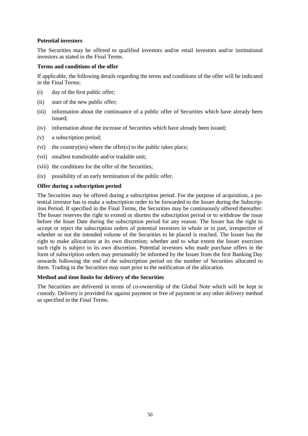## **Potential investors**

The Securities may be offered to qualified investors and/or retail investors and/or institutional investors as stated in the Final Terms.

## **Terms and conditions of the offer**

If applicable, the following details regarding the terms and conditions of the offer will be indicated in the Final Terms:

- (i) day of the first public offer;
- (ii) start of the new public offer;
- (iii) information about the continuance of a public offer of Securities which have already been issued;
- (iv) information about the increase of Securities which have already been issued;
- (v) a subscription period;
- (vi) the country(ies) where the offer $(s)$  to the public takes place;
- (vii) smallest transferable and/or tradable unit;
- (viii) the conditions for the offer of the Securities;
- (ix) possibility of an early termination of the public offer.

## **Offer during a subscription period**

The Securities may be offered during a subscription period. For the purpose of acquisition, a potential investor has to make a subscription order to be forwarded to the Issuer during the Subscription Period. If specified in the Final Terms, the Securities may be continuously offered thereafter. The Issuer reserves the right to extend or shorten the subscription period or to withdraw the issue before the Issue Date during the subscription period for any reason. The Issuer has the right to accept or reject the subscription orders of potential investors in whole or in part, irrespective of whether or not the intended volume of the Securities to be placed is reached. The Issuer has the right to make allocations at its own discretion; whether and to what extent the Issuer exercises such right is subject to its own discretion. Potential investors who made purchase offers in the form of subscription orders may presumably be informed by the Issuer from the first Banking Day onwards following the end of the subscription period on the number of Securities allocated to them. Trading in the Securities may start prior to the notification of the allocation.

## **Method and time limits for delivery of the Securities**

The Securities are delivered in terms of co-ownership of the Global Note which will be kept in custody. Delivery is provided for against payment or free of payment or any other delivery method as specified in the Final Terms.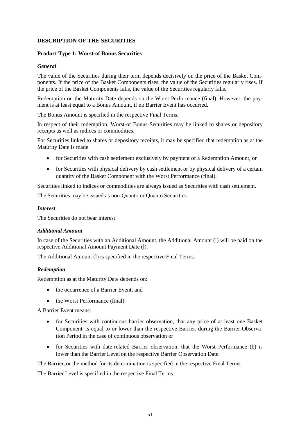## **DESCRIPTION OF THE SECURITIES**

## **Product Type 1: Worst-of Bonus Securities**

### *General*

The value of the Securities during their term depends decisively on the price of the Basket Components. If the price of the Basket Components rises, the value of the Securities regularly rises. If the price of the Basket Components falls, the value of the Securities regularly falls.

Redemption on the Maturity Date depends on the Worst Performance (final). However, the payment is at least equal to a Bonus Amount, if no Barrier Event has occurred.

The Bonus Amount is specified in the respective Final Terms.

In respect of their redemption, Worst-of Bonus Securities may be linked to shares or depository receipts as well as indices or commodities.

For Securities linked to shares or depository receipts, it may be specified that redemption as at the Maturity Date is made

- for Securities with cash settlement exclusively by payment of a Redemption Amount, or
- for Securities with physical delivery by cash settlement or by physical delivery of a certain quantity of the Basket Component with the Worst Performance (final).

Securities linked to indices or commodities are always issued as Securities with cash settlement.

The Securities may be issued as non-Quanto or Quanto Securities.

#### *Interest*

The Securities do not bear interest.

### *Additional Amount*

In case of the Securities with an Additional Amount, the Additional Amount (l) will be paid on the respective Additional Amount Payment Date (l).

The Additional Amount (I) is specified in the respective Final Terms.

## *Redemption*

Redemption as at the Maturity Date depends on:

- the occurrence of a Barrier Event, and
- the Worst Performance (final)

A Barrier Event means:

- for Securities with continuous barrier observation, that any price of at least one Basket Component<sub>i</sub> is equal to or lower than the respective Barrier<sub>i</sub> during the Barrier Observation Period in the case of continuous observation or
- for Securities with date-related Barrier observation, that the Worst Performance (b) is lower than the Barrier Level on the respective Barrier Observation Date.

The Barrier<sub>i</sub> or the method for its determination is specified in the respective Final Terms.

The Barrier Level is specified in the respective Final Terms.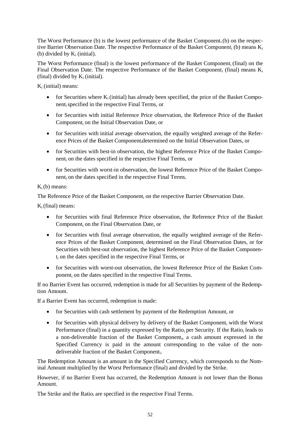The Worst Performance (b) is the lowest performance of the Basket Component<sub>i</sub>(b) on the respective Barrier Observation Date. The respective Performance of the Basket Component<sub>i</sub> (b) means  $K_i$ (b) divided by  $K_i$  (initial).

The Worst Performance (final) is the lowest performance of the Basket Component<sub>i</sub> (final) on the Final Observation Date. The respective Performance of the Basket Component<sub>i</sub> (final) means  $K_i$ (final) divided by  $K_i$  (initial).

 $K_i$  (initial) means:

- for Securities where  $K_i$  (initial) has already been specified, the price of the Basket Componentispecified in the respective Final Terms, or
- for Securities with initial Reference Price observation, the Reference Price of the Basket Component<sup>i</sup> on the Initial Observation Date, or
- for Securities with initial average observation, the equally weighted average of the Reference Prices of the Basket Componentidetermined on the Initial Observation Dates, or
- for Securities with best-in observation, the highest Reference Price of the Basket Component<sup>i</sup> on the dates specified in the respective Final Terms, or
- for Securities with worst-in observation, the lowest Reference Price of the Basket Component<sup>i</sup> on the dates specified in the respective Final Terms.

# $K_i(b)$  means:

The Reference Price of the Basket Component<sup>i</sup> on the respective Barrier Observation Date.

 $K_i$ (final) means:

- for Securities with final Reference Price observation, the Reference Price of the Basket Component<sup>i</sup> on the Final Observation Date, or
- for Securities with final average observation, the equally weighted average of the Reference Prices of the Basket Component<sup>i</sup> determined on the Final Observation Dates, or for Securities with best-out observation, the highest Reference Price of the Basket Componen $t_i$  on the dates specified in the respective Final Terms, or
- for Securities with worst-out observation, the lowest Reference Price of the Basket Component<sup>i</sup> on the dates specified in the respective Final Terms.

If no Barrier Event has occurred, redemption is made for all Securities by payment of the Redemption Amount.

If a Barrier Event has occurred, redemption is made:

- for Securities with cash settlement by payment of the Redemption Amount, or
- for Securities with physical delivery by delivery of the Basket Component, with the Worst Performance (final) in a quantity expressed by the Ratio<sub>i</sub> per Security. If the Ratio<sub>i</sub> leads to a non-deliverable fraction of the Basket Component<sub>i</sub>, a cash amount expressed in the Specified Currency is paid in the amount corresponding to the value of the nondeliverable fraction of the Basket Component<sub>i</sub>.

The Redemption Amount is an amount in the Specified Currency, which corresponds to the Nominal Amount multiplied by the Worst Performance (final) and divided by the Strike.

However, if no Barrier Event has occurred, the Redemption Amount is not lower than the Bonus Amount.

The Strike and the Ratio<sub>i</sub> are specified in the respective Final Terms.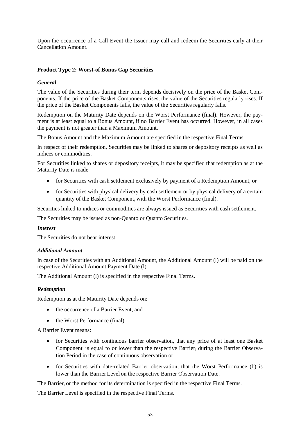Upon the occurrence of a Call Event the Issuer may call and redeem the Securities early at their Cancellation Amount.

## **Product Type 2: Worst-of Bonus Cap Securities**

## *General*

The value of the Securities during their term depends decisively on the price of the Basket Components. If the price of the Basket Components rises, the value of the Securities regularly rises. If the price of the Basket Components falls, the value of the Securities regularly falls.

Redemption on the Maturity Date depends on the Worst Performance (final). However, the payment is at least equal to a Bonus Amount, if no Barrier Event has occurred. However, in all cases the payment is not greater than a Maximum Amount.

The Bonus Amount and the Maximum Amount are specified in the respective Final Terms.

In respect of their redemption, Securities may be linked to shares or depository receipts as well as indices or commodities.

For Securities linked to shares or depository receipts, it may be specified that redemption as at the Maturity Date is made

- for Securities with cash settlement exclusively by payment of a Redemption Amount, or
- for Securities with physical delivery by cash settlement or by physical delivery of a certain quantity of the Basket Component<sup>i</sup> with the Worst Performance (final).

Securities linked to indices or commodities are always issued as Securities with cash settlement.

The Securities may be issued as non-Quanto or Quanto Securities.

## *Interest*

The Securities do not bear interest.

## *Additional Amount*

In case of the Securities with an Additional Amount, the Additional Amount (l) will be paid on the respective Additional Amount Payment Date (l).

The Additional Amount (l) is specified in the respective Final Terms.

## *Redemption*

Redemption as at the Maturity Date depends on:

- the occurrence of a Barrier Event, and
- the Worst Performance (final).

A Barrier Event means:

- for Securities with continuous barrier observation, that any price of at least one Basket Component<sub>i</sub> is equal to or lower than the respective Barrier<sub>i</sub> during the Barrier Observation Period in the case of continuous observation or
- for Securities with date-related Barrier observation, that the Worst Performance (b) is lower than the Barrier Level on the respective Barrier Observation Date.

The Barrier<sup>i</sup> or the method for its determination is specified in the respective Final Terms.

The Barrier Level is specified in the respective Final Terms.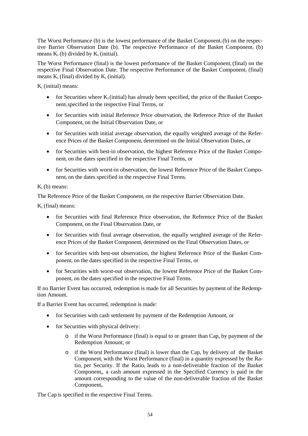The Worst Performance (b) is the lowest performance of the Basket Component<sub>i</sub>(b) on the respective Barrier Observation Date (b). The respective Performance of the Basket Component<sub>i</sub> (b) means  $K_i$  (b) divided by  $K_i$  (initial).

The Worst Performance (final) is the lowest performance of the Basket Component<sub>i</sub> (final) on the respective Final Observation Date. The respective Performance of the Basket Component<sup>i</sup> (final) means  $K_i$  (final) divided by  $K_i$  (initial).

K<sup>i</sup> (initial) means:

- for Securities where  $K_i$  (initial) has already been specified, the price of the Basket Componentispecified in the respective Final Terms, or
- for Securities with initial Reference Price observation, the Reference Price of the Basket Component<sup>i</sup> on the Initial Observation Date, or
- for Securities with initial average observation, the equally weighted average of the Reference Prices of the Basket Component<sup>i</sup> determined on the Initial Observation Dates, or
- for Securities with best-in observation, the highest Reference Price of the Basket Component<sup>i</sup> on the dates specified in the respective Final Terms, or
- for Securities with worst-in observation, the lowest Reference Price of the Basket Component<sup>i</sup> on the dates specified in the respective Final Terms.

# $K_i$  (b) means:

The Reference Price of the Basket Component; on the respective Barrier Observation Date.

 $K_i$  (final) means:

- for Securities with final Reference Price observation, the Reference Price of the Basket Component<sup>i</sup> on the Final Observation Date, or
- for Securities with final average observation, the equally weighted average of the Reference Prices of the Basket Component; determined on the Final Observation Dates, or
- for Securities with best-out observation, the highest Reference Price of the Basket Component<sup>i</sup> on the dates specified in the respective Final Terms, or
- for Securities with worst-out observation, the lowest Reference Price of the Basket Component<sub>i</sub> on the dates specified in the respective Final Terms.

If no Barrier Event has occurred, redemption is made for all Securities by payment of the Redemption Amount.

If a Barrier Event has occurred, redemption is made:

- for Securities with cash settlement by payment of the Redemption Amount, or
- for Securities with physical delivery:
	- o if the Worst Performance (final) is equal to or greater than Cap, by payment of the Redemption Amount; or
	- o if the Worst Performance (final) is lower than the Cap, by delivery of the Basket Component<sub>i</sub> with the Worst Performance (final) in a quantity expressed by the Ratio<sub>i</sub> per Security. If the Ratio<sub>i</sub> leads to a non-deliverable fraction of the Basket Component<sub>i</sub>, a cash amount expressed in the Specified Currency is paid in the amount corresponding to the value of the non-deliverable fraction of the Basket Component<sub>i</sub>.

The Cap is specified in the respective Final Terms.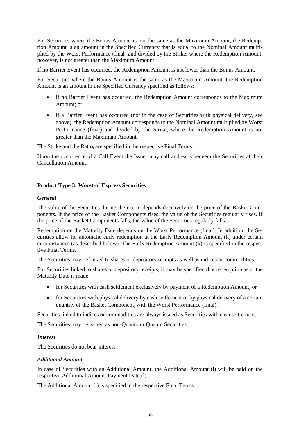For Securities where the Bonus Amount is not the same as the Maximum Amount, the Redemption Amount is an amount in the Specified Currency that is equal to the Nominal Amount multiplied by the Worst Performance (final) and divided by the Strike, where the Redemption Amount, however, is not greater than the Maximum Amount.

If no Barrier Event has occurred, the Redemption Amount is not lower than the Bonus Amount.

For Securities where the Bonus Amount is the same as the Maximum Amount, the Redemption Amount is an amount in the Specified Currency specified as follows:

- if no Barrier Event has occurred, the Redemption Amount corresponds to the Maximum Amount; or
- if a Barrier Event has occurred (not in the case of Securities with physical delivery, see above), the Redemption Amount corresponds to the Nominal Amount multiplied by Worst Performance (final) and divided by the Strike, where the Redemption Amount is not greater than the Maximum Amount.

The Strike and the Ratio<sub>i</sub> are specified in the respective Final Terms.

Upon the occurrence of a Call Event the Issuer may call and early redeem the Securities at their Cancellation Amount.

## **Product Type 3: Worst-of Express Securities**

## *General*

The value of the Securities during their term depends decisively on the price of the Basket Components. If the price of the Basket Components rises, the value of the Securities regularly rises. If the price of the Basket Components falls, the value of the Securities regularly falls.

Redemption on the Maturity Date depends on the Worst Performance (final). In addition, the Securities allow for automatic early redemption at the Early Redemption Amount (k) under certain circumstances (as described below). The Early Redemption Amount (k) is specified in the respective Final Terms.

The Securities may be linked to shares or depository receipts as well as indices or commodities.

For Securities linked to shares or depository receipts, it may be specified that redemption as at the Maturity Date is made

- for Securities with cash settlement exclusively by payment of a Redemption Amount, or
- for Securities with physical delivery by cash settlement or by physical delivery of a certain quantity of the Basket Component<sup>i</sup> with the Worst Performance (final).

Securities linked to indices or commodities are always issued as Securities with cash settlement.

The Securities may be issued as non-Quanto or Quanto Securities.

## *Interest*

The Securities do not bear interest.

## *Additional Amount*

In case of Securities with an Additional Amount, the Additional Amount (l) will be paid on the respective Additional Amount Payment Date (l).

The Additional Amount (l) is specified in the respective Final Terms.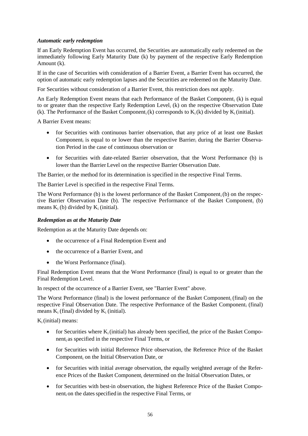## *Automatic early redemption*

If an Early Redemption Event has occurred, the Securities are automatically early redeemed on the immediately following Early Maturity Date (k) by payment of the respective Early Redemption Amount (k).

If in the case of Securities with consideration of a Barrier Event, a Barrier Event has occurred, the option of automatic early redemption lapses and the Securities are redeemed on the Maturity Date.

For Securities without consideration of a Barrier Event, this restriction does not apply.

An Early Redemption Event means that each Performance of the Basket Component<sub>i</sub> (k) is equal to or greater than the respective Early Redemption Level; (k) on the respective Observation Date (k). The Performance of the Basket Component; (k) corresponds to  $K_i(k)$  divided by  $K_i$  (initial).

A Barrier Event means:

- for Securities with continuous barrier observation, that any price of at least one Basket Component<sub>i</sub> is equal to or lower than the respective Barrier<sub>i</sub> during the Barrier Observation Period in the case of continuous observation or
- for Securities with date-related Barrier observation, that the Worst Performance (b) is lower than the Barrier Level on the respective Barrier Observation Date.

The Barrier, or the method for its determination is specified in the respective Final Terms.

The Barrier Level is specified in the respective Final Terms.

The Worst Performance (b) is the lowest performance of the Basket Component<sub>i</sub>(b) on the respective Barrier Observation Date (b). The respective Performance of the Basket Component<sub>i</sub> (b) means  $K_i$  (b) divided by  $K_i$  (initial).

## *Redemption as at the Maturity Date*

Redemption as at the Maturity Date depends on:

- the occurrence of a Final Redemption Event and
- the occurrence of a Barrier Event, and
- the Worst Performance (final).

Final Redemption Event means that the Worst Performance (final) is equal to or greater than the Final Redemption Level.

In respect of the occurrence of a Barrier Event, see "Barrier Event" above.

The Worst Performance (final) is the lowest performance of the Basket Component<sup>i</sup> (final) on the respective Final Observation Date. The respective Performance of the Basket Component, (final) means  $K_i$  (final) divided by  $K_i$  (initial).

 $K_i$ (initial) means:

- for Securities where  $K_i$  (initial) has already been specified, the price of the Basket Component<sup>i</sup> as specified in the respective Final Terms, or
- for Securities with initial Reference Price observation, the Reference Price of the Basket Component<sub>i</sub> on the Initial Observation Date, or
- for Securities with initial average observation, the equally weighted average of the Reference Prices of the Basket Component<sup>i</sup> determined on the Initial Observation Dates, or
- for Securities with best-in observation, the highest Reference Price of the Basket Component<sub>i</sub> on the dates specified in the respective Final Terms, or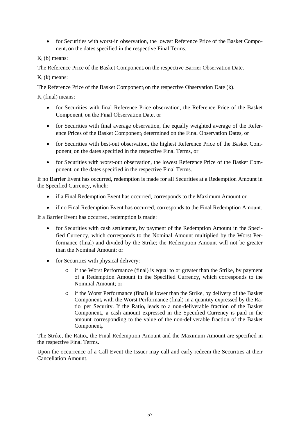• for Securities with worst-in observation, the lowest Reference Price of the Basket Component<sup>i</sup> on the dates specified in the respective Final Terms.

 $K_i$  (b) means:

The Reference Price of the Basket Component<sub>i</sub> on the respective Barrier Observation Date.

K<sup>i</sup> (k) means:

The Reference Price of the Basket Component, on the respective Observation Date (k).

 $K_i$ (final) means:

- for Securities with final Reference Price observation, the Reference Price of the Basket Component<sup>i</sup> on the Final Observation Date, or
- for Securities with final average observation, the equally weighted average of the Reference Prices of the Basket Component; determined on the Final Observation Dates, or
- for Securities with best-out observation, the highest Reference Price of the Basket Component<sup>i</sup> on the dates specified in the respective Final Terms, or
- for Securities with worst-out observation, the lowest Reference Price of the Basket Component<sup>i</sup> on the dates specified in the respective Final Terms.

If no Barrier Event has occurred, redemption is made for all Securities at a Redemption Amount in the Specified Currency, which:

- if a Final Redemption Event has occurred, corresponds to the Maximum Amount or
- if no Final Redemption Event has occurred, corresponds to the Final Redemption Amount.

If a Barrier Event has occurred, redemption is made:

- for Securities with cash settlement, by payment of the Redemption Amount in the Specified Currency, which corresponds to the Nominal Amount multiplied by the Worst Performance (final) and divided by the Strike; the Redemption Amount will not be greater than the Nominal Amount; or
- for Securities with physical delivery:
	- o if the Worst Performance (final) is equal to or greater than the Strike, by payment of a Redemption Amount in the Specified Currency, which corresponds to the Nominal Amount; or
	- o if the Worst Performance (final) is lower than the Strike, by delivery of the Basket Component<sub>i</sub> with the Worst Performance (final) in a quantity expressed by the Ratio<sub>i</sub> per Security. If the Ratio<sub>i</sub> leads to a non-deliverable fraction of the Basket Component<sup>i</sup> , a cash amount expressed in the Specified Currency is paid in the amount corresponding to the value of the non-deliverable fraction of the Basket Component<sub>i</sub>.

The Strike, the Ratio<sub>i</sub>, the Final Redemption Amount and the Maximum Amount are specified in the respective Final Terms.

Upon the occurrence of a Call Event the Issuer may call and early redeem the Securities at their Cancellation Amount.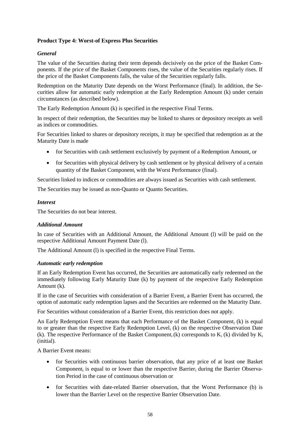## **Product Type 4: Worst-of Express Plus Securities**

## *General*

The value of the Securities during their term depends decisively on the price of the Basket Components. If the price of the Basket Components rises, the value of the Securities regularly rises. If the price of the Basket Components falls, the value of the Securities regularly falls.

Redemption on the Maturity Date depends on the Worst Performance (final). In addition, the Securities allow for automatic early redemption at the Early Redemption Amount (k) under certain circumstances (as described below).

The Early Redemption Amount (k) is specified in the respective Final Terms.

In respect of their redemption, the Securities may be linked to shares or depository receipts as well as indices or commodities.

For Securities linked to shares or depository receipts, it may be specified that redemption as at the Maturity Date is made

- for Securities with cash settlement exclusively by payment of a Redemption Amount, or
- for Securities with physical delivery by cash settlement or by physical delivery of a certain quantity of the Basket Component; with the Worst Performance (final).

Securities linked to indices or commodities are always issued as Securities with cash settlement.

The Securities may be issued as non-Quanto or Quanto Securities.

### *Interest*

The Securities do not bear interest.

## *Additional Amount*

In case of Securities with an Additional Amount, the Additional Amount (l) will be paid on the respective Additional Amount Payment Date (l).

The Additional Amount (l) is specified in the respective Final Terms.

#### *Automatic early redemption*

If an Early Redemption Event has occurred, the Securities are automatically early redeemed on the immediately following Early Maturity Date (k) by payment of the respective Early Redemption Amount (k).

If in the case of Securities with consideration of a Barrier Event, a Barrier Event has occurred, the option of automatic early redemption lapses and the Securities are redeemed on the Maturity Date.

For Securities without consideration of a Barrier Event, this restriction does not apply.

An Early Redemption Event means that each Performance of the Basket Component;  $(k)$  is equal to or greater than the respective Early Redemption Level<sub>i</sub> (k) on the respective Observation Date (k). The respective Performance of the Basket Component<sub>i</sub> (k) corresponds to  $K_i$  (k) divided by  $K_i$ (initial).

A Barrier Event means:

- for Securities with continuous barrier observation, that any price of at least one Basket Component<sub>i</sub> is equal to or lower than the respective Barrier<sub>i</sub> during the Barrier Observation Period in the case of continuous observation or
- for Securities with date-related Barrier observation, that the Worst Performance (b) is lower than the Barrier Level on the respective Barrier Observation Date.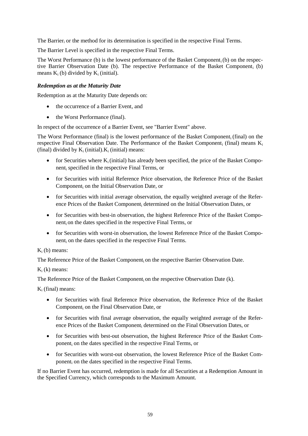The Barrier<sup>i</sup> or the method for its determination is specified in the respective Final Terms.

The Barrier Level is specified in the respective Final Terms.

The Worst Performance (b) is the lowest performance of the Basket Component<sub>i</sub>(b) on the respective Barrier Observation Date (b). The respective Performance of the Basket Component<sub>i</sub> (b) means  $K_i$  (b) divided by  $K_i$  (initial).

## *Redemption as at the Maturity Date*

Redemption as at the Maturity Date depends on:

- the occurrence of a Barrier Event, and
- the Worst Performance (final).

In respect of the occurrence of a Barrier Event, see "Barrier Event" above.

The Worst Performance (final) is the lowest performance of the Basket Component<sub>i</sub> (final) on the respective Final Observation Date. The Performance of the Basket Component; (final) means  $K_i$ (final) divided by  $K_i$  (initial).  $K_i$  (initial) means:

- for Securities where  $K_i$  (initial) has already been specified, the price of the Basket Component<sup>i</sup> specified in the respective Final Terms, or
- for Securities with initial Reference Price observation, the Reference Price of the Basket Component<sup>i</sup> on the Initial Observation Date, or
- for Securities with initial average observation, the equally weighted average of the Reference Prices of the Basket Component<sup>i</sup> determined on the Initial Observation Dates, or
- for Securities with best-in observation, the highest Reference Price of the Basket Component<sup>i</sup> on the dates specified in the respective Final Terms, or
- for Securities with worst-in observation, the lowest Reference Price of the Basket Component<sup>i</sup> on the dates specified in the respective Final Terms.

## $K_i$  (b) means:

The Reference Price of the Basket Component<sup>i</sup> on the respective Barrier Observation Date.

 $K_i$  (k) means:

The Reference Price of the Basket Component, on the respective Observation Date (k).

 $K_i$  (final) means:

- for Securities with final Reference Price observation, the Reference Price of the Basket Component<sub>i</sub> on the Final Observation Date, or
- for Securities with final average observation, the equally weighted average of the Reference Prices of the Basket Component; determined on the Final Observation Dates, or
- for Securities with best-out observation, the highest Reference Price of the Basket Component<sup>i</sup> on the dates specified in the respective Final Terms, or
- for Securities with worst-out observation, the lowest Reference Price of the Basket Component<sup>i</sup> on the dates specified in the respective Final Terms.

If no Barrier Event has occurred, redemption is made for all Securities at a Redemption Amount in the Specified Currency, which corresponds to the Maximum Amount.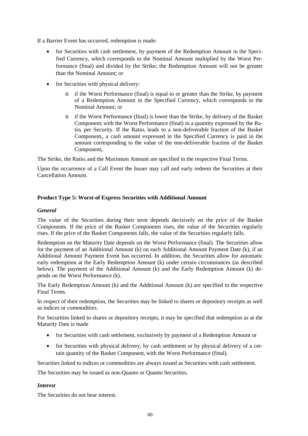If a Barrier Event has occurred, redemption is made:

- for Securities with cash settlement, by payment of the Redemption Amount in the Specified Currency, which corresponds to the Nominal Amount multiplied by the Worst Performance (final) and divided by the Strike; the Redemption Amount will not be greater than the Nominal Amount; or
- for Securities with physical delivery:
	- $\circ$  if the Worst Performance (final) is equal to or greater than the Strike, by payment of a Redemption Amount in the Specified Currency, which corresponds to the Nominal Amount; or
	- o if the Worst Performance (final) is lower than the Strike, by delivery of the Basket Component<sup>i</sup> with the Worst Performance (final) in a quantity expressed by the Ratio<sub>i</sub> per Security. If the Ratio<sub>i</sub> leads to a non-deliverable fraction of the Basket Component<sup>i</sup> , a cash amount expressed in the Specified Currency is paid in the amount corresponding to the value of the non-deliverable fraction of the Basket Component<sub>i</sub>.

The Strike, the Ratio<sub>i</sub> and the Maximum Amount are specified in the respective Final Terms.

Upon the occurrence of a Call Event the Issuer may call and early redeem the Securities at their Cancellation Amount.

## **Product Type 5: Worst-of Express Securities with Additional Amount**

## *General*

The value of the Securities during their term depends decisively on the price of the Basket Components. If the price of the Basket Components rises, the value of the Securities regularly rises. If the price of the Basket Components falls, the value of the Securities regularly falls.

Redemption on the Maturity Date depends on the Worst Performance (final). The Securities allow for the payment of an Additional Amount (k) on each Additional Amount Payment Date (k), if an Additional Amount Payment Event has occurred. In addition, the Securities allow for automatic early redemption at the Early Redemption Amount (k) under certain circumstances (as described below). The payment of the Additional Amount (k) and the Early Redemption Amount (k) depends on the Worst Performance (k).

The Early Redemption Amount (k) and the Additional Amount (k) are specified in the respective Final Terms.

In respect of their redemption, the Securities may be linked to shares or depository receipts as well as indices or commodities.

For Securities linked to shares or depository receipts, it may be specified that redemption as at the Maturity Date is made

- for Securities with cash settlement, exclusively by payment of a Redemption Amount or
- for Securities with physical delivery, by cash settlement or by physical delivery of a certain quantity of the Basket Component<sub>i</sub> with the Worst Performance (final).

Securities linked to indices or commodities are always issued as Securities with cash settlement.

The Securities may be issued as non-Quanto or Quanto Securities.

## *Interest*

The Securities do not bear interest.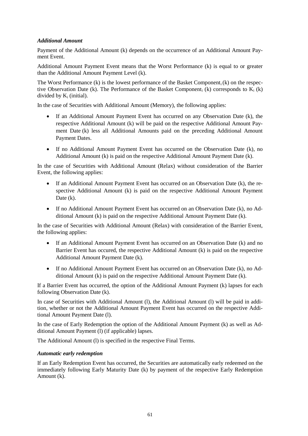## *Additional Amount*

Payment of the Additional Amount (k) depends on the occurrence of an Additional Amount Payment Event.

Additional Amount Payment Event means that the Worst Performance (k) is equal to or greater than the Additional Amount Payment Level (k).

The Worst Performance  $(k)$  is the lowest performance of the Basket Component;  $(k)$  on the respective Observation Date (k). The Performance of the Basket Component<sub>i</sub> (k) corresponds to  $K_i$  (k) divided by  $K_i$  (initial).

In the case of Securities with Additional Amount (Memory), the following applies:

- If an Additional Amount Payment Event has occurred on any Observation Date (k), the respective Additional Amount (k) will be paid on the respective Additional Amount Payment Date (k) less all Additional Amounts paid on the preceding Additional Amount Payment Dates.
- If no Additional Amount Payment Event has occurred on the Observation Date (k), no Additional Amount (k) is paid on the respective Additional Amount Payment Date (k).

In the case of Securities with Additional Amount (Relax) without consideration of the Barrier Event, the following applies:

- If an Additional Amount Payment Event has occurred on an Observation Date (k), the respective Additional Amount (k) is paid on the respective Additional Amount Payment Date  $(k)$ .
- If no Additional Amount Payment Event has occurred on an Observation Date (k), no Additional Amount (k) is paid on the respective Additional Amount Payment Date (k).

In the case of Securities with Additional Amount (Relax) with consideration of the Barrier Event, the following applies:

- If an Additional Amount Payment Event has occurred on an Observation Date (k) and no Barrier Event has occured, the respective Additional Amount (k) is paid on the respective Additional Amount Payment Date (k).
- If no Additional Amount Payment Event has occurred on an Observation Date (k), no Additional Amount (k) is paid on the respective Additional Amount Payment Date (k).

If a Barrier Event has occurred, the option of the Additional Amount Payment (k) lapses for each following Observation Date (k).

In case of Securities with Additional Amount (l), the Additional Amount (l) will be paid in addition, whether or not the Additional Amount Payment Event has occurred on the respective Additional Amount Payment Date (l).

In the case of Early Redemption the option of the Additional Amount Payment (k) as well as Additional Amount Payment (l) (if applicable) lapses.

The Additional Amount (l) is specified in the respective Final Terms.

## *Automatic early redemption*

If an Early Redemption Event has occurred, the Securities are automatically early redeemed on the immediately following Early Maturity Date (k) by payment of the respective Early Redemption Amount (k).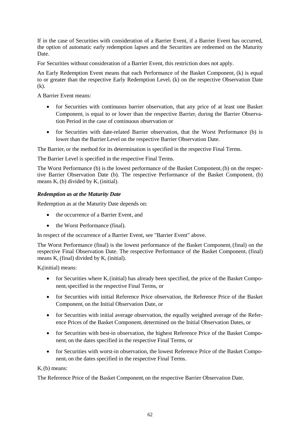If in the case of Securities with consideration of a Barrier Event, if a Barrier Event has occurred, the option of automatic early redemption lapses and the Securities are redeemed on the Maturity Date.

For Securities without consideration of a Barrier Event, this restriction does not apply.

An Early Redemption Event means that each Performance of the Basket Component<sub>i</sub> (k) is equal to or greater than the respective Early Redemption Level<sup>i</sup> (k) on the respective Observation Date (k).

A Barrier Event means:

- for Securities with continuous barrier observation, that any price of at least one Basket Component<sub>i</sub> is equal to or lower than the respective Barrier<sub>i</sub> during the Barrier Observation Period in the case of continuous observation or
- for Securities with date-related Barrier observation, that the Worst Performance (b) is lower than the Barrier Level on the respective Barrier Observation Date.

The Barrier<sub>i</sub> or the method for its determination is specified in the respective Final Terms.

The Barrier Level is specified in the respective Final Terms.

The Worst Performance (b) is the lowest performance of the Basket Component  $(b)$  on the respective Barrier Observation Date (b). The respective Performance of the Basket Component<sub>i</sub> (b) means  $K_i$  (b) divided by  $K_i$  (initial).

## *Redemption as at the Maturity Date*

Redemption as at the Maturity Date depends on:

- the occurrence of a Barrier Event, and
- the Worst Performance (final).

In respect of the occurrence of a Barrier Event, see "Barrier Event" above.

The Worst Performance (final) is the lowest performance of the Basket Component<sub>i</sub> (final) on the respective Final Observation Date. The respective Performance of the Basket Component<sub>i</sub> (final) means  $K_i$  (final) divided by  $K_i$  (initial).

 $K_i$ (initial) means:

- for Securities where  $K_i$  (initial) has already been specified, the price of the Basket Componentispecified in the respective Final Terms, or
- for Securities with initial Reference Price observation, the Reference Price of the Basket Component<sup>i</sup> on the Initial Observation Date, or
- for Securities with initial average observation, the equally weighted average of the Reference Prices of the Basket Component<sup>i</sup> determined on the Initial Observation Dates, or
- for Securities with best-in observation, the highest Reference Price of the Basket Component<sup>i</sup> on the dates specified in the respective Final Terms, or
- for Securities with worst-in observation, the lowest Reference Price of the Basket Component<sup>i</sup> on the dates specified in the respective Final Terms.

 $K_i(b)$  means:

The Reference Price of the Basket Component<sup>i</sup> on the respective Barrier Observation Date.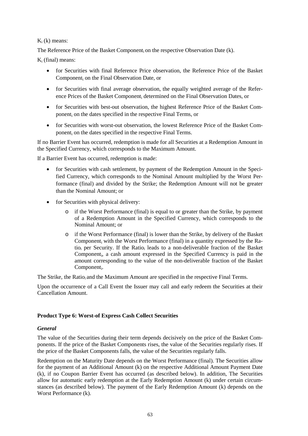## $K_i$  (k) means:

The Reference Price of the Basket Component, on the respective Observation Date (k).

 $K_i$  (final) means:

- for Securities with final Reference Price observation, the Reference Price of the Basket Component<sup>i</sup> on the Final Observation Date, or
- for Securities with final average observation, the equally weighted average of the Reference Prices of the Basket Component; determined on the Final Observation Dates, or
- for Securities with best-out observation, the highest Reference Price of the Basket Component<sup>i</sup> on the dates specified in the respective Final Terms, or
- for Securities with worst-out observation, the lowest Reference Price of the Basket Component<sup>i</sup> on the dates specified in the respective Final Terms.

If no Barrier Event has occurred, redemption is made for all Securities at a Redemption Amount in the Specified Currency, which corresponds to the Maximum Amount.

If a Barrier Event has occurred, redemption is made:

- for Securities with cash settlement, by payment of the Redemption Amount in the Specified Currency, which corresponds to the Nominal Amount multiplied by the Worst Performance (final) and divided by the Strike; the Redemption Amount will not be greater than the Nominal Amount; or
- for Securities with physical delivery:
	- o if the Worst Performance (final) is equal to or greater than the Strike, by payment of a Redemption Amount in the Specified Currency, which corresponds to the Nominal Amount; or
	- o if the Worst Performance (final) is lower than the Strike, by delivery of the Basket Component<sup>i</sup> with the Worst Performance (final) in a quantity expressed by the Ratio<sub>i</sub> per Security. If the Ratio<sub>i</sub> leads to a non-deliverable fraction of the Basket Component<sup>i</sup> , a cash amount expressed in the Specified Currency is paid in the amount corresponding to the value of the non-deliverable fraction of the Basket Component<sub>i</sub>.

The Strike, the Ratio<sub>i</sub> and the Maximum Amount are specified in the respective Final Terms.

Upon the occurrence of a Call Event the Issuer may call and early redeem the Securities at their Cancellation Amount.

## **Product Type 6: Worst-of Express Cash Collect Securities**

## *General*

The value of the Securities during their term depends decisively on the price of the Basket Components. If the price of the Basket Components rises, the value of the Securities regularly rises. If the price of the Basket Components falls, the value of the Securities regularly falls.

Redemption on the Maturity Date depends on the Worst Performance (final). The Securities allow for the payment of an Additional Amount (k) on the respective Additional Amount Payment Date (k), if no Coupon Barrier Event has occurred (as described below). In addition, The Securities allow for automatic early redemption at the Early Redemption Amount (k) under certain circumstances (as described below). The payment of the Early Redemption Amount (k) depends on the Worst Performance (k).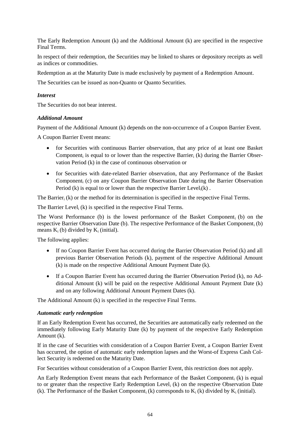The Early Redemption Amount (k) and the Additional Amount (k) are specified in the respective Final Terms.

In respect of their redemption, the Securities may be linked to shares or depository receipts as well as indices or commodities.

Redemption as at the Maturity Date is made exclusively by payment of a Redemption Amount.

The Securities can be issued as non-Quanto or Quanto Securities.

## *Interest*

The Securities do not bear interest.

## *Additional Amount*

Payment of the Additional Amount (k) depends on the non-occurrence of a Coupon Barrier Event.

A Coupon Barrier Event means:

- for Securities with continuous Barrier observation, that any price of at least one Basket Component<sub>i</sub> is equal to or lower than the respective Barrier<sub>i</sub> (k) during the Barrier Observation Period (k) in the case of continuous observation or
- for Securities with date-related Barrier observation, that any Performance of the Basket Component<sup>i</sup> (c) on any Coupon Barrier Observation Date during the Barrier Observation Period (k) is equal to or lower than the respective Barrier Level;  $(k)$ .

The Barrier $_i$  (k) or the method for its determination is specified in the respective Final Terms.

The Barrier Level,  $(k)$  is specified in the respective Final Terms.

The Worst Performance (b) is the lowest performance of the Basket Component<sub>i</sub> (b) on the respective Barrier Observation Date (b). The respective Performance of the Basket Component<sub>i</sub> (b) means  $K_i$  (b) divided by  $K_i$  (initial).

The following applies:

- If no Coupon Barrier Event has occurred during the Barrier Observation Period (k) and all previous Barrier Observation Periods (k), payment of the respective Additional Amount (k) is made on the respective Additional Amount Payment Date (k).
- If a Coupon Barrier Event has occurred during the Barrier Observation Period (k), no Additional Amount (k) will be paid on the respective Additional Amount Payment Date (k) and on any following Additional Amount Payment Dates (k).

The Additional Amount (k) is specified in the respective Final Terms.

## *Automatic early redemption*

If an Early Redemption Event has occurred, the Securities are automatically early redeemed on the immediately following Early Maturity Date (k) by payment of the respective Early Redemption Amount (k).

If in the case of Securities with consideration of a Coupon Barrier Event, a Coupon Barrier Event has occurred, the option of automatic early redemption lapses and the Worst-of Express Cash Collect Security is redeemed on the Maturity Date.

For Securities without consideration of a Coupon Barrier Event, this restriction does not apply.

An Early Redemption Event means that each Performance of the Basket Component; (k) is equal to or greater than the respective Early Redemption Level<sup>i</sup> (k) on the respective Observation Date (k). The Performance of the Basket Component; (k) corresponds to  $K_i$  (k) divided by  $K_i$  (initial).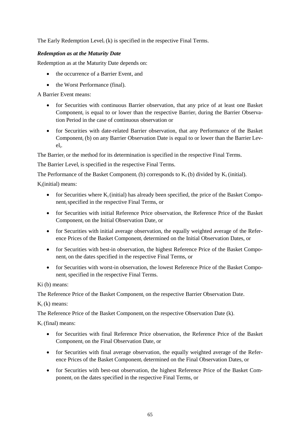The Early Redemption Level<sub>i</sub> (k) is specified in the respective Final Terms.

## *Redemption as at the Maturity Date*

Redemption as at the Maturity Date depends on:

- the occurrence of a Barrier Event, and
- the Worst Performance (final).

A Barrier Event means:

- for Securities with continuous Barrier observation, that any price of at least one Basket Component<sub>i</sub> is equal to or lower than the respective Barrier<sub>i</sub> during the Barrier Observation Period in the case of continuous observation or
- for Securities with date-related Barrier observation, that any Performance of the Basket Component<sub>i</sub> (b) on any Barrier Observation Date is equal to or lower than the Barrier Leveli .

The Barrier<sub>i</sub> or the method for its determination is specified in the respective Final Terms.

The Barrier Level, is specified in the respective Final Terms.

The Performance of the Basket Component<sub>i</sub> (b) corresponds to  $K_i$  (b) divided by  $K_i$  (initial).

 $K_i$ (initial) means:

- for Securities where  $K_i$  (initial) has already been specified, the price of the Basket Componentispecified in the respective Final Terms, or
- for Securities with initial Reference Price observation, the Reference Price of the Basket Component<sub>i</sub> on the Initial Observation Date, or
- for Securities with initial average observation, the equally weighted average of the Reference Prices of the Basket Component<sup>i</sup> determined on the Initial Observation Dates, or
- for Securities with best-in observation, the highest Reference Price of the Basket Component<sup>i</sup> on the dates specified in the respective Final Terms, or
- for Securities with worst-in observation, the lowest Reference Price of the Basket Component<sup>i</sup> specified in the respective Final Terms.

Ki (b) means:

The Reference Price of the Basket Component<sup>i</sup> on the respective Barrier Observation Date.

 $K_i$  (k) means:

The Reference Price of the Basket Component<sub>i</sub> on the respective Observation Date (k).

 $K_i$  (final) means:

- for Securities with final Reference Price observation, the Reference Price of the Basket Component<sup>i</sup> on the Final Observation Date, or
- for Securities with final average observation, the equally weighted average of the Reference Prices of the Basket Component; determined on the Final Observation Dates, or
- for Securities with best-out observation, the highest Reference Price of the Basket Component<sup>i</sup> on the dates specified in the respective Final Terms, or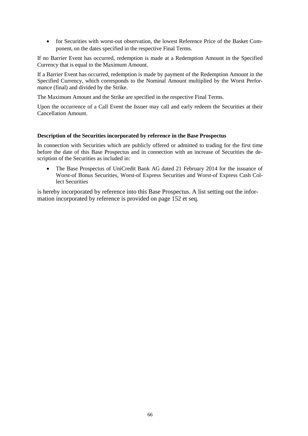for Securities with worst-out observation, the lowest Reference Price of the Basket Component<sub>i</sub> on the dates specified in the respective Final Terms.

If no Barrier Event has occurred, redemption is made at a Redemption Amount in the Specified Currency that is equal to the Maximum Amount.

If a Barrier Event has occurred, redemption is made by payment of the Redemption Amount in the Specified Currency, which corresponds to the Nominal Amount multiplied by the Worst Performance (final) and divided by the Strike.

The Maximum Amount and the Strike are specified in the respective Final Terms.

Upon the occurrence of a Call Event the Issuer may call and early redeem the Securities at their Cancellation Amount.

#### **Description of the Securities incorporated by reference in the Base Prospectus**

In connection with Securities which are publicly offered or admitted to trading for the first time before the date of this Base Prospectus and in connection with an increase of Securities the description of the Securities as included in:

 The Base Prospectus of UniCredit Bank AG dated 21 February 2014 for the issuance of Worst-of Bonus Securities, Worst-of Express Securities and Worst-of Express Cash Collect Securities

is hereby incorporated by reference into this Base Prospectus. A list setting out the information incorporated by reference is provided on page 152 et seq.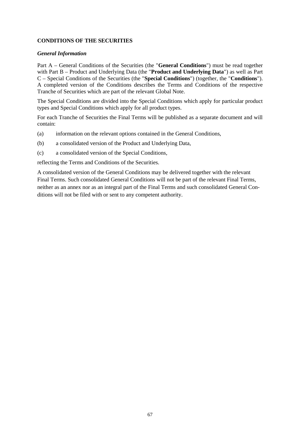# **CONDITIONS OF THE SECURITIES**

## *General Information*

Part A – General Conditions of the Securities (the "**General Conditions**") must be read together with Part B – Product and Underlying Data (the "**Product and Underlying Data**") as well as Part C – Special Conditions of the Securities (the "**Special Conditions**") (together, the "**Conditions**"). A completed version of the Conditions describes the Terms and Conditions of the respective Tranche of Securities which are part of the relevant Global Note.

The Special Conditions are divided into the Special Conditions which apply for particular product types and Special Conditions which apply for all product types.

For each Tranche of Securities the Final Terms will be published as a separate document and will contain:

- (a) information on the relevant options contained in the General Conditions,
- (b) a consolidated version of the Product and Underlying Data,
- (c) a consolidated version of the Special Conditions,

reflecting the Terms and Conditions of the Securities.

A consolidated version of the General Conditions may be delivered together with the relevant Final Terms. Such consolidated General Conditions will not be part of the relevant Final Terms, neither as an annex nor as an integral part of the Final Terms and such consolidated General Conditions will not be filed with or sent to any competent authority.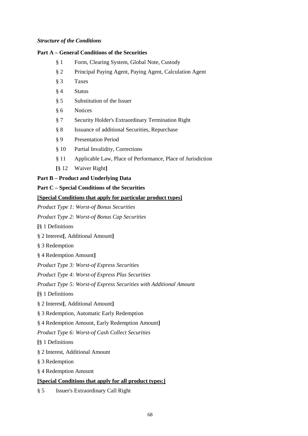### *Structure of the Conditions*

## **Part A – General Conditions of the Securities**

- § 1 Form, Clearing System, Global Note, Custody
- § 2 Principal Paying Agent, Paying Agent, Calculation Agent
- § 3 Taxes
- § 4 Status
- § 5 Substitution of the Issuer
- § 6 Notices
- § 7 Security Holder's Extraordinary Termination Right
- § 8 Issuance of additional Securities, Repurchase
- § 9 Presentation Period
- § 10 Partial Invalidity, Corrections
- § 11 Applicable Law, Place of Performance, Place of Jurisdiction
- **[**§ 12 Waiver Right**]**

## **Part B – Product and Underlying Data**

#### **Part C – Special Conditions of the Securities**

## **[Special Conditions that apply for particular product types]**

*Product Type 1: Worst-of Bonus Securities*

*Product Type 2: Worst-of Bonus Cap Securities*

**[**§ 1 Definitions

- § 2 Interest**[**, Additional Amount**]**
- § 3 Redemption

§ 4 Redemption Amount**]**

*Product Type 3: Worst-of Express Securities*

*Product Type 4: Worst-of Express Plus Securities*

*Product Type 5: Worst-of Express Securities with Additional Amount*

**[**§ 1 Definitions

§ 2 Interest**[**, Additional Amount**]**

§ 3 Redemption, Automatic Early Redemption

§ 4 Redemption Amount, Early Redemption Amount**]**

*Product Type 6: Worst-of Cash Collect Securities*

**[**§ 1 Definitions

§ 2 Interest, Additional Amount

§ 3 Redemption

§ 4 Redemption Amount

## **[Special Conditions that apply for all product types:]**

§ 5 Issuer's Extraordinary Call Right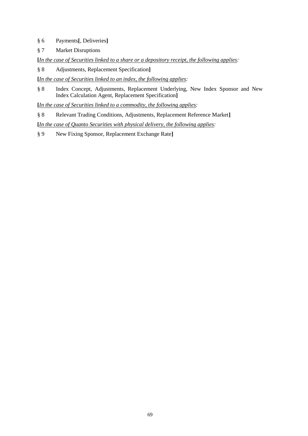- § 6 Payments**[**, Deliveries**]**
- § 7 Market Disruptions

**[***In the case of Securities linked to a share or a depository receipt, the following applies:*

§ 8 Adjustments, Replacement Specification**]**

**[***In the case of Securities linked to an index, the following applies:*

§ 8 Index Concept, Adjustments, Replacement Underlying, New Index Sponsor and New Index Calculation Agent, Replacement Specification**]**

**[***In the case of Securities linked to a commodity, the following applies:*

§ 8 Relevant Trading Conditions, Adjustments, Replacement Reference Market**]**

**[***In the case of Quanto Securities with physical delivery, the following applies:*

§ 9 New Fixing Sponsor, Replacement Exchange Rate**]**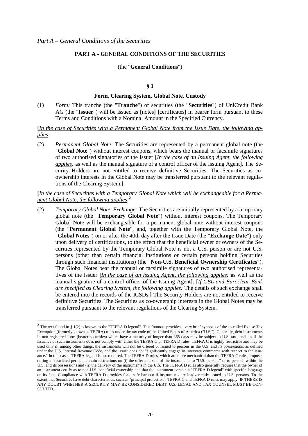## **PART A - GENERAL CONDITIONS OF THE SECURITIES**

#### (the "**General Conditions**")

#### **§ 1**

#### **Form, Clearing System, Global Note, Custody**

(1) *Form:* This tranche (the "**Tranche**") of securities (the "**Securities**") of UniCredit Bank AG (the "**Issuer**") will be issued as **[**notes**] [**certificates**]** in bearer form pursuant to these Terms and Conditions with a Nominal Amount in the Specified Currency.

**[***In the case of Securities with a Permanent Global Note from the Issue Date, the following applies:*

(2) *Permanent Global Note:* The Securities are represented by a permanent global note (the "**Global Note**") without interest coupons, which bears the manual or facsimile signatures of two authorised signatories of the Issuer **[***In the case of an Issuing Agent, the following applies:* as well as the manual signature of a control officer of the Issuing Agent**]**. The Security Holders are not entitled to receive definitive Securities. The Securities as coownership interests in the Global Note may be transferred pursuant to the relevant regulations of the Clearing System.**]**

## **[***In the case of Securities with a Temporary Global Note which will be exchangeable for a Permanent Global Note, the following applies:*<sup>2</sup>

(2) *Temporary Global Note, Exchange:* The Securities are initially represented by a temporary global note (the "**Temporary Global Note**") without interest coupons. The Temporary Global Note will be exchangeable for a permanent global note without interest coupons (the "**Permanent Global Note**", and, together with the Temporary Global Note, the "**Global Notes**") on or after the 40th day after the Issue Date (the "**Exchange Date**") only upon delivery of certifications, to the effect that the beneficial owner or owners of the Securities represented by the Temporary Global Note is not a U.S. person or are not U.S. persons (other than certain financial institutions or certain persons holding Securities through such financial institutions) (the "**Non-U.S. Beneficial Ownership Certificates**"). The Global Notes bear the manual or facsimile signatures of two authorised representatives of the Issuer **[***In the case of an Issuing Agent, the following applies:* as well as the manual signature of a control officer of the Issuing Agent**]**. **[***If CBL and Euroclear Bank are specified as Clearing System, the following applies:* The details of such exchange shall be entered into the records of the ICSDs.**]** The Security Holders are not entitled to receive definitive Securities. The Securities as co-ownership interests in the Global Notes may be transferred pursuant to the relevant regulations of the Clearing System.

<sup>&</sup>lt;sup>2</sup> The text found in § 1(2) is known as the "TEFRA D legend". This footnote provides a very brief synopsis of the so-called Excise Tax Exemption (formerly known as TEFRA) rules under the tax code of the United States of America ("U.S."). Generally, debt instruments in non-registered form (bearer securities) which have a maturity of longer than 365 days may be subject to U.S. tax penalties if the issuance of such instruments does not comply with either the TEFRA C or TEFRA D rules. TEFRA C is highly restrictive and may be used only if, among other things, the instruments will not be offered or issued to persons in the U.S. and its possessions, as defined under the U.S. Internal Revenue Code, and the issuer does not "significantly engage in interstate commerce with respect to the issuance." In this case a TEFRA legend is not required. The TEFRA D rules, which are more mechanical than the TEFRA C rules, impose, during a "restricted period", certain restrictions on (i) the offer and sale of the instruments to "U.S. persons" or to persons within the U.S. and its possessions and (ii) the delivery of the instruments in the U.S. The TEFRA D rules also generally require that the owner of an instrument certify as to non-U.S. beneficial ownership and that the instrument contain a "TEFRA D legend" with specific language on its face. Compliance with TEFRA D provides for a safe harbour if instruments are inadvertently issued to U.S. persons. To the extent that Securities have debt characteristics, such as "principal protection", TEFRA C and TEFRA D rules may apply. IF THERE IS ANY DOUBT WHETHER A SECURITY MAY BE CONSIDERED DEBT, U.S. LEGAL AND TAX COUNSEL MUST BE CON-SULTED.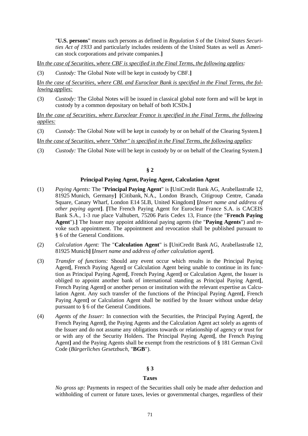"**U.S. persons**" means such persons as defined in *Regulation S* of the *United States Securities Act of 1933* and particularly includes residents of the United States as well as American stock corporations and private companies.**]**

**[***In the case of Securities, where CBF is specified in the Final Terms, the following applies:*

(3) *Custody:* The Global Note will be kept in custody by CBF.**]**

**[***In the case of Securities, where CBL and Euroclear Bank is specified in the Final Terms, the following applies:*

(3) *Custody:* The Global Notes will be issued in classical global note form and will be kept in custody by a common depositary on behalf of both ICSDs.**]**

**[***In the case of Securities, where Euroclear France is specified in the Final Terms, the following applies:*

(3) *Custody*: The Global Note will be kept in custody by or on behalf of the Clearing System.**]**

**[***In the case of Securities, where "Other" is specified in the Final Terms, the following applies:*

(3) *Custody:* The Global Note will be kept in custody by or on behalf of the Clearing System.**]**

#### **§ 2**

#### **Principal Paying Agent, Paying Agent, Calculation Agent**

- (1) *Paying Agents:* The "**Principal Paying Agent**" is **[**UniCredit Bank AG, Arabellastraße 12, 81925 Munich, Germany**] [**Citibank, N.A., London Branch, Citigroup Centre, Canada Square, Canary Wharf, London E14 5LB, United Kingdom**] [***Insert name and address of other paying agent***]**. **[**The French Paying Agent for Euroclear France S.A. is CACEIS Bank S.A., 1-3 rue place Valhubert, 75206 Paris Cedex 13, France (the "**French Paying Agent**").**]** The Issuer may appoint additional paying agents (the "**Paying Agents**") and revoke such appointment. The appointment and revocation shall be published pursuant to § 6 of the General Conditions.
- (2) *Calculation Agent:* The "**Calculation Agent**" is **[**UniCredit Bank AG, Arabellastraße 12, 81925 Munich**] [***Insert name and address of other calculation agent***]**.
- (3) *Transfer of functions:* Should any event occur which results in the Principal Paying Agent**[**, French Paying Agent**]** or Calculation Agent being unable to continue in its function as Principal Paying Agent**[**, French Paying Agent**]** or Calculation Agent, the Issuer is obliged to appoint another bank of international standing as Principal Paying Agent**[**, French Paying Agent**]** or another person or institution with the relevant expertise as Calculation Agent. Any such transfer of the functions of the Principal Paying Agent**[**, French Paying Agent**]** or Calculation Agent shall be notified by the Issuer without undue delay pursuant to § 6 of the General Conditions.
- (4) *Agents of the Issuer:* In connection with the Securities, the Principal Paying Agent**[**, the French Paying Agent**]**, the Paying Agents and the Calculation Agent act solely as agents of the Issuer and do not assume any obligations towards or relationship of agency or trust for or with any of the Security Holders. The Principal Paying Agent**[**, the French Paying Agent**]** and the Paying Agents shall be exempt from the restrictions of § 181 German Civil Code (*Bürgerliches Gesetzbuch,* "**BGB**").

## **§ 3**

## **Taxes**

*No gross up:* Payments in respect of the Securities shall only be made after deduction and withholding of current or future taxes, levies or governmental charges, regardless of their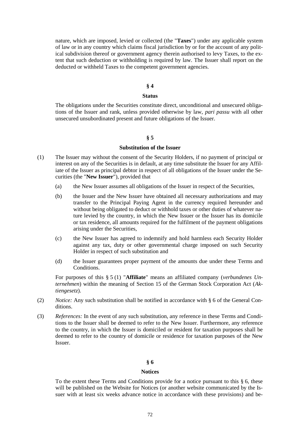nature, which are imposed, levied or collected (the "**Taxes**") under any applicable system of law or in any country which claims fiscal jurisdiction by or for the account of any political subdivision thereof or government agency therein authorised to levy Taxes, to the extent that such deduction or withholding is required by law. The Issuer shall report on the deducted or withheld Taxes to the competent government agencies.

#### **§ 4**

#### **Status**

The obligations under the Securities constitute direct, unconditional and unsecured obligations of the Issuer and rank, unless provided otherwise by law, *pari passu* with all other unsecured unsubordinated present and future obligations of the Issuer.

#### **§ 5**

#### **Substitution of the Issuer**

- (1) The Issuer may without the consent of the Security Holders, if no payment of principal or interest on any of the Securities is in default, at any time substitute the Issuer for any Affiliate of the Issuer as principal debtor in respect of all obligations of the Issuer under the Securities (the "**New Issuer**"), provided that
	- (a) the New Issuer assumes all obligations of the Issuer in respect of the Securities,
	- (b) the Issuer and the New Issuer have obtained all necessary authorizations and may transfer to the Principal Paying Agent in the currency required hereunder and without being obligated to deduct or withhold taxes or other duties of whatever nature levied by the country, in which the New Issuer or the Issuer has its domicile or tax residence, all amounts required for the fulfilment of the payment obligations arising under the Securities,
	- (c) the New Issuer has agreed to indemnify and hold harmless each Security Holder against any tax, duty or other governmental charge imposed on such Security Holder in respect of such substitution and
	- (d) the Issuer guarantees proper payment of the amounts due under these Terms and Conditions.

For purposes of this § 5 (1) "**Affiliate**" means an affiliated company (*verbundenes Unternehmen*) within the meaning of Section 15 of the German Stock Corporation Act (*Aktiengesetz*).

- (2) *Notice:* Any such substitution shall be notified in accordance with § 6 of the General Conditions.
- (3) *References:* In the event of any such substitution, any reference in these Terms and Conditions to the Issuer shall be deemed to refer to the New Issuer. Furthermore, any reference to the country, in which the Issuer is domiciled or resident for taxation purposes shall be deemed to refer to the country of domicile or residence for taxation purposes of the New Issuer.

#### **§ 6**

#### **Notices**

To the extent these Terms and Conditions provide for a notice pursuant to this § 6, these will be published on the Website for Notices (or another website communicated by the Issuer with at least six weeks advance notice in accordance with these provisions) and be-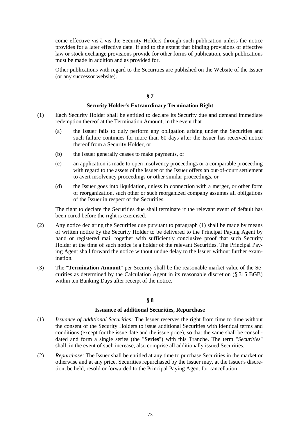come effective vis-à-vis the Security Holders through such publication unless the notice provides for a later effective date. If and to the extent that binding provisions of effective law or stock exchange provisions provide for other forms of publication, such publications must be made in addition and as provided for.

Other publications with regard to the Securities are published on the Website of the Issuer (or any successor website).

### **§ 7**

### **Security Holder's Extraordinary Termination Right**

- (1) Each Security Holder shall be entitled to declare its Security due and demand immediate redemption thereof at the Termination Amount, in the event that
	- (a) the Issuer fails to duly perform any obligation arising under the Securities and such failure continues for more than 60 days after the Issuer has received notice thereof from a Security Holder, or
	- (b) the Issuer generally ceases to make payments, or
	- (c) an application is made to open insolvency proceedings or a comparable proceeding with regard to the assets of the Issuer or the Issuer offers an out-of-court settlement to avert insolvency proceedings or other similar proceedings, or
	- (d) the Issuer goes into liquidation, unless in connection with a merger, or other form of reorganization, such other or such reorganized company assumes all obligations of the Issuer in respect of the Securities.

The right to declare the Securities due shall terminate if the relevant event of default has been cured before the right is exercised.

- (2) Any notice declaring the Securities due pursuant to paragraph (1) shall be made by means of written notice by the Security Holder to be delivered to the Principal Paying Agent by hand or registered mail together with sufficiently conclusive proof that such Security Holder at the time of such notice is a holder of the relevant Securities. The Principal Paying Agent shall forward the notice without undue delay to the Issuer without further examination.
- (3) The "**Termination Amount**" per Security shall be the reasonable market value of the Securities as determined by the Calculation Agent in its reasonable discretion (§ 315 BGB) within ten Banking Days after receipt of the notice.

### **§ 8**

#### **Issuance of additional Securities, Repurchase**

- (1) *Issuance of additional Securities:* The Issuer reserves the right from time to time without the consent of the Security Holders to issue additional Securities with identical terms and conditions (except for the issue date and the issue price), so that the same shall be consolidated and form a single series (the "**Series**") with this Tranche. The term "*Securities*" shall, in the event of such increase, also comprise all additionally issued Securities.
- (2) *Repurchase:* The Issuer shall be entitled at any time to purchase Securities in the market or otherwise and at any price. Securities repurchased by the Issuer may, at the Issuer's discretion, be held, resold or forwarded to the Principal Paying Agent for cancellation.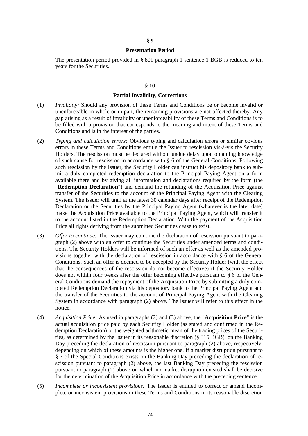#### **§ 9**

### **Presentation Period**

The presentation period provided in § 801 paragraph 1 sentence 1 BGB is reduced to ten years for the Securities.

#### **§ 10**

#### **Partial Invalidity, Corrections**

- (1) *Invalidity:* Should any provision of these Terms and Conditions be or become invalid or unenforceable in whole or in part, the remaining provisions are not affected thereby. Any gap arising as a result of invalidity or unenforceability of these Terms and Conditions is to be filled with a provision that corresponds to the meaning and intent of these Terms and Conditions and is in the interest of the parties.
- (2) *Typing and calculation errors:* Obvious typing and calculation errors or similar obvious errors in these Terms and Conditions entitle the Issuer to rescission vis-à-vis the Security Holders. The rescission must be declared without undue delay upon obtaining knowledge of such cause for rescission in accordance with § 6 of the General Conditions. Following such rescission by the Issuer, the Security Holder can instruct his depository bank to submit a duly completed redemption declaration to the Principal Paying Agent on a form available there and by giving all information and declarations required by the form (the "**Redemption Declaration**") and demand the refunding of the Acquisition Price against transfer of the Securities to the account of the Principal Paying Agent with the Clearing System. The Issuer will until at the latest 30 calendar days after receipt of the Redemption Declaration or the Securities by the Principal Paying Agent (whatever is the later date) make the Acquisition Price available to the Principal Paying Agent, which will transfer it to the account listed in the Redemption Declaration. With the payment of the Acquisition Price all rights deriving from the submitted Securities cease to exist.
- (3) *Offer to continue:* The Issuer may combine the declaration of rescission pursuant to paragraph (2) above with an offer to continue the Securities under amended terms and conditions. The Security Holders will be informed of such an offer as well as the amended provisions together with the declaration of rescission in accordance with § 6 of the General Conditions. Such an offer is deemed to be accepted by the Security Holder (with the effect that the consequences of the rescission do not become effective) if the Security Holder does not within four weeks after the offer becoming effective pursuant to § 6 of the General Conditions demand the repayment of the Acquisition Price by submitting a duly completed Redemption Declaration via his depository bank to the Principal Paying Agent and the transfer of the Securities to the account of Principal Paying Agent with the Clearing System in accordance with paragraph (2) above. The Issuer will refer to this effect in the notice.
- (4) *Acquisition Price:* As used in paragraphs (2) and (3) above, the "**Acquisition Price**" is the actual acquisition price paid by each Security Holder (as stated and confirmed in the Redemption Declaration) or the weighted arithmetic mean of the trading prices of the Securities, as determined by the Issuer in its reasonable discretion (§ 315 BGB), on the Banking Day preceding the declaration of rescission pursuant to paragraph (2) above, respectively, depending on which of these amounts is the higher one. If a market disruption pursuant to § 7 of the Special Conditions exists on the Banking Day preceding the declaration of rescission pursuant to paragraph (2) above, the last Banking Day preceding the rescission pursuant to paragraph (2) above on which no market disruption existed shall be decisive for the determination of the Acquisition Price in accordance with the preceding sentence.
- (5) *Incomplete or inconsistent provisions:* The Issuer is entitled to correct or amend incomplete or inconsistent provisions in these Terms and Conditions in its reasonable discretion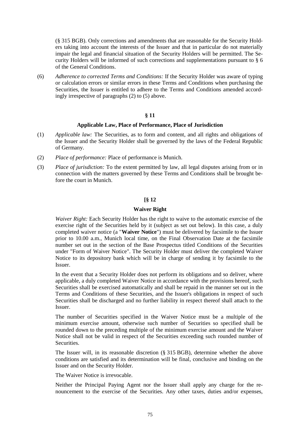(§ 315 BGB). Only corrections and amendments that are reasonable for the Security Holders taking into account the interests of the Issuer and that in particular do not materially impair the legal and financial situation of the Security Holders will be permitted. The Security Holders will be informed of such corrections and supplementations pursuant to § 6 of the General Conditions.

(6) *Adherence to corrected Terms and Conditions:* If the Security Holder was aware of typing or calculation errors or similar errors in these Terms and Conditions when purchasing the Securities, the Issuer is entitled to adhere to the Terms and Conditions amended accordingly irrespective of paragraphs (2) to (5) above.

### **§ 11**

#### **Applicable Law, Place of Performance, Place of Jurisdiction**

- (1) *Applicable law:* The Securities, as to form and content, and all rights and obligations of the Issuer and the Security Holder shall be governed by the laws of the Federal Republic of Germany.
- (2) *Place of performance:* Place of performance is Munich.
- (3) *Place of jurisdiction:* To the extent permitted by law, all legal disputes arising from or in connection with the matters governed by these Terms and Conditions shall be brought before the court in Munich.

### **[§ 12**

### **Waiver Right**

*Waiver Right:* Each Security Holder has the right to waive to the automatic exercise of the exercise right of the Securities held by it (subject as set out below). In this case, a duly completed waiver notice (a "**Waiver Notice**") must be delivered by facsimile to the Issuer prior to 10.00 a.m., Munich local time, on the Final Observation Date at the facsimile number set out in the section of the Base Prospectus titled Conditions of the Securities under "Form of Waiver Notice". The Security Holder must deliver the completed Waiver Notice to its depository bank which will be in charge of sending it by facsimile to the Issuer.

In the event that a Security Holder does not perform its obligations and so deliver, where applicable, a duly completed Waiver Notice in accordance with the provisions hereof, such Securities shall be exercised automatically and shall be repaid in the manner set out in the Terms and Conditions of these Securities, and the Issuer's obligations in respect of such Securities shall be discharged and no further liability in respect thereof shall attach to the Issuer.

The number of Securities specified in the Waiver Notice must be a multiple of the minimum exercise amount, otherwise such number of Securities so specified shall be rounded down to the preceding multiple of the minimum exercise amount and the Waiver Notice shall not be valid in respect of the Securities exceeding such rounded number of Securities.

The Issuer will, in its reasonable discretion (§ 315 BGB), determine whether the above conditions are satisfied and its determination will be final, conclusive and binding on the Issuer and on the Security Holder.

The Waiver Notice is irrevocable.

Neither the Principal Paying Agent nor the Issuer shall apply any charge for the renouncement to the exercise of the Securities. Any other taxes, duties and/or expenses,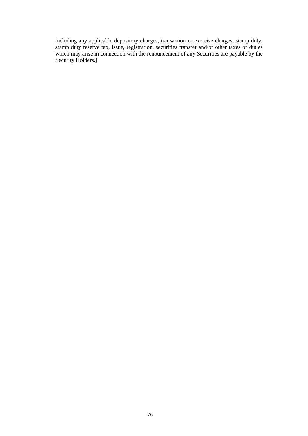including any applicable depository charges, transaction or exercise charges, stamp duty, stamp duty reserve tax, issue, registration, securities transfer and/or other taxes or duties which may arise in connection with the renouncement of any Securities are payable by the Security Holders.**]**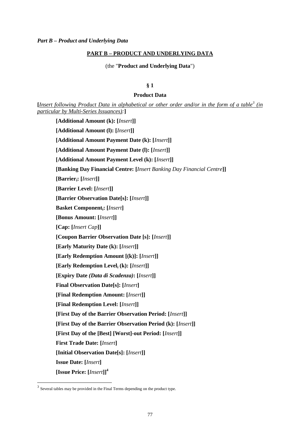### **PART B – PRODUCT AND UNDERLYING DATA**

(the "**Product and Underlying Data**")

### **§ 1**

### **Product Data**

**[***Insert following Product Data in alphabetical or other order and/or in the form of a table<sup>3</sup> (in particular by Multi-Series Issuances):***]**

**[Additional Amount (k): [***Insert***]] [Additional Amount (l): [***Insert***]] [Additional Amount Payment Date (k): [***Insert***]] [Additional Amount Payment Date (l): [***Insert***]] [Additional Amount Payment Level (k): [***Insert***]] [Banking Day Financial Centre: [***Insert Banking Day Financial Centre***]] [Barrieri: [***Insert***]] [Barrier Level: [***Insert***]] [Barrier Observation Date[s]: [***Insert***]] Basket Componenti: [***Insert***] [Bonus Amount: [***Insert***]] [Cap: [***Insert Cap***]] [Coupon Barrier Observation Date [s]: [***Insert***]] [Early Maturity Date (k): [***Insert***]] [Early Redemption Amount [(k)]: [***Insert***]] [Early Redemption Level<sup>i</sup> (k): [***Insert***]] [Expiry Date** *(Data di Scadenza)***: [***Insert***]] Final Observation Date[s]: [***Insert***] [Final Redemption Amount: [***Insert***]] [Final Redemption Level: [***Insert***]] [First Day of the Barrier Observation Period: [***Insert***]] [First Day of the Barrier Observation Period (k): [***Insert***]] [First Day of the [Best] [Worst]-out Period: [***Insert***]] First Trade Date: [***Insert***] [Initial Observation Date[s]: [***Insert***]] Issue Date: [***Insert***] [Issue Price: [***Insert***]]<sup>4</sup>**

 $3$  Several tables may be provided in the Final Terms depending on the product type.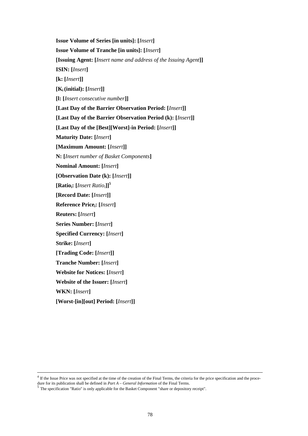**Issue Volume of Series [in units]: [***Insert***] Issue Volume of Tranche [in units]: [***Insert***] [Issuing Agent: [***Insert name and address of the Issuing Agent***]] ISIN: [***Insert***] [k: [***Insert***]] [Ki(initial): [***Insert***]] [l: [***Insert consecutive number***]] [Last Day of the Barrier Observation Period: [***Insert***]] [Last Day of the Barrier Observation Period (k): [***Insert***]] [Last Day of the [Best][Worst]-in Period: [***Insert***]] Maturity Date: [***Insert***] [Maximum Amount: [***Insert***]] N: [***Insert number of Basket Components***] Nominal Amount: [***Insert***] [Observation Date (k): [***Insert***]] [Ratioi: [***Insert Ratioi***]]<sup>5</sup> [Record Date: [***Insert***]] Reference Pricei: [***Insert***] Reuters: [***Insert***] Series Number: [***Insert***] Specified Currency: [***Insert***] Strike: [***Insert***] [Trading Code: [***Insert***]] Tranche Number: [***Insert***] Website for Notices: [***Insert***] Website of the Issuer: [***Insert***] WKN: [***Insert***] [Worst-[in][out] Period: [***Insert***]]**

<sup>&</sup>lt;sup>4</sup> If the Issue Price was not specified at the time of the creation of the Final Terms, the criteria for the price specification and the procedure for its publication shall be defined in *Part A* – *General Information* of the Final Terms. 5 The specification "Ratio" is only applicable for the Basket Component "share or depository receipt".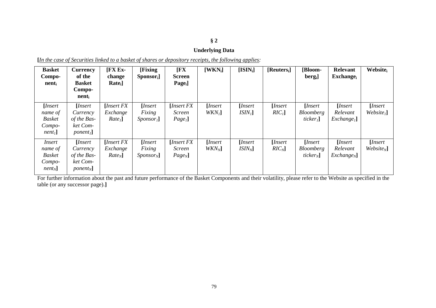# **§ 2**

# **Underlying Data**

| <b>Basket</b><br>Compo-<br>$nent_i$                                        | <b>Currency</b><br>of the<br><b>Basket</b><br>Compo-<br>nent          | $[FX Ex -$<br>change<br>Rate <sub>i</sub>  | <b>[Fixing]</b><br>Sponsor <sub>i</sub> ]                         | $[$ <b>FX</b><br><b>Screen</b><br>$Page_i$   | $[WKN_i]$                   | $[ISIN_i]$                           | $[Reuters_i]$                | [Bloom-<br>$bergi$ ]                               | <b>Relevant</b><br>$\mathbf{Exchange}_{i}$    | <b>Website</b>                          |
|----------------------------------------------------------------------------|-----------------------------------------------------------------------|--------------------------------------------|-------------------------------------------------------------------|----------------------------------------------|-----------------------------|--------------------------------------|------------------------------|----------------------------------------------------|-----------------------------------------------|-----------------------------------------|
| [ <i>Insert</i><br>name of<br><b>Basket</b><br>Compo-<br>nent <sub>l</sub> | [Insert<br>Currency<br>of the Bas-<br>ket Com-<br>ponent <sub>1</sub> | [Insert FX]<br>Exchange<br>$Rate1$ ]       | [Insert]<br>Fixing<br>Sponsor <sub>1</sub>                        | [Insert FX]<br>Screen<br>Page <sub>1</sub> ] | [Insert<br>WKN <sub>1</sub> | [ <i>Insert</i><br>ISIN <sub>1</sub> | [Insert]<br>RIC <sub>1</sub> | [Insert<br><b>Bloomberg</b><br>ticker <sub>1</sub> | [Insert]<br>Relevant<br>Exchange <sub>1</sub> | [ <i>Insert</i><br>Website <sub>1</sub> |
| Insert<br>name of<br><b>Basket</b><br>Compo-<br>$nent_N$                   | [Insert<br>Currency<br>of the Bas-<br>ket Com-<br>$ponent_N$ ]        | [ <i>Insert FX</i><br>Exchange<br>$Rate_N$ | [Insert]<br>Fixing<br>$S_{\text{PON} \text{S} \text{O} \Gamma_N}$ | [Insert FX]<br>Screen<br>$Page_N$            | [ <i>Insert</i><br>$WKN_N$  | [Insert]<br>$ISIN_N$                 | [ <i>Insert</i><br>$RIC_N$   | [Insert<br><b>Bloomberg</b><br>ticker <sub>N</sub> | [Insert]<br>Relevant<br>$Exchange_N$          | [Insert]<br>$Website_N$                 |

**[***In the case of Securities linked to a basket of shares or depository receipts, the following applies:*

For further information about the past and future performance of the Basket Components and their volatility, please refer to the Website as specified in the table (or any successor page).**]**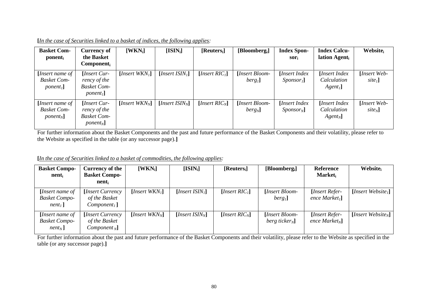| <b>Basket Com-</b><br>ponent <sub>i</sub>           | <b>Currency of</b><br>the Basket<br>$Component_i$                               | $[WKN_i]$                                 | $[ISIN_i]$                                 | $[Reuters_i]$                             | [Bloomberg <sub>i</sub> ]           | <b>Index Spon-</b><br>$Sor_i$                      | <b>Index Calcu-</b><br>lation Agent <sub>i</sub> | <b>Website</b>                    |
|-----------------------------------------------------|---------------------------------------------------------------------------------|-------------------------------------------|--------------------------------------------|-------------------------------------------|-------------------------------------|----------------------------------------------------|--------------------------------------------------|-----------------------------------|
| [Insert name of<br><b>Basket Com-</b><br>$ponent_1$ | <i>Insert Cur-</i><br>rency of the<br><b>Basket Com-</b><br>ponent <sub>1</sub> | [ <i>Insert WKN</i> <sub><i>l</i></sub> ] | [ <i>Insert ISIN</i> <sub><i>i</i></sub> ] | [ <i>Insert RIC</i> <sub><i>i</i></sub> ] | [Insert Bloom-<br>berg <sub>1</sub> | [Insert Index]<br>$S_{\text{ponsor}}$ <sub>1</sub> | [Insert Index]<br>Calculation<br>$Agent_1$       | [Insert Web-<br>site <sub>1</sub> |
| [Insert name of<br><b>Basket Com-</b><br>$ponent_N$ | <i>Insert Cur-</i><br>rency of the<br><b>Basket Com-</b><br>$ponent_N$          | [ <i>Insert WKN</i> <sub>N</sub> ]        | [ <i>Insert ISIN</i> <sub>N</sub> ]        | [ <i>Insert RIC</i> <sub>N</sub> ]        | [Insert Bloom-<br>$berg_N$          | [Insert Index]<br>$Sponsor_N$ ]                    | [Insert Index]<br>Calculation<br>$Agent_N$       | [Insert Web-<br>$site_N$ ]        |

**[***In the case of Securities linked to a basket of indices, the following applies:*

For further information about the Basket Components and the past and future performance of the Basket Components and their volatility, please refer to the Website as specified in the table (or any successor page).**]**

**[***In the case of Securities linked to a basket of commodities, the following applies:*

| <b>Basket Compo-</b><br>nent                                         | Currency of the<br><b>Basket Compo-</b><br>nent      | $[WKN_i]$                                 | $[ISIN_i]$                                 | [Reuters <sub>i</sub> ]                   | [Bloomberg <sub>i</sub> ]                  | <b>Reference</b><br><b>Market</b>                | Website                                |
|----------------------------------------------------------------------|------------------------------------------------------|-------------------------------------------|--------------------------------------------|-------------------------------------------|--------------------------------------------|--------------------------------------------------|----------------------------------------|
| [ <i>Insert name of</i><br><b>Basket Compo-</b><br>nent <sub>1</sub> | [Insert Currency]<br>of the Basket<br>$Component1$ ] | [ <i>Insert WKN</i> <sub><i>l</i></sub> ] | [ <i>Insert ISIN</i> <sub><i>l</i></sub> ] | [ <i>Insert RIC</i> <sub><i>l</i></sub> ] | [Insert Bloom-<br>berg <sub>1</sub>        | <b>Insert Refer-</b><br>ence Market <sub>1</sub> | [ <i>Insert Website</i> <sub>1</sub> ] |
| [Insert name of<br><b>Basket Compo-</b><br>$nent_N$ ]                | [Insert Currency]<br>of the Basket<br>$Component_N$  | [ <i>Insert WKN</i> <sub>N</sub> ]        | [ <i>Insert ISIN</i> <sub>N</sub> ]        | [ <i>Insert RIC<sub>N</sub></i> ]         | [Insert Bloom-<br>berg ticker <sub>N</sub> | [Insert Refer-<br>ence Market <sub>N</sub>       | [ <i>Insert Website<sub>N</sub></i> ]  |

For further information about the past and future performance of the Basket Components and their volatility, please refer to the Website as specified in the table (or any successor page).**]**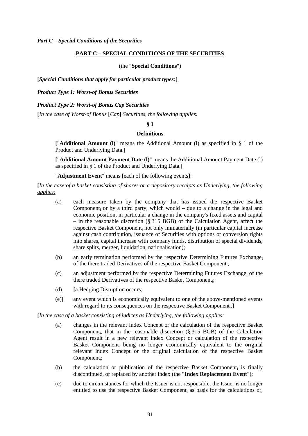### **PART C – SPECIAL CONDITIONS OF THE SECURITIES**

(the "**Special Conditions**")

**[***Special Conditions that apply for particular product types:***]**

*Product Type 1: Worst-of Bonus Securities*

*Product Type 2: Worst-of Bonus Cap Securities*

**[***In the case of Worst-of Bonus* **[***Cap***]** *Securities, the following applies:*

**§ 1**

#### **Definitions**

**[**"**Additional Amount (l)**" means the Additional Amount (l) as specified in § 1 of the Product and Underlying Data.**]**

**[**"**Additional Amount Payment Date (l)**" means the Additional Amount Payment Date (l) as specified in § 1 of the Product and Underlying Data.**]**

"**Adjustment Event**" means **[**each of the following events**]**:

**[***In the case of a basket consisting of shares or a depository receipts as Underlying, the following applies:*

- (a) each measure taken by the company that has issued the respective Basket Component<sub>i</sub> or by a third party, which would  $-$  due to a change in the legal and economic position, in particular a change in the company's fixed assets and capital – in the reasonable discretion (§ 315 BGB) of the Calculation Agent, affect the respective Basket Component<sub>i</sub> not only immaterially (in particular capital increase against cash contribution, issuance of Securities with options or conversion rights into shares, capital increase with company funds, distribution of special dividends, share splits, merger, liquidation, nationalisation);
- (b) an early termination performed by the respective Determining Futures Exchange<sub>i</sub> of the there traded Derivatives of the respective Basket Component<sub>i</sub>;
- (c) an adjustment performed by the respective Determining Futures Exchange<sub>i</sub> of the there traded Derivatives of the respective Basket Componenti;
- (d) **[**a Hedging Disruption occurs;
- (e)**]** any event which is economically equivalent to one of the above-mentioned events with regard to its consequences on the respective Basket Component<sub>i</sub>.]

**[***In the case of a basket consisting of indices as Underlying, the following applies:*

- (a) changes in the relevant Index Concept or the calculation of the respective Basket Component<sub>i</sub>, that in the reasonable discretion (§ 315 BGB) of the Calculation Agent result in a new relevant Index Concept or calculation of the respective Basket Component<sub>i</sub> being no longer economically equivalent to the original relevant Index Concept or the original calculation of the respective Basket Component<sub>i</sub>;
- (b) the calculation or publication of the respective Basket Component<sub>i</sub> is finally discontinued, or replaced by another index (the "**Index Replacement Event**");
- (c) due to circumstances for which the Issuer is not responsible, the Issuer is no longer entitled to use the respective Basket Component<sup>i</sup> as basis for the calculations or,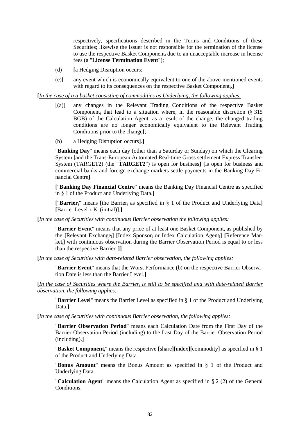respectively, specifications described in the Terms and Conditions of these Securities; likewise the Issuer is not responsible for the termination of the license to use the respective Basket Component; due to an unacceptable increase in license fees (a "**License Termination Event**");

- (d) **[**a Hedging Disruption occurs;
- (e)**]** any event which is economically equivalent to one of the above-mentioned events with regard to its consequences on the respective Basket Component<sub>i</sub>.]

**[***In the case of a a basket consisting of commodities as Underlying, the following applies:*

- [(a)] any changes in the Relevant Trading Conditions of the respective Basket Component<sub>i</sub> that lead to a situation where, in the reasonable discretion  $(\S 315)$ BGB) of the Calculation Agent, as a result of the change, the changed trading conditions are no longer economically equivalent to the Relevant Trading Conditions prior to the change**[**;
- (b) a Hedging Disruption occurs**]**.**]**

"**Banking Day**" means each day (other than a Saturday or Sunday) on which the Clearing System **[**and the Trans-European Automated Real-time Gross settlement Express Transfer-System (TARGET2) (the "**TARGET2**") is open for business**] [**is open for business and commercial banks and foreign exchange markets settle payments in the Banking Day Financial Centre**]**.

**[**"**Banking Day Financial Centre**" means the Banking Day Financial Centre as specified in § 1 of the Product and Underlying Data.**]**

**[**"**Barrieri**" means **[**the Barrier<sup>i</sup> as specified in § 1 of the Product and Underlying Data**] [**Barrier Level x K<sup>i</sup> (initial)**]**.**]**

**[***In the case of Securities with continuous Barrier observation the following applies:*

"**Barrier Event**" means that any price of at least one Basket Component<sup>i</sup> as published by the **[**Relevant Exchangei**] [**Index Sponsor<sup>i</sup> or Index Calculation Agenti**] [**Reference Marketi**]** with continuous observation during the Barrier Observation Period is equal to or less than the respective Barrier<sub>i</sub>.]]

**[***In the case of Securities with date-related Barrier observation, the following applies:*

"**Barrier Event**" means that the Worst Performance (b) on the respective Barrier Observation Date is less than the Barrier Level.**]**

**[***In the case of Securities where the Barrier<sup>i</sup> is still to be specified and with date-related Barrier observation, the following applies:*

"**Barrier Level**" means the Barrier Level as specified in § 1 of the Product and Underlying Data.**]**

**[***In the case of Securities with continuous Barrier observation, the following applies:*

"**Barrier Observation Period**" means each Calculation Date from the First Day of the Barrier Observation Period (including) to the Last Day of the Barrier Observation Period (including).**]**

"**Basket Componenti**" means the respective **[**share**][**index**][**commodity**]** as specified in § 1 of the Product and Underlying Data.

"**Bonus Amount**" means the Bonus Amount as specified in § 1 of the Product and Underlying Data.

"**Calculation Agent**" means the Calculation Agent as specified in § 2 (2) of the General Conditions.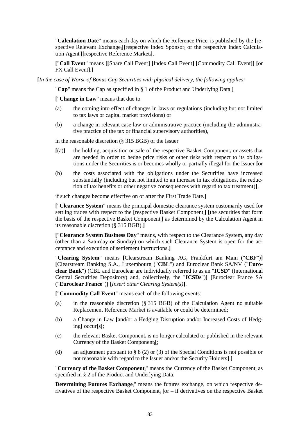"Calculation Date" means each day on which the Reference Price<sub>i</sub> is published by the [respective Relevant Exchange<sub>i</sub>][respective Index Sponsor<sub>i</sub> or the respective Index Calculation Agenti**][**respective Reference Marketi**]**.

**[**"**Call Event**" means **[[**Share Call Event**] [**Index Call Event**] [**Commodity Call Event**]] [**or FX Call Event**]**.**]**

**[***In the case of Worst-of Bonus Cap Securities with physical delivery, the following applies:*

"**Cap**" means the Cap as specified in § 1 of the Product and Underlying Data.**]**

**[**"**Change in Law**" means that due to

- (a) the coming into effect of changes in laws or regulations (including but not limited to tax laws or capital market provisions) or
- (b) a change in relevant case law or administrative practice (including the administrative practice of the tax or financial supervisory authorities),

in the reasonable discretion (§ 315 BGB) of the Issuer

- $[(a)]$  the holding, acquisition or sale of the respective Basket Component<sub>i</sub> or assets that are needed in order to hedge price risks or other risks with respect to its obligations under the Securities is or becomes wholly or partially illegal for the Issuer **[**or
- (b) the costs associated with the obligations under the Securities have increased substantially (including but not limited to an increase in tax obligations, the reduction of tax benefits or other negative consequences with regard to tax treatment)**]**,

if such changes become effective on or after the First Trade Date.**]**

**[**"**Clearance System**" means the principal domestic clearance system customarily used for settling trades with respect to the [respective Basket Component<sub>i</sub>] [the securities that form the basis of the respective Basket Componenti**]** as determined by the Calculation Agent in its reasonable discretion (§ 315 BGB).**]**

**[**"**Clearance System Business Day**" means, with respect to the Clearance System, any day (other than a Saturday or Sunday) on which such Clearance System is open for the acceptance and execution of settlement instructions.**]**

"**Clearing System**" means **[**Clearstream Banking AG, Frankfurt am Main ("**CBF**")**] [**Clearstream Banking S.A., Luxembourg ("**CBL**") and Euroclear Bank SA/NV ("**Euroclear Bank**") (CBL and Euroclear are individually referred to as an "**ICSD**" (International Central Securities Depository) and, collectively, the "**ICSDs**")**] [**Euroclear France SA ("**Euroclear France**")**] [***Insert other Clearing System(s)***]**.

**[**"**Commodity Call Event**" means each of the following events:

- (a) in the reasonable discretion (§ 315 BGB) of the Calculation Agent no suitable Replacement Reference Market is available or could be determined;
- (b) a Change in Law **[**and/or a Hedging Disruption and/or Increased Costs of Hedging**]** occur**[**s**]**;
- (c) the relevant Basket Component<sub>i</sub> is no longer calculated or published in the relevant Currency of the Basket Componenti**[**;
- (d) an adjustment pursuant to § 8 (2) or (3) of the Special Conditions is not possible or not reasonable with regard to the Issuer and/or the Security Holders**]**.**]**

"**Currency of the Basket Componenti**" means the Currency of the Basket Component<sup>i</sup> as specified in § 2 of the Product and Underlying Data.

**Determining Futures Exchange**<sup>"</sup> means the futures exchange, on which respective derivatives of the respective Basket Component<sup>i</sup> **[**or – if derivatives on the respective Basket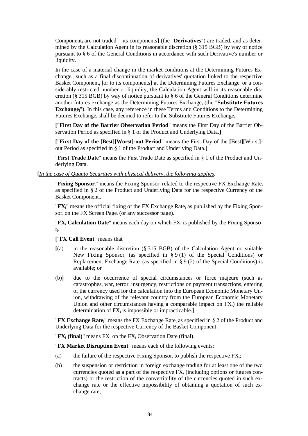Component<sup>i</sup> are not traded – its components**]** (the "**Derivatives**") are traded, and as determined by the Calculation Agent in its reasonable discretion (§ 315 BGB) by way of notice pursuant to § 6 of the General Conditions in accordance with such Derivative's number or liquidity.

In the case of a material change in the market conditions at the Determining Futures Exchange<sub>i</sub>, such as a final discontinuation of derivatives' quotation linked to the respective Basket Component<sub>i</sub> for to its components<sup>a</sup> at the Determining Futures Exchange<sub>i</sub> or a considerably restricted number or liquidity, the Calculation Agent will in its reasonable discretion (§ 315 BGB) by way of notice pursuant to § 6 of the General Conditions determine another futures exchange as the Determining Futures Exchange<sup>i</sup> (the "**Substitute Futures Exchange**i"). In this case, any reference in these Terms and Conditions to the Determining Futures Exchange<sub>i</sub> shall be deemed to refer to the Substitute Futures Exchange<sub>i</sub>.

**[**"**First Day of the Barrier Observation Period**" means the First Day of the Barrier Observation Period as specified in § 1 of the Product and Underlying Data.**]**

**[**"**First Day of the [Best][Worst]-out Period**" means the First Day of the **[**Best**][**Worst**]** out Period as specified in § 1 of the Product and Underlying Data.**]**

"**First Trade Date**" means the First Trade Date as specified in § 1 of the Product and Underlying Data.

**[***In the case of Quanto Securities with physical delivery, the following applies:*

"**Fixing Sponsor**<sub>i</sub>" means the Fixing Sponsor<sub>i</sub> related to the respective FX Exchange Rate<sub>i</sub> as specified in § 2 of the Product and Underlying Data for the respective Currency of the Basket Component<sub>i</sub>.

" $\mathbf{F} \mathbf{X}_i$ " means the official fixing of the FX Exchange Rate<sub>i</sub> as published by the Fixing Sponsor<sub>i</sub> on the FX Screen Page<sub>i</sub> (or any successor page).

"FX<sub>i</sub> Calculation Date" means each day on which FX<sub>i</sub> is published by the Fixing Sponsori .

### **[**"**FX Call Event**" means that

- **[**(a) in the reasonable discretion (§ 315 BGB) of the Calculation Agent no suitable New Fixing Sponsor<sub>i</sub> (as specified in  $\S 9(1)$  of the Special Conditions) or Replacement Exchange Rate<sub>i</sub> (as specified in § 9 (2) of the Special Conditions) is available; or
- (b)**]** due to the occurrence of special circumstances or force majeure (such as catastrophes, war, terror, insurgency, restrictions on payment transactions, entering of the currency used for the calculation into the European Economic Monetary Union, withdrawing of the relevant country from the European Economic Monetary Union and other circumstances having a comparable impact on  $FX_i$ ) the reliable determination of FX<sub>i</sub> is impossible or impracticable.]

"**FX Exchange Ratei**" means the FX Exchange Rate<sup>i</sup> as specified in § 2 of the Product and Underlying Data for the respective Currency of the Basket Component<sub>i</sub>.

" $\mathbf{FX}_i$  (final)" means  $\mathbf{FX}_i$  on the  $\mathbf{FX}_i$  Observation Date (final).

"**FX Market Disruption Event**" means each of the following events:

- (a) the failure of the respective Fixing Sponsor<sub>i</sub> to publish the respective  $FX_i$ ;
- (b) the suspension or restriction in foreign exchange trading for at least one of the two currencies quoted as a part of the respective  $FX_i$  (including options or futures contracts) or the restriction of the convertibility of the currencies quoted in such exchange rate or the effective impossibility of obtaining a quotation of such exchange rate;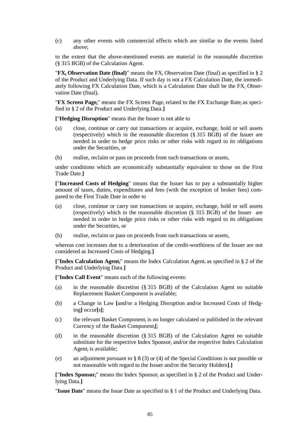(c) any other events with commercial effects which are similar to the events listed above;

to the extent that the above-mentioned events are material in the reasonable discretion (§ 315 BGB) of the Calculation Agent.

" $\mathbf{FX}_i$  **Observation Date (final)**" means the  $\mathbf{FX}_i$  Observation Date (final) as specified in § 2 of the Product and Underlying Data. If such day is not a FX Calculation Date, the immediately following FX Calculation Date, which is a Calculation Date shall be the  $FX_i$  Observation Date (final).

"**FX Screen Page**<sub>i</sub>" means the FX Screen Page<sub>i</sub> related to the FX Exchange Rate<sub>i</sub> as specified in § 2 of the Product and Underlying Data.**]**

**[**"**Hedging Disruption**" means that the Issuer is not able to

- (a) close, continue or carry out transactions or acquire, exchange, hold or sell assets (respectively) which in the reasonable discretion (§ 315 BGB) of the Issuer are needed in order to hedge price risks or other risks with regard to its obligations under the Securities, or
- (b) realise, reclaim or pass on proceeds from such transactions or assets,

under conditions which are economically substantially equivalent to those on the First Trade Date.**]**

**[**"**Increased Costs of Hedging**" means that the Issuer has to pay a substantially higher amount of taxes, duties, expenditures and fees (with the exception of broker fees) compared to the First Trade Date in order to

- (a) close, continue or carry out transactions or acquire, exchange, hold or sell assets (respectively) which in the reasonable discretion (§ 315 BGB) of the Issuer are needed in order to hedge price risks or other risks with regard to its obligations under the Securities, or
- (b) realise, reclaim or pass on proceeds from such transactions or assets,

whereas cost increases due to a deterioration of the credit-worthiness of the Issuer are not considered as Increased Costs of Hedging.**]**

**[**"**Index Calculation Agenti**" means the Index Calculation Agent<sup>i</sup> as specified in § 2 of the Product and Underlying Data.**]**

**[**"**Index Call Event**" means each of the following events:

- (a) in the reasonable discretion (§ 315 BGB) of the Calculation Agent no suitable Replacement Basket Component is available;
- (b) a Change in Law **[**and/or a Hedging Disruption and/or Increased Costs of Hedging**]** occur**[**s**]**;
- (c) the relevant Basket Component<sub>i</sub> is no longer calculated or published in the relevant Currency of the Basket Componenti**[**;
- (d) in the reasonable discretion (§ 315 BGB) of the Calculation Agent no suitable substitute for the respective Index Sponsor<sub>i</sub> and/or the respective Index Calculation Agent<sub>i</sub> is available;
- (e) an adjustment pursuant to § 8 (3) or (4) of the Special Conditions is not possible or not reasonable with regard to the Issuer and/or the Security Holders**]**.**]**

**[**"**Index Sponsori**" means the Index Sponsor<sup>i</sup> as specified in § 2 of the Product and Underlying Data.**]**

"**Issue Date**" means the Issue Date as specified in § 1 of the Product and Underlying Data.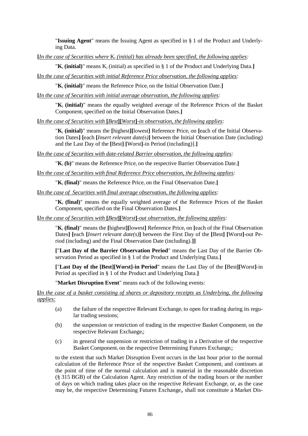"**Issuing Agent**" means the Issuing Agent as specified in § 1 of the Product and Underlying Data.

**[***In the case of Securities where* K*<sup>i</sup> (initial) has already been specified, the following applies:*

 $\mathbf{K}_i$  (initial)" means  $\mathbf{K}_i$  (initial) as specified in § 1 of the Product and Underlying Data.

**[***In the case of Securities with initial Reference Price observation, the following applies:*

" $K_i$  (initial)" means the Reference Price<sub>i</sub> on the Initial Observation Date.

**[***In the case of Securities with initial average observation, the following applies:*

"**K**<sup>i</sup> **(initial)**" means the equally weighted average of the Reference Prices of the Basket Component<sup>i</sup> specified on the Initial Observation Dates.**]**

**[***In the case of Securities with* **[***Best***][***Worst***]***-in observation, the following applies:*

"K<sub>i</sub> (initial)" means the [highest][lowest] Reference Price<sub>i</sub> on [each of the Initial Observation Dates**] [**each **[***Insert relevant date(s)***]** between the Initial Observation Date (including) and the Last Day of the **[**Best**] [**Worst**]**-in Period (including)].**]**

**[***In the case of Securities with date-related Barrier observation, the following applies:*

 $\mathbf{K}_i$  (b)<sup>"</sup> means the Reference Price<sub>i</sub> on the respective Barrier Observation Date.

**[***In the case of Securities with final Reference Price observation, the following applies:*

" $K_i$  (final)" means the Reference Price<sub>i</sub> on the Final Observation Date.

**[***In the case of Securities with final average observation, the following applies:*

"**K**<sup>i</sup> **(final)**" means the equally weighted average of the Reference Prices of the Basket Component<sup>i</sup> specified on the Final Observation Dates.**]**

**[***In the case of Securities with* **[***Best***][***Worst***]***-out observation, the following applies:*

"**K**<sup>i</sup> **(final)**" means the **[**highest**][**lowest**]** Reference Price<sup>i</sup> on **[**each of the Final Observation Dates**] [**each **[***Insert relevant date(s)***]** between the First Day of the **[**Best**] [**Worst**]**-out Period (including) and the Final Observation Date (including).**]]**

**[**"**Last Day of the Barrier Observation Period**" means the Last Day of the Barrier Observation Period as specified in § 1 of the Product and Underlying Data.**]**

**[**"**Last Day of the [Best][Worst]-in Period**" means the Last Day of the **[**Best**][**Worst**]**-in Period as specified in § 1 of the Product and Underlying Data.**]**

"**Market Disruption Event**" means each of the following events:

**[***In the case of a basket consisting of shares or depository receipts as Underlying, the following applies:*

- (a) the failure of the respective Relevant Exchange<sub>i</sub> to open for trading during its regular trading sessions;
- (b) the suspension or restriction of trading in the respective Basket Component<sub>i</sub> on the respective Relevant Exchange;
- (c) in general the suspension or restriction of trading in a Derivative of the respective Basket Component<sub>i</sub> on the respective Determining Futures Exchange<sub>i</sub>;

to the extent that such Market Disruption Event occurs in the last hour prior to the normal calculation of the Reference Price of the respective Basket Component<sup>i</sup> and continues at the point of time of the normal calculation and is material in the reasonable discretion (§ 315 BGB) of the Calculation Agent. Any restriction of the trading hours or the number of days on which trading takes place on the respective Relevant Exchange; or, as the case may be, the respective Determining Futures Exchange<sub>i</sub>, shall not constitute a Market Dis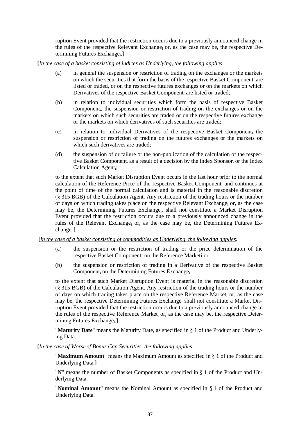ruption Event provided that the restriction occurs due to a previously announced change in the rules of the respective Relevant Exchange<sub>i</sub> or, as the case may be, the respective Determining Futures Exchange<sub>i</sub>.]

## **[***In the case of a basket consisting of indices as Underlying, the following applies*

- (a) in general the suspension or restriction of trading on the exchanges or the markets on which the securities that form the basis of the respective Basket Component<sup>i</sup> are listed or traded, or on the respective futures exchanges or on the markets on which Derivatives of the respective Basket Component; are listed or traded;
- (b) in relation to individual securities which form the basis of respective Basket Component<sub>i</sub>, the suspension or restriction of trading on the exchanges or on the markets on which such securities are traded or on the respective futures exchange or the markets on which derivatives of such securities are traded;
- (c) in relation to individual Derivatives of the respective Basket Component<sub>i</sub> the suspension or restriction of trading on the futures exchanges or the markets on which such derivatives are traded;
- (d) the suspension of or failure or the non-publication of the calculation of the respective Basket Component<sub>i</sub> as a result of a decision by the Index Sponsor<sub>i</sub> or the Index Calculation Agent<sub>i</sub>;

to the extent that such Market Disruption Event occurs in the last hour prior to the normal calculation of the Reference Price of the respective Basket Component<sub>i</sub> and continues at the point of time of the normal calculation and is material in the reasonable discretion (§ 315 BGB) of the Calculation Agent. Any restriction of the trading hours or the number of days on which trading takes place on the respective Relevant Exchange<sub>i</sub> or, as the case may be, the Determining Futures Exchange<sub>i</sub>, shall not constitute a Market Disruption Event provided that the restriction occurs due to a previously announced change in the rules of the Relevant Exchange<sub>i</sub> or, as the case may be, the Determining Futures Exchange<sup>i</sup> .**]**

### **[***In the case of a basket consisting of commodities as Underlying, the following applies:*

- (a) the suspension or the restriction of trading or the price determination of the respective Basket Componenti on the Reference Marketi or
- (b) the suspension or restriction of trading in a Derivative of the respective Basket Component<sub>i</sub> on the Determining Futures Exchange<sub>i</sub>

to the extent that such Market Disruption Event is material in the reasonable discretion (§ 315 BGB) of the Calculation Agent. Any restriction of the trading hours or the number of days on which trading takes place on the respective Reference Market<sub>i</sub> or, as the case may be, the respective Determining Futures Exchange, shall not constitute a Market Disruption Event provided that the restriction occurs due to a previously announced change in the rules of the respective Reference Market<sub>i</sub> or, as the case may be, the respective Determining Futures Exchange<sub>i</sub>.]

"**Maturity Date**" means the Maturity Date, as specified in § 1 of the Product and Underlying Data.

## **[***In the case of Worst-of Bonus Cap Securities, the following applies:*

"**Maximum Amount**" means the Maximum Amount as specified in § 1 of the Product and Underlying Data.**]**

"**N**" means the number of Basket Components as specified in § 1 of the Product and Underlying Data.

"**Nominal Amount**" means the Nominal Amount as specified in § 1 of the Product and Underlying Data.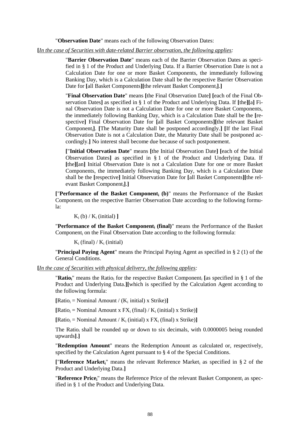"**Observation Date**" means each of the following Observation Dates:

#### **[***In the case of Securities with date-related Barrier observation, the following applies:*

"**Barrier Observation Date**" means each of the Barrier Observation Dates as specified in § 1 of the Product and Underlying Data. If a Barrier Observation Date is not a Calculation Date for one or more Basket Components, the immediately following Banking Day, which is a Calculation Date shall be the respective Barrier Observation Date for **[**all Basket Components**][**the relevant Basket Componenti**]**.**]**

"**Final Observation Date**" means **[**the Final Observation Date**] [**each of the Final Observation Dates**]** as specified in § 1 of the Product and Underlying Data. If **[**the**][**a**]** Final Observation Date is not a Calculation Date for one or more Basket Components, the immediately following Banking Day, which is a Calculation Date shall be the **[**respective**]** Final Observation Date for **[**all Basket Components**][**the relevant Basket Componenti**]**. **[**The Maturity Date shall be postponed accordingly.**] [**If the last Final Observation Date is not a Calculation Date, the Maturity Date shall be postponed accordingly.**]** No interest shall become due because of such postponement.

**[**"**Initial Observation Date**" means **[**the Initial Observation Date**] [**each of the Initial Observation Dates**]** as specified in § 1 of the Product and Underlying Data. If **[**the**][**an**]** Initial Observation Date is not a Calculation Date for one or more Basket Components, the immediately following Banking Day, which is a Calculation Date shall be the **[**respective**]** Initial Observation Date for **[**all Basket Components**][**the relevant Basket Componenti**]**.**]**

**[**"**Performance of the Basket Component<sup>i</sup> (b)**" means the Performance of the Basket Component<sub>i</sub> on the respective Barrier Observation Date according to the following formula:

 $K_i$  (b) /  $K_i$  (initial) 1

"**Performance of the Basket Component<sup>i</sup> (final)**" means the Performance of the Basket Component<sub>i</sub> on the Final Observation Date according to the following formula:

 $K_i$  (final) /  $K_i$  (initial)

"**Principal Paying Agent**" means the Principal Paying Agent as specified in § 2 (1) of the General Conditions.

**[***In the case of Securities with physical delivery, the following applies:*

"**Ratio**<sup>"</sup> means the Ratio<sub>i</sub> for the respective Basket Component; [as specified in § 1 of the Product and Underlying Data.**][**which is specified by the Calculation Agent according to the following formula:

 $[Ratio_i = Nominal Amount / (K_i initial) x Strike)]$ 

 $[Ratio_i = Nominal Amount x FX_i (final) / K_i (initial) x Strike)]$ 

 $[Ratio_i = Nominal Amount / K_i (initial) x FX_i (final) x Strike)]$ 

The Ratio<sub>i</sub> shall be rounded up or down to six decimals, with  $0.0000005$  being rounded upwards**]**.**]**

"**Redemption Amount**" means the Redemption Amount as calculated or, respectively, specified by the Calculation Agent pursuant to § 4 of the Special Conditions.

**[**"**Reference Marketi**" means the relevant Reference Market<sup>i</sup> as specified in § 2 of the Product and Underlying Data.**]**

"**Reference Pricei**" means the Reference Price of the relevant Basket Component<sup>i</sup> as specified in § 1 of the Product and Underlying Data.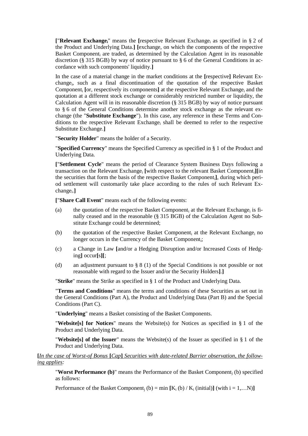**[**"**Relevant Exchangei**" means the **[**respective Relevant Exchange<sup>i</sup> as specified in § 2 of the Product and Underlying Data.**] [**exchange, on which the components of the respective Basket Component, are traded, as determined by the Calculation Agent in its reasonable discretion ( $\hat{\S}$  315 BGB) by way of notice pursuant to  $\S$  6 of the General Conditions in accordance with such components' liquidity.**]**

In the case of a material change in the market conditions at the **[**respective**]** Relevant Exchange<sub>i</sub>, such as a final discontinuation of the quotation of the respective Basket Component<sub>i</sub> [or, respectively its components] at the respective Relevant Exchange<sub>i</sub> and the quotation at a different stock exchange or considerably restricted number or liquidity, the Calculation Agent will in its reasonable discretion (§ 315 BGB) by way of notice pursuant to § 6 of the General Conditions determine another stock exchange as the relevant exchange (the "**Substitute Exchange**"). In this case, any reference in these Terms and Conditions to the respective Relevant Exchange<sup>i</sup> shall be deemed to refer to the respective Substitute Exchange.**]**

"**Security Holder**" means the holder of a Security.

"**Specified Currency**" means the Specified Currency as specified in § 1 of the Product and Underlying Data.

**[**"**Settlement Cycle**" means the period of Clearance System Business Days following a transaction on the Relevant Exchange<sub>i</sub> [with respect to the relevant Basket Component<sub>i</sub>][in the securities that form the basis of the respective Basket Componenti**]**, during which period settlement will customarily take place according to the rules of such Relevant Exchange<sub>i</sub>.]

**[**"**Share Call Event**" means each of the following events:

- (a) the quotation of the respective Basket Component<sub>i</sub> at the Relevant Exchange<sub>i</sub> is finally ceased and in the reasonable (§ 315 BGB) of the Calculation Agent no Substitute Exchange could be determined;
- (b) the quotation of the respective Basket Component<sub>i</sub> at the Relevant Exchange<sub>i</sub> no longer occurs in the Currency of the Basket Componenti;
- (c) a Change in Law **[**and/or a Hedging Disruption and/or Increased Costs of Hedging**]** occur**[**s**][**;
- (d) an adjustment pursuant to § 8 (1) of the Special Conditions is not possible or not reasonable with regard to the Issuer and/or the Security Holders**]**.**]**

"**Strike**" means the Strike as specified in § 1 of the Product and Underlying Data.

"**Terms and Conditions**" means the terms and conditions of these Securities as set out in the General Conditions (Part A), the Product and Underlying Data (Part B) and the Special Conditions (Part C).

"**Underlying**" means a Basket consisting of the Basket Components.

"**Website[s] for Notices**" means the Website(s) for Notices as specified in § 1 of the Product and Underlying Data.

"**Website[s] of the Issuer**" means the Website(s) of the Issuer as specified in § 1 of the Product and Underlying Data.

**[***In the case of Worst-of Bonus* **[***Cap***]** *Securities with date-related Barrier observation, the following applies:*

**"Worst Performance (b)"** means the Performance of the Basket Component<sub>i</sub> (b) specified as follows:

Performance of the Basket Component<sub>i</sub> (b) = min  $[K_i (b) / K_j (initial)]$  (with  $i = 1,...N$ )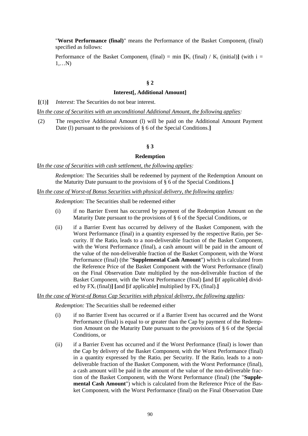"**Worst Performance (final)**" means the Performance of the Basket Component<sup>j</sup> (final) specified as follows:

Performance of the Basket Component<sub>i</sub> (final) = min  $[K_i$  (final) /  $K_i$  (initial)**]** (with i = 1,…N)

#### **§ 2**

#### **Interest[, Additional Amount]**

**[**(1)**]** *Interest*: The Securities do not bear interest.

**[***In the case of Securities with an unconditional Additional Amount, the following applies:*

(2) The respective Additional Amount (l) will be paid on the Additional Amount Payment Date (l) pursuant to the provisions of § 6 of the Special Conditions.**]**

#### **§ 3**

#### **Redemption**

#### **[***In the case of Securities with cash settlement, the following applies:*

*Redemption:* The Securities shall be redeemed by payment of the Redemption Amount on the Maturity Date pursuant to the provisions of § 6 of the Special Conditions*.***]**

### **[***In the case of Worst-of Bonus Securities with physical delivery, the following applies:*

*Redemption:* The Securities shall be redeemed either

- (i) if no Barrier Event has occurred by payment of the Redemption Amount on the Maturity Date pursuant to the provisions of § 6 of the Special Conditions, or
- (ii) if a Barrier Event has occurred by delivery of the Basket Component<sup>i</sup> with the Worst Performance (final) in a quantity expressed by the respective Ratio<sub>i</sub> per Security. If the Ratio<sub>i</sub> leads to a non-deliverable fraction of the Basket Component<sub>i</sub> with the Worst Performance (final), a cash amount will be paid in the amount of the value of the non-deliverable fraction of the Basket Component; with the Worst Performance (final) (the "**Supplemental Cash Amount**") which is calculated from the Reference Price of the Basket Component with the Worst Performance (final) on the Final Observation Date multiplied by the non-deliverable fraction of the Basket Component<sup>i</sup> with the Worst Performance (final) **[**and **[**if applicable**]** divided by  $FX_i$  (final)**]** [and [if applicable] multiplied by  $FX_i$  (final).]

**[***In the case of Worst-of Bonus Cap Securities with physical delivery, the following applies:*

*Redemption:* The Securities shall be redeemed either

- (i) if no Barrier Event has occurred or if a Barrier Event has occurred and the Worst Performance (final) is equal to or greater than the Cap by payment of the Redemption Amount on the Maturity Date pursuant to the provisions of § 6 of the Special Conditions, or
- (ii) if a Barrier Event has occurred and if the Worst Performance (final) is lower than the Cap by delivery of the Basket Component<sub>i</sub> with the Worst Performance (final) in a quantity expressed by the Ratio<sub>i</sub> per Security. If the Ratio<sub>i</sub> leads to a nondeliverable fraction of the Basket Component<sub>i</sub> with the Worst Performance (final), a cash amount will be paid in the amount of the value of the non-deliverable fraction of the Basket Component<sup>i</sup> with the Worst Performance (final) (the "**Supplemental Cash Amount**") which is calculated from the Reference Price of the Basket Component<sup>i</sup> with the Worst Performance (final) on the Final Observation Date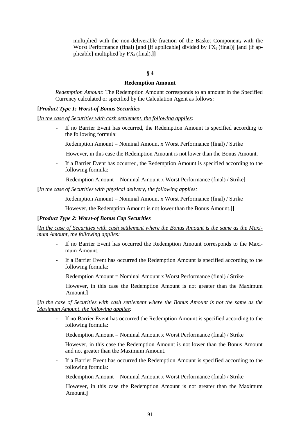multiplied with the non-deliverable fraction of the Basket Component<sup>i</sup> with the Worst Performance (final)  $\text{and}$   $\text{If}$  applicable $\text{]}$  divided by  $\text{FX}_i$  (final) $\text{]}$   $\text{and}$   $\text{If}$  applicable] multiplied by  $FX_i$  (final).]]

### **§ 4**

#### **Redemption Amount**

*Redemption Amount*: The Redemption Amount corresponds to an amount in the Specified Currency calculated or specified by the Calculation Agent as follows:

#### **[***Product Type 1: Worst-of Bonus Securities*

**[***In the case of Securities with cash settlement, the following applies:*

- If no Barrier Event has occurred, the Redemption Amount is specified according to the following formula:
	- Redemption Amount = Nominal Amount x Worst Performance (final) / Strike
	- However, in this case the Redemption Amount is not lower than the Bonus Amount.
- If a Barrier Event has occurred, the Redemption Amount is specified according to the following formula:
	- Redemption Amount = Nominal Amount x Worst Performance (final) / Strike**]**

### **[***In the case of Securities with physical delivery, the following applies:*

Redemption Amount = Nominal Amount x Worst Performance (final) / Strike

However, the Redemption Amount is not lower than the Bonus Amount.**]]**

## **[***Product Type 2: Worst-of Bonus Cap Securities*

**[***In the case of Securities with cash settlement where the Bonus Amount is the same as the Maximum Amount, the following applies:*

- *-* If no Barrier Event has occurred the Redemption Amount corresponds to the Maximum Amount.
- *-* If a Barrier Event has occurred the Redemption Amount is specified according to the following formula:

Redemption Amount = Nominal Amount x Worst Performance (final) / Strike

However, in this case the Redemption Amount is not greater than the Maximum Amount.**]**

### **[***In the case of Securities with cash settlement where the Bonus Amount is not the same as the Maximum Amount, the following applies:*

*-* If no Barrier Event has occurred the Redemption Amount is specified according to the following formula:

Redemption Amount = Nominal Amount x Worst Performance (final) / Strike

However, in this case the Redemption Amount is not lower than the Bonus Amount and not greater than the Maximum Amount.

If a Barrier Event has occurred the Redemption Amount is specified according to the following formula:

Redemption Amount = Nominal Amount x Worst Performance (final) / Strike

However, in this case the Redemption Amount is not greater than the Maximum Amount.**]**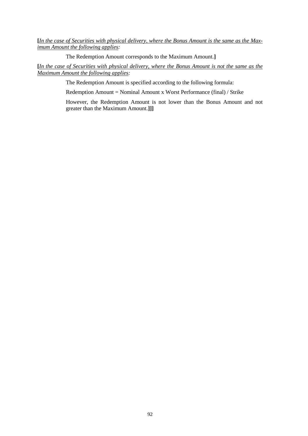**[***In the case of Securities with physical delivery, where the Bonus Amount is the same as the Maximum Amount the following applies:*

The Redemption Amount corresponds to the Maximum Amount.**]**

**[***In the case of Securities with physical delivery, where the Bonus Amount is not the same as the Maximum Amount the following applies:*

The Redemption Amount is specified according to the following formula:

Redemption Amount = Nominal Amount x Worst Performance (final) / Strike

However, the Redemption Amount is not lower than the Bonus Amount and not greater than the Maximum Amount.**]]]**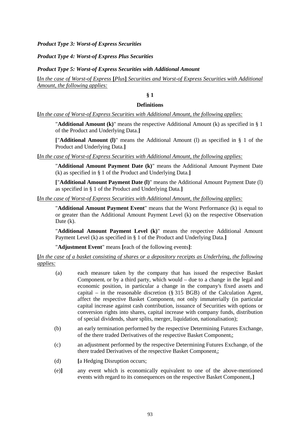*Product Type 3: Worst-of Express Securities*

*Product Type 4: Worst-of Express Plus Securities*

*Product Type 5: Worst-of Express Securities with Additional Amount*

**[***In the case of Worst-of Express* **[***Plus***]** *Securities and Worst-of Express Securities with Additional Amount, the following applies:*

# **§ 1**

### **Definitions**

**[***In the case of Worst-of Express Securities with Additional Amount, the following applies:*

"**Additional Amount (k)**" means the respective Additional Amount (k) as specified in § 1 of the Product and Underlying Data.**]**

**[**"**Additional Amount (l)**" means the Additional Amount (l) as specified in § 1 of the Product and Underlying Data.**]**

**[***In the case of Worst-of Express Securities with Additional Amount, the following applies:*

"**Additional Amount Payment Date (k)**" means the Additional Amount Payment Date (k) as specified in § 1 of the Product and Underlying Data.**]**

**[**"**Additional Amount Payment Date (l)**" means the Additional Amount Payment Date (l) as specified in § 1 of the Product and Underlying Data.**]**

**[***In the case of Worst-of Express Securities with Additional Amount, the following applies:*

"**Additional Amount Payment Event**" means that the Worst Performance (k) is equal to or greater than the Additional Amount Payment Level (k) on the respective Observation Date (k).

"**Additional Amount Payment Level (k)**" means the respective Additional Amount Payment Level (k) as specified in § 1 of the Product and Underlying Data.**]**

"**Adjustment Event**" means **[**each of the following events**]**:

**[***In the case of a basket consisting of shares or a depository receipts as Underlying, the following applies:*

- (a) each measure taken by the company that has issued the respective Basket Component<sub>i</sub> or by a third party, which would – due to a change in the legal and economic position, in particular a change in the company's fixed assets and capital – in the reasonable discretion (§ 315 BGB) of the Calculation Agent, affect the respective Basket Component, not only immaterially (in particular capital increase against cash contribution, issuance of Securities with options or conversion rights into shares, capital increase with company funds, distribution of special dividends, share splits, merger, liquidation, nationalisation);
- (b) an early termination performed by the respective Determining Futures Exchange<sub>i</sub> of the there traded Derivatives of the respective Basket Componenti;
- (c) an adjustment performed by the respective Determining Futures Exchange<sub>i</sub> of the there traded Derivatives of the respective Basket Component<sub>i</sub>;
- (d) **[**a Hedging Disruption occurs;
- (e)**]** any event which is economically equivalent to one of the above-mentioned events with regard to its consequences on the respective Basket Component<sub>i</sub>.]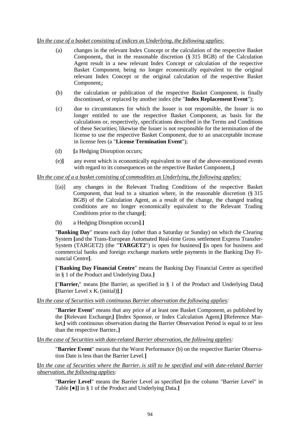## **[***In the case of a basket consisting of indices as Underlying, the following applies:*

- (a) changes in the relevant Index Concept or the calculation of the respective Basket Component<sub>i</sub>, that in the reasonable discretion (§ 315 BGB) of the Calculation Agent result in a new relevant Index Concept or calculation of the respective Basket Component<sub>i</sub> being no longer economically equivalent to the original relevant Index Concept or the original calculation of the respective Basket Component<sub>i</sub>;
- (b) the calculation or publication of the respective Basket Component<sub>i</sub> is finally discontinued, or replaced by another index (the "**Index Replacement Event**");
- (c) due to circumstances for which the Issuer is not responsible, the Issuer is no longer entitled to use the respective Basket Component<sub>i</sub> as basis for the calculations or, respectively, specifications described in the Terms and Conditions of these Securities; likewise the Issuer is not responsible for the termination of the license to use the respective Basket Component<sub>i</sub> due to an unacceptable increase in license fees (a "**License Termination Event**");
- (d) **[**a Hedging Disruption occurs;
- (e)**]** any event which is economically equivalent to one of the above-mentioned events with regard to its consequences on the respective Basket Component<sup>i</sup> .**]**

### **[***In the case of a a basket consisting of commodities as Underlying, the following applies:*

- [(a)] any changes in the Relevant Trading Conditions of the respective Basket Component<sub>i</sub> that lead to a situation where, in the reasonable discretion  $(\S 315)$ BGB) of the Calculation Agent, as a result of the change, the changed trading conditions are no longer economically equivalent to the Relevant Trading Conditions prior to the change**[**;
- (b) a Hedging Disruption occurs**]**.**]**

"**Banking Day**" means each day (other than a Saturday or Sunday) on which the Clearing System **[**and the Trans-European Automated Real-time Gross settlement Express Transfer-System (TARGET2) (the "**TARGET2**") is open for business**] [**is open for business and commercial banks and foreign exchange markets settle payments in the Banking Day Financial Centre**]**.

**[**"**Banking Day Financial Centre**" means the Banking Day Financial Centre as specified in § 1 of the Product and Underlying Data.**]**

**[**"**Barrieri**" means **[**the Barrier<sup>i</sup> as specified in § 1 of the Product and Underlying Data**] [**Barrier Level x K<sup>i</sup> (initial)**]**.**]**

**[***In the case of Securities with continuous Barrier observation the following applies:*

"**Barrier Event**" means that any price of at least one Basket Component<sub>i</sub> as published by the **[**Relevant Exchangei**] [**Index Sponsor<sup>i</sup> or Index Calculation Agenti**] [**Reference Marketi**]** with continuous observation during the Barrier Observation Period is equal to or less than the respective Barrier<sub>i</sub>.]

**[***In the case of Securities with date-related Barrier observation, the following applies:*

"**Barrier Event**" means that the Worst Performance (b) on the respective Barrier Observation Date is less than the Barrier Level.**]**

**[***In the case of Securities where the Barrier<sup>i</sup> is still to be specified and with date-related Barrier observation, the following applies:*

"**Barrier Level**" means the Barrier Level as specified **[**in the column "Barrier Level" in Table **[**●**]]** in § 1 of the Product and Underlying Data.**]**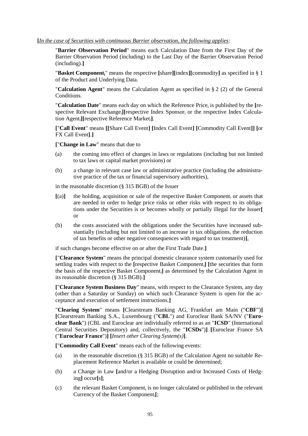### **[***In the case of Securities with continuous Barrier observation, the following applies:*

"**Barrier Observation Period**" means each Calculation Date from the First Day of the Barrier Observation Period (including) to the Last Day of the Barrier Observation Period (including).**]**

"**Basket Componenti**" means the respective **[**share**][**index**][**commodity**]** as specified in § 1 of the Product and Underlying Data.

"**Calculation Agent**" means the Calculation Agent as specified in § 2 (2) of the General Conditions.

"Calculation Date" means each day on which the Reference Price<sub>i</sub> is published by the [respective Relevant Exchange; *[*[respective Index Sponsor; or the respective Index Calculation Agenti**][**respective Reference Marketi**]**.

**[**"**Call Event**" means **[[**Share Call Event**] [**Index Call Event**] [**Commodity Call Event**]] [**or FX Call Event**]**.**]**

**[**"**Change in Law**" means that due to

- (a) the coming into effect of changes in laws or regulations (including but not limited to tax laws or capital market provisions) or
- (b) a change in relevant case law or administrative practice (including the administrative practice of the tax or financial supervisory authorities),

in the reasonable discretion (§ 315 BGB) of the Issuer

- $[(a)]$  the holding, acquisition or sale of the respective Basket Component<sub>i</sub> or assets that are needed in order to hedge price risks or other risks with respect to its obligations under the Securities is or becomes wholly or partially illegal for the Issuer**[** or
- (b) the costs associated with the obligations under the Securities have increased substantially (including but not limited to an increase in tax obligations, the reduction of tax benefits or other negative consequences with regard to tax treatment)**]**,

if such changes become effective on or after the First Trade Date.**]**

**[**"**Clearance System**" means the principal domestic clearance system customarily used for settling trades with respect to the **[**respective Basket Componenti**] [**the securities that form the basis of the respective Basket Componenti**]** as determined by the Calculation Agent in its reasonable discretion (§ 315 BGB).**]**

**[**"**Clearance System Business Day**" means, with respect to the Clearance System, any day (other than a Saturday or Sunday) on which such Clearance System is open for the acceptance and execution of settlement instructions.**]**

"**Clearing System**" means **[**Clearstream Banking AG, Frankfurt am Main ("**CBF**")**] [**Clearstream Banking S.A., Luxembourg ("**CBL**") and Euroclear Bank SA/NV ("**Euroclear Bank**") (CBL and Euroclear are individually referred to as an "**ICSD**" (International Central Securities Depository) and, collectively, the "**ICSDs**")**] [**Euroclear France SA ("**Euroclear France**")**] [***Insert other Clearing System(s)***]**.

**[**"**Commodity Call Event**" means each of the following events:

- (a) in the reasonable discretion (§ 315 BGB) of the Calculation Agent no suitable Replacement Reference Market is available or could be determined;
- (b) a Change in Law **[**and/or a Hedging Disruption and/or Increased Costs of Hedging**]** occur**[**s**]**;
- (c) the relevant Basket Component<sub>i</sub> is no longer calculated or published in the relevant Currency of the Basket Componenti**[**;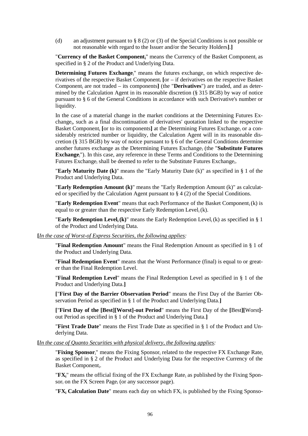(d) an adjustment pursuant to § 8 (2) or (3) of the Special Conditions is not possible or not reasonable with regard to the Issuer and/or the Security Holders**]**.**]**

"**Currency of the Basket Componenti**" means the Currency of the Basket Component<sup>i</sup> as specified in § 2 of the Product and Underlying Data.

**Determining Futures Exchange**<sup>"</sup> means the futures exchange, on which respective derivatives of the respective Basket Component<sup>i</sup> **[**or – if derivatives on the respective Basket Component<sub>i</sub> are not traded – its components] (the "**Derivatives**") are traded, and as determined by the Calculation Agent in its reasonable discretion (§ 315 BGB) by way of notice pursuant to § 6 of the General Conditions in accordance with such Derivative's number or liquidity.

In the case of a material change in the market conditions at the Determining Futures Exchange<sub>i</sub>, such as a final discontinuation of derivatives' quotation linked to the respective Basket Component<sub>i</sub> [or to its components] at the Determining Futures Exchange<sub>i</sub> or a considerably restricted number or liquidity, the Calculation Agent will in its reasonable discretion (§ 315 BGB) by way of notice pursuant to § 6 of the General Conditions determine another futures exchange as the Determining Futures Exchange<sup>i</sup> (the "**Substitute Futures Exchange**i"). In this case, any reference in these Terms and Conditions to the Determining Futures Exchange<sub>i</sub> shall be deemed to refer to the Substitute Futures Exchange<sub>i</sub>.

"**Early Maturity Date (k)**" means the "Early Maturity Date (k)" as specified in § 1 of the Product and Underlying Data.

"**Early Redemption Amount (k)**" means the "Early Redemption Amount (k)" as calculated or specified by the Calculation Agent pursuant to § 4 (2) of the Special Conditions.

"**Early Redemption Event**" means that each Performance of the Basket Componenti(k) is equal to or greater than the respective Early Redemption Level<sub>i</sub>(k).

**"Early Redemption Level<sub>i</sub> (k)**" means the Early Redemption Level<sub>i</sub> (k) as specified in  $\S$  1 of the Product and Underlying Data.

**[***In the case of Worst-of Express Securities, the following applies:*

"**Final Redemption Amount**" means the Final Redemption Amount as specified in § 1 of the Product and Underlying Data.

"**Final Redemption Event**" means that the Worst Performance (final) is equal to or greater than the Final Redemption Level.

"**Final Redemption Level**" means the Final Redemption Level as specified in § 1 of the Product and Underlying Data.**]**

**[**"**First Day of the Barrier Observation Period**" means the First Day of the Barrier Observation Period as specified in § 1 of the Product and Underlying Data.**]**

**[**"**First Day of the [Best][Worst]-out Period**" means the First Day of the **[**Best**][**Worst**]** out Period as specified in § 1 of the Product and Underlying Data.**]**

"**First Trade Date**" means the First Trade Date as specified in § 1 of the Product and Underlying Data.

**[***In the case of Quanto Securities with physical delivery, the following applies:*

"**Fixing Sponsor**i" means the Fixing Sponsor<sup>i</sup> related to the respective FX Exchange Rate<sup>i</sup> as specified in § 2 of the Product and Underlying Data for the respective Currency of the Basket Component<sub>i</sub>.

" $\mathbf{F} \mathbf{X}_i$ " means the official fixing of the FX Exchange Rate<sub>i</sub> as published by the Fixing Sponsor<sub>i</sub> on the FX Screen Page<sub>i</sub> (or any successor page).

"FX<sub>i</sub> Calculation Date" means each day on which FX<sub>i</sub> is published by the Fixing Sponso-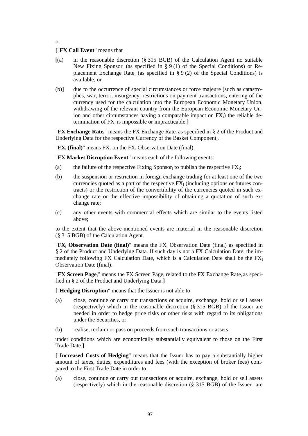ri .

### **[**"**FX Call Event**" means that

- **[**(a) in the reasonable discretion (§ 315 BGB) of the Calculation Agent no suitable New Fixing Sponsor<sub>i</sub> (as specified in  $\S 9(1)$  of the Special Conditions) or Replacement Exchange Rate<sub>i</sub> (as specified in § 9 (2) of the Special Conditions) is available; or
- (b)**]** due to the occurrence of special circumstances or force majeure (such as catastrophes, war, terror, insurgency, restrictions on payment transactions, entering of the currency used for the calculation into the European Economic Monetary Union, withdrawing of the relevant country from the European Economic Monetary Union and other circumstances having a comparable impact on  $FX_i$ ) the reliable determination of FX<sub>i</sub> is impossible or impracticable.]

"**FX** Exchange Rate<sub>i</sub>" means the FX Exchange Rate<sub>i</sub> as specified in § 2 of the Product and Underlying Data for the respective Currency of the Basket Componenti.

" $\mathbf{FX}_i$  (final)" means  $\mathbf{FX}_i$  on the  $\mathbf{FX}_i$  Observation Date (final).

"**FX Market Disruption Event**" means each of the following events:

- (a) the failure of the respective Fixing Sponsor<sub>i</sub> to publish the respective  $FX_i$ ;
- (b) the suspension or restriction in foreign exchange trading for at least one of the two currencies quoted as a part of the respective  $FX_i$  (including options or futures contracts) or the restriction of the convertibility of the currencies quoted in such exchange rate or the effective impossibility of obtaining a quotation of such exchange rate;
- (c) any other events with commercial effects which are similar to the events listed above;

to the extent that the above-mentioned events are material in the reasonable discretion (§ 315 BGB) of the Calculation Agent.

**TEX**<sup>i</sup> **Observation Date (final)** means the FX<sup>i</sup> Observation Date (final) as specified in § 2 of the Product and Underlying Data. If such day is not a FX Calculation Date, the immediately following FX Calculation Date, which is a Calculation Date shall be the  $FX_i$ Observation Date (final).

"**FX Screen Page**<sup>"</sup> means the FX Screen Page<sub>i</sub> related to the FX Exchange Rate<sub>i</sub> as specified in § 2 of the Product and Underlying Data.**]**

**[**"**Hedging Disruption**" means that the Issuer is not able to

- (a) close, continue or carry out transactions or acquire, exchange, hold or sell assets (respectively) which in the reasonable discretion (§ 315 BGB) of the Issuer are needed in order to hedge price risks or other risks with regard to its obligations under the Securities, or
- (b) realise, reclaim or pass on proceeds from such transactions or assets,

under conditions which are economically substantially equivalent to those on the First Trade Date.**]**

**[**"**Increased Costs of Hedging**" means that the Issuer has to pay a substantially higher amount of taxes, duties, expenditures and fees (with the exception of broker fees) compared to the First Trade Date in order to

(a) close, continue or carry out transactions or acquire, exchange, hold or sell assets (respectively) which in the reasonable discretion (§ 315 BGB) of the Issuer are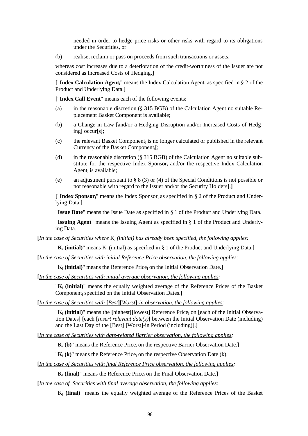needed in order to hedge price risks or other risks with regard to its obligations under the Securities, or

(b) realise, reclaim or pass on proceeds from such transactions or assets,

whereas cost increases due to a deterioration of the credit-worthiness of the Issuer are not considered as Increased Costs of Hedging.**]**

**[**"**Index Calculation Agenti**" means the Index Calculation Agent<sup>i</sup> as specified in § 2 of the Product and Underlying Data.**]**

**[**"**Index Call Event**" means each of the following events:

- (a) in the reasonable discretion (§ 315 BGB) of the Calculation Agent no suitable Replacement Basket Component is available;
- (b) a Change in Law **[**and/or a Hedging Disruption and/or Increased Costs of Hedging**]** occur**[**s**]**;
- (c) the relevant Basket Component<sub>i</sub> is no longer calculated or published in the relevant Currency of the Basket Componenti**[**;
- (d) in the reasonable discretion (§ 315 BGB) of the Calculation Agent no suitable substitute for the respective Index Sponsor<sup>i</sup> and/or the respective Index Calculation Agent<sub>i</sub> is available;
- (e) an adjustment pursuant to § 8 (3) or (4) of the Special Conditions is not possible or not reasonable with regard to the Issuer and/or the Security Holders**]**.**]**

**[**"**Index Sponsori**" means the Index Sponsor<sup>i</sup> as specified in § 2 of the Product and Underlying Data.**]**

"**Issue Date**" means the Issue Date as specified in § 1 of the Product and Underlying Data.

"**Issuing Agent**" means the Issuing Agent as specified in § 1 of the Product and Underlying Data.

**[***In the case of Securities where* K*<sup>i</sup> (initial) has already been specified, the following applies:*

"**K**<sup>i</sup> **(initial)**" means K<sup>i</sup> (initial) as specified in § 1 of the Product and Underlying Data.**]**

**[***In the case of Securities with initial Reference Price observation, the following applies:*

" $K_i$  (initial)" means the Reference Price<sub>i</sub> on the Initial Observation Date.]

**[***In the case of Securities with initial average observation, the following applies:*

"**K**<sup>i</sup> **(initial)**" means the equally weighted average of the Reference Prices of the Basket Component<sup>i</sup> specified on the Initial Observation Dates.**]**

**[***In the case of Securities with* **[***Best***][***Worst***]***-in observation, the following applies:*

"K<sub>i</sub> (initial)" means the [highest][lowest] Reference Price<sub>i</sub> on [each of the Initial Observation Dates**] [**each **[***Insert relevant date(s)***]** between the Initial Observation Date (including) and the Last Day of the **[**Best**] [**Worst**]**-in Period (including)].**]**

**[***In the case of Securities with date-related Barrier observation, the following applies:*

" $K_i$  (b)" means the Reference Price<sub>i</sub> on the respective Barrier Observation Date.]

" $K_i$  (k)" means the Reference Price<sub>i</sub> on the respective Observation Date (k).

**[***In the case of Securities with final Reference Price observation, the following applies:*

 $\mathbf{K}_i$  (final)<sup>"</sup> means the Reference Price<sub>i</sub> on the Final Observation Date.

**[***In the case of Securities with final average observation, the following applies:*

"**K**<sup>i</sup> **(final)**" means the equally weighted average of the Reference Prices of the Basket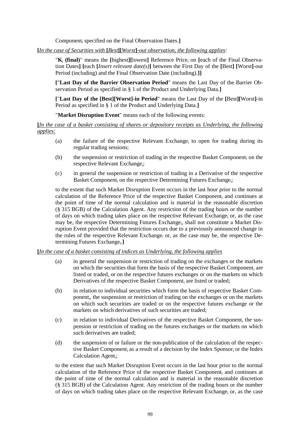Component<sup>i</sup> specified on the Final Observation Dates.**]**

**[***In the case of Securities with* **[***Best***][***Worst***]***-out observation, the following applies:*

"**K**<sup>i</sup> **(final)**" means the **[**highest**][**lowest**]** Reference Price<sup>i</sup> on **[**each of the Final Observation Dates**] [**each **[***Insert relevant date(s)***]** between the First Day of the **[**Best**] [**Worst**]**-out Period (including) and the Final Observation Date (including).**]]**

**[**"**Last Day of the Barrier Observation Period**" means the Last Day of the Barrier Observation Period as specified in § 1 of the Product and Underlying Data.**]**

**[**"**Last Day of the [Best][Worst]-in Period**" means the Last Day of the **[**Best**][**Worst**]**-in Period as specified in § 1 of the Product and Underlying Data.**]**

"**Market Disruption Event**" means each of the following events:

**[***In the case of a basket consisting of shares or depository receipts as Underlying, the following applies:*

- (a) the failure of the respective Relevant Exchange<sub>i</sub> to open for trading during its regular trading sessions;
- (b) the suspension or restriction of trading in the respective Basket Component<sub>i</sub> on the respective Relevant Exchange;
- (c) in general the suspension or restriction of trading in a Derivative of the respective Basket Component<sub>i</sub> on the respective Determining Futures Exchange<sub>i</sub>;

to the extent that such Market Disruption Event occurs in the last hour prior to the normal calculation of the Reference Price of the respective Basket Component<sup>i</sup> and continues at the point of time of the normal calculation and is material in the reasonable discretion (§ 315 BGB) of the Calculation Agent. Any restriction of the trading hours or the number of days on which trading takes place on the respective Relevant Exchange<sub>i</sub> or, as the case may be, the respective Determining Futures Exchange<sub>i</sub>, shall not constitute a Market Disruption Event provided that the restriction occurs due to a previously announced change in the rules of the respective Relevant Exchange<sup>i</sup> or, as the case may be, the respective Determining Futures Exchange<sub>i</sub>.]

### **[***In the case of a basket consisting of indices as Underlying, the following applies*

- (a) in general the suspension or restriction of trading on the exchanges or the markets on which the securities that form the basis of the respective Basket Component<sub>i</sub> are listed or traded, or on the respective futures exchanges or on the markets on which Derivatives of the respective Basket Component, are listed or traded;
- (b) in relation to individual securities which form the basis of respective Basket Component<sub>i</sub>, the suspension or restriction of trading on the exchanges or on the markets on which such securities are traded or on the respective futures exchange or the markets on which derivatives of such securities are traded;
- $(c)$  in relation to individual Derivatives of the respective Basket Component<sub>i</sub> the suspension or restriction of trading on the futures exchanges or the markets on which such derivatives are traded;
- (d) the suspension of or failure or the non-publication of the calculation of the respective Basket Component<sub>i</sub> as a result of a decision by the Index Sponsor<sub>i</sub> or the Index Calculation Agent<sub>i</sub>;

to the extent that such Market Disruption Event occurs in the last hour prior to the normal calculation of the Reference Price of the respective Basket Component<sup>i</sup> and continues at the point of time of the normal calculation and is material in the reasonable discretion (§ 315 BGB) of the Calculation Agent. Any restriction of the trading hours or the number of days on which trading takes place on the respective Relevant Exchange; or, as the case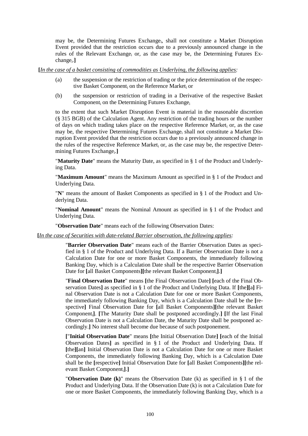may be, the Determining Futures Exchange<sub>i</sub>, shall not constitute a Market Disruption Event provided that the restriction occurs due to a previously announced change in the rules of the Relevant Exchange<sub>i</sub> or, as the case may be, the Determining Futures Exchange<sub>i</sub>.]

**[***In the case of a basket consisting of commodities as Underlying, the following applies:*

- (a) the suspension or the restriction of trading or the price determination of the respective Basket Component<sub>i</sub> on the Reference Market<sub>i</sub> or
- (b) the suspension or restriction of trading in a Derivative of the respective Basket Component, on the Determining Futures Exchange.

to the extent that such Market Disruption Event is material in the reasonable discretion (§ 315 BGB) of the Calculation Agent. Any restriction of the trading hours or the number of days on which trading takes place on the respective Reference Market, or, as the case may be, the respective Determining Futures Exchange<sub>i</sub> shall not constitute a Market Disruption Event provided that the restriction occurs due to a previously announced change in the rules of the respective Reference Market<sub>i</sub> or, as the case may be, the respective Determining Futures Exchange<sub>i</sub>.]

"**Maturity Date**" means the Maturity Date, as specified in § 1 of the Product and Underlying Data.

"**Maximum Amount**" means the Maximum Amount as specified in § 1 of the Product and Underlying Data.

"**N**" means the amount of Basket Components as specified in § 1 of the Product and Underlying Data.

"**Nominal Amount**" means the Nominal Amount as specified in § 1 of the Product and Underlying Data.

"**Observation Date**" means each of the following Observation Dates:

**[***In the case of Securities with date-related Barrier observation, the following applies:*

"**Barrier Observation Date**" means each of the Barrier Observation Dates as specified in § 1 of the Product and Underlying Data. If a Barrier Observation Date is not a Calculation Date for one or more Basket Components, the immediately following Banking Day, which is a Calculation Date shall be the respective Barrier Observation Date for **[**all Basket Components**][**the relevant Basket Componenti**]**.**]**

"**Final Observation Date**" means **[**the Final Observation Date**] [**each of the Final Observation Dates**]** as specified in § 1 of the Product and Underlying Data. If **[**the**][**a**]** Final Observation Date is not a Calculation Date for one or more Basket Components, the immediately following Banking Day, which is a Calculation Date shall be the **[**respective**]** Final Observation Date for **[**all Basket Components**][**the relevant Basket Componenti**]**. **[**The Maturity Date shall be postponed accordingly.**] [**If the last Final Observation Date is not a Calculation Date, the Maturity Date shall be postponed accordingly.**]** No interest shall become due because of such postponement.

**[**"**Initial Observation Date**" means **[**the Initial Observation Date**] [**each of the Initial Observation Dates**]** as specified in § 1 of the Product and Underlying Data. If **[**the**][**an**]** Initial Observation Date is not a Calculation Date for one or more Basket Components, the immediately following Banking Day, which is a Calculation Date shall be the **[**respective**]** Initial Observation Date for **[**all Basket Components**][**the relevant Basket Componenti**]**.**]**

"**Observation Date (k)**" means the Observation Date (k) as specified in § 1 of the Product and Underlying Data. If the Observation Date (k) is not a Calculation Date for one or more Basket Components, the immediately following Banking Day, which is a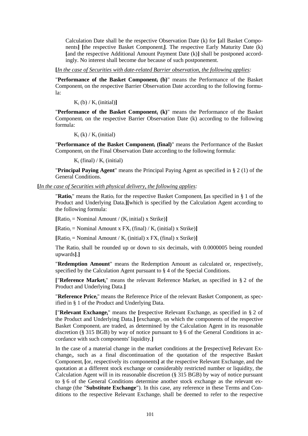Calculation Date shall be the respective Observation Date (k) for **[**all Basket Components**] [**the respective Basket Componenti**]**. The respective Early Maturity Date (k) **[**and the respective Additional Amount Payment Date (k)**]** shall be postponed accordingly. No interest shall become due because of such postponement.

**[***In the case of Securities with date-related Barrier observation, the following applies:*

"**Performance of the Basket Component<sup>i</sup> (b)**" means the Performance of the Basket Component<sup>i</sup> on the respective Barrier Observation Date according to the following formula:

 $K_i$  (b) /  $K_i$  (initial)]

"**Performance of the Basket Component<sup>i</sup> (k)**" means the Performance of the Basket Component<sub>i</sub> on the respective Barrier Observation Date  $(k)$  according to the following formula:

 $K_i$  (k) /  $K_i$  (initial)

"**Performance of the Basket Component<sup>i</sup> (final)**" means the Performance of the Basket Component<sub>i</sub> on the Final Observation Date according to the following formula:

 $K_i$  (final) /  $K_i$  (initial)

"**Principal Paying Agent**" means the Principal Paying Agent as specified in § 2 (1) of the General Conditions.

**[***In the case of Securities with physical delivery, the following applies:*

"Ratio<sub>i</sub>" means the Ratio<sub>i</sub> for the respective Basket Component<sub>i</sub> [as specified in § 1 of the Product and Underlying Data.**][**which is specified by the Calculation Agent according to the following formula:

 $[Ratio_i = Nominal Amount / (K_i initial) x Strike)]$ 

 $[Ratio_i = Nominal Amount x FX_i (final) / K_i (initial) x Strike]$ 

 $[Ratio_i = Nominal Amount / K_i (initial) \times FX_i (final) \times Strike)]$ 

The Ratio<sub>i</sub> shall be rounded up or down to six decimals, with 0.0000005 being rounded upwards**]**.**]**

"**Redemption Amount**" means the Redemption Amount as calculated or, respectively, specified by the Calculation Agent pursuant to § 4 of the Special Conditions.

**[**"**Reference Marketi**" means the relevant Reference Market<sup>i</sup> as specified in § 2 of the Product and Underlying Data.**]**

"**Reference Pricei**" means the Reference Price of the relevant Basket Component<sup>i</sup> as specified in § 1 of the Product and Underlying Data.

**[**"**Relevant Exchangei**" means the **[**respective Relevant Exchange<sup>i</sup> as specified in § 2 of the Product and Underlying Data.**] [**exchange, on which the components of the respective Basket Component, are traded, as determined by the Calculation Agent in its reasonable discretion (§ 315 BGB) by way of notice pursuant to § 6 of the General Conditions in accordance with such components' liquidity.**]**

In the case of a material change in the market conditions at the **[**respective**]** Relevant Exchange<sub>i</sub>, such as a final discontinuation of the quotation of the respective Basket Component<sup>i</sup> **[**or, respectively its components**]** at the respective Relevant Exchange<sup>i</sup> and the quotation at a different stock exchange or considerably restricted number or liquidity, the Calculation Agent will in its reasonable discretion (§ 315 BGB) by way of notice pursuant to § 6 of the General Conditions determine another stock exchange as the relevant exchange (the "**Substitute Exchange**"). In this case, any reference in these Terms and Conditions to the respective Relevant Exchange; shall be deemed to refer to the respective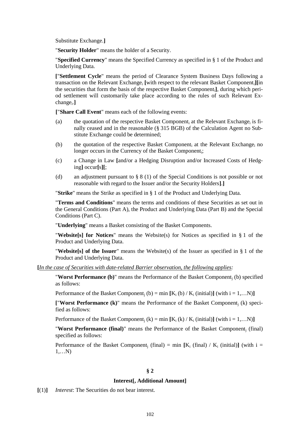Substitute Exchange.**]**

"**Security Holder**" means the holder of a Security.

"**Specified Currency**" means the Specified Currency as specified in § 1 of the Product and Underlying Data.

**[**"**Settlement Cycle**" means the period of Clearance System Business Days following a transaction on the Relevant Exchange<sub>i</sub> [with respect to the relevant Basket Component<sub>i</sub>][in the securities that form the basis of the respective Basket Componenti**]**, during which period settlement will customarily take place according to the rules of such Relevant Exchange<sub>i</sub>.]

**[**"**Share Call Event**" means each of the following events:

- (a) the quotation of the respective Basket Component<sub>i</sub> at the Relevant Exchange<sub>i</sub> is finally ceased and in the reasonable (§ 315 BGB) of the Calculation Agent no Substitute Exchange could be determined;
- (b) the quotation of the respective Basket Component<sub>i</sub> at the Relevant Exchange<sub>i</sub> no longer occurs in the Currency of the Basket Componenti;
- (c) a Change in Law **[**and/or a Hedging Disruption and/or Increased Costs of Hedging**]** occur**[**s**][**;
- (d) an adjustment pursuant to  $\S 8 (1)$  of the Special Conditions is not possible or not reasonable with regard to the Issuer and/or the Security Holders**]**.**]**

"**Strike**" means the Strike as specified in § 1 of the Product and Underlying Data.

"**Terms and Conditions**" means the terms and conditions of these Securities as set out in the General Conditions (Part A), the Product and Underlying Data (Part B) and the Special Conditions (Part C).

"**Underlying**" means a Basket consisting of the Basket Components.

"**Website[s] for Notices**" means the Website(s) for Notices as specified in § 1 of the Product and Underlying Data.

"**Website[s] of the Issuer**" means the Website(s) of the Issuer as specified in § 1 of the Product and Underlying Data.

**[***In the case of Securities with date-related Barrier observation, the following applies:*

**"Worst Performance (b)"** means the Performance of the Basket Component<sub>i</sub> (b) specified as follows:

Performance of the Basket Component; (b) = min  $[K_i (b) / K_i$  (initial)**]** (with  $i = 1,...N$ )**]** 

**[**"**Worst Performance (k)**" means the Performance of the Basket Component<sup>j</sup> (k) specified as follows:

Performance of the Basket Component<sub>i</sub> (k) = min  $[K_i (k) / K_i$  (initial)] (with i = 1,...N)

"**Worst Performance (final)**" means the Performance of the Basket Component<sup>j</sup> (final) specified as follows:

Performance of the Basket Component<sub>i</sub> (final) = min  $[K_i$  (final) /  $K_i$  (initial)] (with i = 1,…N)

### **§ 2**

#### **Interest[, Additional Amount]**

**[**(1)**]** *Interest*: The Securities do not bear interest.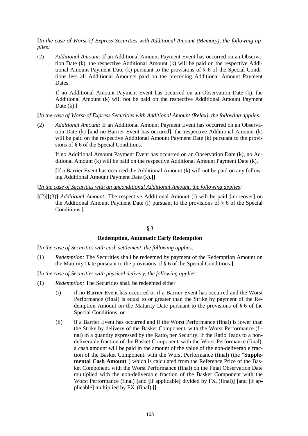## **[***In the case of Worst-of Express Securities with Additional Amount (Memory), the following applies:*

(2) *Additional Amount:* If an Additional Amount Payment Event has occurred on an Observation Date (k), the respective Additional Amount (k) will be paid on the respective Additional Amount Payment Date (k) pursuant to the provisions of § 6 of the Special Conditions less all Additional Amounts paid on the preceding Additional Amount Payment Dates.

If no Additional Amount Payment Event has occurred on an Observation Date (k), the Additional Amount (k) will not be paid on the respective Additional Amount Payment Date (k).**]**

**[***In the case of Worst-of Express Securities with Additional Amount (Relax), the following applies:*

(2) *Additional Amount:* If an Additional Amount Payment Event has occurred on an Observation Date (k) **[**and no Barrier Event has occured**]**, the respective Additional Amount (k) will be paid on the respective Additional Amount Payment Date (k) pursuant to the provisions of § 6 of the Special Conditions.

If no Additional Amount Payment Event has occurred on an Observation Date (k), no Additional Amount (k) will be paid on the respective Additional Amount Payment Date (k).

**[**If a Barrier Event has occurred the Additional Amount (k) will not be paid on any following Additional Amount Payment Date (k).**]]**

### **[***In the case of Securities with an unconditional Additional Amount, the following applies:*

**[**(2)**][**(3)**]** *Additional Amount:* The respective Additional Amount (l) will be paid **[**moreover**]** on the Additional Amount Payment Date (l) pursuant to the provisions of § 6 of the Special Conditions.**]**

# **§ 3**

### **Redemption, Automatic Early Redemption**

**[***In the case of Securities with cash settlement, the following applies:*

(1) *Redemption:* The Securities shall be redeemed by payment of the Redemption Amount on the Maturity Date pursuant to the provisions of § 6 of the Special Conditions*.***]**

**[***In the case of Securities with physical delivery, the following applies:*

- (1) *Redemption:* The Securities shall be redeemed either
	- (i) if no Barrier Event has occurred or if a Barrier Event has occurred and the Worst Performance (final) is equal to or greater than the Strike by payment of the Redemption Amount on the Maturity Date pursuant to the provisions of § 6 of the Special Conditions, or
	- (ii) if a Barrier Event has occurred and if the Worst Performance (final) is lower than the Strike by delivery of the Basket Component; with the Worst Performance (final) in a quantity expressed by the Ratio<sub>i</sub> per Security. If the Ratio<sub>i</sub> leads to a nondeliverable fraction of the Basket Component; with the Worst Performance (final). a cash amount will be paid in the amount of the value of the non-deliverable fraction of the Basket Component; with the Worst Performance (final) (the "**Supplemental Cash Amount**") which is calculated from the Reference Price of the Basket Component; with the Worst Performance (final) on the Final Observation Date multiplied with the non-deliverable fraction of the Basket Component with the Worst Performance (final) [and [if applicable] divided by  $FX_i$  (final)] [and [if applicable] multiplied by  $FX_i$  (final).]]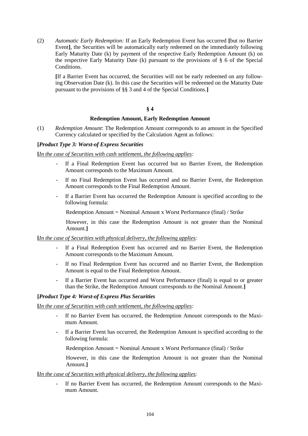(2) *Automatic Early Redemption:* If an Early Redemption Event has occurred **[**but no Barrier Event**]**, the Securities will be automatically early redeemed on the immediately following Early Maturity Date (k) by payment of the respective Early Redemption Amount (k) on the respective Early Maturity Date (k) pursuant to the provisions of § 6 of the Special Conditions.

**[**If a Barrier Event has occurred, the Securities will not be early redeemed on any following Observation Date (k). In this case the Securities will be redeemed on the Maturity Date pursuant to the provisions of §§ 3 and 4 of the Special Conditions.**]**

### **§ 4**

### **Redemption Amount, Early Redemption Amount**

(1) *Redemption Amount*: The Redemption Amount corresponds to an amount in the Specified Currency calculated or specified by the Calculation Agent as follows:

### **[***Product Type 3: Worst-of Express Securities*

**[***In the case of Securities with cash settlement, the following applies:*

- If a Final Redemption Event has occurred but no Barrier Event, the Redemption Amount corresponds to the Maximum Amount.
- *-* If no Final Redemption Event has occurred and no Barrier Event, the Redemption Amount corresponds to the Final Redemption Amount.
- *-* If a Barrier Event has occurred the Redemption Amount is specified according to the following formula:

Redemption Amount = Nominal Amount x Worst Performance (final) / Strike

However, in this case the Redemption Amount is not greater than the Nominal Amount.**]**

#### **[***In the case of Securities with physical delivery, the following applies:*

- If a Final Redemption Event has occurred and no Barrier Event, the Redemption Amount corresponds to the Maximum Amount.
- *-* If no Final Redemption Event has occurred and no Barrier Event, the Redemption Amount is equal to the Final Redemption Amount.
- *-* If a Barrier Event has occurred and Worst Performance (final) is equal to or greater than the Strike, the Redemption Amount corresponds to the Nominal Amount.**]**

#### **[***Product Type 4: Worst-of Express Plus Securities*

**[***In the case of Securities with cash settlement, the following applies:*

- *-* If no Barrier Event has occurred, the Redemption Amount corresponds to the Maximum Amount.
- *-* If a Barrier Event has occurred, the Redemption Amount is specified according to the following formula:

Redemption Amount = Nominal Amount x Worst Performance (final) / Strike

However, in this case the Redemption Amount is not greater than the Nominal Amount.**]**

#### **[***In the case of Securities with physical delivery, the following applies:*

*-* If no Barrier Event has occurred, the Redemption Amount corresponds to the Maximum Amount.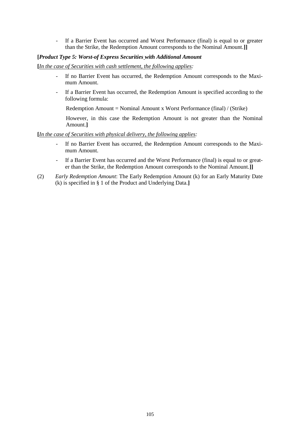If a Barrier Event has occurred and Worst Performance (final) is equal to or greater than the Strike, the Redemption Amount corresponds to the Nominal Amount.**]]**

### **[***Product Type 5: Worst-of Express Securities with Additional Amount*

**[***In the case of Securities with cash settlement, the following applies:*

- If no Barrier Event has occurred, the Redemption Amount corresponds to the Maximum Amount.
- *-* If a Barrier Event has occurred, the Redemption Amount is specified according to the following formula:

Redemption Amount = Nominal Amount x Worst Performance (final) / (Strike)

However, in this case the Redemption Amount is not greater than the Nominal Amount.**]**

### **[***In the case of Securities with physical delivery, the following applies:*

- If no Barrier Event has occurred, the Redemption Amount corresponds to the Maximum Amount.
- *-* If a Barrier Event has occurred and the Worst Performance (final) is equal to or greater than the Strike, the Redemption Amount corresponds to the Nominal Amount.**]]**
- (2) *Early Redemption Amount*: The Early Redemption Amount (k) for an Early Maturity Date (k) is specified in § 1 of the Product and Underlying Data.**]**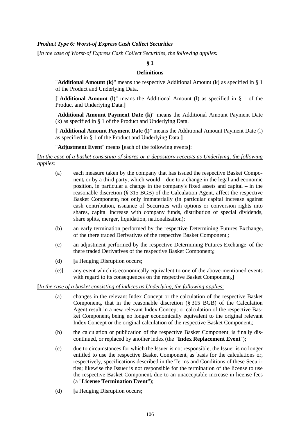# *Product Type 6: Worst-of Express Cash Collect Securities*

**[***In the case of Worst-of Express Cash Collect Securities, the following applies:*

# **§ 1**

### **Definitions**

"**Additional Amount (k)**" means the respective Additional Amount (k) as specified in § 1 of the Product and Underlying Data.

**[**"**Additional Amount (l)**" means the Additional Amount (l) as specified in § 1 of the Product and Underlying Data.**]**

"**Additional Amount Payment Date (k)**" means the Additional Amount Payment Date (k) as specified in § 1 of the Product and Underlying Data.

**[**"**Additional Amount Payment Date (l)**" means the Additional Amount Payment Date (l) as specified in § 1 of the Product and Underlying Data.**]**

"**Adjustment Event**" means **[**each of the following events**]**:

**[***In the case of a basket consisting of shares or a depository receipts as Underlying, the following applies:*

- (a) each measure taken by the company that has issued the respective Basket Component<sup>i</sup> or by a third party, which would – due to a change in the legal and economic position, in particular a change in the company's fixed assets and capital – in the reasonable discretion (§ 315 BGB) of the Calculation Agent, affect the respective Basket Component<sub>i</sub> not only immaterially (in particular capital increase against cash contribution, issuance of Securities with options or conversion rights into shares, capital increase with company funds, distribution of special dividends, share splits, merger, liquidation, nationalisation);
- (b) an early termination performed by the respective Determining Futures Exchange<sub>i</sub> of the there traded Derivatives of the respective Basket Componenti;
- (c) an adjustment performed by the respective Determining Futures Exchange<sub>i</sub> of the there traded Derivatives of the respective Basket Component<sub>i</sub>;
- (d) **[**a Hedging Disruption occurs;
- (e)**]** any event which is economically equivalent to one of the above-mentioned events with regard to its consequences on the respective Basket Component<sup>i</sup> .**]**

# **[***In the case of a basket consisting of indices as Underlying, the following applies:*

- (a) changes in the relevant Index Concept or the calculation of the respective Basket Component<sub>i</sub>, that in the reasonable discretion (§ 315 BGB) of the Calculation Agent result in a new relevant Index Concept or calculation of the respective Basket Component; being no longer economically equivalent to the original relevant Index Concept or the original calculation of the respective Basket Component<sub>i</sub>;
- (b) the calculation or publication of the respective Basket Component<sub>i</sub> is finally discontinued, or replaced by another index (the "**Index Replacement Event**");
- (c) due to circumstances for which the Issuer is not responsible, the Issuer is no longer entitled to use the respective Basket Component<sub>i</sub> as basis for the calculations or, respectively, specifications described in the Terms and Conditions of these Securities; likewise the Issuer is not responsible for the termination of the license to use the respective Basket Component; due to an unacceptable increase in license fees (a "**License Termination Event**");
- (d) **[**a Hedging Disruption occurs;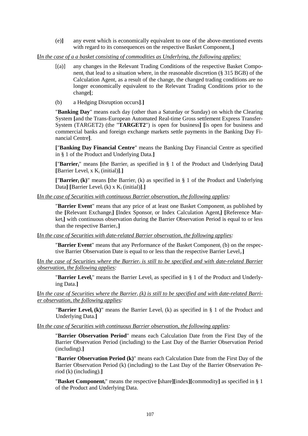(e)**]** any event which is economically equivalent to one of the above-mentioned events with regard to its consequences on the respective Basket Component<sup>i</sup> .**]**

**[***In the case of a a basket consisting of commodities as Underlying, the following applies:*

- [(a)] any changes in the Relevant Trading Conditions of the respective Basket Component<sub>i</sub> that lead to a situation where, in the reasonable discretion (§ 315 BGB) of the Calculation Agent, as a result of the change, the changed trading conditions are no longer economically equivalent to the Relevant Trading Conditions prior to the change**[**;
- (b) a Hedging Disruption occurs**]**.**]**

"**Banking Day**" means each day (other than a Saturday or Sunday) on which the Clearing System **[**and the Trans-European Automated Real-time Gross settlement Express Transfer-System (TARGET2) (the "**TARGET2**") is open for business**] [**is open for business and commercial banks and foreign exchange markets settle payments in the Banking Day Financial Centre**]**.

**[**"**Banking Day Financial Centre**" means the Banking Day Financial Centre as specified in § 1 of the Product and Underlying Data.**]**

**[**"**Barrieri**" means **[**the Barrier<sup>i</sup> as specified in § 1 of the Product and Underlying Data**] [**Barrier Level<sup>i</sup> x K<sup>i</sup> (initial)**]**.**]**

**["Barrier<sub>i</sub> (k)"** means [the Barrier<sub>i</sub> (k) as specified in  $\S$  1 of the Product and Underlying Data**]** [Barrier Level<sub>i</sub> (k) x  $K_i$  (initial)].]

**[***In the case of Securities with continuous Barrier observation, the following applies:*

**"Barrier Event"** means that any price of at least one Basket Component, as published by the **[**Relevant Exchangei**] [**Index Sponsor<sup>i</sup> or Index Calculation Agenti**] [**Reference Marketi**]** with continuous observation during the Barrier Observation Period is equal to or less than the respective Barrier<sub>i</sub>.]

**[***In the case of Securities with date-related Barrier observation, the following applies:*

"**Barrier Event**" means that any Performance of the Basket Component<sup>i</sup> (b) on the respective Barrier Observation Date is equal to or less than the respective Barrier Level<sup>i</sup> .**]**

**[***In the case of Securities where the Barrier<sup>i</sup> is still to be specified and with date-related Barrier observation, the following applies:*

"**Barrier Leveli**" means the Barrier Level<sup>i</sup> as specified in § 1 of the Product and Underlying Data.**]**

**[***In the case of Securities where the Barrier<sup>i</sup> (k) is still to be specified and with date-related Barrier observation, the following applies:*

"**Barrier Level**<sub>i</sub> (k)" means the Barrier Level<sub>i</sub> (k) as specified in § 1 of the Product and Underlying Data.**]**

**[***In the case of Securities with continuous Barrier observation, the following applies:*

"**Barrier Observation Period**" means each Calculation Date from the First Day of the Barrier Observation Period (including) to the Last Day of the Barrier Observation Period (including).**]**

"**Barrier Observation Period (k)**" means each Calculation Date from the First Day of the Barrier Observation Period (k) (including) to the Last Day of the Barrier Observation Period (k) (including).**]**

"**Basket Componenti**" means the respective **[**share**][**index**][**commodity**]** as specified in § 1 of the Product and Underlying Data.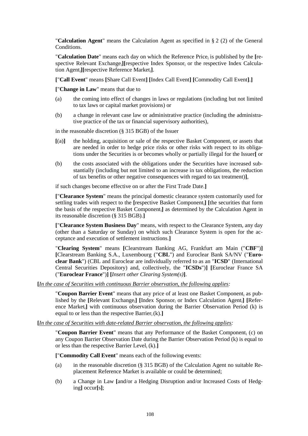"**Calculation Agent**" means the Calculation Agent as specified in § 2 (2) of the General Conditions.

"Calculation Date" means each day on which the Reference Price<sub>i</sub> is published by the [respective Relevant Exchange<sub>i</sub>][respective Index Sponsor<sub>i</sub> or the respective Index Calculation Agenti**][**respective Reference Marketi**]**.

**[**"**Call Event**" means **[**Share Call Event**] [**Index Call Event**] [**Commodity Call Event**]**.**]**

**[**"**Change in Law**" means that due to

- (a) the coming into effect of changes in laws or regulations (including but not limited to tax laws or capital market provisions) or
- (b) a change in relevant case law or administrative practice (including the administrative practice of the tax or financial supervisory authorities),

in the reasonable discretion (§ 315 BGB) of the Issuer

- $[(a)]$  the holding, acquisition or sale of the respective Basket Component<sub>i</sub> or assets that are needed in order to hedge price risks or other risks with respect to its obligations under the Securities is or becomes wholly or partially illegal for the Issuer**[** or
- (b) the costs associated with the obligations under the Securities have increased substantially (including but not limited to an increase in tax obligations, the reduction of tax benefits or other negative consequences with regard to tax treatment)**]**,

if such changes become effective on or after the First Trade Date.**]**

**[**"**Clearance System**" means the principal domestic clearance system customarily used for settling trades with respect to the **[**respective Basket Component<sub>i</sub>] [the securities that form the basis of the respective Basket Componenti**]** as determined by the Calculation Agent in its reasonable discretion (§ 315 BGB).**]**

**[**"**Clearance System Business Day**" means, with respect to the Clearance System, any day (other than a Saturday or Sunday) on which such Clearance System is open for the acceptance and execution of settlement instructions.**]**

"**Clearing System**" means **[**Clearstream Banking AG, Frankfurt am Main ("**CBF**")**] [**Clearstream Banking S.A., Luxembourg ("**CBL**") and Euroclear Bank SA/NV ("**Euroclear Bank**") (CBL and Euroclear are individually referred to as an "**ICSD**" (International Central Securities Depository) and, collectively, the "**ICSDs**")**] [**Euroclear France SA ("**Euroclear France**")**] [***Insert other Clearing System(s)***]**.

**[***In the case of Securities with continuous Barrier observation, the following applies:*

"**Coupon Barrier Event**" means that any price of at least one Basket Component<sub>i</sub> as published by the [Relevant Exchange<sub>i</sub>] [Index Sponsor<sub>i</sub> or Index Calculation Agent<sub>i</sub>] [Reference Marketi**]** with continuous observation during the Barrier Observation Period (k) is equal to or less than the respective Barrier<sub>i</sub> $(k)$ .

**[***In the case of Securities with date-related Barrier observation, the following applies:*

"**Coupon Barrier Event**" means that any Performance of the Basket Component<sup>i</sup> (c) on any Coupon Barrier Observation Date during the Barrier Observation Period (k) is equal to or less than the respective Barrier Level<sup>i</sup> (k).**]**

**[**"**Commodity Call Event**" means each of the following events:

- (a) in the reasonable discretion (§ 315 BGB) of the Calculation Agent no suitable Replacement Reference Market is available or could be determined;
- (b) a Change in Law **[**and/or a Hedging Disruption and/or Increased Costs of Hedging**]** occur**[**s**]**;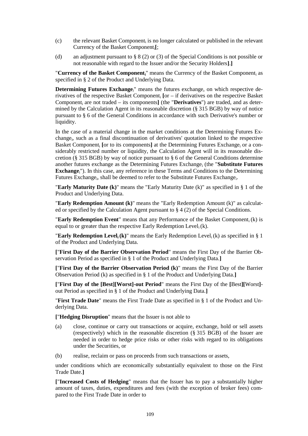- (c) the relevant Basket Component<sub>i</sub> is no longer calculated or published in the relevant Currency of the Basket Componenti**[**;
- (d) an adjustment pursuant to § 8 (2) or (3) of the Special Conditions is not possible or not reasonable with regard to the Issuer and/or the Security Holders**]**.**]**

"**Currency of the Basket Componenti**" means the Currency of the Basket Component<sup>i</sup> as specified in § 2 of the Product and Underlying Data.

**Determining Futures Exchange**<sup>"</sup> means the futures exchange, on which respective derivatives of the respective Basket Component<sup>i</sup> **[**or – if derivatives on the respective Basket Component<sub>i</sub> are not traded – its components] (the "**Derivatives**") are traded, and as determined by the Calculation Agent in its reasonable discretion (§ 315 BGB) by way of notice pursuant to § 6 of the General Conditions in accordance with such Derivative's number or liquidity.

In the case of a material change in the market conditions at the Determining Futures Exchange<sub>i</sub>, such as a final discontinuation of derivatives' quotation linked to the respective Basket Component<sub>i</sub> [or to its components] at the Determining Futures Exchange<sub>i</sub> or a considerably restricted number or liquidity, the Calculation Agent will in its reasonable discretion (§ 315 BGB) by way of notice pursuant to § 6 of the General Conditions determine another futures exchange as the Determining Futures Exchange<sup>i</sup> (the "**Substitute Futures Exchange**i"). In this case, any reference in these Terms and Conditions to the Determining Futures Exchange<sub>i</sub>, shall be deemed to refer to the Substitute Futures Exchange<sub>i</sub>.

"**Early Maturity Date (k)**" means the "Early Maturity Date (k)" as specified in § 1 of the Product and Underlying Data.

"**Early Redemption Amount (k)**" means the "Early Redemption Amount (k)" as calculated or specified by the Calculation Agent pursuant to § 4 (2) of the Special Conditions.

"**Early Redemption Event**" means that any Performance of the Basket Component<sup>i</sup> (k) is equal to or greater than the respective Early Redemption Level,  $(k)$ .

**"Early Redemption Level<sub>i</sub>** (k)" means the Early Redemption Level<sub>i</sub> (k) as specified in  $\S$  1 of the Product and Underlying Data.

**[**"**First Day of the Barrier Observation Period**" means the First Day of the Barrier Observation Period as specified in § 1 of the Product and Underlying Data.**]**

**[**"**First Day of the Barrier Observation Period (k)**" means the First Day of the Barrier Observation Period (k) as specified in § 1 of the Product and Underlying Data.**]**

**[**"**First Day of the [Best][Worst]-out Period**" means the First Day of the **[**Best**][**Worst**]** out Period as specified in § 1 of the Product and Underlying Data.**]**

"**First Trade Date**" means the First Trade Date as specified in § 1 of the Product and Underlying Data.

**[**"**Hedging Disruption**" means that the Issuer is not able to

- (a) close, continue or carry out transactions or acquire, exchange, hold or sell assets (respectively) which in the reasonable discretion (§ 315 BGB) of the Issuer are needed in order to hedge price risks or other risks with regard to its obligations under the Securities, or
- (b) realise, reclaim or pass on proceeds from such transactions or assets,

under conditions which are economically substantially equivalent to those on the First Trade Date.**]**

**[**"**Increased Costs of Hedging**" means that the Issuer has to pay a substantially higher amount of taxes, duties, expenditures and fees (with the exception of broker fees) compared to the First Trade Date in order to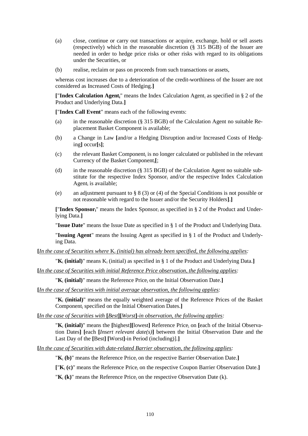- (a) close, continue or carry out transactions or acquire, exchange, hold or sell assets (respectively) which in the reasonable discretion (§ 315 BGB) of the Issuer are needed in order to hedge price risks or other risks with regard to its obligations under the Securities, or
- (b) realise, reclaim or pass on proceeds from such transactions or assets,

whereas cost increases due to a deterioration of the credit-worthiness of the Issuer are not considered as Increased Costs of Hedging.**]**

**[**"**Index Calculation Agenti**" means the Index Calculation Agent<sup>i</sup> as specified in § 2 of the Product and Underlying Data.**]**

**[**"**Index Call Event**" means each of the following events:

- (a) in the reasonable discretion (§ 315 BGB) of the Calculation Agent no suitable Replacement Basket Component is available;
- (b) a Change in Law **[**and/or a Hedging Disruption and/or Increased Costs of Hedging**]** occur**[**s**]**;
- (c) the relevant Basket Component<sub>i</sub> is no longer calculated or published in the relevant Currency of the Basket Componenti**[**;
- (d) in the reasonable discretion (§ 315 BGB) of the Calculation Agent no suitable substitute for the respective Index Sponsor<sub>i</sub> and/or the respective Index Calculation Agent<sub>i</sub> is available;
- (e) an adjustment pursuant to § 8 (3) or (4) of the Special Conditions is not possible or not reasonable with regard to the Issuer and/or the Security Holders**]**.**]**

**[**"**Index Sponsori**" means the Index Sponsor<sup>i</sup> as specified in § 2 of the Product and Underlying Data.**]**

"**Issue Date**" means the Issue Date as specified in § 1 of the Product and Underlying Data.

"**Issuing Agent**" means the Issuing Agent as specified in § 1 of the Product and Underlying Data.

**[***In the case of Securities where* K*<sup>i</sup> (initial) has already been specified, the following applies:*

" $\mathbf{K}_i$  (initial)" means  $\mathbf{K}_i$  (initial) as specified in § 1 of the Product and Underlying Data.

**[***In the case of Securities with initial Reference Price observation, the following applies:*

" $K_i$  (initial)" means the Reference Price<sub>i</sub> on the Initial Observation Date.]

**[***In the case of Securities with initial average observation, the following applies:*

"**K**<sup>i</sup> **(initial)**" means the equally weighted average of the Reference Prices of the Basket Component<sup>i</sup> specified on the Initial Observation Dates.**]**

**[***In the case of Securities with* **[***Best***][***Worst***]***-in observation, the following applies:*

"**K**<sup>i</sup> **(initial)**" means the **[**highest**][**lowest**]** Reference Price<sup>i</sup> on **[**each of the Initial Observation Dates**] [**each **[***Insert relevant date(s)***]** between the Initial Observation Date and the Last Day of the **[**Best**] [**Worst**]**-in Period (including)].**]**

**[***In the case of Securities with date-related Barrier observation, the following applies:*

"**K**<sup>i</sup> **(b)**" means the Reference Price<sup>i</sup> on the respective Barrier Observation Date.**]**

**[**"**K**<sup>i</sup> **(c)**" means the Reference Price<sup>i</sup> on the respective Coupon Barrier Observation Date.**]**

" $K_i$  (k)" means the Reference Price<sub>i</sub> on the respective Observation Date (k).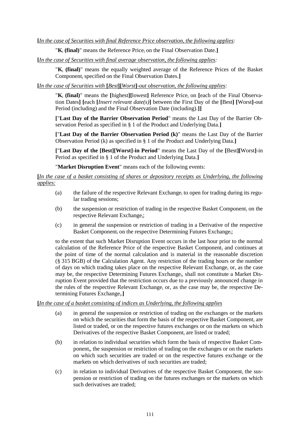" $\mathbf{K}_i$  (final)" means the Reference Price<sub>i</sub> on the Final Observation Date.

**[***In the case of Securities with final average observation, the following applies:*

"**K**<sup>i</sup> **(final)**" means the equally weighted average of the Reference Prices of the Basket Component<sup>i</sup> specified on the Final Observation Dates.**]**

**[***In the case of Securities with* **[***Best***][***Worst***]***-out observation, the following applies:*

"**K**<sub>i</sub> (final)" means the [highest][lowest] Reference Price<sub>i</sub> on [each of the Final Observation Dates**] [**each **[***Insert relevant date(s)***]** between the First Day of the **[**Best**] [**Worst**]**-out Period (including) and the Final Observation Date (including).**]]**

**[**"**Last Day of the Barrier Observation Period**" means the Last Day of the Barrier Observation Period as specified in § 1 of the Product and Underlying Data.**]**

**[**"**Last Day of the Barrier Observation Period (k)**" means the Last Day of the Barrier Observation Period (k) as specified in § 1 of the Product and Underlying Data.**]**

**[**"**Last Day of the [Best][Worst]-in Period**" means the Last Day of the **[**Best**][**Worst**]**-in Period as specified in § 1 of the Product and Underlying Data.**]**

"**Market Disruption Event**" means each of the following events:

**[***In the case of a basket consisting of shares or depository receipts as Underlying, the following applies:*

- (a) the failure of the respective Relevant Exchange<sub>i</sub> to open for trading during its regular trading sessions;
- (b) the suspension or restriction of trading in the respective Basket Component<sub>i</sub> on the respective Relevant Exchange;
- (c) in general the suspension or restriction of trading in a Derivative of the respective Basket Component<sub>i</sub> on the respective Determining Futures Exchange<sub>i</sub>;

to the extent that such Market Disruption Event occurs in the last hour prior to the normal calculation of the Reference Price of the respective Basket Component<sub>i</sub> and continues at the point of time of the normal calculation and is material in the reasonable discretion (§ 315 BGB) of the Calculation Agent. Any restriction of the trading hours or the number of days on which trading takes place on the respective Relevant Exchange  $\alpha$ , as the case may be, the respective Determining Futures Exchange<sub>i</sub>, shall not constitute a Market Disruption Event provided that the restriction occurs due to a previously announced change in the rules of the respective Relevant Exchange<sub>i</sub> or, as the case may be, the respective Determining Futures Exchange<sub>i</sub>.]

#### **[***In the case of a basket consisting of indices as Underlying, the following applies*

- (a) in general the suspension or restriction of trading on the exchanges or the markets on which the securities that form the basis of the respective Basket Component<sub>i</sub> are listed or traded, or on the respective futures exchanges or on the markets on which Derivatives of the respective Basket Component; are listed or traded;
- (b) in relation to individual securities which form the basis of respective Basket Component<sub>i</sub>, the suspension or restriction of trading on the exchanges or on the markets on which such securities are traded or on the respective futures exchange or the markets on which derivatives of such securities are traded;
- $(c)$  in relation to individual Derivatives of the respective Basket Component<sub>i</sub> the suspension or restriction of trading on the futures exchanges or the markets on which such derivatives are traded;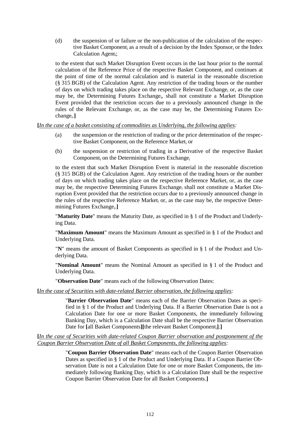(d) the suspension of or failure or the non-publication of the calculation of the respective Basket Component<sub>i</sub> as a result of a decision by the Index Sponsor<sub>i</sub> or the Index Calculation Agent<sub>i</sub>;

to the extent that such Market Disruption Event occurs in the last hour prior to the normal calculation of the Reference Price of the respective Basket Component<sup>i</sup> and continues at the point of time of the normal calculation and is material in the reasonable discretion (§ 315 BGB) of the Calculation Agent. Any restriction of the trading hours or the number of days on which trading takes place on the respective Relevant Exchange; or, as the case may be, the Determining Futures Exchange<sub>i</sub>, shall not constitute a Market Disruption Event provided that the restriction occurs due to a previously announced change in the rules of the Relevant Exchange<sub>i</sub> or, as the case may be, the Determining Futures Exchange<sub>i</sub>.]

### **[***In the case of a basket consisting of commodities as Underlying, the following applies:*

- (a) the suspension or the restriction of trading or the price determination of the respective Basket Component<sub>i</sub> on the Reference Market<sub>i</sub> or
- (b) the suspension or restriction of trading in a Derivative of the respective Basket Component<sup>i</sup> on the Determining Futures Exchange<sup>i</sup>

to the extent that such Market Disruption Event is material in the reasonable discretion (§ 315 BGB) of the Calculation Agent. Any restriction of the trading hours or the number of days on which trading takes place on the respective Reference Market<sub>i</sub> or, as the case may be, the respective Determining Futures Exchange; shall not constitute a Market Disruption Event provided that the restriction occurs due to a previously announced change in the rules of the respective Reference Market<sub>i</sub> or, as the case may be, the respective Determining Futures Exchange<sub>i</sub>.]

"**Maturity Date**" means the Maturity Date, as specified in § 1 of the Product and Underlying Data.

"**Maximum Amount**" means the Maximum Amount as specified in § 1 of the Product and Underlying Data.

"**N**" means the amount of Basket Components as specified in § 1 of the Product and Underlying Data.

"**Nominal Amount**" means the Nominal Amount as specified in § 1 of the Product and Underlying Data.

"**Observation Date**" means each of the following Observation Dates:

## **[***In the case of Securities with date-related Barrier observation, the following applies:*

"**Barrier Observation Date**" means each of the Barrier Observation Dates as specified in § 1 of the Product and Underlying Data. If a Barrier Observation Date is not a Calculation Date for one or more Basket Components, the immediately following Banking Day, which is a Calculation Date shall be the respective Barrier Observation Date for **[**all Basket Components**][**the relevant Basket Componenti**]**.**]**

**[***In the case of Securities with date-related Coupon Barrier observation and postponement of the Coupon Barrier Observation Date of all Basket Components, the following applies:*

> "**Coupon Barrier Observation Date**" means each of the Coupon Barrier Observation Dates as specified in § 1 of the Product and Underlying Data. If a Coupon Barrier Observation Date is not a Calculation Date for one or more Basket Components, the immediately following Banking Day, which is a Calculation Date shall be the respective Coupon Barrier Observation Date for all Basket Components.**]**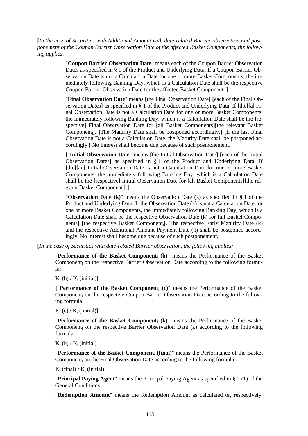**[***In the case of Securities with Additional Amount with date-related Barrier observation and postponement of the Coupon Barrier Observation Date of the affected Basket Components, the following applies:*

> "**Coupon Barrier Observation Date**" means each of the Coupon Barrier Observation Dates as specified in § 1 of the Product and Underlying Data. If a Coupon Barrier Observation Date is not a Calculation Date for one or more Basket Components, the immediately following Banking Day, which is a Calculation Date shall be the respective Coupon Barrier Observation Date for the affected Basket Component<sup>i</sup> .**]**

> "**Final Observation Date**" means **[**the Final Observation Date**] [**each of the Final Observation Dates**]** as specified in § 1 of the Product and Underlying Data. If **[**the**][**a**]** Final Observation Date is not a Calculation Date for one or more Basket Components, the immediately following Banking Day, which is a Calculation Date shall be the **[**respective**]** Final Observation Date for **[**all Basket Components**][**the relevant Basket Componenti**]**. **[**The Maturity Date shall be postponed accordingly.**] [**If the last Final Observation Date is not a Calculation Date, the Maturity Date shall be postponed accordingly.**]** No interest shall become due because of such postponement.

> **[**"**Initial Observation Date**" means **[**the Initial Observation Date**] [**each of the Initial Observation Dates**]** as specified in § 1 of the Product and Underlying Data. If **[**the**][**an**]** Initial Observation Date is not a Calculation Date for one or more Basket Components, the immediately following Banking Day, which is a Calculation Date shall be the **[**respective**]** Initial Observation Date for **[**all Basket Components**][**the relevant Basket Componenti**]**.**]**

> "**Observation Date (k)**" means the Observation Date (k) as specified in § 1 of the Product and Underlying Data. If the Observation Date (k) is not a Calculation Date for one or more Basket Components, the immediately following Banking Day, which is a Calculation Date shall be the respective Observation Date (k) for **[**all Basket Components**] [**the respective Basket Componenti**]**. The respective Early Maturity Date (k) and the respective Additional Amount Payment Date (k) shall be postponed accordingly. No interest shall become due because of such postponement.

**[***In the case of Securities with date-related Barrier observation, the following applies:*

"**Performance of the Basket Component<sup>i</sup> (b)**" means the Performance of the Basket Component<sup>i</sup> on the respective Barrier Observation Date according to the following formula:

 $K_i$  (b) /  $K_i$  (initial)]

**[**"**Performance of the Basket Component<sup>i</sup> (c)**" means the Performance of the Basket Component<sup>i</sup> on the respective Coupon Barrier Observation Date according to the following formula:

 $K_i$  (c) /  $K_i$  (initial)]

"**Performance of the Basket Component<sup>i</sup> (k)**" means the Performance of the Basket Component<sup>i</sup> on the respective Barrier Observation Date (k) according to the following formula:

 $K_i$  (k) /  $K_i$  (initial)

"**Performance of the Basket Component<sup>i</sup> (final)**" means the Performance of the Basket Component<sub>i</sub> on the Final Observation Date according to the following formula:

 $K_i$  (final) /  $K_i$  (initial)

"**Principal Paying Agent**" means the Principal Paying Agent as specified in § 2 (1) of the General Conditions.

"**Redemption Amount**" means the Redemption Amount as calculated or, respectively,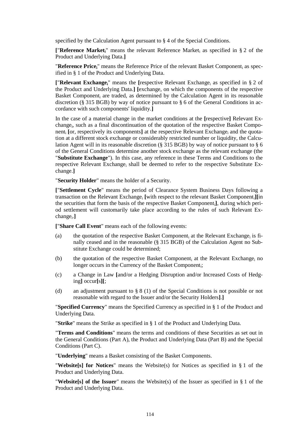specified by the Calculation Agent pursuant to § 4 of the Special Conditions.

**[**"**Reference Marketi**" means the relevant Reference Market<sup>i</sup> as specified in § 2 of the Product and Underlying Data.**]**

"**Reference Pricei**" means the Reference Price of the relevant Basket Component<sup>i</sup> as specified in § 1 of the Product and Underlying Data.

**[**"**Relevant Exchangei**" means the **[**respective Relevant Exchange<sup>i</sup> as specified in § 2 of the Product and Underlying Data.**] [**exchange, on which the components of the respective Basket Component<sup>i</sup> are traded, as determined by the Calculation Agent in its reasonable discretion (§ 315 BGB) by way of notice pursuant to § 6 of the General Conditions in accordance with such components' liquidity.**]**

In the case of a material change in the market conditions at the **[**respective**]** Relevant Exchange<sub>i</sub>, such as a final discontinuation of the quotation of the respective Basket Component<sub>i</sub> [or, respectively its components] at the respective Relevant Exchange<sub>i</sub> and the quotation at a different stock exchange or considerably restricted number or liquidity, the Calculation Agent will in its reasonable discretion (§ 315 BGB) by way of notice pursuant to § 6 of the General Conditions determine another stock exchange as the relevant exchange (the "**Substitute Exchange**"). In this case, any reference in these Terms and Conditions to the respective Relevant Exchange; shall be deemed to refer to the respective Substitute Exchange.**]**

"**Security Holder**" means the holder of a Security.

**[**"**Settlement Cycle**" means the period of Clearance System Business Days following a transaction on the Relevant Exchange<sup>i</sup> **[**with respect to the relevant Basket Componenti**][**in the securities that form the basis of the respective Basket Componenti**]**, during which period settlement will customarily take place according to the rules of such Relevant Exchange<sub>i</sub>.]

**[**"**Share Call Event**" means each of the following events:

- (a) the quotation of the respective Basket Component<sub>i</sub> at the Relevant Exchange<sub>i</sub> is finally ceased and in the reasonable (§ 315 BGB) of the Calculation Agent no Substitute Exchange could be determined;
- (b) the quotation of the respective Basket Componenti at the Relevant Exchange; no longer occurs in the Currency of the Basket Componenti;
- (c) a Change in Law **[**and/or a Hedging Disruption and/or Increased Costs of Hedging**]** occur**[**s**][**;
- (d) an adjustment pursuant to § 8 (1) of the Special Conditions is not possible or not reasonable with regard to the Issuer and/or the Security Holders**]**.**]**

"**Specified Currency**" means the Specified Currency as specified in § 1 of the Product and Underlying Data.

"**Strike**" means the Strike as specified in § 1 of the Product and Underlying Data.

"**Terms and Conditions**" means the terms and conditions of these Securities as set out in the General Conditions (Part A), the Product and Underlying Data (Part B) and the Special Conditions (Part C).

"**Underlying**" means a Basket consisting of the Basket Components.

"**Website[s] for Notices**" means the Website(s) for Notices as specified in § 1 of the Product and Underlying Data.

"**Website[s] of the Issuer**" means the Website(s) of the Issuer as specified in § 1 of the Product and Underlying Data.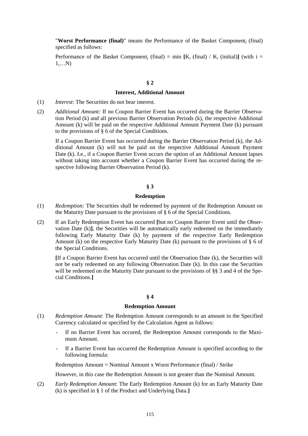"**Worst Performance (final)**" means the Performance of the Basket Component<sup>j</sup> (final) specified as follows:

Performance of the Basket Component<sub>i</sub> (final) = min  $[K_i$  (final) /  $K_i$  (initial)**]** (with i = 1,…N)

#### **§ 2**

#### **Interest, Additional Amount**

- (1) *Interest*: The Securities do not bear interest.
- (2) *Additional Amount:* If no Coupon Barrier Event has occurred during the Barrier Observation Period (k) and all previous Barrier Observation Periods (k), the respective Additional Amount (k) will be paid on the respective Additional Amount Payment Date (k) pursuant to the provisions of § 6 of the Special Conditions.

If a Coupon Barrier Event has occurred during the Barrier Observation Period (k), the Additional Amount (k) will not be paid on the respective Additional Amount Payment Date (k). I.e., if a Coupon Barrier Event occurs the option of an Additional Amount lapses without taking into account whether a Coupon Barrier Event has occurred during the respective following Barrier Observation Period (k).

#### **§ 3**

#### **Redemption**

- (1) *Redemption:* The Securities shall be redeemed by payment of the Redemption Amount on the Maturity Date pursuant to the provisions of § 6 of the Special Conditions*.*
- (2) If an Early Redemption Event has occurred **[**but no Coupon Barrier Event until the Observation Date (k)**]**, the Securities will be automatically early redeemed on the immediately following Early Maturity Date (k) by payment of the respective Early Redemption Amount (k) on the respective Early Maturity Date (k) pursuant to the provisions of  $\S$  6 of the Special Conditions.

**[**If a Coupon Barrier Event has occurred until the Observation Date (k), the Securities will not be early redeemed on any following Observation Date (k). In this case the Securities will be redeemed on the Maturity Date pursuant to the provisions of §§ 3 and 4 of the Special Conditions.**]**

#### **§ 4**

#### **Redemption Amount**

- (1) *Redemption Amount*: The Redemption Amount corresponds to an amount in the Specified Currency calculated or specified by the Calculation Agent as follows:
	- *-* If no Barrier Event has occured, the Redemption Amount corresponds to the Maximum Amount.
	- *-* If a Barrier Event has occurred the Redemption Amount is specified according to the following formula:

Redemption Amount = Nominal Amount x Worst Performance (final) / Strike

However, in this case the Redemption Amount is not greater than the Nominal Amount.

(2) *Early Redemption Amount*: The Early Redemption Amount (k) for an Early Maturity Date (k) is specified in § 1 of the Product and Underlying Data.**]**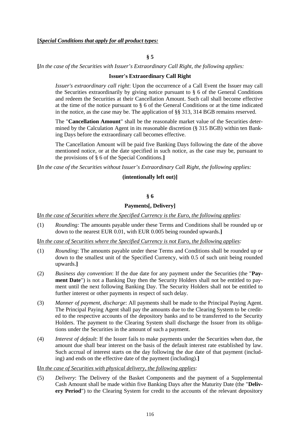**§ 5**

**[***In the case of the Securities with Issuer's Extraordinary Call Right, the following applies:*

#### **Issuer's Extraordinary Call Right**

*Issuer's extraordinary call right*: Upon the occurrence of a Call Event the Issuer may call the Securities extraordinarily by giving notice pursuant to § 6 of the General Conditions and redeem the Securities at their Cancellation Amount. Such call shall become effective at the time of the notice pursuant to § 6 of the General Conditions or at the time indicated in the notice, as the case may be. The application of §§ 313, 314 BGB remains reserved.

The "**Cancellation Amount**" shall be the reasonable market value of the Securities determined by the Calculation Agent in its reasonable discretion (§ 315 BGB) within ten Banking Days before the extraordinary call becomes effective.

The Cancellation Amount will be paid five Banking Days following the date of the above mentioned notice, or at the date specified in such notice, as the case may be, pursuant to the provisions of § 6 of the Special Conditions.**]**

**[***In the case of the Securities without Issuer's Extraordinary Call Right, the following applies:*

#### **(intentionally left out)]**

**§ 6**

### **Payments[, Delivery]**

**[***In the case of Securities where the Specified Currency is the Euro, the following applies:*

(1) *Rounding:* The amounts payable under these Terms and Conditions shall be rounded up or down to the nearest EUR 0.01, with EUR 0.005 being rounded upwards.**]**

**[***In the case of Securities where the Specified Currency is not Euro, the following applies:*

- (1) *Rounding*: The amounts payable under these Terms and Conditions shall be rounded up or down to the smallest unit of the Specified Currency, with 0.5 of such unit being rounded upwards.**]**
- (2) *Business day convention*: If the due date for any payment under the Securities (the "**Payment Date**") is not a Banking Day then the Security Holders shall not be entitled to payment until the next following Banking Day. The Security Holders shall not be entitled to further interest or other payments in respect of such delay.
- (3) *Manner of payment, discharge*: All payments shall be made to the Principal Paying Agent. The Principal Paying Agent shall pay the amounts due to the Clearing System to be credited to the respective accounts of the depository banks and to be transferred to the Security Holders. The payment to the Clearing System shall discharge the Issuer from its obligations under the Securities in the amount of such a payment.
- (4) *Interest of default*: If the Issuer fails to make payments under the Securities when due, the amount due shall bear interest on the basis of the default interest rate established by law. Such accrual of interest starts on the day following the due date of that payment (including) and ends on the effective date of the payment (including).**]**

#### **[***In the case of Securities with physical delivery, the following applies:*

(5) *Delivery*: The Delivery of the Basket Components and the payment of a Supplemental Cash Amount shall be made within five Banking Days after the Maturity Date (the "**Delivery Period**") to the Clearing System for credit to the accounts of the relevant depository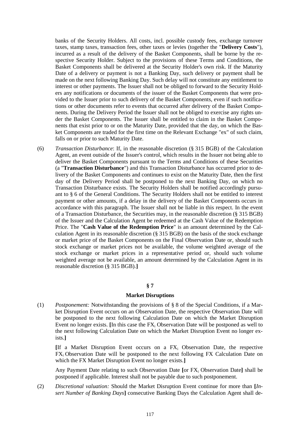banks of the Security Holders. All costs, incl. possible custody fees, exchange turnover taxes, stamp taxes, transaction fees, other taxes or levies (together the "**Delivery Costs**"), incurred as a result of the delivery of the Basket Components, shall be borne by the respective Security Holder. Subject to the provisions of these Terms and Conditions, the Basket Components shall be delivered at the Security Holder's own risk. If the Maturity Date of a delivery or payment is not a Banking Day, such delivery or payment shall be made on the next following Banking Day. Such delay will not constitute any entitlement to interest or other payments. The Issuer shall not be obliged to forward to the Security Holders any notifications or documents of the issuer of the Basket Components that were provided to the Issuer prior to such delivery of the Basket Components, even if such notifications or other documents refer to events that occurred after delivery of the Basket Components. During the Delivery Period the Issuer shall not be obliged to exercise any rights under the Basket Components. The Issuer shall be entitled to claim in the Basket Components that exist prior to or on the Maturity Date, provided that the day, on which the Basket Components are traded for the first time on the Relevant Exchange "ex" of such claim, falls on or prior to such Maturity Date.

(6) *Transaction Disturbance*: If, in the reasonable discretion (§ 315 BGB) of the Calculation Agent, an event outside of the Issuer's control, which results in the Issuer not being able to deliver the Basket Components pursuant to the Terms and Conditions of these Securities (a "**Transaction Disturbance**") and this Transaction Disturbance has occurred prior to delivery of the Basket Components and continues to exist on the Maturity Date, then the first day of the Delivery Period shall be postponed to the next Banking Day, on which no Transaction Disturbance exists. The Security Holders shall be notified accordingly pursuant to § 6 of the General Conditions. The Security Holders shall not be entitled to interest payment or other amounts, if a delay in the delivery of the Basket Components occurs in accordance with this paragraph. The Issuer shall not be liable in this respect. In the event of a Transaction Disturbance, the Securities may, in the reasonable discretion (§ 315 BGB) of the Issuer and the Calculation Agent be redeemed at the Cash Value of the Redemption Price. The "**Cash Value of the Redemption Price**" is an amount determined by the Calculation Agent in its reasonable discretion (§ 315 BGB) on the basis of the stock exchange or market price of the Basket Components on the Final Observation Date or, should such stock exchange or market prices not be available, the volume weighted average of the stock exchange or market prices in a representative period or, should such volume weighted average not be available, an amount determined by the Calculation Agent in its reasonable discretion (§ 315 BGB).**]**

#### **§ 7**

# **Market Disruptions**

(1) *Postponement:* Notwithstanding the provisions of § 8 of the Special Conditions, if a Market Disruption Event occurs on an Observation Date, the respective Observation Date will be postponed to the next following Calculation Date on which the Market Disruption Event no longer exists.  $\text{[In this case the FX}_i$  Observation Date will be postponed as well to the next following Calculation Date on which the Market Disruption Event no longer exists.**]**

**[**If a Market Disruption Event occurs on a FX<sup>i</sup> Observation Date, the respective FX<sup>i</sup> Observation Date will be postponed to the next following FX Calculation Date on which the FX Market Disruption Event no longer exists.**]**

Any Payment Date relating to such Observation Date **[**or FX<sup>i</sup> Observation Date**]** shall be postponed if applicable. Interest shall not be payable due to such postponement.

(2) *Discretional valuation:* Should the Market Disruption Event continue for more than **[***Insert Number of Banking Days***]** consecutive Banking Days the Calculation Agent shall de-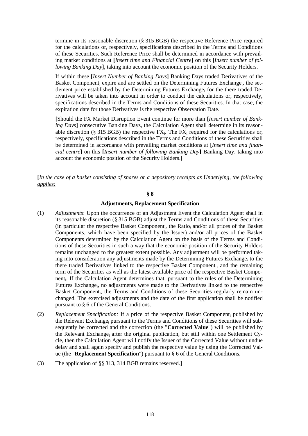termine in its reasonable discretion (§ 315 BGB) the respective Reference Price required for the calculations or, respectively, specifications described in the Terms and Conditions of these Securities. Such Reference Price shall be determined in accordance with prevailing market conditions at **[***Insert time and Financial Centre***]** on this **[***Insert number of following Banking Day***]**, taking into account the economic position of the Security Holders.

If within these **[***Insert Number of Banking Days***]** Banking Days traded Derivatives of the Basket Component<sub>i</sub> expire and are settled on the Determining Futures Exchange<sub>i</sub>, the settlement price established by the Determining Futures Exchange<sup>i</sup> for the there traded Derivatives will be taken into account in order to conduct the calculations or, respectively, specifications described in the Terms and Conditions of these Securities. In that case, the expiration date for those Derivatives is the respective Observation Date.

**[**Should the FX Market Disruption Event continue for more than **[***Insert number of Banking Days***]** consecutive Banking Days, the Calculation Agent shall determine in its reasonable discretion (§ 315 BGB) the respective  $FX_i$ . The  $FX_i$  required for the calculations or, respectively, specifications described in the Terms and Conditions of these Securities shall be determined in accordance with prevailing market conditions at **[***Insert time and financial centre***]** on this **[***Insert number of following Banking Day***]** Banking Day, taking into account the economic position of the Security Holders.**]**

**[***In the case of a basket consisting of shares or a depository receipts as Underlying, the following applies:*

#### **§ 8**

#### **Adjustments, Replacement Specification**

- (1) *Adjustments*: Upon the occurrence of an Adjustment Event the Calculation Agent shall in its reasonable discretion (§ 315 BGB) adjust the Terms and Conditions of these Securities (in particular the respective Basket Component<sub>i</sub>, the Ratio<sub>i</sub> and/or all prices of the Basket Components, which have been specified by the Issuer) and/or all prices of the Basket Components determined by the Calculation Agent on the basis of the Terms and Conditions of these Securities in such a way that the economic position of the Security Holders remains unchanged to the greatest extent possible. Any adjustment will be performed taking into consideration any adjustments made by the Determining Futures Exchange<sub>i</sub> to the there traded Derivatives linked to the respective Basket Component<sub>i</sub>, and the remaining term of the Securities as well as the latest available price of the respective Basket Component<sub>i</sub>. If the Calculation Agent determines that, pursuant to the rules of the Determining Futures Exchange<sub>i</sub>, no adjustments were made to the Derivatives linked to the respective Basket Component<sub>i</sub>, the Terms and Conditions of these Securities regularly remain unchanged. The exercised adjustments and the date of the first application shall be notified pursuant to § 6 of the General Conditions.
- (2) *Replacement Specification:* If a price of the respective Basket Component<sup>i</sup> published by the Relevant Exchange<sup>i</sup> pursuant to the Terms and Conditions of these Securities will subsequently be corrected and the correction (the "**Corrected Value**") will be published by the Relevant Exchange<sup>i</sup> after the original publication, but still within one Settlement Cycle, then the Calculation Agent will notify the Issuer of the Corrected Value without undue delay and shall again specify and publish the respective value by using the Corrected Value (the "**Replacement Specification**") pursuant to § 6 of the General Conditions.
- (3) The application of §§ 313, 314 BGB remains reserved.**]**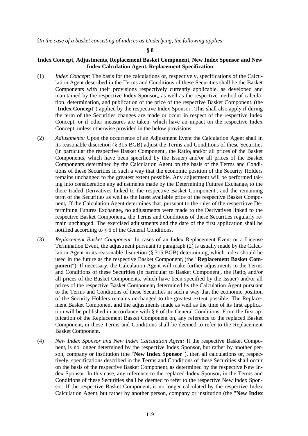#### **§ 8**

### **Index Concept, Adjustments, Replacement Basket Component, New Index Sponsor and New Index Calculation Agent, Replacement Specification**

- (1) *Index Concept:* The basis for the calculations or, respectively, specifications of the Calculation Agent described in the Terms and Conditions of these Securities shall be the Basket Components with their provisions respectively currently applicable, as developed and maintained by the respective Index Sponsor<sub>i</sub>, as well as the respective method of calculation, determination, and publication of the price of the respective Basket Component<sub>i</sub> (the "Index Concept") applied by the respective Index Sponsor<sub>i</sub>. This shall also apply if during the term of the Securities changes are made or occur in respect of the respective Index Concept, or if other measures are taken, which have an impact on the respective Index Concept, unless otherwise provided in the below provisions.
- (2) *Adjustments:* Upon the occurrence of an Adjustment Event the Calculation Agent shall in its reasonable discretion (§ 315 BGB) adjust the Terms and Conditions of these Securities (in particular the respective Basket Component<sub>i</sub>, the Ratio<sub>i</sub> and/or all prices of the Basket Components, which have been specified by the Issuer) and/or all prices of the Basket Components determined by the Calculation Agent on the basis of the Terms and Conditions of these Securities in such a way that the economic position of the Security Holders remains unchanged to the greatest extent possible. Any adjustment will be performed taking into consideration any adjustments made by the Determining Futures Exchange<sub>i</sub> to the there traded Derivatives linked to the respective Basket Component<sub>i</sub>, and the remaining term of the Securities as well as the latest available price of the respective Basket Component<sup>i</sup> . If the Calculation Agent determines that, pursuant to the rules of the respectiove Determining Futures Exchange<sub>i</sub>, no adjustments were made to the Derivatives linked to the respective Basket Component<sub>i</sub>, the Terms and Conditions of these Securities regularly remain unchanged. The exercised adjustments and the date of the first application shall be notified according to § 6 of the General Conditions.
- (3) *Replacement Basket Component:* In cases of an Index Replacement Event or a License Termination Event, the adjustment pursuant to paragraph (2) is usually made by the Calculation Agent in its reasonable discretion (§ 315 BGB) determining, which index should be used in the future as the respective Basket Component<sub>i</sub> (the "Replacement Basket Com**ponent**"). If necessary, the Calculation Agent will make further adjustments to the Terms and Conditions of these Securities (in particular to Basket Component<sub>i</sub>, the Ratio<sub>i</sub> and/or all prices of the Basket Components, which have been specified by the Issuer) and/or all prices of the respective Basket Component<sub>i</sub> determined by the Calculation Agent pursuant to the Terms and Conditions of these Securities in such a way that the economic position of the Security Holders remains unchanged to the greatest extent possible. The Replacement Basket Component and the adjustments made as well as the time of its first application will be published in accordance with § 6 of the General Conditions. From the first application of the Replacement Basket Component on, any reference to the replaced Basket Component<sub>i</sub> in these Terms and Conditions shall be deemed to refer to the Replacement Basket Component.
- (4) *New Index Sponsor and New Index Calculation Agent:* If the respective Basket Component<sub>i</sub> is no longer determined by the respective Index Sponsor<sub>i</sub> but rather by another person, company or institution (the "**New Index Sponsor**"), then all calculations or, respectively, specifications described in the Terms and Conditions of these Securities shall occur on the basis of the respective Basket Component, as determined by the respective New Index Sponsor. In this case, any reference to the replaced Index Sponsor<sub>i</sub> in the Terms and Conditions of these Securities shall be deemed to refer to the respective New Index Sponsor. If the respective Basket Component<sub>i</sub> is no longer calculated by the respective Index Calculation Agent<sub>i</sub> but rather by another person, company or institution (the "**New Index**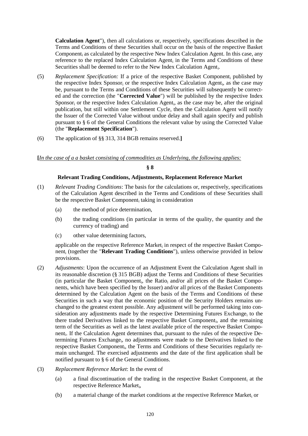**Calculation Agent**"), then all calculations or, respectively, specifications described in the Terms and Conditions of these Securities shall occur on the basis of the respective Basket Component<sub>i</sub> as calculated by the respective New Index Calculation Agent. In this case, any reference to the replaced Index Calculation Agent<sub>i</sub> in the Terms and Conditions of these Securities shall be deemed to refer to the New Index Calculation Agenti.

- (5) *Replacement Specification:* If a price of the respective Basket Component<sup>i</sup> published by the respective Index Sponsor<sub>i</sub> or the respective Index Calculation Agent<sub>i</sub>, as the case may be, pursuant to the Terms and Conditions of these Securities will subsequently be corrected and the correction (the "**Corrected Value**") will be published by the respective Index Sponsor<sub>i</sub> or the respective Index Calculation Agent<sub>i</sub>, as the case may be, after the original publication, but still within one Settlement Cycle, then the Calculation Agent will notify the Issuer of the Corrected Value without undue delay and shall again specify and publish pursuant to § 6 of the General Conditions the relevant value by using the Corrected Value (the "**Replacement Specification**").
- (6) The application of §§ 313, 314 BGB remains reserved.**]**

#### **[***In the case of a a basket consisting of commodities as Underlying, the following applies:*

### **§ 8**

#### **Relevant Trading Conditions, Adjustments, Replacement Reference Market**

- (1) *Relevant Trading Conditions*: The basis for the calculations or, respectively, specifications of the Calculation Agent described in the Terms and Conditions of these Securities shall be the respective Basket Component<sub>i</sub> taking in consideration
	- (a) the method of price determination,
	- (b) the trading conditions (in particular in terms of the quality, the quantity and the currency of trading) and
	- (c) other value determining factors,

applicable on the respective Reference Market<sub>i</sub> in respect of the respective Basket Component<sup>i</sup> (together the "**Relevant Trading Conditions**"), unless otherwise provided in below provisions.

- (2) *Adjustments*: Upon the occurrence of an Adjustment Event the Calculation Agent shall in its reasonable discretion (§ 315 BGB) adjust the Terms and Conditions of these Securities (in particular the Basket Component<sub>i</sub>, the Ratio<sub>i</sub> and/or all prices of the Basket Components, which have been specified by the Issuer) and/or all prices of the Basket Components determined by the Calculation Agent on the basis of the Terms and Conditions of these Securities in such a way that the economic position of the Security Holders remains unchanged to the greatest extent possible. Any adjustment will be performed taking into consideration any adjustments made by the respective Determining Futures Exchange<sub>i</sub> to the there traded Derivatives linked to the respective Basket Component<sub>i</sub>, and the remaining term of the Securities as well as the latest available price of the respective Basket Component<sup>i</sup> . If the Calculation Agent determines that, pursuant to the rules of the respective Determining Futures Exchange<sub>i</sub>, no adjustments were made to the Derivatives linked to the respective Basket Component<sub>i</sub>, the Terms and Conditions of these Securities regularly remain unchanged. The exercised adjustments and the date of the first application shall be notified pursuant to § 6 of the General Conditions.
- (3) *Replacement Reference Market*: In the event of
	- (a) a final discontinuation of the trading in the respective Basket Component<sup>i</sup> at the respective Reference Market<sub>i</sub>,
	- (b) a material change of the market conditions at the respective Reference Market, or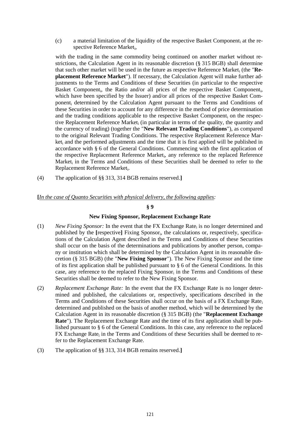$(c)$  a material limitation of the liquidity of the respective Basket Component<sub>i</sub> at the respective Reference Marketi,

with the trading in the same commodity being continued on another market without restrictions, the Calculation Agent in its reasonable discretion (§ 315 BGB) shall determine that such other market will be used in the future as respective Reference Market, (the "Re**placement Reference Market**"). If necessary, the Calculation Agent will make further adjustments to the Terms and Conditions of these Securities (in particular to the respective Basket Component<sub>i</sub>, the Ratio and/or all prices of the respective Basket Component<sub>i</sub>, which have been specified by the Issuer) and/or all prices of the respective Basket Component<sup>i</sup> determined by the Calculation Agent pursuant to the Terms and Conditions of these Securities in order to account for any difference in the method of price determination and the trading conditions applicable to the respective Basket Component<sub>i</sub> on the respective Replacement Reference Market, (in particular in terms of the quality, the quantity and the currency of trading) (together the "**New Relevant Trading Conditions**"), as compared to the original Relevant Trading Conditions. The respective Replacement Reference Market<sup>i</sup> and the performed adjustments and the time that it is first applied will be published in accordance with § 6 of the General Conditions. Commencing with the first application of the respective Replacement Reference Market<sub>i</sub>, any reference to the replaced Reference Market<sub>i</sub> in the Terms and Conditions of these Securities shall be deemed to refer to the Replacement Reference Market<sub>i</sub>.

(4) The application of §§ 313, 314 BGB remains reserved.**]**

### **[***In the case of Quanto Securities with physical delivery, the following applies:*

#### **§ 9**

#### **New Fixing Sponsor, Replacement Exchange Rate**

- (1) New Fixing Sponsor: In the event that the FX Exchange Rate<sub>i</sub> is no longer determined and published by the [respective] Fixing Sponsor<sub>i</sub>, the calculations or, respectively, specifications of the Calculation Agent described in the Terms and Conditions of these Securities shall occur on the basis of the determinations and publications by another person, company or institution which shall be determined by the Calculation Agent in its reasonable discretion (§ 315 BGB) (the "**New Fixing Sponsor**"). The New Fixing Sponsor and the time of its first application shall be published pursuant to § 6 of the General Conditions. In this case, any reference to the replaced Fixing  $S$ ponsor<sub>i</sub> in the Terms and Conditions of these Securities shall be deemed to refer to the New Fixing Sponsor.
- (2) *Replacement Exchange Rate:* In the event that the FX Exchange Rate is no longer determined and published, the calculations or, respectively, specifications described in the Terms and Conditions of these Securities shall occur on the basis of a FX Exchange Rate<sup>i</sup> determined and published on the basis of another method, which will be determined by the Calculation Agent in its reasonable discretion (§ 315 BGB) (the "**Replacement Exchange Rate**"). The Replacement Exchange Rate and the time of its first application shall be published pursuant to § 6 of the General Conditions. In this case, any reference to the replaced FX Exchange Rate<sub>i</sub> in the Terms and Conditions of these Securities shall be deemed to refer to the Replacement Exchange Rate.
- (3) The application of §§ 313, 314 BGB remains reserved.**]**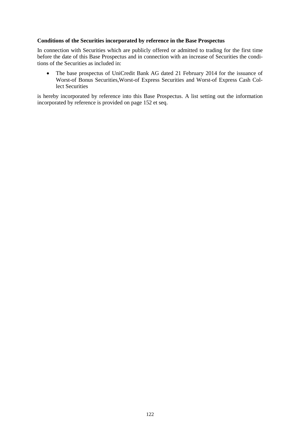## **Conditions of the Securities incorporated by reference in the Base Prospectus**

In connection with Securities which are publicly offered or admitted to trading for the first time before the date of this Base Prospectus and in connection with an increase of Securities the conditions of the Securities as included in:

• The base prospectus of UniCredit Bank AG dated 21 February 2014 for the issuance of Worst-of Bonus Securities,Worst-of Express Securities and Worst-of Express Cash Collect Securities

is hereby incorporated by reference into this Base Prospectus. A list setting out the information incorporated by reference is provided on page 152 et seq.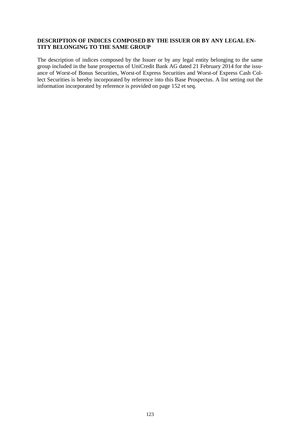#### **DESCRIPTION OF INDICES COMPOSED BY THE ISSUER OR BY ANY LEGAL EN-TITY BELONGING TO THE SAME GROUP**

The description of indices composed by the Issuer or by any legal entity belonging to the same group included in the base prospectus of UniCredit Bank AG dated 21 February 2014 for the issuance of Worst-of Bonus Securities, Worst-of Express Securities and Worst-of Express Cash Collect Securities is hereby incorporated by reference into this Base Prospectus. A list setting out the information incorporated by reference is provided on page 152 et seq.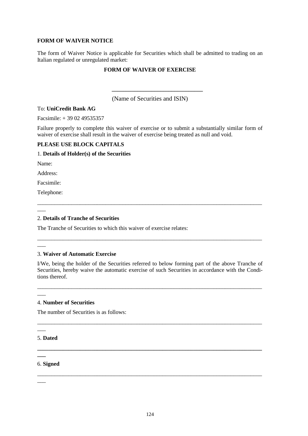## **FORM OF WAIVER NOTICE**

The form of Waiver Notice is applicable for Securities which shall be admitted to trading on an Italian regulated or unregulated market:

# **FORM OF WAIVER OF EXERCISE**

(Name of Securities and ISIN)

**\_\_\_\_\_\_\_\_\_\_\_\_\_\_\_\_\_\_\_\_\_\_\_\_\_\_\_\_\_\_\_\_**

### To: **UniCredit Bank AG**

Facsimile: + 39 02 49535357

Failure properly to complete this waiver of exercise or to submit a substantially similar form of waiver of exercise shall result in the waiver of exercise being treated as null and void.

# **PLEASE USE BLOCK CAPITALS**

### 1. **Details of Holder(s) of the Securities**

Name:

Address:

Facsimile:

Telephone:

 $\overline{\phantom{a}}$ 

 $\overline{\phantom{a}}$ 

 $\overline{\phantom{a}}$ 

 $\overline{\phantom{a}}$ 

### 2. **Details of Tranche of Securities**

The Tranche of Securities to which this waiver of exercise relates:

### 3. **Waiver of Automatic Exercise**

I/We, being the holder of the Securities referred to below forming part of the above Tranche of Securities, hereby waive the automatic exercise of such Securities in accordance with the Conditions thereof.

\_\_\_\_\_\_\_\_\_\_\_\_\_\_\_\_\_\_\_\_\_\_\_\_\_\_\_\_\_\_\_\_\_\_\_\_\_\_\_\_\_\_\_\_\_\_\_\_\_\_\_\_\_\_\_\_\_\_\_\_\_\_\_\_\_\_\_\_\_\_\_\_\_\_\_\_\_\_\_

\_\_\_\_\_\_\_\_\_\_\_\_\_\_\_\_\_\_\_\_\_\_\_\_\_\_\_\_\_\_\_\_\_\_\_\_\_\_\_\_\_\_\_\_\_\_\_\_\_\_\_\_\_\_\_\_\_\_\_\_\_\_\_\_\_\_\_\_\_\_\_\_\_\_\_\_\_\_\_

**\_\_\_\_\_\_\_\_\_\_\_\_\_\_\_\_\_\_\_\_\_\_\_\_\_\_\_\_\_\_\_\_\_\_\_\_\_\_\_\_\_\_\_\_\_\_\_\_\_\_\_\_\_\_\_\_\_\_\_\_\_\_\_\_\_\_\_\_\_\_\_\_\_\_\_\_\_\_\_**

\_\_\_\_\_\_\_\_\_\_\_\_\_\_\_\_\_\_\_\_\_\_\_\_\_\_\_\_\_\_\_\_\_\_\_\_\_\_\_\_\_\_\_\_\_\_\_\_\_\_\_\_\_\_\_\_\_\_\_\_\_\_\_\_\_\_\_\_\_\_\_\_\_\_\_\_\_\_\_

\_\_\_\_\_\_\_\_\_\_\_\_\_\_\_\_\_\_\_\_\_\_\_\_\_\_\_\_\_\_\_\_\_\_\_\_\_\_\_\_\_\_\_\_\_\_\_\_\_\_\_\_\_\_\_\_\_\_\_\_\_\_\_\_\_\_\_\_\_\_\_\_\_\_\_\_\_\_\_

\_\_\_\_\_\_\_\_\_\_\_\_\_\_\_\_\_\_\_\_\_\_\_\_\_\_\_\_\_\_\_\_\_\_\_\_\_\_\_\_\_\_\_\_\_\_\_\_\_\_\_\_\_\_\_\_\_\_\_\_\_\_\_\_\_\_\_\_\_\_\_\_\_\_\_\_\_\_\_

### 4. **Number of Securities**

The number of Securities is as follows:

### 5. **Dated**

### 6. **Signed**

 $\overline{\phantom{a}}$ 

**\_\_\_**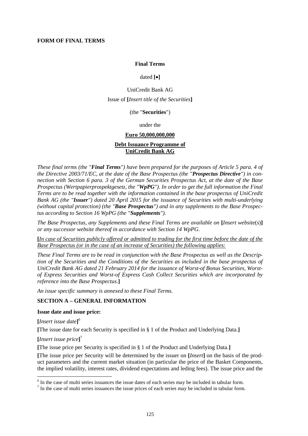#### **Final Terms**

### dated **[]**

#### UniCredit Bank AG

#### Issue of **[***Insert title of the Securities***]**

## (the "**Securities**")

# under the

#### **Euro 50,000,000,000**

## **Debt Issuance Programme of UniCredit Bank AG**

*These final terms (the "Final Terms") have been prepared for the purposes of Article 5 para. 4 of the Directive 2003/71/EC, at the date of the Base Prospectus (the "Prospectus Directive") in connection with Section 6 para. 3 of the German Securities Prospectus Act, at the date of the Base Prospectus (Wertpapierprospektgesetz, the "WpPG"). In order to get the full information the Final Terms are to be read together with the information contained in the base prospectus of UniCredit Bank AG (the "Issuer") dated 20 April 2015 for the issuance of Securities with multi-underlying (without capital protection) (the "Base Prospectus") and in any supplements to the Base Prospectus according to Section 16 WpPG (the "Supplements").*

*The Base Prospectus, any Supplements and these Final Terms are available on* **[***Insert website*(*s*)**]** *or any successor website thereof in accordance with Section 14 WpPG.*

**[***In case of Securities publicly offered or admitted to trading for the first time before the date of the Base Prospectus (or in the case of an increase of Securities) the following applies:*

*These Final Terms are to be read in conjunction with the Base Prospectus as well as the Description of the Securities and the Conditions of the Securities as included in the base prospectus of UniCredit Bank AG dated 21 February 2014 for the issuance of Worst-of Bonus Securities, Worstof Express Securities and Worst-of Express Cash Collect Securities which are incorporated by reference into the Base Prospectus.***]**

*An issue specific summary is annexed to these Final Terms.*

#### **SECTION A – GENERAL INFORMATION**

#### **Issue date and issue price:**

**[***Insert issue date***]** 6

**[**The issue date for each Security is specified in § 1 of the Product and Underlying Data.**]**

# **[***Insert issue price***]** 7

**[**The issue price per Security is specified in § 1 of the Product and Underlying Data.**]**

**[**The issue price per Security will be determined by the issuer on **[***Insert***]** on the basis of the product parameters and the current market situation (in particular the price of the Basket Components, the implied volatility, interest rates, dividend expectations and leding fees). The issue price and the

<sup>&</sup>lt;sup>6</sup> In the case of multi series issuances the issue dates of each series may be included in tabular form.

 $<sup>7</sup>$  In the case of multi series issuances the issue prices of each series may be included in tabular form.</sup>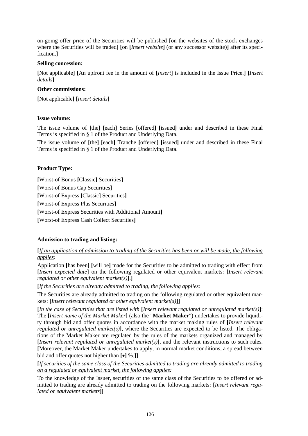on-going offer price of the Securities will be published **[**on the websites of the stock exchanges where the Securities will be traded**] [**on **[***Insert website***]** (or any successor website)**]** after its specification.**]**

# **Selling concession:**

**[**Not applicable**] [**An upfront fee in the amount of **[***Insert***]** is included in the Issue Price.**] [***Insert details***]**

# **Other commissions:**

**[**Not applicable**] [***Insert details***]**

# **Issue volume:**

The issue volume of **[**the**] [**each**]** Series **[**offered**] [**issued**]** under and described in these Final Terms is specified in § 1 of the Product and Underlying Data.

The issue volume of **[**the**] [**each**]** Tranche **[**offered**] [**issued**]** under and described in these Final Terms is specified in § 1 of the Product and Underlying Data.

# **Product Type:**

**[**Worst-of Bonus **[**Classic**]** Securities**] [**Worst-of Bonus Cap Securities**] [**Worst-of Express **[**Classic**]** Securities**] [**Worst-of Express Plus Securities**] [**Worst-of Express Securities with Additional Amount**] [**Worst-of Express Cash Collect Securities**]**

# **Admission to trading and listing:**

**[***If an application of admission to trading of the Securities has been or will be made, the following applies:*

Application **[**has been**] [**will be**]** made for the Securities to be admitted to trading with effect from **[***Insert expected date***]** on the following regulated or other equivalent markets: **[***Insert relevant regulated or other equivalent market(s)***]**.**]**

**[***If the Securities are already admitted to trading, the following applies:*

The Securities are already admitted to trading on the following regulated or other equivalent markets: **[***Insert relevant regulated or other equivalent market(s)***]]**

**[***In the case of Securities that are listed with* **[***Insert relevant regulated or unregulated market(s)***]**: The **[***Insert name of the Market Maker***]** (also the "**Market Maker**") undertakes to provide liquidity through bid and offer quotes in accordance with the market making rules of **[***Insert relevant regulated or unregulated market(s)]*, where the Securities are expected to be listed. The obligations of the Market Maker are regulated by the rules of the markets organized and managed by **[***Insert relevant regulated or unregulated market(s)***]**, and the relevant instructions to such rules. **[**Moreover, the Market Maker undertakes to apply, in normal market conditions, a spread between bid and offer quotes not higher than **[]** %.**]]**

**[***If securities of the same class of the Securities admitted to trading are already admitted to trading on a regulated or equivalent market, the following applies:*

To the knowledge of the Issuer, securities of the same class of the Securities to be offered or admitted to trading are already admitted to trading on the following markets: **[***Insert relevant regulated or equivalent markets***]]**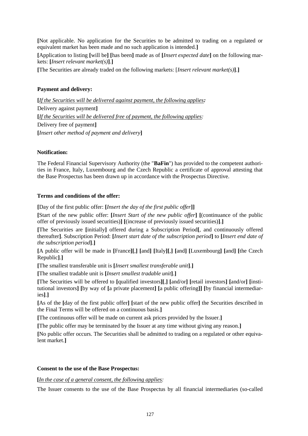**[**Not applicable. No application for the Securities to be admitted to trading on a regulated or equivalent market has been made and no such application is intended.**]**

**[**Application to listing **[**will be**] [**has been**]** made as of **[***Insert expected date***]** on the following markets: **[***Insert relevant market(s)***]**.**]**

**[**The Securities are already traded on the following markets: [*Insert relevant market(s)***]**.**]**

# **Payment and delivery:**

**[***If the Securities will be delivered against payment, the following applies:* Delivery against payment**] [***If the Securities will be delivered free of payment, the following applies:* Delivery free of payment**] [***Insert other method of payment and delivery***]**

## **Notification:**

The Federal Financial Supervisory Authority (the "**BaFin**") has provided to the competent authorities in France, Italy, Luxembourg and the Czech Republic a certificate of approval attesting that the Base Prospectus has been drawn up in accordance with the Prospectus Directive.

# **Terms and conditions of the offer:**

**[**Day of the first public offer: **[***Insert the day of the first public offer***]]**

**[**Start of the new public offer: **[***Insert Start of the new public offer***] [**(continuance of the public offer of previously issued securities)**] [**(increase of previously issued securities)**]**.**]**

**[**The Securities are **[**initially**]** offered during a Subscription Period**[**, and continuously offered thereafter**]**. Subscription Period: **[***Insert start date of the subscription period***]** to **[***Insert end date of the subscription period***]**.**]**

**[**A public offer will be made in **[**France**][**,**] [**and**] [**Italy**][**,**] [**and**] [**Luxembourg**] [**and**] [**the Czech Republic**]**.**]**

**[**The smallest transferable unit is **[***Insert smallest transferable unit***]**.**]**

**[**The smallest tradable unit is **[***Insert smallest tradable unit***]**.**]**

**[**The Securities will be offered to **[**qualified investors**][**,**] [**and/or**] [**retail investors**] [**and/or**] [**institutional investors**] [**by way of **[**a private placement**] [**a public offering**]] [**by financial intermediaries**]**.**]**

**[**As of the **[**day of the first public offer**] [**start of the new public offer**]** the Securities described in the Final Terms will be offered on a continuous basis.**]**

**[**The continuous offer will be made on current ask prices provided by the Issuer.**]**

**[**The public offer may be terminated by the Issuer at any time without giving any reason.**]**

**[**No public offer occurs. The Securities shall be admitted to trading on a regulated or other equivalent market.**]**

### **Consent to the use of the Base Prospectus:**

**[***In the case of a general consent, the following applies:*

The Issuer consents to the use of the Base Prospectus by all financial intermediaries (so-called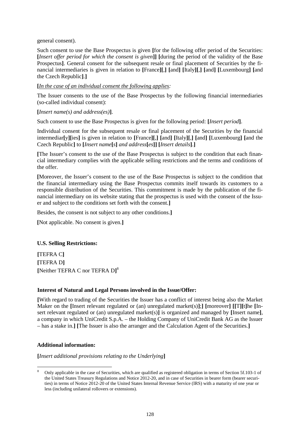general consent).

Such consent to use the Base Prospectus is given **[**for the following offer period of the Securities: **[***Insert offer period for which the consent is given***]] [**during the period of the validity of the Base Prospectus]. General consent for the subsequent resale or final placement of Securities by the financial intermediaries is given in relation to **[**France**][**,**] [**and**] [**Italy**][**,**] [**and**] [**Luxembourg**] [**and the Czech Republic**]**.**]**

### **[***In the case of an individual consent the following applies:*

The Issuer consents to the use of the Base Prospectus by the following financial intermediaries (so-called individual consent):

# **[***Insert name(s) and address(es)***]**.

Such consent to use the Base Prospectus is given for the following period: **[***Insert period***]**.

Individual consent for the subsequent resale or final placement of the Securities by the financial intermediar**[**y**][**ies**]** is given in relation to **[**France**][**,**] [**and**] [**Italy**][**,**] [**and**] [**Luxembourg**] [**and the Czech Republic**]** to **[***Insert name***[***s***]** *and address***[***es***]] [***Insert details***]**.**]**

**[**The Issuer's consent to the use of the Base Prospectus is subject to the condition that each financial intermediary complies with the applicable selling restrictions and the terms and conditions of the offer.

**[**Moreover, the Issuer's consent to the use of the Base Prospectus is subject to the condition that the financial intermediary using the Base Prospectus commits itself towards its customers to a responsible distribution of the Securities. This commitment is made by the publication of the financial intermediary on its website stating that the prospectus is used with the consent of the Issuer and subject to the conditions set forth with the consent.**]**

Besides, the consent is not subject to any other conditions.**]**

**[**Not applicable. No consent is given.**]**

### **U.S. Selling Restrictions:**

**[**TEFRA C**] [**TEFRA D**] [**Neither TEFRA C nor TEFRA D**]** 8

### **Interest of Natural and Legal Persons involved in the Issue/Offer:**

**[**With regard to trading of the Securities the Issuer has a conflict of interest being also the Market Maker on the **[**Insert relevant regulated or (an) unregulated market(s)**]**;**] [**moreover**] [[**T**][**t**]**he **[**Insert relevant regulated or (an) unregulated market(s)**]** is organized and managed by **[**Insert name**]**, a company in which UniCredit S.p.A. – the Holding Company of UniCredit Bank AG as the Issuer – has a stake in.**] [**The Issuer is also the arranger and the Calculation Agent of the Securities.**]**

### **Additional information:**

**[***Insert additional provisions relating to the Underlying***]**

<sup>8</sup> Only applicable in the case of Securities, which are qualified as registered obligation in terms of Section 5f.103-1 of the United States Treasury Regulations and Notice 2012-20, and in case of Securities in bearer form (bearer securities) in terms of Notice 2012-20 of the United States Internal Revenue Service (IRS) with a maturity of one year or less (including unilateral rollovers or extensions).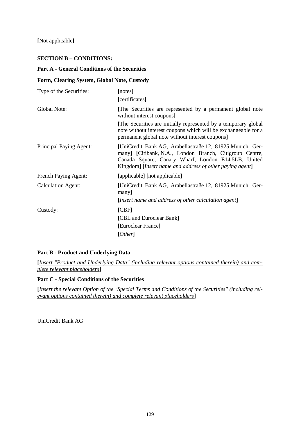**[**Not applicable**]**

# **SECTION B – CONDITIONS:**

## **Part A - General Conditions of the Securities**

## **Form, Clearing System, Global Note, Custody**

| Type of the Securities:   | [notes]                                                                                                                                                                                                                                 |
|---------------------------|-----------------------------------------------------------------------------------------------------------------------------------------------------------------------------------------------------------------------------------------|
|                           | [certificates]                                                                                                                                                                                                                          |
| Global Note:              | [The Securities are represented by a permanent global note<br>without interest coupons]                                                                                                                                                 |
|                           | [The Securities are initially represented by a temporary global]<br>note without interest coupons which will be exchangeable for a<br>permanent global note without interest coupons]                                                   |
| Principal Paying Agent:   | [UniCredit Bank AG, Arabellastraße 12, 81925 Munich, Ger-<br>many] [Citibank, N.A., London Branch, Citigroup Centre,<br>Canada Square, Canary Wharf, London E14 5LB, United<br>Kingdom] [Insert name and address of other paying agent] |
| French Paying Agent:      | [applicable] [not applicable]                                                                                                                                                                                                           |
| <b>Calculation Agent:</b> | [UniCredit Bank AG, Arabellastraße 12, 81925 Munich, Ger-<br>many]                                                                                                                                                                      |
|                           | [Insert name and address of other calculation agent]                                                                                                                                                                                    |
| Custody:                  | [CBF]                                                                                                                                                                                                                                   |
|                           | [CBL and Euroclear Bank]                                                                                                                                                                                                                |
|                           | [Euroclear France]                                                                                                                                                                                                                      |
|                           | [Other]                                                                                                                                                                                                                                 |

# **Part B - Product and Underlying Data**

**[***Insert "Product and Underlying Data" (including relevant options contained therein) and complete relevant placeholders***]**

### **Part C - Special Conditions of the Securities**

**[***Insert the relevant Option of the "Special Terms and Conditions of the Securities" (including relevant options contained therein) and complete relevant placeholders***]**

UniCredit Bank AG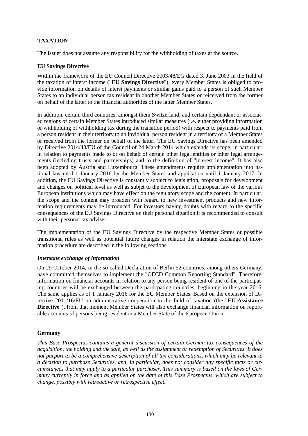# **TAXATION**

The Issuer does not assume any responsibility for the withholding of taxes at the source.

## **EU Savings Directive**

Within the framework of the EU Council Directive 2003/48/EG dated 3. June 2003 in the field of the taxation of interst income ("**EU Savings Directive**"), every Member States is obliged to provide information on details of interst payments or similar gains paid to a person of such Member States to an individual person tax resident in onother Member States or reiceived from the former on behalf of the latter to the financial authorities of the latter Member States.

In addition, certain third countries, amongst them Switzerland, and certain depdendant or associated regions of certain Member States introduced similar measures (i.e. either providing information or withholding of withholding tax during the transition period) with respect to payments paid from a person resident in their territory to an invididual person resident in a territory of a Member States or received from the former on behalf of the latter. The EU Savings Directive has been amended by Directive 2014/48/EU of the Council of 24 March 2014 which extends its scope, in particular, in relation to payments made to or on behalf of certain other legal entities or other legal arrangements (including trusts and partnerships) and to the definition of "interest income". It has also been adopted by Austria and Luxembourg. These amendments require implementation into national law until 1 January 2016 by the Member States and application until 1 January 2017. In addition, the EU Savings Directive is constantly subject to legislation, proposals for development and changes on political level as well as subjet to the development of European law of the various European institutions which may have effect on the regulatory scope and the content. In particular, the scope and the content may broaden with regard to new investment products and new information requirements may be introduced. For investors having doubts with regard to the specific consequences of the EU Savings Directive on their personal situation it is recommended to consult with their personal tax adviser.

The implementation of the EU Savings Directive by the respective Member States or possible transitional rules as well as potential future changes in relation the interstate exchange of information procedure are described in the following sections.

### *Interstate exchange of information*

On 29 October 2014, in the so called Declaration of Berlin 52 countries, among others Germany, have committed themselves to implement the "OECD Common Reporting Standard". Therefore, information on financial accounts in relation to any person being resident of one of the participating countries will be exchanged between the particpating countries, beginning in the year 2016. The same applies as of 1 January 2016 for the EU Member States. Based on the extension of Directive 2011/16/EU on administrative cooperation in the field of taxation (the "**EU-Assistance Directive**"), from that moment Member States will also exchange financial information on reportable accounts of persons being resident in a Member State of the European Union.

### **Germany**

*This Base Prospectus contains a general discussion of certain German tax consequences of the acquisition, the holding and the sale, as well as the assignment or redemption of Securities. It does not purport to be a comprehensive description of all tax considerations, which may be relevant to a decision to purchase Securities, and, in particular, does not consider any specific facts or circumstances that may apply to a particular purchaser. This summary is based on the laws of Germany currently in force and as applied on the date of this Base Prospectus, which are subject to change, possibly with retroactive or retrospective effect.*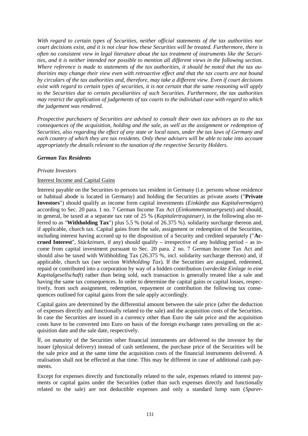*With regard to certain types of Securities, neither official statements of the tax authorities nor court decisions exist, and it is not clear how these Securities will be treated. Furthermore, there is often no consistent view in legal literature about the tax treatment of instruments like the Securities, and it is neither intended nor possible to mention all different views in the following section. Where reference is made to statements of the tax authorities, it should be noted that the tax authorities may change their view even with retroactive effect and that the tax courts are not bound by circulars of the tax authorities and, therefore, may take a different view. Even if court decisions exist with regard to certain types of securities, it is not certain that the same reasoning will apply to the Securities due to certain peculiarities of such Securities. Furthermore, the tax authorities may restrict the application of judgements of tax courts to the individual case with regard to which the judgement was rendered.*

*Prospective purchasers of Securities are advised to consult their own tax advisors as to the tax consequences of the acquisition, holding and the sale, as well as the assignment or redemption of Securities, also regarding the effect of any state or local taxes, under the tax laws of Germany and each country of which they are tax residents. Only these advisers will be able to take into account appropriately the details relevant to the taxation of the respective Security Holders.*

# *German Tax Residents*

### *Private Investors*

### Interest Income and Capital Gains

Interest payable on the Securities to persons tax resident in Germany (i.e. persons whose residence or habitual abode is located in Germany) and holding the Securities as private assets ("**Private Investors**") should qualify as income form capital investments (*Einkünfte aus Kapitalvermögen*) according to Sec. 20 para. 1 no. 7 German Income Tax Act (*Einkommensteuergesetz*) and should, in general, be taxed at a separate tax rate of 25 % (*Kapitalertragsteuer)*, in the following also referred to as "**Withholding Tax**") plus 5.5 % (total of 26.375 %). solidarity surcharge thereon and, if applicable, church tax. Capital gains from the sale, assignment or redemption of the Securities, including interest having accrued up to the disposition of a Security and credited separately ("**Accrued Interest**", *Stückzinsen*, if any) should qualify – irrespective of any holding period – as income from capital investment pursuant to Sec. 20 para. 2 no. 7 German Income Tax Act and should also be taxed with Withholding Tax (26.375 %, incl. solidarity surcharge thereon) and, if applicable, church tax (see section *Withholding Tax*). If the Securities are assigned, redeemed, repaid or contributed into a corporation by way of a hidden contribution (*verdeckte Einlage in eine Kapitalgesellschaft*) rather than being sold, such transaction is generally treated like a sale and having the same tax consequences. In order to determine the capital gains or capital losses, respectively, from such assignment, redemption, repayment or contribution the following tax consequences outlined for capital gains from the sale apply accordingly.

Capital gains are determined by the differential amount between the sale price (after the deduction of expenses directly and functionally related to the sale) and the acquisition costs of the Securities. In case the Securities are issued in a currency other than Euro the sale price and the acquisition costs have to be converted into Euro on basis of the foreign exchange rates prevailing on the acquisition date and the sale date, respectively.

Íf, on maturity of the Securities other financial instruments are delivered to the investor by the issuer (physical delivery) instead of cash settlement, the purchase price of the Securities will be the sale price and at the same time the acquisition costs of the financial instruments delivered. A realisation shall not be effected at that time. This may be different in case of additional cash payments.

Except for expenses directly and functionally related to the sale, expenses related to interest payments or capital gains under the Securities (other than such expenses directly and functionally related to the sale) are not deductible expenses and only a standard lump sum (*Sparer-*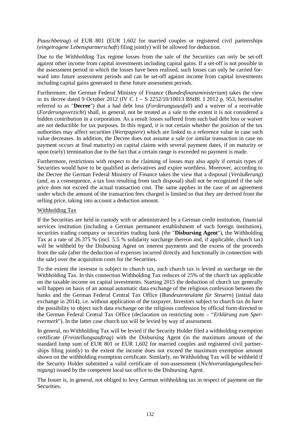*Pauschbetrag*) of EUR 801 (EUR 1,602 for married couples or registered civil partnerships (*eingetragene Lebenspartnerschaft*) filing jointly) will be allowed for deduction.

Due to the Withholding Tax regime losses from the sale of the Securities can only be set-off against other income from capital investments including capital gains. If a set-off is not possible in the assessment period in which the losses have been realised, such losses can only be carried forward into future assessment periods and can be set-off against income from capital investments including capital gains generated in these future assessment periods.

Furthermore, the German Federal Ministry of Finance (*Bundesfinanzministerium*) takes the view in its decree dated 9 October 2012 (IV C 1 – S 2252/10/10013 BStBl. I 2012 p. 953, hereinafter referred to as "**Decree**") that a bad debt loss (*Forderungsausfall*) and a waiver of a receivable (*Forderungsverzicht*) shall, in general, not be treated as a sale to the extent it is not considered a hidden contribution in a corporation. As a result losses suffered from such bad debt loss or waiver are not deductible for tax purposes. In this regard, it is not certain whether the position of the tax authorities may affect securities (*Wertpapiere*) which are linked to a reference value in case such value decreases. In addition, the Decree does not assume a sale (or similar transaction in case no payment occurs at final maturity) on capital claims with several payment dates, if on maturity or upon (early) termination due to the fact that a certain range is exceeded no payment is made.

Furthermore, restrictions with respect to the claiming of losses may also apply if certain types of Securities would have to be qualified as derivatives and expire worthless. Moreover, according to the Decree the German Federal Ministry of Finance takes the view that a disposal (*Veräußerung*) (and, as a consequence, a tax loss resulting from such disposal) shall not be recognized if the sale price does not exceed the actual transaction cost. The same applies in the case of an agreement under which the amount of the transaction fees charged is limited so that they are derived from the selling price, taking into account a deduction amount.

### Withholding Tax

If the Securities are held in custody with or administrated by a German credit institution, financial services institution (including a German permanent establishment of such foreign institution), securities trading company or securities trading bank (the "**Disbursing Agent**"), the Withholding Tax at a rate of 26.375 % (incl. 5.5 % solidarity surcharge thereon and, if applicable, church tax) will be withheld by the Disbursing Agent on interest payments and the excess of the proceeds from the sale (after the deduction of expenses incurred directly and functionally in connection with the sale) over the acquisition costs for the Securities.

To the extent the investor is subject to church tax, such church tax is levied as surcharge on the Withholding Tax. In this connection Withholding Tax reduces of 25% of the church tax applicable on the taxable income on capital investments. Starting 2015 the deduction of church tax generally will happen on basis of an annual automatic data exchange of the religious confession between the banks and the German Federal Central Tax Office (*Bundeszentralamt für Steuern*) (initial data exchange in 2014), i.e. without application of the taxpayer. Investors subject to church tax do have the possibility to object such data exchange on the religious confession by official form directed to the German Federal Central Tax Office (declaration on restricting note – "*Erklärung zum Sperrvermerk*"). In the latter case church tax will be levied by way of assessment.

In general, no Withholding Tax will be levied if the Security Holder filed a withholding exemption certificate (*Freistellungsauftrag*) with the Disbursing Agent (in the maximum amount of the standard lump sum of EUR 801 or EUR 1,602 for married couples and registered civil partnerships filing jointly) to the extent the income does not exceed the maximum exemption amount shown on the withholding exemption certificate. Similarly, no Withholding Tax will be withheld if the Security Holder submitted a valid certificate of non-assessment (*Nichtveranlagungsbescheinigung*) issued by the competent local tax office to the Disbursing Agent.

The Issuer is, in general, not obliged to levy German withholding tax in respect of payment on the Securities.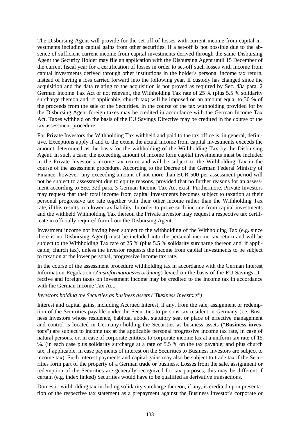The Disbursing Agent will provide for the set-off of losses with current income from capital investments including capital gains from other securities. If a set-off is not possible due to the absence of sufficient current income from capital investments derived through the same Disbursing Agent the Security Holder may file an application with the Disbursing Agent until 15 December of the current fiscal year for a certification of losses in order to set-off such losses with income from capital investments derived through other institutions in the holder's personal income tax return, instead of having a loss carried forward into the following year. If custody has changed since the acquisition and the data relating to the acquisition is not proved as required by Sec. 43a para. 2 German Income Tax Act or not relevant, the Withholding Tax rate of 25 % (plus 5.5 % solidarity surcharge thereon and, if applicable, church tax) will be imposed on an amount equal to 30 % of the proceeds from the sale of the Securities. In the course of the tax withholding provided for by the Disbursing Agent foreign taxes may be credited in accordance with the German Income Tax Act. Taxes withheld on the basis of the EU Savings Directive may be credited in the course of the tax assessment procedure.

For Private Investors the Withholding Tax withheld and paid to the tax office is, in general, definitive. Exceptions apply if and to the extent the actual income from capital investments exceeds the amount determined as the basis for the withholding of the Withholding Tax by the Disbursing Agent. In such a case, the exceeding amount of income form capital investments must be included in the Private Investor´s income tax return and will be subject to the Withholding Tax in the course of the assessment procedure. According to the Decree of the German Federal Ministry of Finance, however, any exceeding amount of not more than EUR 500 per assessment period will not be subject to assessment due to equity reasons, provided that no further reasons for an assessment according to Sec. 32d para. 3 German Income Tax Act exist. Furthermore, Private Investors may request that their total income from capital investments becomes subject to taxation at their personal progressive tax rate together with their other income rather than the Withholding Tax rate, if this results in a lower tax liability. In order to prove such income from capital investments and the withheld Withholding Tax thereon the Private Investor may request a respective tax certificate in officially required form from the Disbursing Agent.

Investment income not having been subject to the withholding of the Withholding Tax (e.g. since there is no Disbursing Agent) must be included into the personal income tax return and will be subject to the Withholding Tax rate of 25 % (plus 5.5 % solidarity surcharge thereon and, if applicable, church tax), unless the investor requests the income from capital investments to be subject to taxation at the lower personal, progressive income tax rate.

In the course of the assessment procedure withholding tax in accordance with the German Interest Information Regulation (*Zinsinformationsverordnung*) levied on the basis of the EU Savings Directive and foreign taxes on investment income may be credited to the income tax in accordance with the German Income Tax Act.

### *Investors holding the Securties as business assets ("Business Investors")*

Interest and capital gains, including Accrued Interest, if any, from the sale, assignment or redemption of the Securities payable under the Securities to persons tax resident in Germany (i.e. Business Investors whose residence, habitual abode, statutory seat or place of effective management and control is located in Germany) holding the Securities as business assets ("**Business investors**") are subject to income tax at the applicable personal progressive income tax rate, in case of natural persons, or, in case of corporate entities, to corporate income tax at a uniform tax rate of 15 %. (in each case plus solidarity surcharge at a rate of 5.5 % on the tax payable; and plus church tax, if applicable, in case payments of interest on the Securities to Business Investors are subject to income tax). Such interest payments and capital gains may also be subject to trade tax if the Securities form part of the property of a German trade or business. Losses from the sale, assignment or redemption of the Securities are generally recognized for tax purposes; this may be different if certain (e.g. index linked) Securities would have to be qualified as derivative transactions.

Domestic withholding tax including solidarity surcharge thereon, if any, is credited upon presentation of the respective tax statement as a prepayment against the Business Investor's corporate or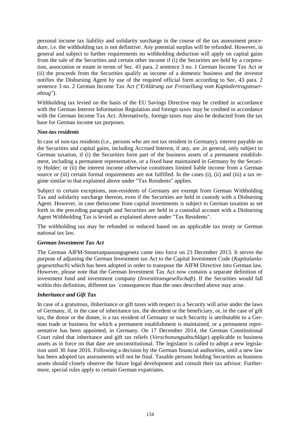personal income tax liability and solidarity surcharge in the course of the tax assessment procedure, i.e. the withholding tax is not definitive. Any potential surplus will be refunded. However, in general and subject to further requirements no withholding deduction will apply on capital gains from the sale of the Securities and certain other income if (i) the Securities are held by a corporation, association or estate in terms of Sec. 43 para. 2 sentence 3 no. 1 German Income Tax Act or (ii) the proceeds from the Securities qualify as income of a domestic business and the investor notifies the Disbursing Agent by use of the required official form according to Sec. 43 para. 2 sentence 3 no. 2 German Income Tax Act ("*Erklärung zur Freistellung vom Kapitalertragsteuerabzug"*).

Withholding tax levied on the basis of the EU Savings Directive may be credited in accordance with the German Interest Information Regulation and foreign taxes may be credited in accordance with the German Income Tax Act. Alternatively, foreign taxes may also be deducted from the tax base for German income tax purposes.

# *Non-tax residents*

In case of non-tax residents (i.e., persons who are not tax resident in Germany), interest payable on the Securities and capital gains, including Accrued Interest, if any, are ,in general, only subject to German taxation, if (i) the Securities form part of the business assets of a permanent establishment, including a permanent representative, or a fixed base maintained in Germany by the Security Holder; or (ii) the interest income otherwise constitutes limited liable income from a German source or (iii) certain formal requirements are not fulfilled. In the cases (i), (ii) and (iii) a tax regime similar to that explained above under "Tax Residents" applies.

Subject to certain exceptions, non-residents of Germany are exempt from German Withholding Tax and solidarity surcharge thereon, even if the Securities are held in custody with a Disbursing Agent. However, in case theincome from capital investments is subject to German taxation as set forth in the preceding paragraph and Securities are held in a custodial account with a Disbursing Agent Withholding Tax is levied as explained above under "Tax Residents".

The withholding tax may be refunded or reduced based on an applicable tax treaty or German national tax law.

# *German Investment Tax Act*

The German AIFM-Steueranpassungsgesetz came into force on 23 December 2013. It serves the purpose of adjusting the German Investment tax Act to the Capital Investment Code (*Kapitalanlagegesetzbuch*) which has been adopted in order to transpose the AIFM Directive into German law. However, please note that the German Investment Tax Act now contains a separate definition of investment fund and investment company (*Investitionsgesellschaft*). If the Securities would fall within this definition, different tax ´consequences than the ones described above may arise.

# *Inheritance and Gift Tax*

In case of a gratuitous, iInheritance or gift taxes with respect to a Security will arise under the laws of Germany, if, in the case of inheritance tax, the decedent or the beneficiary, or, in the case of gift tax, the donor or the donee, is a tax resident of Germany or such Security is attributable to a German trade or business for which a permanent establishment is maintained, or a permanent representative has been appointed, in Germany. On 17 December 2014, the German Constitutional Court ruled that inheritance and gift tax reliefs (*Verschonungsabschläge*) applicable to business assets as in force on that date are unconstitutional. The legislator is called to adopt a new legislation until 30 June 2016. Following a decision by the German financial authorities, until a new law has been adopted tax assessments will not be final. Taxable persons holding Securities as business assets should closely observe the future legal development and consult their tax advisor. Furthermore, special rules apply to certain German expatriates.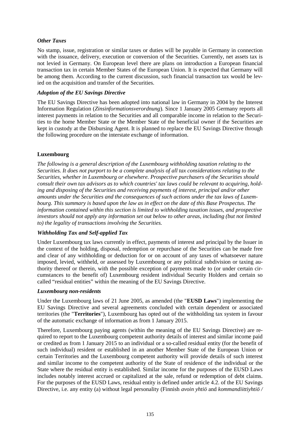# *Other Taxes*

No stamp, issue, registration or similar taxes or duties will be payable in Germany in connection with the issuance, delivery, execution or conversion of the Securities. Currently, net assets tax is not levied in Germany. On European level there are plans on introduction a European financial transaction tax in certain Member States of the European Union. It is expected that Germany will be among them. According to the current discussion, such financial transaction tax would be levied on the acquisition and transfer of the Securities.

## *Adoption of the EU Savings Directive*

The EU Savings Directive has been adopted into national law in Germany in 2004 by the Interest Information Regulation (*Zinsinformationsverordnung*). Since 1 January 2005 Germany reports all interest payments in relation to the Securities and all comparable income in relation to the Securities to the home Member State or the Member State of the beneficial owner if the Securities are kept in custody at the Disbursing Agent. It is planned to replace the EU Savings Directive through the following procedure on the interstate exchange of information.

# **Luxembourg**

*The following is a general description of the Luxembourg withholding taxation relating to the Securities. It does not purport to be a complete analysis of all tax considerations relating to the Securities, whether in Luxembourg or elsewhere. Prospective purchasers of the Securities should consult their own tax advisors as to which countries' tax laws could be relevant to acquiring, holding and disposing of the Securities and receiving payments of interest, principal and/or other amounts under the Securities and the consequences of such actions under the tax laws of Luxembourg. This summary is based upon the law as in effect on the date of this Base Prospectus. The information contained within this section is limited to withholding taxation issues, and prospective investors should not apply any information set out below to other areas, including (but not limited to) the legality of transactions involving the Securities.*

# *Withholding Tax and Self-applied Tax*

Under Luxembourg tax laws currently in effect, payments of interest and principal by the Issuer in the context of the holding, disposal, redemption or repurchase of the Securities can be made free and clear of any withholding or deduction for or on account of any taxes of whatsoever nature imposed, levied, withheld, or assessed by Luxembourg or any political subdivision or taxing authority thereof or therein, with the possible exception of payments made to (or under certain circumstances to the benefit of) Luxembourg resident individual Security Holders and certain so called "residual entities" within the meaning of the EU Savings Directive.

### *Luxembourg non-residents*

Under the Luxembourg laws of 21 June 2005, as amended (the "**EUSD Laws**") implementing the EU Savings Directive and several agreements concluded with certain dependent or associated territories (the "**Territories**"), Luxembourg has opted out of the withholding tax system in favour of the automatic exchange of information as from 1 January 2015.

Therefore, Luxembourg paying agents (within the meaning of the EU Savings Directive) are required to report to the Luxembourg competent authority details of interest and similar income paid or credited as from 1 January 2015 to an individual or a so-called residual entity (for the benefit of such individual) resident or established in an another Member State of the European Union or certain Territories and the Luxembourg competent authority will provide details of such interest and similar income to the competent authority of the State of residence of the individual or the State where the residual entity is established. Similar income for the purposes of the EUSD Laws includes notably interest accrued or capitalized at the sale, refund or redemption of debt claims. For the purposes of the EUSD Laws, residual entity is defined under article 4.2. of the EU Savings Directive, i.e. any entity (a) without legal personality (Finnish *avoin yhtiö* and *kommandiittiyhtiö /*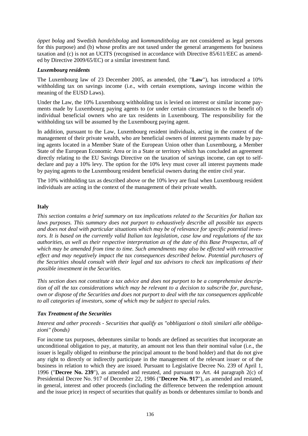*öppet bolag* and Swedish *handelsbolag* and *kommanditbolag* are not considered as legal persons for this purpose) and (b) whose profits are not taxed under the general arrangements for business taxation and (c) is not an UCITS (recognised in accordance with Directive 85/611/EEC as amended by Directive 2009/65/EC) or a similar investment fund.

## *Luxembourg residents*

The Luxembourg law of 23 December 2005, as amended, (the "**Law**"), has introduced a 10% withholding tax on savings income (i.e., with certain exemptions, savings income within the meaning of the EUSD Laws).

Under the Law, the 10% Luxembourg withholding tax is levied on interest or similar income payments made by Luxembourg paying agents to (or under certain circumstances to the benefit of) individual beneficial owners who are tax residents in Luxembourg. The responsibility for the withholding tax will be assumed by the Luxembourg paying agent.

In addition, pursuant to the Law, Luxembourg resident individuals, acting in the context of the management of their private wealth, who are beneficial owners of interest payments made by paying agents located in a Member State of the European Union other than Luxembourg, a Member State of the European Economic Area or in a State or territory which has concluded an agreement directly relating to the EU Savings Directive on the taxation of savings income, can opt to selfdeclare and pay a 10% levy. The option for the 10% levy must cover all interest payments made by paying agents to the Luxembourg resident beneficial owners during the entire civil year.

The 10% withholding tax as described above or the 10% levy are final when Luxembourg resident individuals are acting in the context of the management of their private wealth.

# **Italy**

*This section contains a brief summary on tax implications related to the Securities for Italian tax laws purposes. This summary does not purport to exhaustively describe all possible tax aspects and does not deal with particular situations which may be of relevance for specific potential investors. It is based on the currently valid Italian tax legislation, case law and regulations of the tax authorities, as well as their respective interpretation as of the date of this Base Prospectus, all of which may be amended from time to time. Such amendments may also be effected with retroactive effect and may negatively impact the tax consequences described below. Potential purchasers of the Securities should consult with their legal and tax advisors to check tax implications of their possible investment in the Securities.*

*This section does not constitute a tax advice and does not purport to be a comprehensive description of all the tax considerations which may be relevant to a decision to subscribe for, purchase, own or dispose of the Securities and does not purport to deal with the tax consequences applicable to all categories of investors, some of which may be subject to special rules.*

# *Tax Treatment of the Securities*

# *Interest and other proceeds - Securities that qualify as "obbligazioni o titoli similari alle obbligazioni" (bonds)*

For income tax purposes, debentures similar to bonds are defined as securities that incorporate an unconditional obligation to pay, at maturity, an amount not less than their nominal value (i.e., the issuer is legally obliged to reimburse the principal amount to the bond holder) and that do not give any right to directly or indirectly participate in the management of the relevant issuer or of the business in relation to which they are issued. Pursuant to Legislative Decree No. 239 of April 1, 1996 ("**Decree No. 239**"), as amended and restated, and pursuant to Art. 44 paragraph 2(c) of Presidential Decree No. 917 of December 22, 1986 ("**Decree No. 917**"), as amended and restated, in general, interest and other proceeds (including the difference between the redemption amount and the issue price) in respect of securities that qualify as bonds or debentures similar to bonds and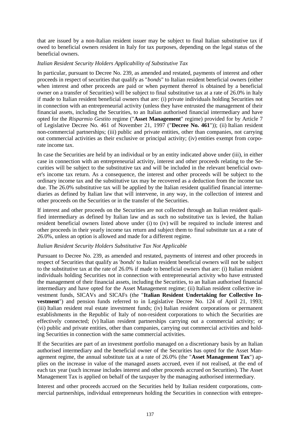that are issued by a non-Italian resident issuer may be subject to final Italian substitutive tax if owed to beneficial owners resident in Italy for tax purposes, depending on the legal status of the beneficial owners.

## *Italian Resident Security Holders Applicability of Substitutive Tax*

In particular, pursuant to Decree No. 239, as amended and restated, payments of interest and other proceeds in respect of securities that qualify as "*bonds*" to Italian resident beneficial owners (either when interest and other proceeds are paid or when payment thereof is obtained by a beneficial owner on a transfer of Securities) will be subject to final substitutive tax at a rate of 26.0% in Italy if made to Italian resident beneficial owners that are: (i) private individuals holding Securities not in connection with an entrepreneurial activity (unless they have entrusted the management of their financial assets, including the Securities, to an Italian authorised financial intermediary and have opted for the *Risparmio Gestito* regime ("**Asset Management**" regime) provided for by Article 7 of Legislative Decree No. 461 of November 21, 1997 ("**Decree No. 461**")); (ii) Italian resident non-commercial partnerships; (iii) public and private entities, other than companies, not carrying out commercial activities as their exclusive or principal activity; (iv) entities exempt from corporate income tax.

In case the Securities are held by an individual or by an entity indicated above under (iii), in either case in connection with an entrepreneurial activity, interest and other proceeds relating to the Securities will be subject to the substitutive tax and will be included in the relevant beneficial owner's income tax return. As a consequence, the interest and other proceeds will be subject to the ordinary income tax and the substitutive tax may be recovered as a deduction from the income tax due. The 26.0% substitutive tax will be applied by the Italian resident qualified financial intermediaries as defined by Italian law that will intervene, in any way, in the collection of interest and other proceeds on the Securities or in the transfer of the Securities.

If interest and other proceeds on the Securities are not collected through an Italian resident qualified intermediary as defined by Italian law and as such no substitutive tax is levied, the Italian resident beneficial owners listed above under (i) to (iv) will be required to include interest and other proceeds in their yearly income tax return and subject them to final substitute tax at a rate of 26.0%, unless an option is allowed and made for a different regime.

### *Italian Resident Security Holders Substitutive Tax Not Applicable*

Pursuant to Decree No. 239, as amended and restated, payments of interest and other proceeds in respect of Securities that qualify as '*bonds*' to Italian resident beneficial owners will not be subject to the substitutive tax at the rate of 26.0% if made to beneficial owners that are: (i) Italian resident individuals holding Securities not in connection with entrepreneurial activity who have entrusted the management of their financial assets, including the Securities, to an Italian authorised financial intermediary and have opted for the Asset Management regime; (ii) Italian resident collective investment funds, SICAVs and SICAFs (the "**Italian Resident Undertaking for Collective Investment**") and pension funds referred to in Legislative Decree No. 124 of April 21, 1993; (iii) Italian resident real estate investment funds; (iv) Italian resident corporations or permanent establishments in the Republic of Italy of non-resident corporations to which the Securities are effectively connected; (v) Italian resident partnerships carrying out a commercial activity; or (vi) public and private entities, other than companies, carrying out commercial activities and holding Securities in connection with the same commercial activities.

If the Securities are part of an investment portfolio managed on a discretionary basis by an Italian authorised intermediary and the beneficial owner of the Securities has opted for the Asset Management regime, the annual substitute tax at a rate of 26.0% (the "**Asset Management Tax**") applies on the increase in value of the managed assets accrued, even if not realised, at the end of each tax year (such increase includes interest and other proceeds accrued on Securities). The Asset Management Tax is applied on behalf of the taxpayer by the managing authorised intermediary.

Interest and other proceeds accrued on the Securities held by Italian resident corporations, commercial partnerships, individual entrepreneurs holding the Securities in connection with entrepre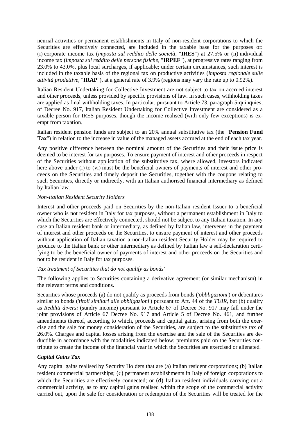neurial activities or permanent establishments in Italy of non-resident corporations to which the Securities are effectively connected, are included in the taxable base for the purposes of: (i) corporate income tax (*imposta sul reddito delle società*, "**IRES**") at 27.5% or (ii) individual income tax (*imposta sul reddito delle persone fisiche*, "**IRPEF**"), at progressive rates ranging from 23.0% to 43.0%, plus local surcharges, if applicable; under certain circumstances, such interest is included in the taxable basis of the regional tax on productive activities (*imposta regionale sulle attività produttive*, "**IRAP**"), at a general rate of 3.9% (regions may vary the rate up to 0.92%).

Italian Resident Undertaking for Collective Investment are not subject to tax on accrued interest and other proceeds, unless provided by specific provisions of law. In such cases, withholding taxes are applied as final withholding taxes. In particular, pursuant to Article 73, paragraph 5-quinquies, of Decree No. 917, Italian Resident Undertaking for Collective Investment are considered as a taxable person for IRES purposes, though the income realised (with only few exceptions) is exempt from taxation.

Italian resident pension funds are subject to an 20% annual substitutive tax (the "**Pension Fund Tax**") in relation to the increase in value of the managed assets accrued at the end of each tax year.

Any positive difference between the nominal amount of the Securities and their issue price is deemed to be interest for tax purposes. To ensure payment of interest and other proceeds in respect of the Securities without application of the substitutive tax, where allowed, investors indicated here above under (i) to (vi) must be the beneficial owners of payments of interest and other proceeds on the Securities and timely deposit the Securities, together with the coupons relating to such Securities, directly or indirectly, with an Italian authorised financial intermediary as defined by Italian law.

### *Non-Italian Resident Security Holders*

Interest and other proceeds paid on Securities by the non-Italian resident Issuer to a beneficial owner who is not resident in Italy for tax purposes, without a permanent establishment in Italy to which the Securities are effectively connected, should not be subject to any Italian taxation. In any case an Italian resident bank or intermediary, as defined by Italian law, intervenes in the payment of interest and other proceeds on the Securities, to ensure payment of interest and other proceeds without application of Italian taxation a non-Italian resident Security Holder may be required to produce to the Italian bank or other intermediary as defined by Italian law a self-declaration certifying to be the beneficial owner of payments of interest and other proceeds on the Securities and not to be resident in Italy for tax purposes.

### *Tax treatment of Securities that do not qualify as bonds'*

The following applies to Securities containing a derivative agreement (or similar mechanism) in the relevant terms and conditions.

Securities whose proceeds (a) do not qualify as proceeds from bonds ('*obbligazioni*') or debentures similar to bonds ('*titoli similari alle obbligazioni*') pursuant to Art. 44 of the *TUIR*, but (b) qualify as *Redditi diversi* (sundry income) pursuant to Article 67 of Decree No. 917 may fall under the joint provisions of Article 67 Decree No. 917 and Article 5 of Decree No. 461, and further amendments thereof, according to which, proceeds and capital gains, arising from both the exercise and the sale for money consideration of the Securities, are subject to the substitutive tax of 26.0%. Charges and capital losses arising from the exercise and the sale of the Securities are deductible in accordance with the modalities indicated below; premiums paid on the Securities contribute to create the income of the financial year in which the Securities are exercised or alienated.

### *Capital Gains Tax*

Any capital gains realised by Security Holders that are (a) Italian resident corporations; (b) Italian resident commercial partnerships; (c) permanent establishments in Italy of foreign corporations to which the Securities are effectively connected; or (d) Italian resident individuals carrying out a commercial activity, as to any capital gains realised within the scope of the commercial activity carried out, upon the sale for consideration or redemption of the Securities will be treated for the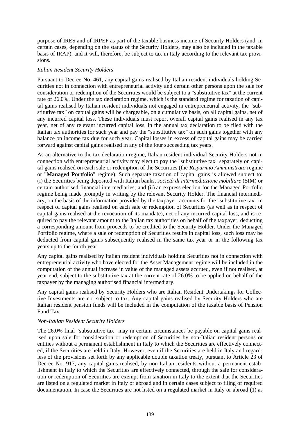purpose of IRES and of IRPEF as part of the taxable business income of Security Holders (and, in certain cases, depending on the status of the Security Holders, may also be included in the taxable basis of IRAP), and it will, therefore, be subject to tax in Italy according to the relevant tax provisions.

### *Italian Resident Security Holders*

Pursuant to Decree No. 461, any capital gains realised by Italian resident individuals holding Securities not in connection with entrepreneurial activity and certain other persons upon the sale for consideration or redemption of the Securities would be subject to a "substitutive tax" at the current rate of 26.0%. Under the tax declaration regime, which is the standard regime for taxation of capital gains realised by Italian resident individuals not engaged in entrepreneurial activity, the "substitutive tax*"* on capital gains will be chargeable, on a cumulative basis, on all capital gains, net of any incurred capital loss. These individuals must report overall capital gains realised in any tax year, net of any relevant incurred capital loss, in the annual tax declaration to be filed with the Italian tax authorities for such year and pay the "substitutive tax*"* on such gains together with any balance on income tax due for such year. Capital losses in excess of capital gains may be carried forward against capital gains realised in any of the four succeeding tax years.

As an alternative to the tax declaration regime, Italian resident individual Security Holders not in connection with entrepreneurial activity may elect to pay the "substitutive tax" separately on capital gains realised on each sale or redemption of the Securities (the *Risparmio Amministrato* regime or "**Managed Portfolio**" regime). Such separate taxation of capital gains is allowed subject to: (i) the Securities being deposited with Italian banks, *società di intermediazione mobiliare* (SIM) or certain authorised financial intermediaries; and (ii) an express election for the Managed Portfolio regime being made promptly in writing by the relevant Security Holder. The financial intermediary, on the basis of the information provided by the taxpayer, accounts for the "substitutive tax" in respect of capital gains realised on each sale or redemption of Securities (as well as in respect of capital gains realised at the revocation of its mandate), net of any incurred capital loss, and is required to pay the relevant amount to the Italian tax authorities on behalf of the taxpayer, deducting a corresponding amount from proceeds to be credited to the Security Holder. Under the Managed Portfolio regime, where a sale or redemption of Securities results in capital loss, such loss may be deducted from capital gains subsequently realised in the same tax year or in the following tax years up to the fourth year.

Any capital gains realised by Italian resident individuals holding Securities not in connection with entrepreneurial activity who have elected for the Asset Management regime will be included in the computation of the annual increase in value of the managed assets accrued, even if not realised, at year end, subject to the substitutive tax at the current rate of 26.0% to be applied on behalf of the taxpayer by the managing authorised financial intermediary.

Any capital gains realised by Security Holders who are Italian Resident Undertakings for Collective Investments are not subject to tax. Any capital gains realised by Security Holders who are Italian resident pension funds will be included in the computation of the taxable basis of Pension Fund Tax.

# *Non-Italian Resident Security Holders*

The 26.0% final "substitutive tax" may in certain circumstances be payable on capital gains realised upon sale for consideration or redemption of Securities by non-Italian resident persons or entities without a permanent establishment in Italy to which the Securities are effectively connected, if the Securities are held in Italy. However, even if the Securities are held in Italy and regardless of the provisions set forth by any applicable double taxation treaty, pursuant to Article 23 of Decree No. 917, any capital gains realised, by non-Italian residents without a permanent establishment in Italy to which the Securities are effectively connected, through the sale for consideration or redemption of Securities are exempt from taxation in Italy to the extent that the Securities are listed on a regulated market in Italy or abroad and in certain cases subject to filing of required documentation. In case the Securities are not listed on a regulated market in Italy or abroad (1) as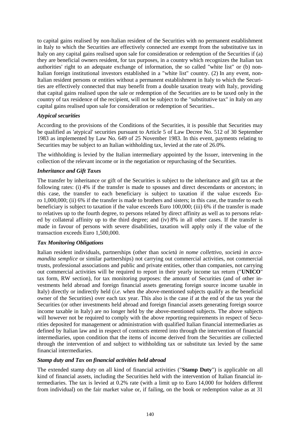to capital gains realised by non-Italian resident of the Securities with no permanent establishment in Italy to which the Securities are effectively connected are exempt from the substitutive tax in Italy on any capital gains realised upon sale for consideration or redemption of the Securities if (a) they are beneficial owners resident, for tax purposes, in a country which recognizes the Italian tax authorities' right to an adequate exchange of information, the so called "white list" or (b) non-Italian foreign institutional investors established in a "white list" country. (2) In any event, non-Italian resident persons or entities without a permanent establishment in Italy to which the Securities are effectively connected that may benefit from a double taxation treaty with Italy, providing that capital gains realised upon the sale or redemption of the Securities are to be taxed only in the country of tax residence of the recipient, will not be subject to the "substitutive tax" in Italy on any capital gains realised upon sale for consideration or redemption of Securities..

### *Atypical securities*

According to the provisions of the Conditions of the Securities, it is possible that Securities may be qualified as 'atypical' securities pursuant to Article 5 of Law Decree No. 512 of 30 September 1983 as implemented by Law No. 649 of 25 November 1983. In this event, payments relating to Securities may be subject to an Italian withholding tax, levied at the rate of 26.0%.

The withholding is levied by the Italian intermediary appointed by the Issuer, intervening in the collection of the relevant income or in the negotiation or repurchasing of the Securities.

#### *Inheritance and Gift Taxes*

The transfer by inheritance or gift of the Securities is subject to the inheritance and gift tax at the following rates: (i) 4% if the transfer is made to spouses and direct descendants or ancestors; in this case, the transfer to each beneficiary is subject to taxation if the value exceeds Euro 1,000,000; (ii) 6% if the transfer is made to brothers and sisters; in this case, the transfer to each beneficiary is subject to taxation if the value exceeds Euro 100,000; (iii) 6% if the transfer is made to relatives up to the fourth degree, to persons related by direct affinity as well as to persons related by collateral affinity up to the third degree; and (iv) 8% in all other cases. If the transfer is made in favour of persons with severe disabilities, taxation will apply only if the value of the transaction exceeds Euro 1,500,000.

#### *Tax Monitoring Obligations*

Italian resident individuals, partnerships (other than *società in nome collettivo, società in accomandita semplice* or similar partnerships) not carrying out commercial activities, not commercial trusts, professional associations and public and private entities, other than companies, not carrying out commercial activities will be required to report in their yearly income tax return ("**UNICO**" tax form, RW section), for tax monitoring purposes: the amount of Securities (and of other investments held abroad and foreign financial assets generating foreign source income taxable in Italy) directly or indirectly held (*i.e.* when the above-mentioned subjects qualify as the beneficial owner of the Securities) over each tax year. This also is the case if at the end of the tax year the Securities (or other investments held abroad and foreign financial assets generating foreign source income taxable in Italy) are no longer held by the above-mentioned subjects. The above subjects will however not be required to comply with the above reporting requirements in respect of Securities deposited for management or administration with qualified Italian financial intermediaries as defined by Italian law and in respect of contracts entered into through the intervention of financial intermediaries, upon condition that the items of income derived from the Securities are collected through the intervention of and subject to withholding tax or substitute tax levied by the same financial intermediaries.

#### *Stamp duty and Tax on financial activities held abroad*

The extended stamp duty on all kind of financial activities ("**Stamp Duty**") is applicable on all kind of financial assets, including the Securities held with the intervention of Italian financial intermediaries. The tax is levied at 0.2% rate (with a limit up to Euro 14,000 for holders different from individual) on the fair market value or, if failing, on the book or redemption value as at 31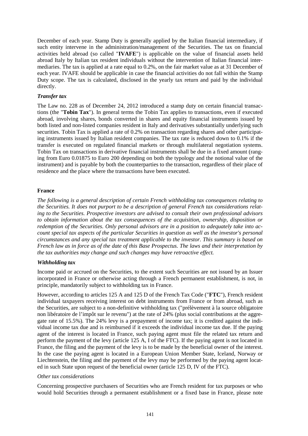December of each year. Stamp Duty is generally applied by the Italian financial intermediary, if such entity intervene in the administration/management of the Securities. The tax on financial activities held abroad (so called "**IVAFE**") is applicable on the value of financial assets held abroad Italy by Italian tax resident individuals without the intervention of Italian financial intermediaries. The tax is applied at a rate equal to 0.2%, on the fair market value as at 31 December of each year. IVAFE should be applicable in case the financial activities do not fall within the Stamp Duty scope. The tax is calculated, disclosed in the yearly tax return and paid by the individual directly.

## *Transfer tax*

The Law no. 228 as of December 24, 2012 introduced a stamp duty on certain financial transactions (the "**Tobin Tax**"). In general terms the Tobin Tax applies to transactions, even if executed abroad, involving shares, bonds converted in shares and equity financial instruments issued by both listed and non-listed companies resident in Italy and derivatives substantially underlying such securities. Tobin Tax is applied a rate of 0.2% on transaction regarding shares and other participating instruments issued by Italian resident companies. The tax rate is reduced down to 0.1% if the transfer is executed on regulated financial markets or through multilateral negotiation systems. Tobin Tax on transactions in derivative financial instruments shall be due in a fixed amount (ranging from Euro 0.01875 to Euro 200 depending on both the typology and the notional value of the instrument) and is payable by both the counterparties to the transaction, regardless of their place of residence and the place where the transactions have been executed.

### **France**

*The following is a general description of certain French withholding tax consequences relating to the Securities. It does not purport to be a description of general French tax considerations relating to the Securities. Prospective investors are advised to consult their own professional advisors to obtain information about the tax consequences of the acquisition, ownership, disposition or redemption of the Securities. Only personal advisors are in a position to adequately take into account special tax aspects of the particular Securities in question as well as the investor's personal circumstances and any special tax treatment applicable to the investor. This summary is based on French law as in force as of the date of this Base Prospectus. The laws and their interpretation by the tax authorities may change and such changes may have retroactive effect.*

### *Withholding tax*

Income paid or accrued on the Securities, to the extent such Securities are not issued by an Issuer incorporated in France or otherwise acting through a French permanent establishment, is not, in principle, mandatorily subject to withholding tax in France.

However, according to articles 125 A and 125 D of the French Tax Code ("**FTC**"), French resident individual taxpayers receiving interest on debt instruments from France or from abroad, such as the Securities, are subject to a non-definitive withholding tax ("prélèvement à la source obligatoire non libératoire de l'impôt sur le revenu") at the rate of 24% (plus social contributions at the aggregate rate of 15.5%). The 24% levy is a prepayment of income tax; it is credited against the individual income tax due and is reimbursed if it exceeds the individual income tax due. If the paying agent of the interest is located in France, such paying agent must file the related tax return and perform the payment of the levy (article 125 A, I of the FTC). If the paying agent is not located in France, the filing and the payment of the levy is to be made by the beneficial owner of the interest. In the case the paying agent is located in a European Union Member State, Iceland, Norway or Liechtenstein, the filing and the payment of the levy may be performed by the paying agent located in such State upon request of the beneficial owner (article 125 D, IV of the FTC).

### *Other tax considerations*

Concerning prospective purchasers of Securities who are French resident for tax purposes or who would hold Securities through a permanent establishment or a fixed base in France, please note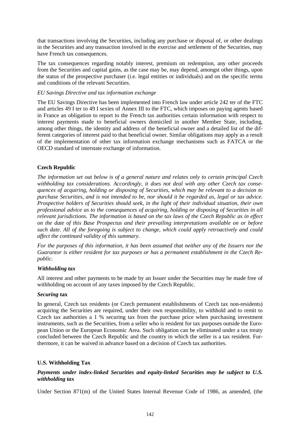that transactions involving the Securities, including any purchase or disposal of, or other dealings in the Securities and any transaction involved in the exercise and settlement of the Securities, may have French tax consequences.

The tax consequences regarding notably interest, premium on redemption, any other proceeds from the Securities and capital gains, as the case may be, may depend, amongst other things, upon the status of the prospective purchaser (i.e. legal entities or individuals) and on the specific terms and conditions of the relevant Securities.

### *EU Savings Directive and tax information exchange*

The EU Savings Directive has been implemented into French law under article 242 ter of the FTC and articles 49 I ter to 49 I sexies of Annex III to the FTC, which imposes on paying agents based in France an obligation to report to the French tax authorities certain information with respect to interest payments made to beneficial owners domiciled in another Member State, including, among other things, the identity and address of the beneficial owner and a detailed list of the different categories of interest paid to that beneficial owner. Similar obligations may apply as a result of the implementation of other tax information exchange mechanisms such as FATCA or the OECD standard of interstate exchange of information.

### **Czech Republic**

*The information set out below is of a general nature and relates only to certain principal Czech withholding tax considerations. Accordingly, it does not deal with any other Czech tax consequences of acquiring, holding or disposing of Securities, which may be relevant to a decision to purchase Securities, and is not intended to be, nor should it be regarded as, legal or tax advice. Prospective holders of Securities should seek, in the light of their individual situation, their own professional advice as to the consequences of acquiring, holding or disposing of Securities in all relevant jurisdictions. The information is based on the tax laws of the Czech Republic as in effect on the date of this Base Prospectus and their prevailing interpretations available on or before such date. All of the foregoing is subject to change, which could apply retroactively and could affect the continued validity of this summary.*

*For the purposes of this information, it has been assumed that neither any of the Issuers nor the Guarantor is either resident for tax purposes or has a permanent establishment in the Czech Republic.*

#### *Withholding tax*

All interest and other payments to be made by an Issuer under the Securities may be made free of withholding on account of any taxes imposed by the Czech Republic.

#### *Securing* **tax**

In general, Czech tax residents (or Czech permanent establishments of Czech tax non-residents) acquiring the Securities are required, under their own responsibility, to withhold and to remit to Czech tax authorities a 1 % securing tax from the purchase price when purchasing investment instruments, such as the Securities, from a seller who is resident for tax purposes outside the European Union or the European Economic Area. Such obligation can be eliminated under a tax treaty concluded between the Czech Republic and the country in which the seller is a tax resident. Furthermore, it can be waived in advance based on a decision of Czech tax authorities.

### **U.S. Withholding Tax**

### *Payments under index-linked Securities and equity-linked Securities may be subject to U.S. withholding tax*

Under Section 871(m) of the United States Internal Revenue Code of 1986, as amended, (the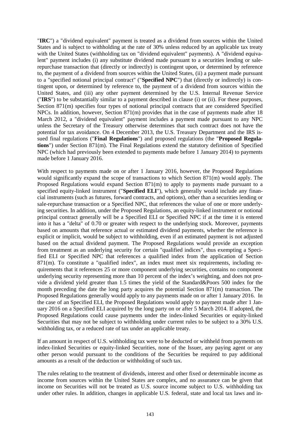"**IRC**") a "dividend equivalent" payment is treated as a dividend from sources within the United States and is subject to withholding at the rate of 30% unless reduced by an applicable tax treaty with the United States (withholding tax on "dividend equivalent" payments). A "dividend equivalent" payment includes (i) any substitute dividend made pursuant to a securities lending or salerepurchase transaction that (directly or indirectly) is contingent upon, or determined by reference to, the payment of a dividend from sources within the United States, (ii) a payment made pursuant to a "specified notional principal contract" ("**Specified NPC**") that (directly or indirectly) is contingent upon, or determined by reference to, the payment of a dividend from sources within the United States, and (iii) any other payment determined by the U.S. Internal Revenue Service ("**IRS**") to be substantially similar to a payment described in clause (i) or (ii). For these purposes, Section 871(m) specifies four types of notional principal contracts that are considered Specified NPCs. In addition, however, Section 871(m) provides that in the case of payments made after 18 March 2012, a "dividend equivalent" payment includes a payment made pursuant to any NPC unless the Secretary of the Treasury otherwise determines that such contract does not have the potential for tax avoidance. On 4 December 2013, the U.S. Treasury Department and the IRS issued final regulations ("**Final Regulations**") and proposed regulations (the "**Proposed Regulations**") under Section 871(m). The Final Regulations extend the statutory definition of Specified NPC (which had previously been extended to payments made before 1 January 2014) to payments made before 1 January 2016.

With respect to payments made on or after 1 January 2016, however, the Proposed Regulations would significantly expand the scope of transactions to which Section 871(m) would apply. The Proposed Regulations would expand Section 871(m) to apply to payments made pursuant to a specified equity-linked instrument ("**Specified ELI**"), which generally would include any financial instruments (such as futures, forward contracts, and options), other than a securities lending or sale-repurchase transaction or a Specified NPC, that references the value of one or more underlying securities. In addition, under the Proposed Regulations, an equity-linked instrument or notional principal contract generally will be a Specified ELI or Specified NPC if at the time it is entered into it has a "delta" of 0.70 or greater with respect to the underlying stock. Moreover, payments based on amounts that reference actual or estimated dividend payments, whether the reference is explicit or implicit, would be subject to withholding, even if an estimated payment is not adjusted based on the actual dividend payment. The Proposed Regulations would provide an exception from treatment as an underlying security for certain "qualified indices", thus exempting a Specified ELI or Specified NPC that references a qualified index from the application of Section 871(m). To constitute a "qualified index", an index must meet six requirements, including requirements that it references 25 or more component underlying securities, contains no component underlying security representing more than  $10$  percent of the index's weighting, and does not provide a dividend yield greater than 1.5 times the yield of the Standard&Poors 500 index for the month preceding the date the long party acquires the potential Section 871(m) transaction. The Proposed Regulations generally would apply to any payments made on or after 1 January 2016. In the case of an Specified ELI, the Proposed Regulations would apply to payment made after 1 January 2016 on a Specified ELI acquired by the long party on or after 5 March 2014. If adopted, the Proposed Regulations could cause payments under the index-linked Securities or equity-linked Securities that may not be subject to withholding under current rules to be subject to a 30% U.S. withholding tax, or a reduced rate of tax under an applicable treaty.

If an amount in respect of U.S. withholding tax were to be deducted or withheld from payments on index-linked Securities or equity-linked Securities, none of the Issuer, any paying agent or any other person would pursuant to the conditions of the Securities be required to pay additional amounts as a result of the deduction or withholding of such tax.

The rules relating to the treatment of dividends, interest and other fixed or determinable income as income from sources within the United States are complex, and no assurance can be given that income on Securities will not be treated as U.S. source income subject to U.S. withholding tax under other rules. In addition, changes in applicable U.S. federal, state and local tax laws and in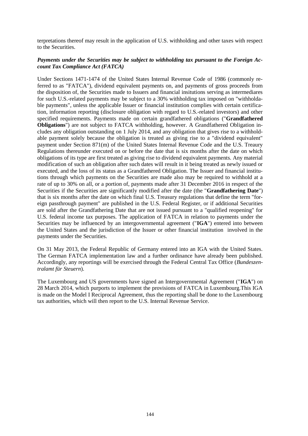terpretations thereof may result in the application of U.S. withholding and other taxes with respect to the Securities.

# *Payments under the Securities may be subject to withholding tax pursuant to the Foreign Account Tax Compliance Act (FATCA)*

Under Sections 1471-1474 of the United States Internal Revenue Code of 1986 (commonly referred to as "FATCA"), dividend equivalent payments on, and payments of gross proceeds from the disposition of, the Securities made to Issuers and financial insitutions serving as intermediares for such U.S.-related payments may be subject to a 30% withholding tax imposed on "withholdable payments", unless the applicable Issuer or financial institution complies with certain certification, information reporting (disclosure obligation with regard to U.S.-related investors) and other specified requirements. Payments made on certain grandfathered obligations ("**Grandfathered Obligations**") are not subject to FATCA withholding, however. A Grandfathered Obligation includes any obligation outstanding on 1 July 2014, and any obligation that gives rise to a withholdable payment solely because the obligation is treated as giving rise to a "dividend equivalent" payment under Section 871(m) of the United States Internal Revenue Code and the U.S. Treaury Regulations thereunder executed on or before the date that is six months after the date on which obligations of its type are first treated as giving rise to dividend equivalent payments. Any material modification of such an obligation after such dates will result in it being treated as newly issued or executed, and the loss of its status as a Grandfathered Obligation. The Issuer and financial institutions through which payments on the Securities are made also may be required to withhold at a rate of up to 30% on all, or a portion of, payments made after 31 December 2016 in respect of the Securities if the Securities are significantly modified after the date (the "**Grandfathering Date**") that is six months after the date on which final U.S. Treasury regulations that define the term "foreign passthrough payment" are published in the U.S. Federal Register, or if additional Securities are sold after the Grandfathering Date that are not issued pursuant to a "qualified reopening" for U.S. federal income tax purposes. The application of FATCA in relation to payments under the Securities may be influenced by an intergovernmental agreement ("**IGA**") entered into between the United States and the jurisdiction of the Issuer or other financial institution involved in the payments under the Securities.

On 31 May 2013, the Federal Republic of Germany entered into an IGA with the United States. The German FATCA implementation law and a further ordinance have already been published. Accordingly, any reportings will be exercised through the Federal Central Tax Office (*Bundeszentralamt für Steuern*).

The Luxembourg and US governments have signed an Intergovernmental Agreement ("**IGA**") on 28 March 2014, which purports to implement the provisions of FATCA in Luxembourg.This IGA is made on the Model I Reciprocal Agreement, thus the reporting shall be done to the Luxembourg tax authorities, which will then report to the U.S. Internal Revenue Service.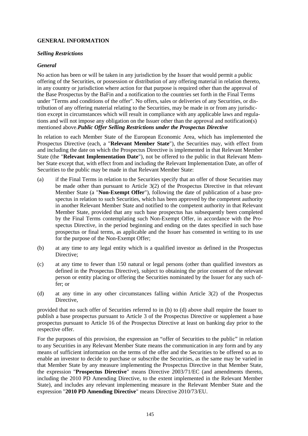# **GENERAL INFORMATION**

#### *Selling Restrictions*

## *General*

No action has been or will be taken in any jurisdiction by the Issuer that would permit a public offering of the Securities, or possession or distribution of any offering material in relation thereto, in any country or jurisdiction where action for that purpose is required other than the approval of the Base Prospectus by the BaFin and a notification to the countries set forth in the Final Terms under "Terms and conditions of the offer". No offers, sales or deliveries of any Securities, or distribution of any offering material relating to the Securities, may be made in or from any jurisdiction except in circumstances which will result in compliance with any applicable laws and regulations and will not impose any obligation on the Issuer other than the approval and notification(s) mentioned above.*Public Offer Selling Restrictions under the Prospectus Directive*

In relation to each Member State of the European Economic Area, which has implemented the Prospectus Directive (each, a "**Relevant Member State**"), the Securities may, with effect from and including the date on which the Prospectus Directive is implemented in that Relevant Member State (the "**Relevant Implementation Date**"), not be offered to the public in that Relevant Member State except that, with effect from and including the Relevant Implementation Date, an offer of Securities to the public may be made in that Relevant Member State:

- (a) if the Final Terms in relation to the Securities specify that an offer of those Securities may be made other than pursuant to Article 3(2) of the Prospectus Directive in that relevant Member State (a "**Non-Exempt Offer**"), following the date of publication of a base prospectus in relation to such Securities, which has been approved by the competent authority in another Relevant Member State and notified to the competent authority in that Relevant Member State, provided that any such base prospectus has subsequently been completed by the Final Terms contemplating such Non-Exempt Offer, in accordance with the Prospectus Directive, in the period beginning and ending on the dates specified in such base prospectus or final terms, as applicable and the Issuer has consented in writing to its use for the purpose of the Non-Exempt Offer;
- (b) at any time to any legal entity which is a qualified investor as defined in the Prospectus Directive:
- (c) at any time to fewer than 150 natural or legal persons (other than qualified investors as defined in the Prospectus Directive), subject to obtaining the prior consent of the relevant person or entity placing or offering the Securities nominated by the Issuer for any such offer; or
- (d) at any time in any other circumstances falling within Article 3(2) of the Prospectus Directive,

provided that no such offer of Securities referred to in (b) to (d) above shall require the Issuer to publish a base prospectus pursuant to Article 3 of the Prospectus Directive or supplement a base prospectus pursuant to Article 16 of the Prospectus Directive at least on banking day prior to the respective offer.

For the purposes of this provision, the expression an "offer of Securities to the public" in relation to any Securities in any Relevant Member State means the communication in any form and by any means of sufficient information on the terms of the offer and the Securities to be offered so as to enable an investor to decide to purchase or subscribe the Securities, as the same may be varied in that Member State by any measure implementing the Prospectus Directive in that Member State, the expression "**Prospectus Directive**" means Directive 2003/71/EC (and amendments thereto, including the 2010 PD Amending Directive, to the extent implemented in the Relevant Member State), and includes any relevant implementing measure in the Relevant Member State and the expression "**2010 PD Amending Directive**" means Directive 2010/73/EU.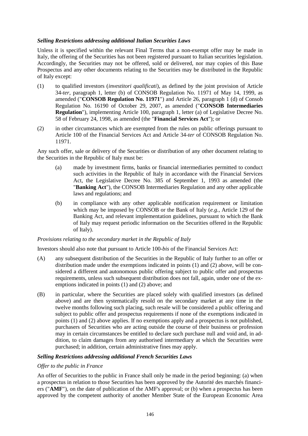## *Selling Restrictions addressing additional Italian Securities Laws*

Unless it is specified within the relevant Final Terms that a non-exempt offer may be made in Italy, the offering of the Securities has not been registered pursuant to Italian securities legislation. Accordingly, the Securities may not be offered, sold or delivered, nor may copies of this Base Prospectus and any other documents relating to the Securities may be distributed in the Republic of Italy except:

- (1) to qualified investors (*investitori qualificati*), as defined by the joint provision of Article 34-*ter*, paragraph 1, letter (b) of CONSOB Regulation No. 11971 of May 14, 1999, as amended ("**CONSOB Regulation No. 11971**") and Article 26, paragraph 1 (d) of Consob Regulation No. 16190 of October 29, 2007, as amended ("**CONSOB Intermediaries Regulation**"), implementing Article 100, paragraph 1, letter (a) of Legislative Decree No. 58 of February 24, 1998, as amended (the "**Financial Services Act**"); or
- (2) in other circumstances which are exempted from the rules on public offerings pursuant to Article 100 of the Financial Services Act and Article 34-*ter* of CONSOB Regulation No. 11971.

Any such offer, sale or delivery of the Securities or distribution of any other document relating to the Securities in the Republic of Italy must be:

- (a) made by investment firms, banks or financial intermediaries permitted to conduct such activities in the Republic of Italy in accordance with the Financial Services Act, the Legislative Decree No. 385 of September 1, 1993 as amended (the "**Banking Act**"), the CONSOB Intermediaries Regulation and any other applicable laws and regulations; and
- (b) in compliance with any other applicable notification requirement or limitation which may be imposed by CONSOB or the Bank of Italy (*e.g.*, Article 129 of the Banking Act, and relevant implementation guidelines, pursuant to which the Bank of Italy may request periodic information on the Securities offered in the Republic of Italy).

### *Provisions relating to the secondary market in the Republic of Italy*

Investors should also note that pursuant to Article 100-*bis* of the Financial Services Act:

- (A) any subsequent distribution of the Securities in the Republic of Italy further to an offer or distribution made under the exemptions indicated in points (1) and (2) above, will be considered a different and autonomous public offering subject to public offer and prospectus requirements, unless such subsequent distribution does not fall, again, under one of the exemptions indicated in points (1) and (2) above; and
- (B) in particular, where the Securities are placed solely with qualified investors (as defined above) and are then systematically resold on the secondary market at any time in the twelve months following such placing, such resale will be considered a public offering and subject to public offer and prospectus requirements if none of the exemptions indicated in points (1) and (2) above applies. If no exemptions apply and a prospectus is not published, purchasers of Securities who are acting outside the course of their business or profession may in certain circumstances be entitled to declare such purchase null and void and, in addition, to claim damages from any authorised intermediary at which the Securities were purchased; in addition, certain administrative fines may apply.

# *Selling Restrictions addressing additional French Securities Laws*

### *Offer to the public in France*

An offer of Securities to the public in France shall only be made in the period beginning: (a) when a prospectus in relation to those Securities has been approved by the Autorité des marchés financiers ("**AMF**"), on the date of publication of the AMF's approval; or (b) when a prospectus has been approved by the competent authority of another Member State of the European Economic Area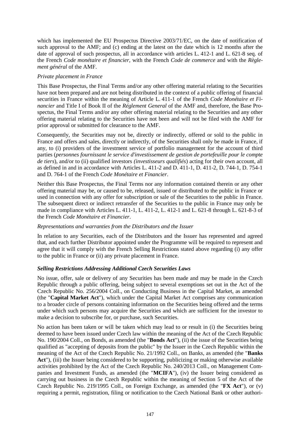which has implemented the EU Prospectus Directive 2003/71/EC, on the date of notification of such approval to the AMF; and (c) ending at the latest on the date which is 12 months after the date of approval of such prospectus, all in accordance with articles L. 412-1 and L. 621-8 seq. of the French *Code monétaire et financier*, with the French *Code de commerce* and with the *Règlement général* of the AMF.

## *Private placement in France*

This Base Prospectus, the Final Terms and/or any other offering material relating to the Securities have not been prepared and are not being distributed in the context of a public offering of financial securities in France within the meaning of Article L. 411-1 of the French *Code Monétaire et Financier* and Title I of Book II of the *Réglement General* of the AMF and, therefore, the Base Prospectus, the Final Terms and/or any other offering material relating to the Securities and any other offering material relating to the Securities have not been and will not be filed with the AMF for prior approval or submitted for clearance to the AMF.

Consequently, the Securities may not be, directly or indirectly, offered or sold to the public in France and offers and sales, directly or indirectly, of the Securities shall only be made in France, if any, to (i) providers of the investment service of portfolio management for the account of third parties (*personnes fournissant le service d'investissement de gestion de portefeuille pour le compte de tiers*), and/or to (ii) qualified investors *(investisseurs qualifiés*) acting for their own account, all as defined in and in accordance with Articles L. 411-2 and D. 411-1, D. 411-2, D. 744-1, D. 754-1 and D. 764-1 of the French *Code Monétaire et Financier*.

Neither this Base Prospectus, the Final Terms nor any information contained therein or any other offering material may be, or caused to be, released, issued or distributed to the public in France or used in connection with any offer for subscription or sale of the Securities to the public in France. The subsequent direct or indirect retransfer of the Securities to the public in France may only be made in compliance with Articles L. 411-1, L. 411-2, L. 412-1 and L. 621-8 through L. 621-8-3 of the French *Code Monétaire et Financier*.

### *Representations and warranties from the Distributors and the Issuer*

In relation to any Securities, each of the Distributors and the Issuer has represented and agreed that, and each further Distributor appointed under the Programme will be required to represent and agree that it will comply with the French Selling Restrictions stated above regarding (i) any offer to the public in France or (ii) any private placement in France.

# *Selling Restrictions Addressing Additional Czech Securities Laws*

No issue, offer, sale or delivery of any Securities has been made and may be made in the Czech Republic through a public offering, being subject to several exemptions set out in the Act of the Czech Republic No. 256/2004 Coll., on Conducting Business in the Capital Market, as amended (the "**Capital Market Act**"), which under the Capital Market Act comprises any communication to a broader circle of persons containing information on the Securities being offered and the terms under which such persons may acquire the Securities and which are sufficient for the investor to make a decision to subscribe for, or purchase, such Securities.

No action has been taken or will be taken which may lead to or result in (i) the Securities being deemed to have been issued under Czech law within the meaning of the Act of the Czech Republic No. 190/2004 Coll., on Bonds, as amended (the "**Bonds Act**"), (ii) the issue of the Securities being qualified as "accepting of deposits from the public" by the Issuer in the Czech Republic within the meaning of the Act of the Czech Republic No. 21/1992 Coll., on Banks, as amended (the "**Banks** Act"), (iii) the Issuer being considered to be supporting, publicizing or making otherwise available activities prohibited by the Act of the Czech Republic No. 240/2013 Coll., on Management Companies and Investment Funds, as amended (the "**MCIFA**"), (iv) the Issuer being considered as carrying out business in the Czech Republic within the meaning of Section 5 of the Act of the Czech Republic No. 219/1995 Coll., on Foreign Exchange, as amended (the "**FX Act**"), or (v) requiring a permit, registration, filing or notification to the Czech National Bank or other authori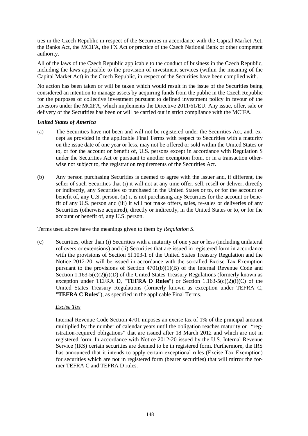ties in the Czech Republic in respect of the Securities in accordance with the Capital Market Act, the Banks Act, the MCIFA, the FX Act or practice of the Czech National Bank or other competent authority.

All of the laws of the Czech Republic applicable to the conduct of business in the Czech Republic, including the laws applicable to the provision of investment services (within the meaning of the Capital Market Act) in the Czech Republic, in respect of the Securities have been complied with.

No action has been taken or will be taken which would result in the issue of the Securities being considered an intention to manage assets by acquiring funds from the public in the Czech Republic for the purposes of collective investment pursuant to defined investment policy in favour of the investors under the MCIFA, which implements the Directive 2011/61/EU. Any issue, offer, sale or delivery of the Securities has been or will be carried out in strict compliance with the MCIFA.

### *United States of America*

- (a) The Securities have not been and will not be registered under the Securities Act, and, except as provided in the applicable Final Terms with respect to Securities with a maturity on the issue date of one year or less, may not be offered or sold within the United States or to, or for the account or benefit of, U.S. persons except in accordance with Regulation S under the Securities Act or pursuant to another exemption from, or in a transaction otherwise not subject to, the registration requirements of the Securities Act.
- (b) Any person purchasing Securities is deemed to agree with the Issuer and, if different, the seller of such Securities that (i) it will not at any time offer, sell, resell or deliver, directly or indirectly, any Securities so purchased in the United States or to, or for the account or benefit of, any U.S. person, (ii) it is not purchasing any Securities for the account or benefit of any U.S. person and (iii) it will not make offers, sales, re-sales or deliveries of any Securities (otherwise acquired), directly or indirectly, in the United States or to, or for the account or benefit of, any U.S. person.

Terms used above have the meanings given to them by *Regulation S*.

(c) Securities, other than (i) Securities with a maturity of one year or less (including unilateral rollovers or extensions) and (ii) Securities that are issued in registered form in accordance with the provisions of Section 5f.103-1 of the United States Treasury Regulation and the Notice 2012-20, will be issued in accordance with the so-called Excise Tax Exemption pursuant to the provisions of Section 4701(b)(1)(B) of the Internal Revenue Code and Section  $1.163-5(c)(2)(i)(D)$  of the United States Treasury Regulations (formerly known as exception under TEFRA D, "**TEFRA D Rules**") or Section 1.163-5(c)(2)(i)(C) of the United States Treasury Regulations (formerly known as exception under TEFRA C, "**TEFRA C Rules**"), as specified in the applicable Final Terms.

### *Excise Tax*

Internal Revenue Code Section 4701 imposes an excise tax of 1% of the principal amount multiplied by the number of calendar years until the obligation reaches maturity on "registration-required obligations" that are issued after 18 March 2012 and which are not in registered form. In accordance with Notice 2012-20 issued by the U.S. Internal Revenue Service (IRS) certain securities are deemed to be in registered form. Furthermore, the IRS has announced that it intends to apply certain exceptional rules (Excise Tax Exemption) for securities which are not in registered form (bearer securities) that will mirror the former TEFRA C and TEFRA D rules.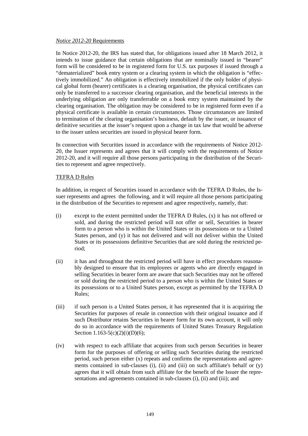#### *Notice 2012-20* Requirements

In Notice 2012-20, the IRS has stated that, for obligations issued after 18 March 2012, it intends to issue guidance that certain obligations that are nominally issued in "bearer" form will be considered to be in registered form for U.S. tax purposes if issued through a "dematerialized" book entry system or a clearing system in which the obligation is "effectively immobilized." An obligation is effectively immobilized if the only holder of physical global form (bearer) certificates is a clearing organisation, the physical certificates can only be transferred to a successor clearing organisation, and the beneficial interests in the underlying obligation are only transferrable on a book entry system maintained by the clearing organisation. The obligation may be considered to be in registered form even if a physical certificate is available in certain circumstances. Those circumstances are limited to termination of the clearing organisation's business, default by the issuer, or issuance of definitive securities at the issuer's request upon a change in tax law that would be adverse to the issuer unless securities are issued in physical bearer form.

In connection with Securities issued in accordance with the requirements of Notice 2012- 20, the Issuer represents and agrees that it will comply with the requirements of Notice 2012-20, and it will require all those persons participating in the distribution of the Securities to represent and agree respectively.

### TEFRA D Rules

In addition, in respect of Securities issued in accordance with the TEFRA D Rules, the Issuer represents and agrees the following, and it will require all those persons participating in the distribution of the Securities to represent and agree respectively, namely, that:

- (i) except to the extent permitted under the TEFRA D Rules, (x) it has not offered or sold, and during the restricted period will not offer or sell, Securities in bearer form to a person who is within the United States or its possessions or to a United States person, and (y) it has not delivered and will not deliver within the United States or its possessions definitive Securities that are sold during the restricted period;
- (ii) it has and throughout the restricted period will have in effect procedures reasonably designed to ensure that its employees or agents who are directly engaged in selling Securities in bearer form are aware that such Securities may not be offered or sold during the restricted period to a person who is within the United States or its possessions or to a United States person, except as permitted by the TEFRA D Rules;
- (iii) if such person is a United States person, it has represented that it is acquiring the Securities for purposes of resale in connection with their original issuance and if such Distributor retains Securities in bearer form for its own account, it will only do so in accordance with the requirements of United States Treasury Regulation Section  $1.163-5(c)(2)(i)(D)(6);$
- (iv) with respect to each affiliate that acquires from such person Securities in bearer form for the purposes of offering or selling such Securities during the restricted period, such person either (x) repeats and confirms the representations and agreements contained in sub-clauses (i), (ii) and (iii) on such affiliate's behalf or (y) agrees that it will obtain from such affiliate for the benefit of the Issuer the representations and agreements contained in sub-clauses (i), (ii) and (iii); and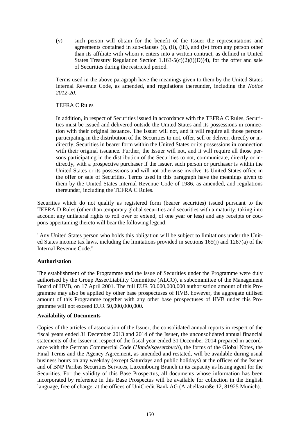(v) such person will obtain for the benefit of the Issuer the representations and agreements contained in sub-clauses (i), (ii), (iii), and (iv) from any person other than its affiliate with whom it enters into a written contract, as defined in United States Treasury Regulation Section 1.163-5(c)(2)(i)(D)(4), for the offer and sale of Securities during the restricted period.

Terms used in the above paragraph have the meanings given to them by the United States Internal Revenue Code, as amended, and regulations thereunder, including the *Notice 2012-20*.

## TEFRA C Rules

In addition, in respect of Securities issued in accordance with the TEFRA C Rules, Securities must be issued and delivered outside the United States and its possessions in connection with their original issuance. The Issuer will not, and it will require all those persons participating in the distribution of the Securities to not, offer, sell or deliver, directly or indirectly, Securities in bearer form within the United States or its possessions in connection with their original issuance. Further, the Issuer will not, and it will require all those persons participating in the distribution of the Securities to not, communicate, directly or indirectly, with a prospective purchaser if the Issuer, such person or purchaser is within the United States or its possessions and will not otherwise involve its United States office in the offer or sale of Securities. Terms used in this paragraph have the meanings given to them by the United States Internal Revenue Code of 1986, as amended, and regulations thereunder, including the TEFRA C Rules.

Securities which do not qualify as registered form (bearer securities) issued pursuant to the TEFRA D Rules (other than temporary global securities and securities with a maturity, taking into account any unilateral rights to roll over or extend, of one year or less) and any receipts or coupons appertaining thereto will bear the following legend:

"Any United States person who holds this obligation will be subject to limitations under the United States income tax laws, including the limitations provided in sections 165(j) and 1287(a) of the Internal Revenue Code."

### **Authorisation**

The establishment of the Programme and the issue of Securities under the Programme were duly authorised by the Group Asset/Liability Committee (ALCO), a subcommittee of the Management Board of HVB, on 17 April 2001. The full EUR 50,000,000,000 authorisation amount of this Programme may also be applied by other base prospectuses of HVB, however, the aggregate utilised amount of this Programme together with any other base prospectuses of HVB under this Programme will not exceed EUR 50,000,000,000.

### **Availability of Documents**

Copies of the articles of association of the Issuer, the consolidated annual reports in respect of the fiscal years ended 31 December 2013 and 2014 of the Issuer, the unconsolidated annual financial statements of the Issuer in respect of the fiscal year ended 31 December 2014 prepared in accordance with the German Commercial Code (*Handelsgesetzbuch*), the forms of the Global Notes, the Final Terms and the Agency Agreement, as amended and restated, will be available during usual business hours on any weekday (except Saturdays and public holidays) at the offices of the Issuer and of BNP Paribas Securities Services, Luxembourg Branch in its capacity as listing agent for the Securities. For the validity of this Base Prospectus, all documents whose information has been incorporated by reference in this Base Prospectus will be available for collection in the English language, free of charge, at the offices of UniCredit Bank AG (Arabellastraße 12, 81925 Munich).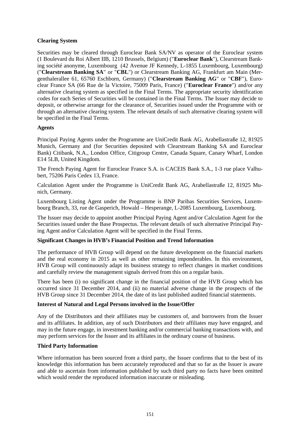## **Clearing System**

Securities may be cleared through Euroclear Bank SA/NV as operator of the Euroclear system (1 Boulevard du Roi Albert IIB, 1210 Brussels, Belgium) ("**Euroclear Bank**"), Clearstream Banking société anonyme, Luxembourg (42 Avenue JF Kennedy, L-1855 Luxembourg, Luxembourg) ("**Clearstream Banking SA**" or "**CBL**") or Clearstream Banking AG, Frankfurt am Main (Mergenthalerallee 61, 65760 Eschborn, Germany) ("**Clearstream Banking AG**" or "**CBF**"), Euroclear France SA (66 Rue de la Victoire, 75009 Paris, France) ("**Euroclear France**") and/or any alternative clearing system as specified in the Final Terms. The appropriate security identification codes for each Series of Securities will be contained in the Final Terms. The Issuer may decide to deposit, or otherwise arrange for the clearance of, Securities issued under the Programme with or through an alternative clearing system. The relevant details of such alternative clearing system will be specified in the Final Terms.

### **Agents**

Principal Paying Agents under the Programme are UniCredit Bank AG, Arabellastraße 12, 81925 Munich, Germany and (for Securities deposited with Clearstream Banking SA and Euroclear Bank) Citibank, N.A., London Office, Citigroup Centre, Canada Square, Canary Wharf, London E14 5LB, United Kingdom.

The French Paying Agent for Euroclear France S.A. is CACEIS Bank S.A., 1-3 rue place Valhubert, 75206 Paris Cedex 13, France.

Calculation Agent under the Programme is UniCredit Bank AG, Arabellastraße 12, 81925 Munich, Germany.

Luxembourg Listing Agent under the Programme is BNP Paribas Securities Services, Luxembourg Branch, 33, rue de Gasperich, Howald – Hesperange, L-2085 Luxembourg, Luxembourg.

The Issuer may decide to appoint another Principal Paying Agent and/or Calculation Agent for the Securities issued under the Base Prospectus. The relevant details of such alternative Principal Paying Agent and/or Calculation Agent will be specified in the Final Terms.

### **Significant Changes in HVB's Financial Position and Trend Information**

The performance of HVB Group will depend on the future development on the financial markets and the real economy in 2015 as well as other remaining imponderables. In this environment, HVB Group will continuously adapt its business strategy to reflect changes in market conditions and carefully review the management signals derived from this on a regular basis.

There has been (i) no significant change in the financial position of the HVB Group which has occurred since 31 December 2014, and (ii) no material adverse change in the prospects of the HVB Group since 31 December 2014, the date of its last published audited financial statements.

### **Interest of Natural and Legal Persons involved in the Issue/Offer**

Any of the Distributors and their affiliates may be customers of, and borrowers from the Issuer and its affiliates. In addition, any of such Distributors and their affiliates may have engaged, and may in the future engage, in investment banking and/or commercial banking transactions with, and may perform services for the Issuer and its affiliates in the ordinary course of business.

### **Third Party Information**

Where information has been sourced from a third party, the Issuer confirms that to the best of its knowledge this information has been accurately reproduced and that so far as the Issuer is aware and able to ascertain from information published by such third party no facts have been omitted which would render the reproduced information inaccurate or misleading.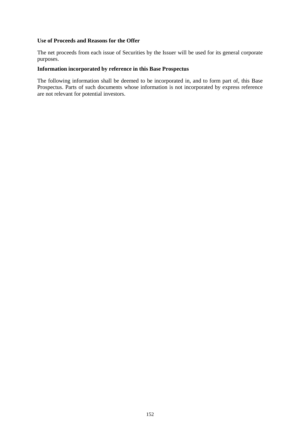## **Use of Proceeds and Reasons for the Offer**

The net proceeds from each issue of Securities by the Issuer will be used for its general corporate purposes.

## **Information incorporated by reference in this Base Prospectus**

The following information shall be deemed to be incorporated in, and to form part of, this Base Prospectus. Parts of such documents whose information is not incorporated by express reference are not relevant for potential investors.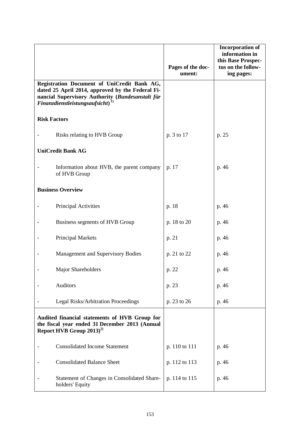|                                                                                                                                                                                               |                                                                | Pages of the doc-<br>ument: | <b>Incorporation of</b><br>information in<br>this Base Prospec-<br>tus on the follow-<br>ing pages: |
|-----------------------------------------------------------------------------------------------------------------------------------------------------------------------------------------------|----------------------------------------------------------------|-----------------------------|-----------------------------------------------------------------------------------------------------|
| Registration Document of UniCredit Bank AG,<br>dated 25 April 2014, approved by the Federal Fi-<br>nancial Supervisory Authority (Bundesanstalt für<br>Finanzdienstleistungsaufsicht) $^{1)}$ |                                                                |                             |                                                                                                     |
| <b>Risk Factors</b>                                                                                                                                                                           |                                                                |                             |                                                                                                     |
|                                                                                                                                                                                               | Risks relating to HVB Group                                    | p. 3 to 17                  | p. 25                                                                                               |
| <b>UniCredit Bank AG</b>                                                                                                                                                                      |                                                                |                             |                                                                                                     |
|                                                                                                                                                                                               | Information about HVB, the parent company<br>of HVB Group      | p. 17                       | p. 46                                                                                               |
| <b>Business Overview</b>                                                                                                                                                                      |                                                                |                             |                                                                                                     |
|                                                                                                                                                                                               | Principal Activities                                           | p. 18                       | p. 46                                                                                               |
|                                                                                                                                                                                               | Business segments of HVB Group                                 | p. 18 to 20                 | p. 46                                                                                               |
|                                                                                                                                                                                               | <b>Principal Markets</b>                                       | p. 21                       | p. 46                                                                                               |
|                                                                                                                                                                                               | Management and Supervisory Bodies                              | p. 21 to 22                 | p. 46                                                                                               |
|                                                                                                                                                                                               | Major Shareholders                                             | p. 22                       | p. 46                                                                                               |
|                                                                                                                                                                                               | Auditors                                                       | p. 23                       | p. 46                                                                                               |
|                                                                                                                                                                                               | Legal Risks/Arbitration Proceedings                            | p. 23 to 26                 | p. 46                                                                                               |
| Audited financial statements of HVB Group for<br>the fiscal year ended 31 December 2013 (Annual<br>Report HVB Group 2013) <sup>2)</sup>                                                       |                                                                |                             |                                                                                                     |
|                                                                                                                                                                                               | <b>Consolidated Income Statement</b>                           | p. 110 to 111               | p. 46                                                                                               |
|                                                                                                                                                                                               | <b>Consolidated Balance Sheet</b>                              | p. 112 to 113               | p. 46                                                                                               |
|                                                                                                                                                                                               | Statement of Changes in Consolidated Share-<br>holders' Equity | p. 114 to 115               | p. 46                                                                                               |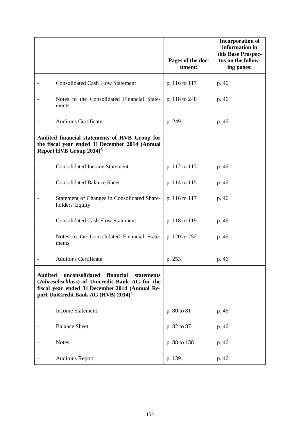|                                                                                                                                                                                                                     |                                                                | Pages of the doc-<br>ument: | <b>Incorporation of</b><br>information in<br>this Base Prospec-<br>tus on the follow-<br>ing pages: |
|---------------------------------------------------------------------------------------------------------------------------------------------------------------------------------------------------------------------|----------------------------------------------------------------|-----------------------------|-----------------------------------------------------------------------------------------------------|
|                                                                                                                                                                                                                     | <b>Consolidated Cash Flow Statement</b>                        | p. 116 to 117               | p. 46                                                                                               |
|                                                                                                                                                                                                                     | Notes to the Consolidated Financial State-<br>ments            | p. 118 to 248               | p. 46                                                                                               |
|                                                                                                                                                                                                                     | <b>Auditor's Certificate</b>                                   | p. 249                      | p. 46                                                                                               |
| Audited financial statements of HVB Group for<br>the fiscal year ended 31 December 2014 (Annual<br>Report HVB Group 2014) <sup>2)</sup>                                                                             |                                                                |                             |                                                                                                     |
|                                                                                                                                                                                                                     | <b>Consolidated Income Statement</b>                           | p. 112 to 113               | p. 46                                                                                               |
|                                                                                                                                                                                                                     | <b>Consolidated Balance Sheet</b>                              | p. 114 to 115               | p. 46                                                                                               |
|                                                                                                                                                                                                                     | Statement of Changes in Consolidated Share-<br>holders' Equity | p. 116 to 117               | p. 46                                                                                               |
|                                                                                                                                                                                                                     | <b>Consolidated Cash Flow Statement</b>                        | p. 118 to 119               | p. 46                                                                                               |
|                                                                                                                                                                                                                     | Notes to the Consolidated Financial State-<br>ments            | p. 120 to 252               | p. 46                                                                                               |
|                                                                                                                                                                                                                     | <b>Auditor's Certificate</b>                                   | p. 253                      | p. 46                                                                                               |
| unconsolidated<br>financial<br><b>Audited</b><br>statements<br>(Jahresabschluss) of Unicredit Bank AG for the<br>fiscal year ended 31 December 2014 (Annual Re-<br>port UniCredit Bank AG (HVB) 2014) <sup>2)</sup> |                                                                |                             |                                                                                                     |
|                                                                                                                                                                                                                     | <b>Income Statement</b>                                        | p. 80 to 81                 | p. 46                                                                                               |
|                                                                                                                                                                                                                     | <b>Balance Sheet</b>                                           | p. 82 to 87                 | p. 46                                                                                               |
|                                                                                                                                                                                                                     | <b>Notes</b>                                                   | p. 88 to 138                | p. 46                                                                                               |
|                                                                                                                                                                                                                     | <b>Auditor's Report</b>                                        | p. 139                      | p. 46                                                                                               |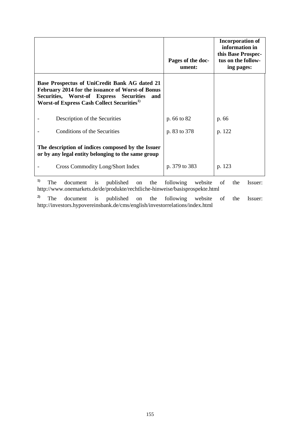|                                                                                                                                                                                                                                | Pages of the doc-<br>ument: | <b>Incorporation of</b><br>information in<br>this Base Prospec-<br>tus on the follow-<br>ing pages: |
|--------------------------------------------------------------------------------------------------------------------------------------------------------------------------------------------------------------------------------|-----------------------------|-----------------------------------------------------------------------------------------------------|
| Base Prospectus of UniCredit Bank AG dated 21<br>February 2014 for the issuance of Worst-of Bonus<br>Securities, Worst-of Express<br><b>Securities</b><br>and<br><b>Worst-of Express Cash Collect Securities</b> <sup>1)</sup> |                             |                                                                                                     |
| Description of the Securities                                                                                                                                                                                                  | p. 66 to 82                 | p. 66                                                                                               |
| Conditions of the Securities                                                                                                                                                                                                   | p. 83 to 378                | p. 122                                                                                              |
| The description of indices composed by the Issuer<br>or by any legal entity belonging to the same group                                                                                                                        |                             |                                                                                                     |
| Cross Commodity Long/Short Index                                                                                                                                                                                               | p. 379 to 383               | p. 123                                                                                              |

**1)** The document is published on the following website of the Issuer: http://www.onemarkets.de/de/produkte/rechtliche-hinweise/basisprospekte.html

**2)** The document is published on the following website of the Issuer: http://investors.hypovereinsbank.de/cms/english/investorrelations/index.html